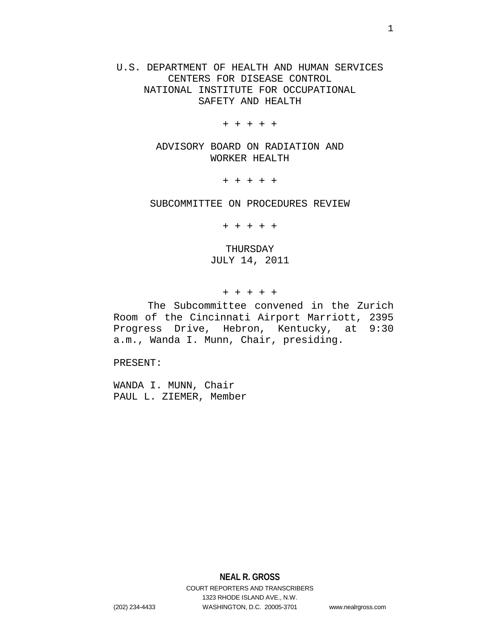U.S. DEPARTMENT OF HEALTH AND HUMAN SERVICES CENTERS FOR DISEASE CONTROL NATIONAL INSTITUTE FOR OCCUPATIONAL SAFETY AND HEALTH

+ + + + +

ADVISORY BOARD ON RADIATION AND WORKER HEALTH

+ + + + +

SUBCOMMITTEE ON PROCEDURES REVIEW

+ + + + +

THURSDAY JULY 14, 2011

+ + + + +

The Subcommittee convened in the Zurich Room of the Cincinnati Airport Marriott, 2395 Progress Drive, Hebron, Kentucky, at 9:30 a.m., Wanda I. Munn, Chair, presiding.

PRESENT:

WANDA I. MUNN, Chair PAUL L. ZIEMER, Member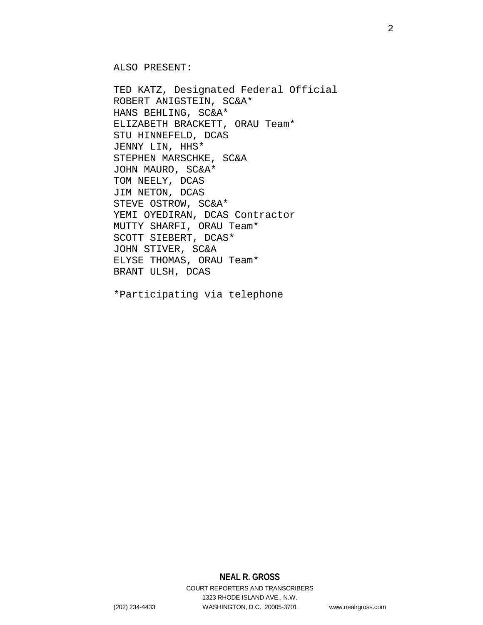ALSO PRESENT:

TED KATZ, Designated Federal Official ROBERT ANIGSTEIN, SC&A\* HANS BEHLING, SC&A\* ELIZABETH BRACKETT, ORAU Team\* STU HINNEFELD, DCAS JENNY LIN, HHS\* STEPHEN MARSCHKE, SC&A JOHN MAURO, SC&A\* TOM NEELY, DCAS JIM NETON, DCAS STEVE OSTROW, SC&A\* YEMI OYEDIRAN, DCAS Contractor MUTTY SHARFI, ORAU Team\* SCOTT SIEBERT, DCAS\* JOHN STIVER, SC&A ELYSE THOMAS, ORAU Team\* BRANT ULSH, DCAS

\*Participating via telephone

# **NEAL R. GROSS**

COURT REPORTERS AND TRANSCRIBERS 1323 RHODE ISLAND AVE., N.W. (202) 234-4433 WASHINGTON, D.C. 20005-3701 www.nealrgross.com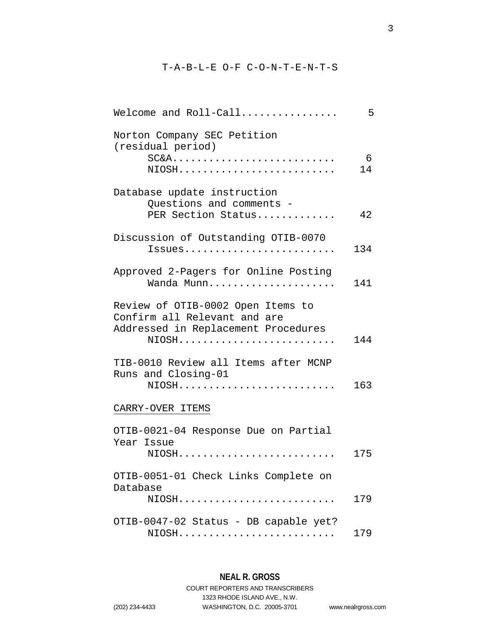# T-A-B-L-E O-F C-O-N-T-E-N-T-S

| Welcome and $Roll-Call$                                                                                           | 5       |
|-------------------------------------------------------------------------------------------------------------------|---------|
| Norton Company SEC Petition<br>(residual period)<br>$SC&A$<br>NIOSH                                               | 6<br>14 |
| Database update instruction<br>Ouestions and comments -<br>PER Section Status                                     | 42      |
| Discussion of Outstanding OTIB-0070<br>Issues                                                                     | 134     |
| Approved 2-Pagers for Online Posting<br>Wanda Munn                                                                | 141     |
| Review of OTIB-0002 Open Items to<br>Confirm all Relevant and are<br>Addressed in Replacement Procedures<br>NIOSH | 144     |
| TIB-0010 Review all Items after MCNP<br>Runs and Closing-01<br>NIOSH                                              | 163     |
| CARRY-OVER ITEMS                                                                                                  |         |
| OTIB-0021-04 Response Due on Partial<br>Year Issue<br>NIOSH                                                       | 175     |
| OTIB-0051-01 Check Links Complete on<br>Database<br>$NIOSH$                                                       | 179     |
| OTIB-0047-02 Status - DB capable yet?<br>$NIOSH\ldots\ldots\ldots\ldots\ldots\ldots$                              | 179     |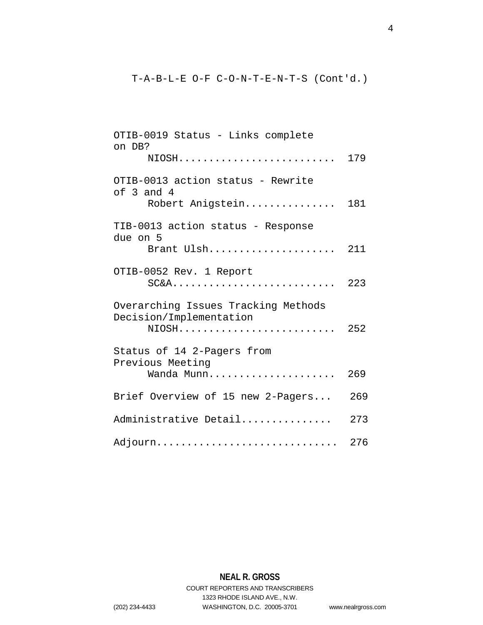# T-A-B-L-E O-F C-O-N-T-E-N-T-S (Cont'd.)

| OTIB-0019 Status - Links complete<br>on DB?                    |     |
|----------------------------------------------------------------|-----|
| NIOSH                                                          | 179 |
| OTIB-0013 action status - Rewrite<br>of $3$ and $4$            |     |
| Robert Anigstein                                               | 181 |
| TIB-0013 action status - Response<br>due on 5                  |     |
| Brant Ulsh                                                     | 211 |
| OTIB-0052 Rev. 1 Report<br>$SC&A$                              | 223 |
| Overarching Issues Tracking Methods<br>Decision/Implementation |     |
| NIOSH                                                          | 252 |
| Status of 14 2-Pagers from<br>Previous Meeting                 |     |
| Wanda Munn                                                     | 269 |
| Brief Overview of 15 new 2-Pagers                              | 269 |
| Administrative Detail                                          | 273 |
| Adjourn                                                        | 276 |

**NEAL R. GROSS** COURT REPORTERS AND TRANSCRIBERS 1323 RHODE ISLAND AVE., N.W. (202) 234-4433 WASHINGTON, D.C. 20005-3701 www.nealrgross.com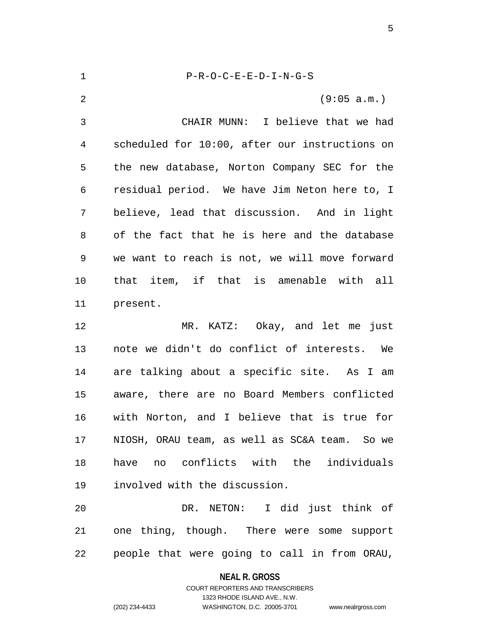| $\mathbf{1}$ | $P-R-O-C-E-E-D-I-N-G-S$                        |
|--------------|------------------------------------------------|
| 2            | (9:05 a.m.)                                    |
| 3            | CHAIR MUNN: I believe that we had              |
| 4            | scheduled for 10:00, after our instructions on |
| 5            | the new database, Norton Company SEC for the   |
| 6            | residual period. We have Jim Neton here to, I  |
| 7            | believe, lead that discussion. And in light    |
| 8            | of the fact that he is here and the database   |
| 9            | we want to reach is not, we will move forward  |
| 10           | that item, if that is amenable with all        |
| 11           | present.                                       |
| 12           | MR. KATZ: Okay, and let me just                |
| 13           | note we didn't do conflict of interests. We    |
| 14           | are talking about a specific site. As I am     |

 are talking about a specific site. As I am aware, there are no Board Members conflicted with Norton, and I believe that is true for NIOSH, ORAU team, as well as SC&A team. So we have no conflicts with the individuals involved with the discussion.

 DR. NETON: I did just think of one thing, though. There were some support people that were going to call in from ORAU,

# **NEAL R. GROSS**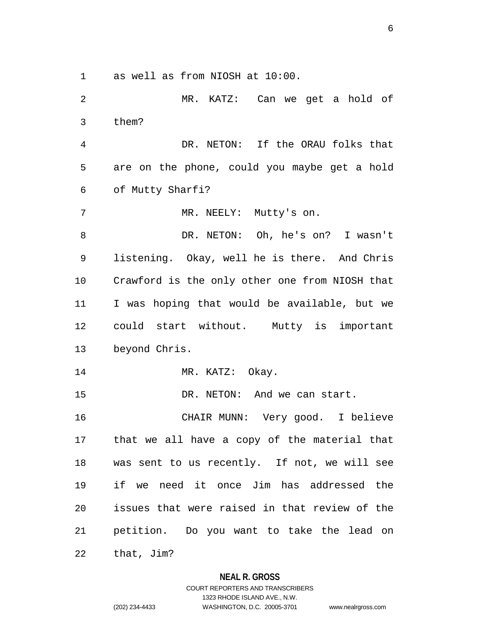as well as from NIOSH at 10:00.

 MR. KATZ: Can we get a hold of them? DR. NETON: If the ORAU folks that are on the phone, could you maybe get a hold of Mutty Sharfi? 7 MR. NEELY: Mutty's on. DR. NETON: Oh, he's on? I wasn't listening. Okay, well he is there. And Chris Crawford is the only other one from NIOSH that I was hoping that would be available, but we could start without. Mutty is important beyond Chris. 14 MR. KATZ: Okay. 15 DR. NETON: And we can start. CHAIR MUNN: Very good. I believe that we all have a copy of the material that was sent to us recently. If not, we will see if we need it once Jim has addressed the issues that were raised in that review of the petition. Do you want to take the lead on that, Jim?

> **NEAL R. GROSS** COURT REPORTERS AND TRANSCRIBERS

> > 1323 RHODE ISLAND AVE., N.W.

(202) 234-4433 WASHINGTON, D.C. 20005-3701 www.nealrgross.com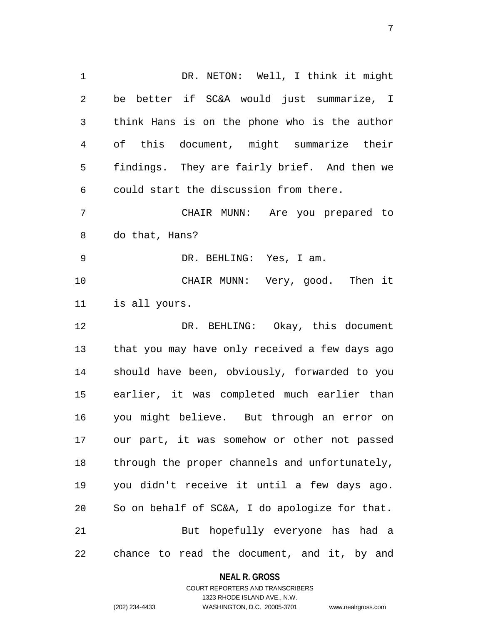DR. NETON: Well, I think it might be better if SC&A would just summarize, I think Hans is on the phone who is the author of this document, might summarize their findings. They are fairly brief. And then we could start the discussion from there. CHAIR MUNN: Are you prepared to do that, Hans? DR. BEHLING: Yes, I am. CHAIR MUNN: Very, good. Then it is all yours. 12 DR. BEHLING: Okay, this document that you may have only received a few days ago should have been, obviously, forwarded to you earlier, it was completed much earlier than you might believe. But through an error on our part, it was somehow or other not passed through the proper channels and unfortunately, you didn't receive it until a few days ago. So on behalf of SC&A, I do apologize for that. But hopefully everyone has had a chance to read the document, and it, by and

#### **NEAL R. GROSS**

COURT REPORTERS AND TRANSCRIBERS 1323 RHODE ISLAND AVE., N.W. (202) 234-4433 WASHINGTON, D.C. 20005-3701 www.nealrgross.com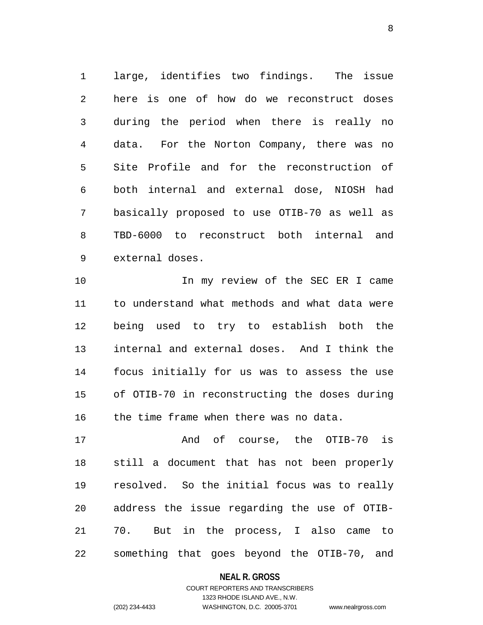large, identifies two findings. The issue here is one of how do we reconstruct doses during the period when there is really no data. For the Norton Company, there was no Site Profile and for the reconstruction of both internal and external dose, NIOSH had basically proposed to use OTIB-70 as well as TBD-6000 to reconstruct both internal and external doses.

10 10 In my review of the SEC ER I came to understand what methods and what data were being used to try to establish both the internal and external doses. And I think the focus initially for us was to assess the use of OTIB-70 in reconstructing the doses during the time frame when there was no data.

 And of course, the OTIB-70 is still a document that has not been properly resolved. So the initial focus was to really address the issue regarding the use of OTIB- 70. But in the process, I also came to something that goes beyond the OTIB-70, and

#### **NEAL R. GROSS**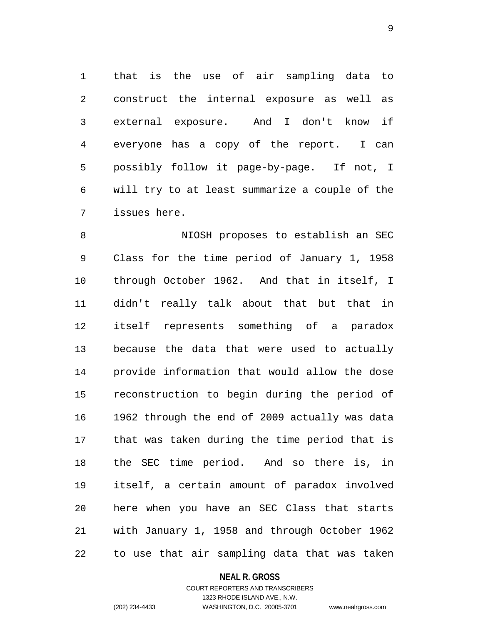that is the use of air sampling data to construct the internal exposure as well as external exposure. And I don't know if everyone has a copy of the report. I can possibly follow it page-by-page. If not, I will try to at least summarize a couple of the issues here.

 NIOSH proposes to establish an SEC Class for the time period of January 1, 1958 through October 1962. And that in itself, I didn't really talk about that but that in itself represents something of a paradox because the data that were used to actually provide information that would allow the dose reconstruction to begin during the period of 1962 through the end of 2009 actually was data that was taken during the time period that is the SEC time period. And so there is, in itself, a certain amount of paradox involved here when you have an SEC Class that starts with January 1, 1958 and through October 1962 to use that air sampling data that was taken

#### **NEAL R. GROSS**

# COURT REPORTERS AND TRANSCRIBERS 1323 RHODE ISLAND AVE., N.W. (202) 234-4433 WASHINGTON, D.C. 20005-3701 www.nealrgross.com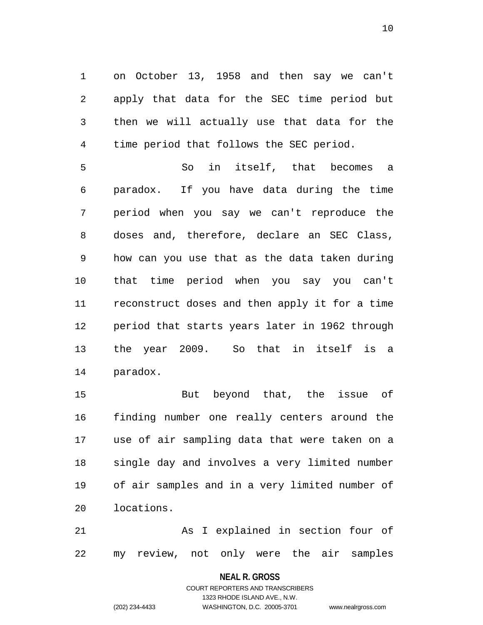on October 13, 1958 and then say we can't apply that data for the SEC time period but then we will actually use that data for the time period that follows the SEC period.

 So in itself, that becomes a paradox. If you have data during the time period when you say we can't reproduce the doses and, therefore, declare an SEC Class, how can you use that as the data taken during that time period when you say you can't reconstruct doses and then apply it for a time period that starts years later in 1962 through the year 2009. So that in itself is a paradox.

 But beyond that, the issue of finding number one really centers around the use of air sampling data that were taken on a single day and involves a very limited number of air samples and in a very limited number of locations.

 As I explained in section four of my review, not only were the air samples

**NEAL R. GROSS**

COURT REPORTERS AND TRANSCRIBERS 1323 RHODE ISLAND AVE., N.W. (202) 234-4433 WASHINGTON, D.C. 20005-3701 www.nealrgross.com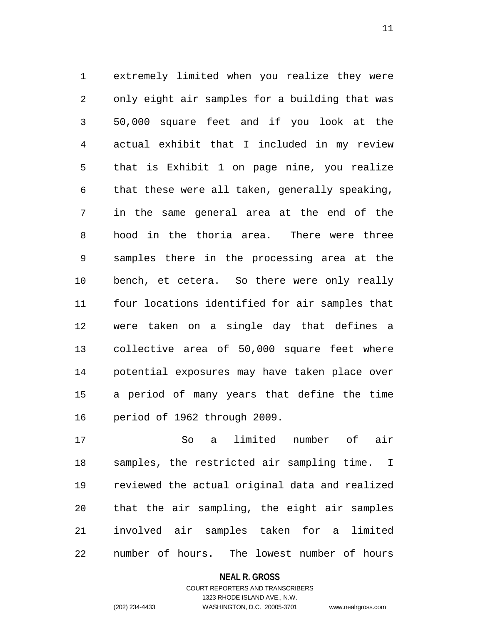extremely limited when you realize they were only eight air samples for a building that was 50,000 square feet and if you look at the actual exhibit that I included in my review that is Exhibit 1 on page nine, you realize that these were all taken, generally speaking, in the same general area at the end of the hood in the thoria area. There were three samples there in the processing area at the bench, et cetera. So there were only really four locations identified for air samples that were taken on a single day that defines a collective area of 50,000 square feet where potential exposures may have taken place over a period of many years that define the time period of 1962 through 2009.

 So a limited number of air samples, the restricted air sampling time. I reviewed the actual original data and realized that the air sampling, the eight air samples involved air samples taken for a limited number of hours. The lowest number of hours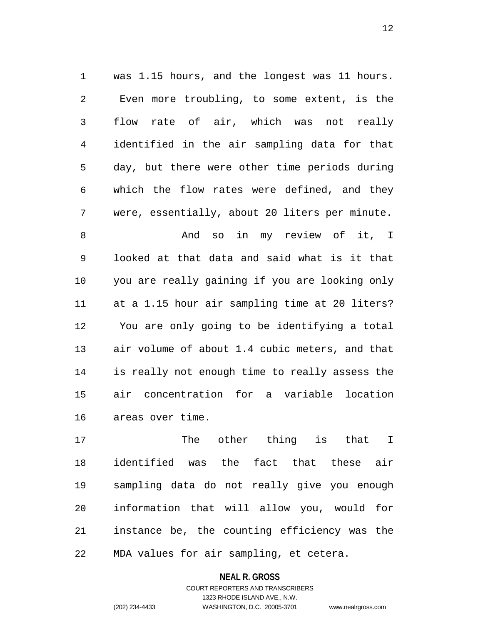was 1.15 hours, and the longest was 11 hours. Even more troubling, to some extent, is the flow rate of air, which was not really identified in the air sampling data for that day, but there were other time periods during which the flow rates were defined, and they were, essentially, about 20 liters per minute.

 And so in my review of it, I looked at that data and said what is it that you are really gaining if you are looking only at a 1.15 hour air sampling time at 20 liters? You are only going to be identifying a total air volume of about 1.4 cubic meters, and that is really not enough time to really assess the air concentration for a variable location areas over time.

 The other thing is that I identified was the fact that these air sampling data do not really give you enough information that will allow you, would for instance be, the counting efficiency was the MDA values for air sampling, et cetera.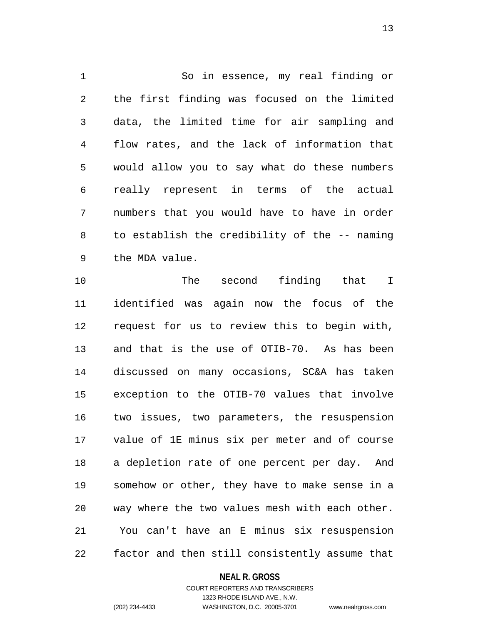So in essence, my real finding or the first finding was focused on the limited data, the limited time for air sampling and flow rates, and the lack of information that would allow you to say what do these numbers really represent in terms of the actual numbers that you would have to have in order to establish the credibility of the -- naming the MDA value.

 The second finding that I identified was again now the focus of the request for us to review this to begin with, and that is the use of OTIB-70. As has been discussed on many occasions, SC&A has taken exception to the OTIB-70 values that involve two issues, two parameters, the resuspension value of 1E minus six per meter and of course a depletion rate of one percent per day. And somehow or other, they have to make sense in a way where the two values mesh with each other. You can't have an E minus six resuspension factor and then still consistently assume that

# **NEAL R. GROSS**

COURT REPORTERS AND TRANSCRIBERS 1323 RHODE ISLAND AVE., N.W. (202) 234-4433 WASHINGTON, D.C. 20005-3701 www.nealrgross.com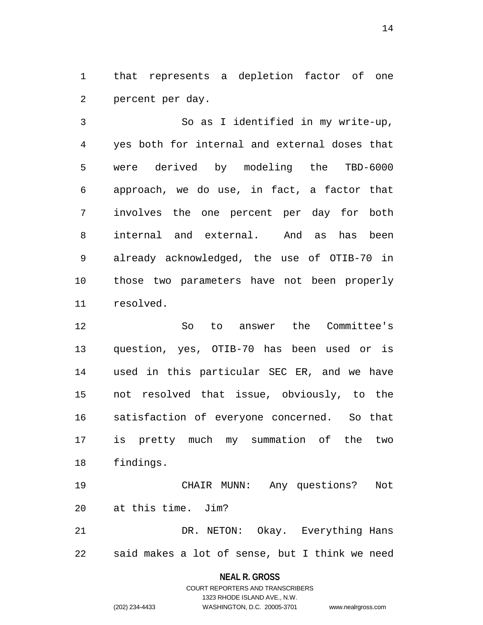that represents a depletion factor of one percent per day.

 So as I identified in my write-up, yes both for internal and external doses that were derived by modeling the TBD-6000 approach, we do use, in fact, a factor that involves the one percent per day for both internal and external. And as has been already acknowledged, the use of OTIB-70 in those two parameters have not been properly resolved.

 So to answer the Committee's question, yes, OTIB-70 has been used or is used in this particular SEC ER, and we have not resolved that issue, obviously, to the satisfaction of everyone concerned. So that is pretty much my summation of the two findings.

 CHAIR MUNN: Any questions? Not at this time. Jim?

 DR. NETON: Okay. Everything Hans said makes a lot of sense, but I think we need

**NEAL R. GROSS**

COURT REPORTERS AND TRANSCRIBERS 1323 RHODE ISLAND AVE., N.W. (202) 234-4433 WASHINGTON, D.C. 20005-3701 www.nealrgross.com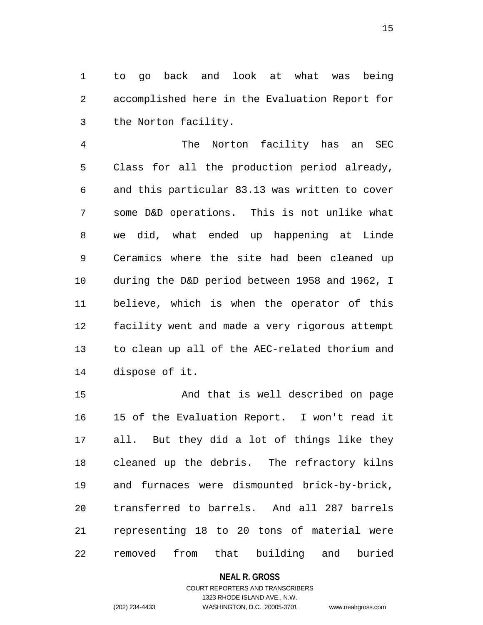to go back and look at what was being accomplished here in the Evaluation Report for the Norton facility.

 The Norton facility has an SEC Class for all the production period already, and this particular 83.13 was written to cover some D&D operations. This is not unlike what we did, what ended up happening at Linde Ceramics where the site had been cleaned up during the D&D period between 1958 and 1962, I believe, which is when the operator of this facility went and made a very rigorous attempt to clean up all of the AEC-related thorium and dispose of it.

 And that is well described on page 15 of the Evaluation Report. I won't read it all. But they did a lot of things like they cleaned up the debris. The refractory kilns and furnaces were dismounted brick-by-brick, transferred to barrels. And all 287 barrels representing 18 to 20 tons of material were removed from that building and buried

**NEAL R. GROSS**

# COURT REPORTERS AND TRANSCRIBERS 1323 RHODE ISLAND AVE., N.W. (202) 234-4433 WASHINGTON, D.C. 20005-3701 www.nealrgross.com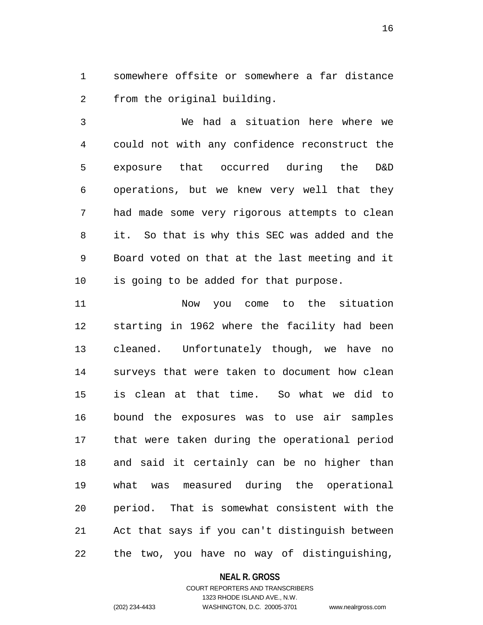somewhere offsite or somewhere a far distance from the original building.

 We had a situation here where we could not with any confidence reconstruct the exposure that occurred during the D&D operations, but we knew very well that they had made some very rigorous attempts to clean it. So that is why this SEC was added and the Board voted on that at the last meeting and it is going to be added for that purpose.

 Now you come to the situation starting in 1962 where the facility had been cleaned. Unfortunately though, we have no surveys that were taken to document how clean is clean at that time. So what we did to bound the exposures was to use air samples that were taken during the operational period and said it certainly can be no higher than what was measured during the operational period. That is somewhat consistent with the Act that says if you can't distinguish between the two, you have no way of distinguishing,

#### **NEAL R. GROSS**

# COURT REPORTERS AND TRANSCRIBERS 1323 RHODE ISLAND AVE., N.W. (202) 234-4433 WASHINGTON, D.C. 20005-3701 www.nealrgross.com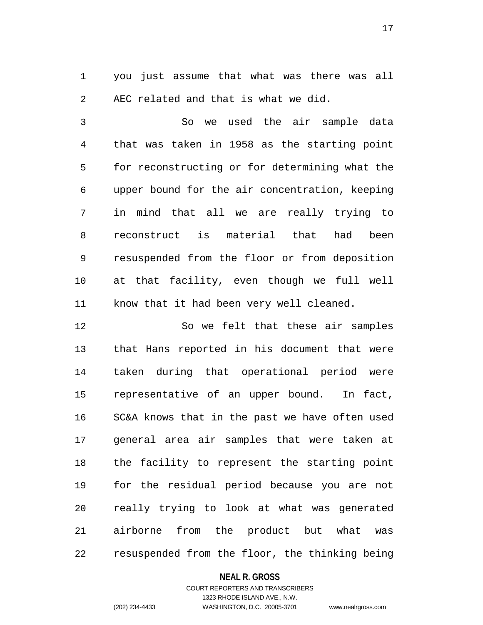you just assume that what was there was all AEC related and that is what we did.

 So we used the air sample data that was taken in 1958 as the starting point for reconstructing or for determining what the upper bound for the air concentration, keeping in mind that all we are really trying to reconstruct is material that had been resuspended from the floor or from deposition at that facility, even though we full well know that it had been very well cleaned.

 So we felt that these air samples that Hans reported in his document that were taken during that operational period were representative of an upper bound. In fact, SC&A knows that in the past we have often used general area air samples that were taken at the facility to represent the starting point for the residual period because you are not really trying to look at what was generated airborne from the product but what was resuspended from the floor, the thinking being

#### **NEAL R. GROSS**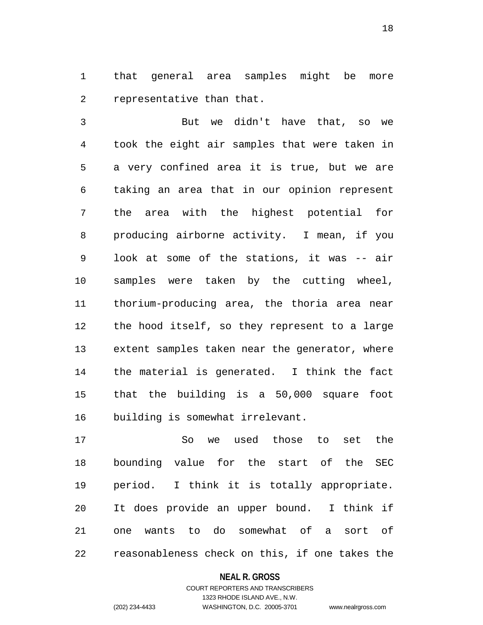that general area samples might be more representative than that.

 But we didn't have that, so we took the eight air samples that were taken in a very confined area it is true, but we are taking an area that in our opinion represent the area with the highest potential for producing airborne activity. I mean, if you look at some of the stations, it was -- air samples were taken by the cutting wheel, thorium-producing area, the thoria area near the hood itself, so they represent to a large extent samples taken near the generator, where the material is generated. I think the fact that the building is a 50,000 square foot building is somewhat irrelevant.

 So we used those to set the bounding value for the start of the SEC period. I think it is totally appropriate. It does provide an upper bound. I think if one wants to do somewhat of a sort of reasonableness check on this, if one takes the

#### **NEAL R. GROSS**

# COURT REPORTERS AND TRANSCRIBERS 1323 RHODE ISLAND AVE., N.W. (202) 234-4433 WASHINGTON, D.C. 20005-3701 www.nealrgross.com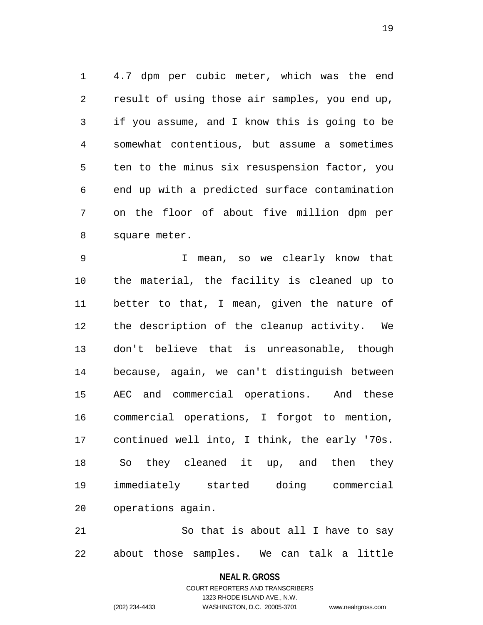4.7 dpm per cubic meter, which was the end result of using those air samples, you end up, if you assume, and I know this is going to be somewhat contentious, but assume a sometimes ten to the minus six resuspension factor, you end up with a predicted surface contamination on the floor of about five million dpm per square meter.

 I mean, so we clearly know that the material, the facility is cleaned up to better to that, I mean, given the nature of the description of the cleanup activity. We don't believe that is unreasonable, though because, again, we can't distinguish between AEC and commercial operations. And these commercial operations, I forgot to mention, continued well into, I think, the early '70s. So they cleaned it up, and then they immediately started doing commercial operations again.

 So that is about all I have to say about those samples. We can talk a little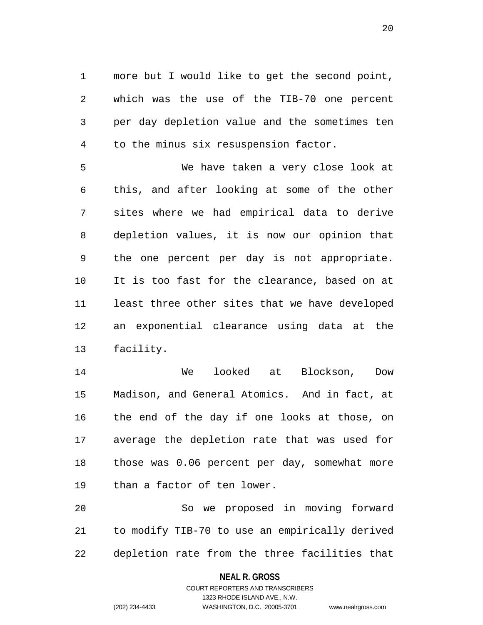more but I would like to get the second point, which was the use of the TIB-70 one percent per day depletion value and the sometimes ten to the minus six resuspension factor.

 We have taken a very close look at this, and after looking at some of the other sites where we had empirical data to derive depletion values, it is now our opinion that the one percent per day is not appropriate. It is too fast for the clearance, based on at least three other sites that we have developed an exponential clearance using data at the facility.

 We looked at Blockson, Dow Madison, and General Atomics. And in fact, at the end of the day if one looks at those, on average the depletion rate that was used for those was 0.06 percent per day, somewhat more than a factor of ten lower.

 So we proposed in moving forward to modify TIB-70 to use an empirically derived depletion rate from the three facilities that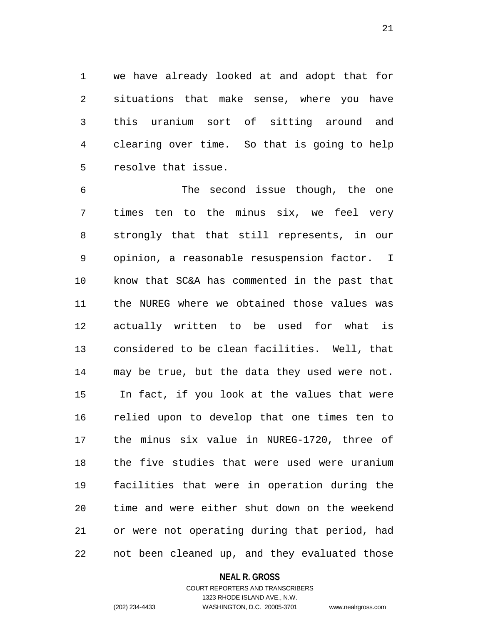we have already looked at and adopt that for situations that make sense, where you have this uranium sort of sitting around and clearing over time. So that is going to help resolve that issue.

 The second issue though, the one times ten to the minus six, we feel very strongly that that still represents, in our opinion, a reasonable resuspension factor. I know that SC&A has commented in the past that the NUREG where we obtained those values was actually written to be used for what is considered to be clean facilities. Well, that may be true, but the data they used were not. In fact, if you look at the values that were relied upon to develop that one times ten to the minus six value in NUREG-1720, three of the five studies that were used were uranium facilities that were in operation during the time and were either shut down on the weekend or were not operating during that period, had not been cleaned up, and they evaluated those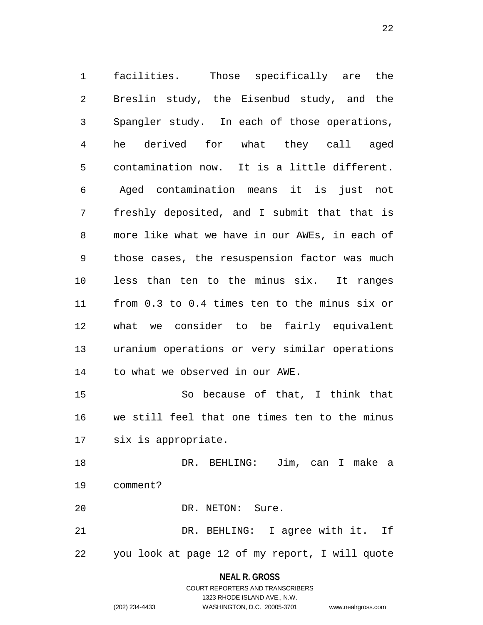facilities. Those specifically are the Breslin study, the Eisenbud study, and the Spangler study. In each of those operations, he derived for what they call aged contamination now. It is a little different. Aged contamination means it is just not freshly deposited, and I submit that that is more like what we have in our AWEs, in each of those cases, the resuspension factor was much less than ten to the minus six. It ranges from 0.3 to 0.4 times ten to the minus six or what we consider to be fairly equivalent uranium operations or very similar operations to what we observed in our AWE. So because of that, I think that we still feel that one times ten to the minus

six is appropriate.

 DR. BEHLING: Jim, can I make a comment?

20 DR. NETON: Sure.

 DR. BEHLING: I agree with it. If you look at page 12 of my report, I will quote

**NEAL R. GROSS**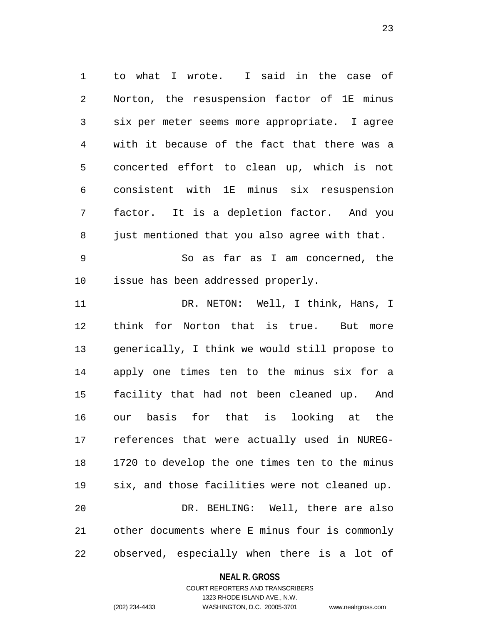to what I wrote. I said in the case of Norton, the resuspension factor of 1E minus six per meter seems more appropriate. I agree with it because of the fact that there was a concerted effort to clean up, which is not consistent with 1E minus six resuspension factor. It is a depletion factor. And you just mentioned that you also agree with that.

 So as far as I am concerned, the issue has been addressed properly.

11 DR. NETON: Well, I think, Hans, I think for Norton that is true. But more generically, I think we would still propose to apply one times ten to the minus six for a facility that had not been cleaned up. And our basis for that is looking at the references that were actually used in NUREG- 1720 to develop the one times ten to the minus six, and those facilities were not cleaned up. DR. BEHLING: Well, there are also other documents where E minus four is commonly observed, especially when there is a lot of

#### **NEAL R. GROSS**

# COURT REPORTERS AND TRANSCRIBERS 1323 RHODE ISLAND AVE., N.W. (202) 234-4433 WASHINGTON, D.C. 20005-3701 www.nealrgross.com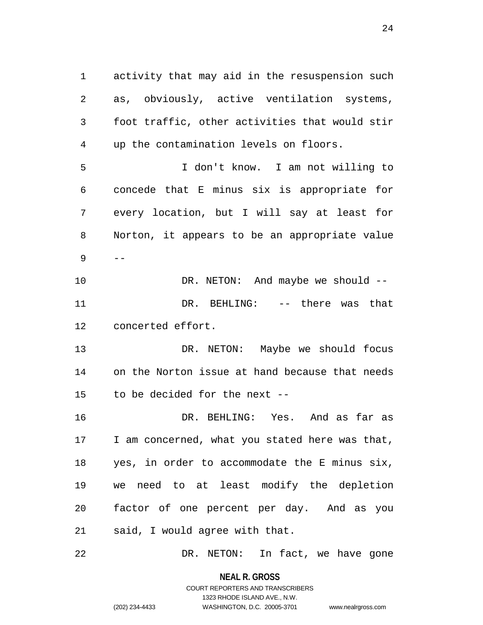activity that may aid in the resuspension such as, obviously, active ventilation systems, foot traffic, other activities that would stir up the contamination levels on floors. I don't know. I am not willing to concede that E minus six is appropriate for every location, but I will say at least for Norton, it appears to be an appropriate value -- DR. NETON: And maybe we should -- DR. BEHLING: -- there was that concerted effort. DR. NETON: Maybe we should focus on the Norton issue at hand because that needs to be decided for the next -- DR. BEHLING: Yes. And as far as 17 I am concerned, what you stated here was that, yes, in order to accommodate the E minus six, we need to at least modify the depletion factor of one percent per day. And as you said, I would agree with that.

DR. NETON: In fact, we have gone

**NEAL R. GROSS** COURT REPORTERS AND TRANSCRIBERS

1323 RHODE ISLAND AVE., N.W.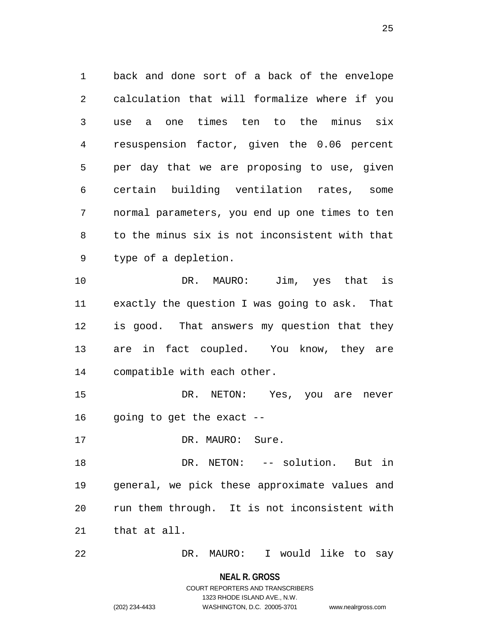back and done sort of a back of the envelope calculation that will formalize where if you use a one times ten to the minus six resuspension factor, given the 0.06 percent per day that we are proposing to use, given certain building ventilation rates, some normal parameters, you end up one times to ten to the minus six is not inconsistent with that type of a depletion.

 DR. MAURO: Jim, yes that is exactly the question I was going to ask. That is good. That answers my question that they are in fact coupled. You know, they are compatible with each other.

 DR. NETON: Yes, you are never going to get the exact --

17 DR. MAURO: Sure.

 DR. NETON: -- solution. But in general, we pick these approximate values and run them through. It is not inconsistent with that at all.

DR. MAURO: I would like to say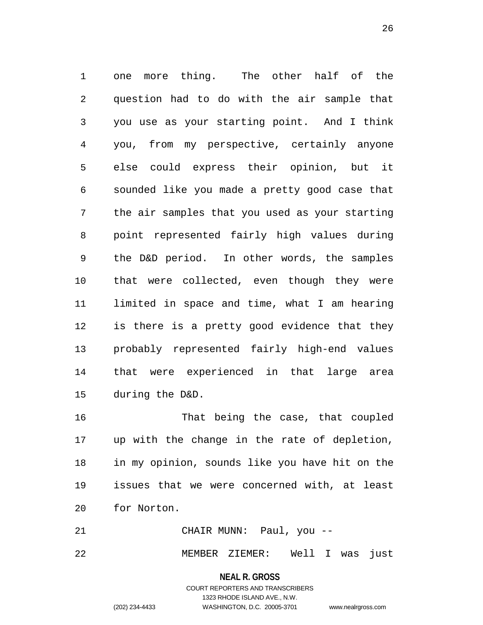one more thing. The other half of the question had to do with the air sample that you use as your starting point. And I think you, from my perspective, certainly anyone else could express their opinion, but it sounded like you made a pretty good case that the air samples that you used as your starting point represented fairly high values during the D&D period. In other words, the samples that were collected, even though they were limited in space and time, what I am hearing is there is a pretty good evidence that they probably represented fairly high-end values that were experienced in that large area during the D&D.

 That being the case, that coupled up with the change in the rate of depletion, in my opinion, sounds like you have hit on the issues that we were concerned with, at least for Norton.

 CHAIR MUNN: Paul, you -- MEMBER ZIEMER: Well I was just

> **NEAL R. GROSS** COURT REPORTERS AND TRANSCRIBERS 1323 RHODE ISLAND AVE., N.W. (202) 234-4433 WASHINGTON, D.C. 20005-3701 www.nealrgross.com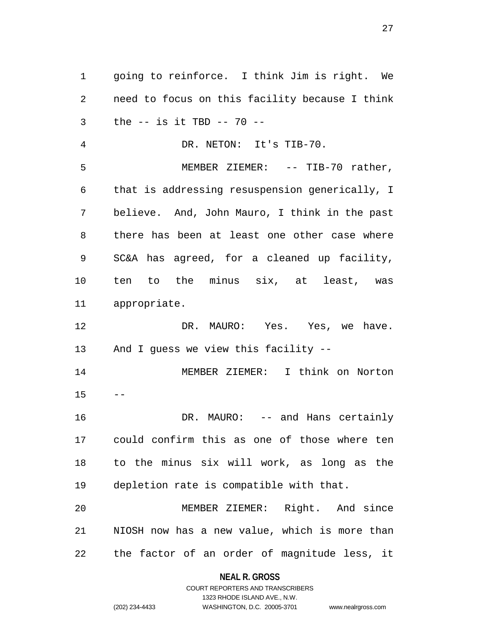going to reinforce. I think Jim is right. We need to focus on this facility because I think the -- is it TBD -- 70 -- DR. NETON: It's TIB-70. MEMBER ZIEMER: -- TIB-70 rather, that is addressing resuspension generically, I believe. And, John Mauro, I think in the past there has been at least one other case where SC&A has agreed, for a cleaned up facility, ten to the minus six, at least, was appropriate. 12 DR. MAURO: Yes. Yes, we have. And I guess we view this facility -- MEMBER ZIEMER: I think on Norton **DR. MAURO:** -- and Hans certainly could confirm this as one of those where ten to the minus six will work, as long as the depletion rate is compatible with that. MEMBER ZIEMER: Right. And since NIOSH now has a new value, which is more than the factor of an order of magnitude less, it

# **NEAL R. GROSS** COURT REPORTERS AND TRANSCRIBERS

1323 RHODE ISLAND AVE., N.W.

(202) 234-4433 WASHINGTON, D.C. 20005-3701 www.nealrgross.com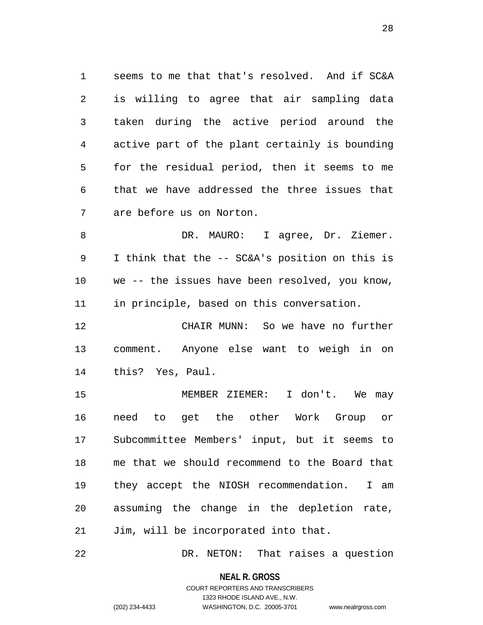seems to me that that's resolved. And if SC&A is willing to agree that air sampling data taken during the active period around the active part of the plant certainly is bounding for the residual period, then it seems to me that we have addressed the three issues that are before us on Norton.

8 DR. MAURO: I agree, Dr. Ziemer. I think that the -- SC&A's position on this is we -- the issues have been resolved, you know, in principle, based on this conversation.

 CHAIR MUNN: So we have no further comment. Anyone else want to weigh in on this? Yes, Paul.

 MEMBER ZIEMER: I don't. We may need to get the other Work Group or Subcommittee Members' input, but it seems to me that we should recommend to the Board that they accept the NIOSH recommendation. I am assuming the change in the depletion rate, Jim, will be incorporated into that.

DR. NETON: That raises a question

**NEAL R. GROSS**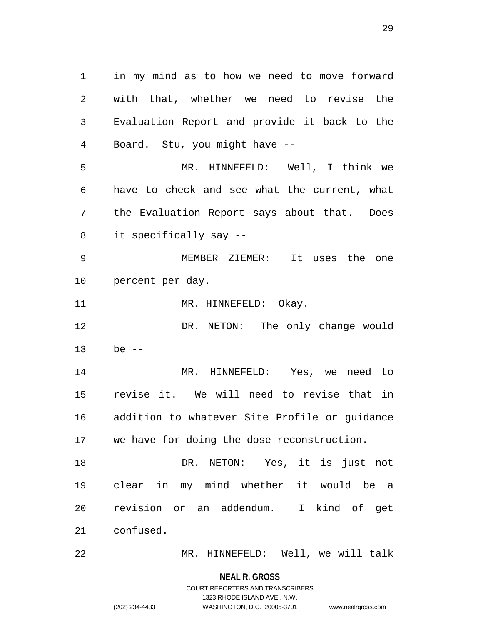in my mind as to how we need to move forward with that, whether we need to revise the Evaluation Report and provide it back to the Board. Stu, you might have -- MR. HINNEFELD: Well, I think we have to check and see what the current, what the Evaluation Report says about that. Does it specifically say -- MEMBER ZIEMER: It uses the one percent per day. 11 MR. HINNEFELD: Okay. DR. NETON: The only change would be -- MR. HINNEFELD: Yes, we need to revise it. We will need to revise that in addition to whatever Site Profile or guidance we have for doing the dose reconstruction. DR. NETON: Yes, it is just not clear in my mind whether it would be a revision or an addendum. I kind of get confused.

MR. HINNEFELD: Well, we will talk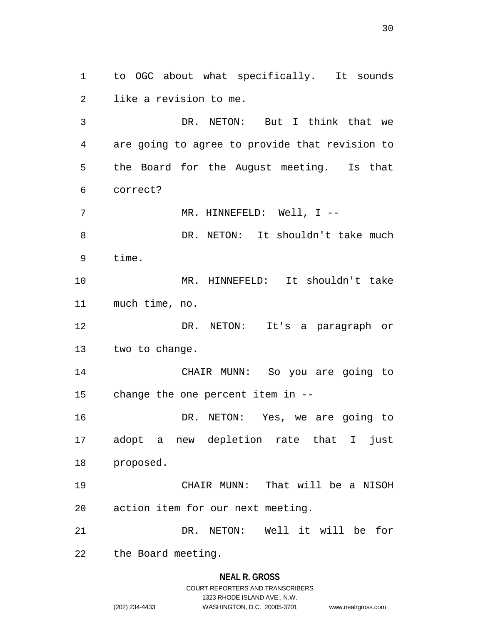to OGC about what specifically. It sounds like a revision to me.

 DR. NETON: But I think that we are going to agree to provide that revision to the Board for the August meeting. Is that correct?

7 MR. HINNEFELD: Well, I --

8 DR. NETON: It shouldn't take much time.

 MR. HINNEFELD: It shouldn't take much time, no.

 DR. NETON: It's a paragraph or two to change.

 CHAIR MUNN: So you are going to change the one percent item in --

 DR. NETON: Yes, we are going to adopt a new depletion rate that I just proposed.

 CHAIR MUNN: That will be a NISOH action item for our next meeting.

DR. NETON: Well it will be for

the Board meeting.

#### **NEAL R. GROSS**

COURT REPORTERS AND TRANSCRIBERS 1323 RHODE ISLAND AVE., N.W. (202) 234-4433 WASHINGTON, D.C. 20005-3701 www.nealrgross.com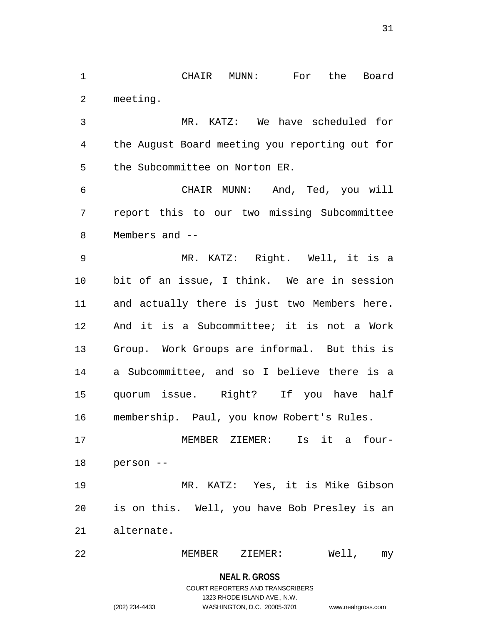CHAIR MUNN: For the Board meeting.

 MR. KATZ: We have scheduled for the August Board meeting you reporting out for the Subcommittee on Norton ER.

 CHAIR MUNN: And, Ted, you will report this to our two missing Subcommittee Members and --

 MR. KATZ: Right. Well, it is a bit of an issue, I think. We are in session and actually there is just two Members here. And it is a Subcommittee; it is not a Work Group. Work Groups are informal. But this is a Subcommittee, and so I believe there is a quorum issue. Right? If you have half membership. Paul, you know Robert's Rules.

 MEMBER ZIEMER: Is it a four-person --

 MR. KATZ: Yes, it is Mike Gibson is on this. Well, you have Bob Presley is an alternate.

MEMBER ZIEMER: Well, my

#### **NEAL R. GROSS**

# COURT REPORTERS AND TRANSCRIBERS 1323 RHODE ISLAND AVE., N.W. (202) 234-4433 WASHINGTON, D.C. 20005-3701 www.nealrgross.com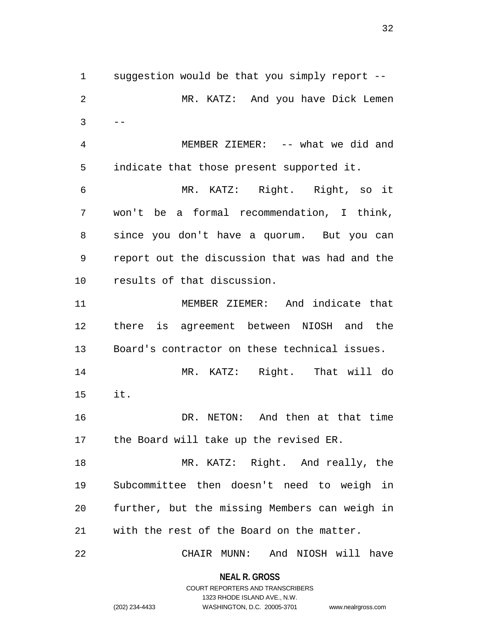suggestion would be that you simply report -- MR. KATZ: And you have Dick Lemen  $3 \qquad --$  MEMBER ZIEMER: -- what we did and indicate that those present supported it. MR. KATZ: Right. Right, so it won't be a formal recommendation, I think, since you don't have a quorum. But you can report out the discussion that was had and the results of that discussion. MEMBER ZIEMER: And indicate that there is agreement between NIOSH and the Board's contractor on these technical issues. MR. KATZ: Right. That will do it. DR. NETON: And then at that time the Board will take up the revised ER. 18 MR. KATZ: Right. And really, the Subcommittee then doesn't need to weigh in further, but the missing Members can weigh in with the rest of the Board on the matter.

CHAIR MUNN: And NIOSH will have

**NEAL R. GROSS** COURT REPORTERS AND TRANSCRIBERS

1323 RHODE ISLAND AVE., N.W.

(202) 234-4433 WASHINGTON, D.C. 20005-3701 www.nealrgross.com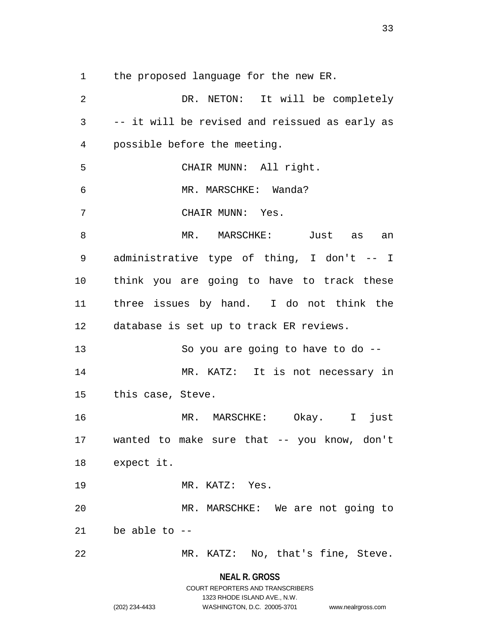the proposed language for the new ER.

 DR. NETON: It will be completely -- it will be revised and reissued as early as possible before the meeting. CHAIR MUNN: All right. MR. MARSCHKE: Wanda? CHAIR MUNN: Yes. 8 MR. MARSCHKE: Just as an administrative type of thing, I don't -- I think you are going to have to track these three issues by hand. I do not think the database is set up to track ER reviews. So you are going to have to do -- MR. KATZ: It is not necessary in this case, Steve. MR. MARSCHKE: Okay. I just wanted to make sure that -- you know, don't expect it. MR. KATZ: Yes. MR. MARSCHKE: We are not going to 21 be able to  $-$ MR. KATZ: No, that's fine, Steve.

**NEAL R. GROSS**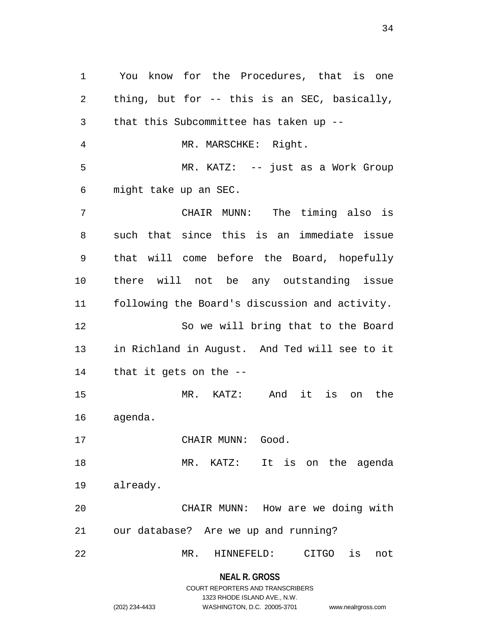You know for the Procedures, that is one thing, but for -- this is an SEC, basically, that this Subcommittee has taken up -- MR. MARSCHKE: Right. MR. KATZ: -- just as a Work Group might take up an SEC. CHAIR MUNN: The timing also is such that since this is an immediate issue that will come before the Board, hopefully there will not be any outstanding issue following the Board's discussion and activity. So we will bring that to the Board in Richland in August. And Ted will see to it that it gets on the -- MR. KATZ: And it is on the agenda. 17 CHAIR MUNN: Good. MR. KATZ: It is on the agenda already. CHAIR MUNN: How are we doing with our database? Are we up and running? MR. HINNEFELD: CITGO is not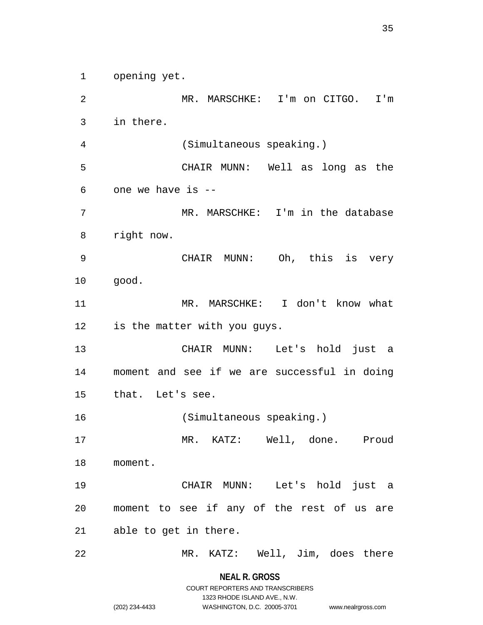opening yet.

 MR. MARSCHKE: I'm on CITGO. I'm in there. (Simultaneous speaking.) CHAIR MUNN: Well as long as the one we have is -- MR. MARSCHKE: I'm in the database right now. CHAIR MUNN: Oh, this is very good. MR. MARSCHKE: I don't know what is the matter with you guys. CHAIR MUNN: Let's hold just a moment and see if we are successful in doing that. Let's see. (Simultaneous speaking.) MR. KATZ: Well, done. Proud moment. CHAIR MUNN: Let's hold just a moment to see if any of the rest of us are able to get in there. MR. KATZ: Well, Jim, does there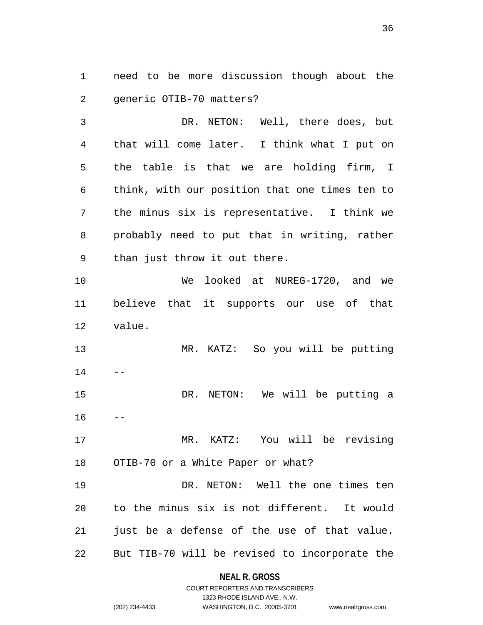need to be more discussion though about the generic OTIB-70 matters?

 DR. NETON: Well, there does, but that will come later. I think what I put on the table is that we are holding firm, I think, with our position that one times ten to the minus six is representative. I think we probably need to put that in writing, rather than just throw it out there.

 We looked at NUREG-1720, and we believe that it supports our use of that value.

 MR. KATZ: So you will be putting 

 DR. NETON: We will be putting a 

 MR. KATZ: You will be revising OTIB-70 or a White Paper or what?

 DR. NETON: Well the one times ten to the minus six is not different. It would 21 just be a defense of the use of that value. But TIB-70 will be revised to incorporate the

# **NEAL R. GROSS** COURT REPORTERS AND TRANSCRIBERS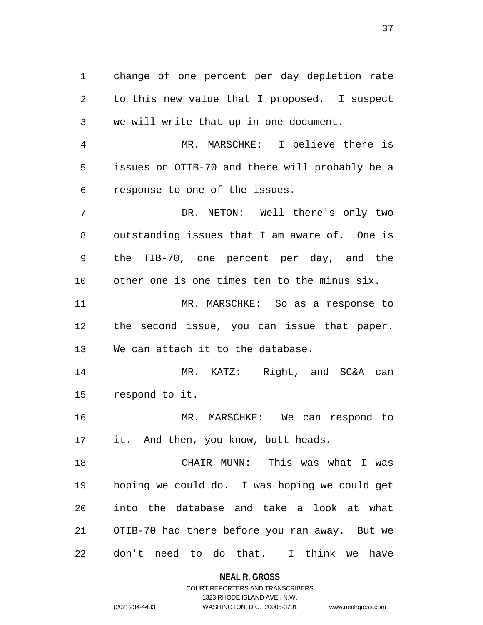change of one percent per day depletion rate to this new value that I proposed. I suspect we will write that up in one document.

 MR. MARSCHKE: I believe there is issues on OTIB-70 and there will probably be a response to one of the issues.

 DR. NETON: Well there's only two outstanding issues that I am aware of. One is the TIB-70, one percent per day, and the other one is one times ten to the minus six.

 MR. MARSCHKE: So as a response to the second issue, you can issue that paper. We can attach it to the database.

 MR. KATZ: Right, and SC&A can respond to it.

 MR. MARSCHKE: We can respond to it. And then, you know, butt heads.

 CHAIR MUNN: This was what I was hoping we could do. I was hoping we could get into the database and take a look at what OTIB-70 had there before you ran away. But we don't need to do that. I think we have

**NEAL R. GROSS**

## COURT REPORTERS AND TRANSCRIBERS 1323 RHODE ISLAND AVE., N.W. (202) 234-4433 WASHINGTON, D.C. 20005-3701 www.nealrgross.com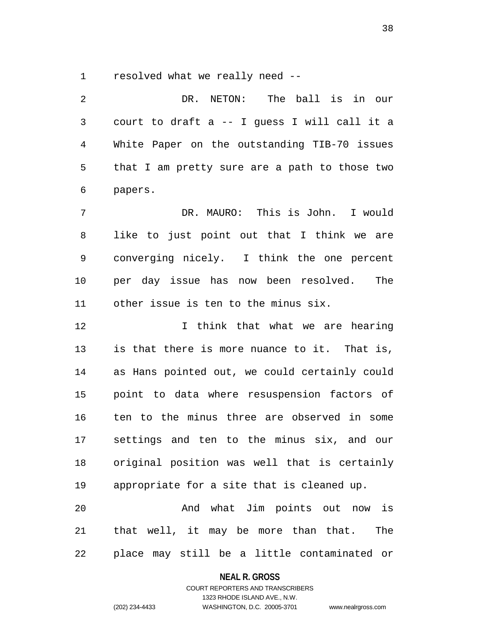resolved what we really need --

 DR. NETON: The ball is in our court to draft a -- I guess I will call it a White Paper on the outstanding TIB-70 issues that I am pretty sure are a path to those two papers. DR. MAURO: This is John. I would like to just point out that I think we are converging nicely. I think the one percent per day issue has now been resolved. The

other issue is ten to the minus six.

 I think that what we are hearing is that there is more nuance to it. That is, as Hans pointed out, we could certainly could point to data where resuspension factors of ten to the minus three are observed in some settings and ten to the minus six, and our original position was well that is certainly appropriate for a site that is cleaned up.

 And what Jim points out now is that well, it may be more than that. The place may still be a little contaminated or

#### **NEAL R. GROSS**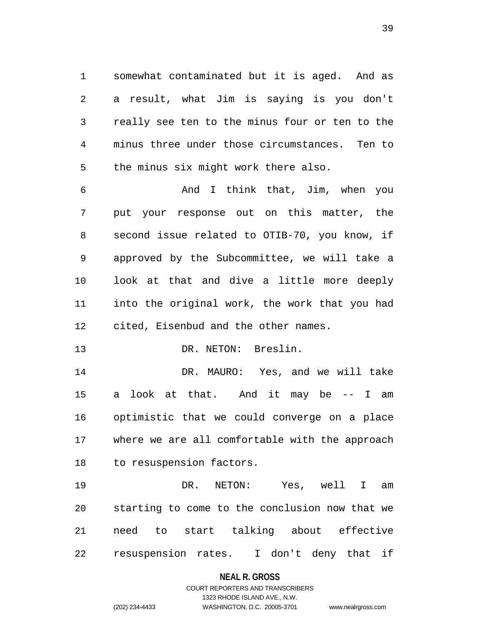somewhat contaminated but it is aged. And as a result, what Jim is saying is you don't really see ten to the minus four or ten to the minus three under those circumstances. Ten to the minus six might work there also.

 And I think that, Jim, when you put your response out on this matter, the second issue related to OTIB-70, you know, if approved by the Subcommittee, we will take a look at that and dive a little more deeply into the original work, the work that you had cited, Eisenbud and the other names.

13 DR. NETON: Breslin.

 DR. MAURO: Yes, and we will take a look at that. And it may be -- I am optimistic that we could converge on a place where we are all comfortable with the approach to resuspension factors.

 DR. NETON: Yes, well I am starting to come to the conclusion now that we need to start talking about effective resuspension rates. I don't deny that if

#### **NEAL R. GROSS**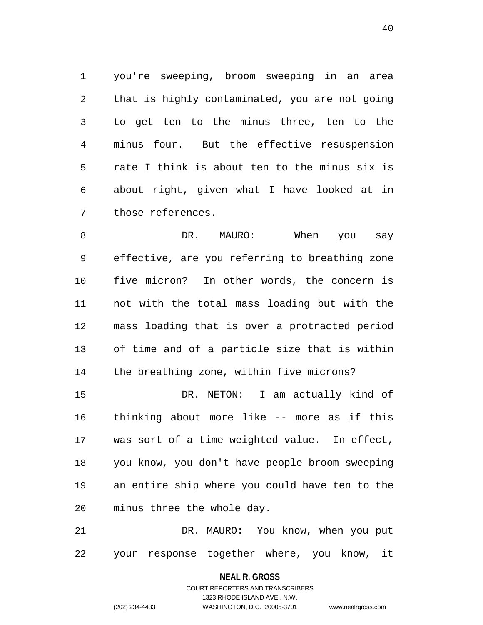you're sweeping, broom sweeping in an area that is highly contaminated, you are not going to get ten to the minus three, ten to the minus four. But the effective resuspension rate I think is about ten to the minus six is about right, given what I have looked at in those references.

8 DR. MAURO: When you say effective, are you referring to breathing zone five micron? In other words, the concern is not with the total mass loading but with the mass loading that is over a protracted period of time and of a particle size that is within the breathing zone, within five microns?

 DR. NETON: I am actually kind of thinking about more like -- more as if this was sort of a time weighted value. In effect, you know, you don't have people broom sweeping an entire ship where you could have ten to the minus three the whole day.

 DR. MAURO: You know, when you put your response together where, you know, it

> **NEAL R. GROSS** COURT REPORTERS AND TRANSCRIBERS

> > 1323 RHODE ISLAND AVE., N.W.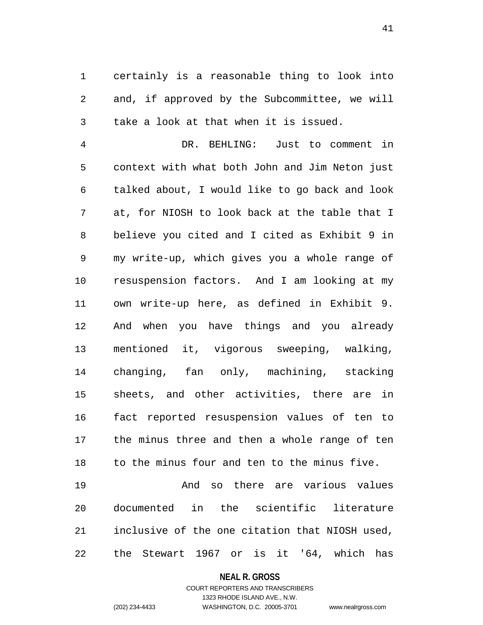certainly is a reasonable thing to look into and, if approved by the Subcommittee, we will take a look at that when it is issued.

 DR. BEHLING: Just to comment in context with what both John and Jim Neton just talked about, I would like to go back and look at, for NIOSH to look back at the table that I believe you cited and I cited as Exhibit 9 in my write-up, which gives you a whole range of resuspension factors. And I am looking at my own write-up here, as defined in Exhibit 9. And when you have things and you already mentioned it, vigorous sweeping, walking, changing, fan only, machining, stacking sheets, and other activities, there are in fact reported resuspension values of ten to the minus three and then a whole range of ten to the minus four and ten to the minus five.

 And so there are various values documented in the scientific literature inclusive of the one citation that NIOSH used, the Stewart 1967 or is it '64, which has

#### **NEAL R. GROSS**

COURT REPORTERS AND TRANSCRIBERS 1323 RHODE ISLAND AVE., N.W. (202) 234-4433 WASHINGTON, D.C. 20005-3701 www.nealrgross.com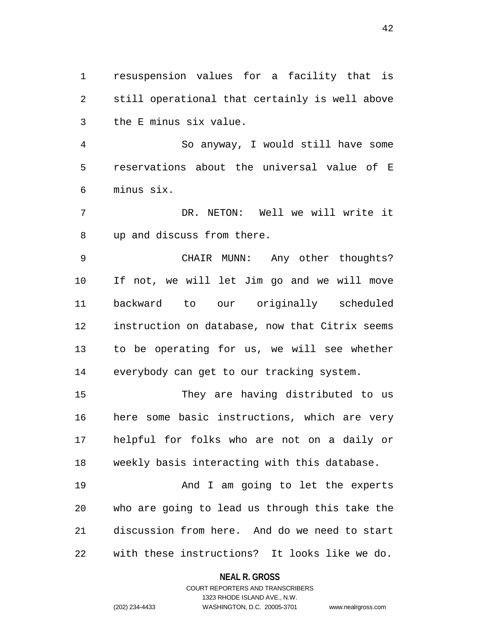resuspension values for a facility that is still operational that certainly is well above the E minus six value.

 So anyway, I would still have some reservations about the universal value of E minus six.

 DR. NETON: Well we will write it up and discuss from there.

 CHAIR MUNN: Any other thoughts? If not, we will let Jim go and we will move backward to our originally scheduled instruction on database, now that Citrix seems to be operating for us, we will see whether everybody can get to our tracking system.

 They are having distributed to us here some basic instructions, which are very helpful for folks who are not on a daily or weekly basis interacting with this database.

19 And I am going to let the experts who are going to lead us through this take the discussion from here. And do we need to start with these instructions? It looks like we do.

### **NEAL R. GROSS**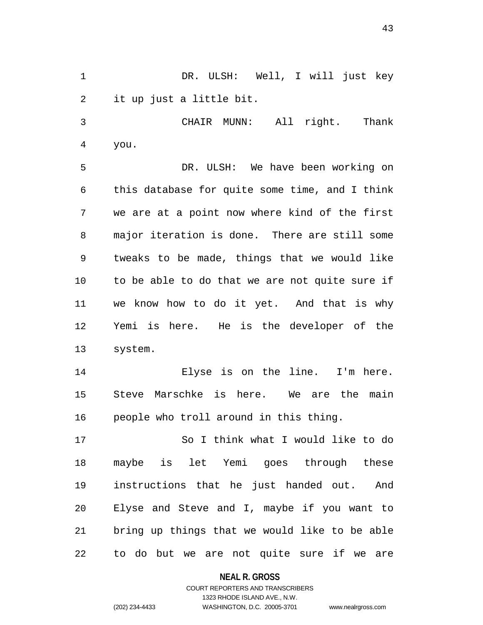DR. ULSH: Well, I will just key it up just a little bit.

 CHAIR MUNN: All right. Thank you.

 DR. ULSH: We have been working on this database for quite some time, and I think we are at a point now where kind of the first major iteration is done. There are still some tweaks to be made, things that we would like to be able to do that we are not quite sure if we know how to do it yet. And that is why Yemi is here. He is the developer of the system.

 Elyse is on the line. I'm here. Steve Marschke is here. We are the main people who troll around in this thing.

 So I think what I would like to do maybe is let Yemi goes through these instructions that he just handed out. And Elyse and Steve and I, maybe if you want to bring up things that we would like to be able to do but we are not quite sure if we are

**NEAL R. GROSS**

COURT REPORTERS AND TRANSCRIBERS 1323 RHODE ISLAND AVE., N.W. (202) 234-4433 WASHINGTON, D.C. 20005-3701 www.nealrgross.com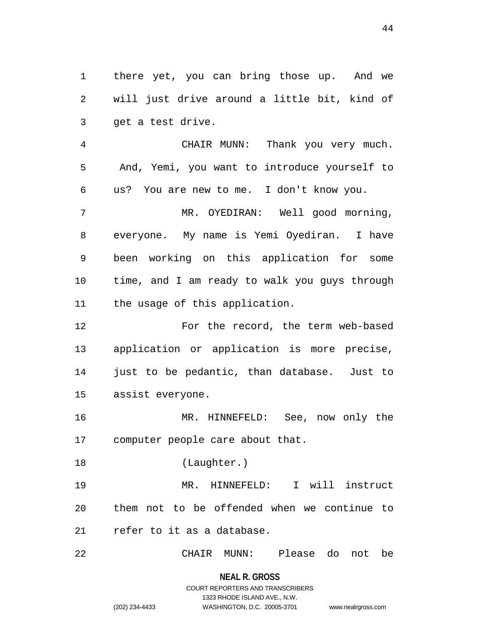there yet, you can bring those up. And we will just drive around a little bit, kind of get a test drive.

 CHAIR MUNN: Thank you very much. And, Yemi, you want to introduce yourself to us? You are new to me. I don't know you.

 MR. OYEDIRAN: Well good morning, everyone. My name is Yemi Oyediran. I have been working on this application for some time, and I am ready to walk you guys through the usage of this application.

 For the record, the term web-based application or application is more precise, just to be pedantic, than database. Just to assist everyone.

 MR. HINNEFELD: See, now only the computer people care about that.

(Laughter.)

 MR. HINNEFELD: I will instruct them not to be offended when we continue to refer to it as a database.

CHAIR MUNN: Please do not be

**NEAL R. GROSS** COURT REPORTERS AND TRANSCRIBERS 1323 RHODE ISLAND AVE., N.W.

(202) 234-4433 WASHINGTON, D.C. 20005-3701 www.nealrgross.com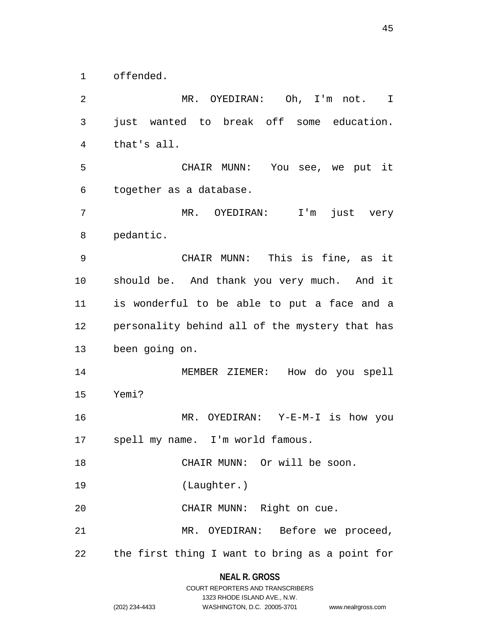offended.

 MR. OYEDIRAN: Oh, I'm not. I just wanted to break off some education. that's all. CHAIR MUNN: You see, we put it together as a database. MR. OYEDIRAN: I'm just very pedantic. CHAIR MUNN: This is fine, as it should be. And thank you very much. And it is wonderful to be able to put a face and a personality behind all of the mystery that has been going on. MEMBER ZIEMER: How do you spell Yemi? MR. OYEDIRAN: Y-E-M-I is how you spell my name. I'm world famous. CHAIR MUNN: Or will be soon. (Laughter.) CHAIR MUNN: Right on cue. MR. OYEDIRAN: Before we proceed, the first thing I want to bring as a point for

## **NEAL R. GROSS** COURT REPORTERS AND TRANSCRIBERS

1323 RHODE ISLAND AVE., N.W.

| 02) 234-4433 |  |
|--------------|--|

(202) 234-4433 WASHINGTON, D.C. 20005-3701 www.nealrgross.com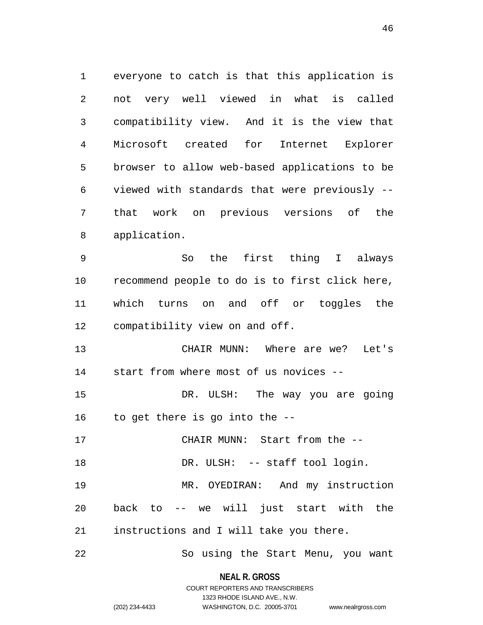everyone to catch is that this application is not very well viewed in what is called compatibility view. And it is the view that Microsoft created for Internet Explorer browser to allow web-based applications to be viewed with standards that were previously -- that work on previous versions of the application.

 So the first thing I always recommend people to do is to first click here, which turns on and off or toggles the compatibility view on and off.

 CHAIR MUNN: Where are we? Let's start from where most of us novices --

 DR. ULSH: The way you are going to get there is go into the --

CHAIR MUNN: Start from the --

18 DR. ULSH: -- staff tool login.

 MR. OYEDIRAN: And my instruction back to -- we will just start with the instructions and I will take you there.

So using the Start Menu, you want

**NEAL R. GROSS** COURT REPORTERS AND TRANSCRIBERS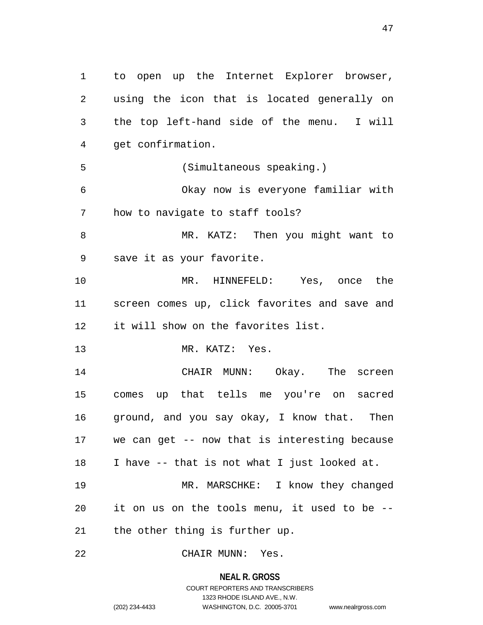to open up the Internet Explorer browser, using the icon that is located generally on the top left-hand side of the menu. I will get confirmation. (Simultaneous speaking.) Okay now is everyone familiar with how to navigate to staff tools? MR. KATZ: Then you might want to save it as your favorite. MR. HINNEFELD: Yes, once the screen comes up, click favorites and save and it will show on the favorites list. MR. KATZ: Yes. CHAIR MUNN: Okay. The screen comes up that tells me you're on sacred ground, and you say okay, I know that. Then we can get -- now that is interesting because I have -- that is not what I just looked at. MR. MARSCHKE: I know they changed it on us on the tools menu, it used to be -- the other thing is further up.

CHAIR MUNN: Yes.

**NEAL R. GROSS** COURT REPORTERS AND TRANSCRIBERS 1323 RHODE ISLAND AVE., N.W.

(202) 234-4433 WASHINGTON, D.C. 20005-3701 www.nealrgross.com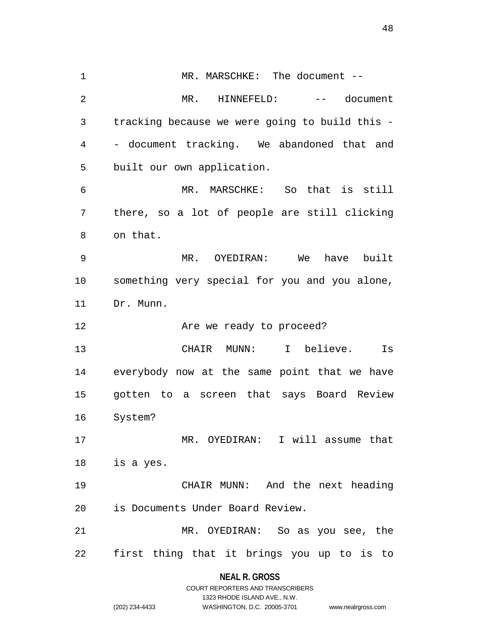MR. MARSCHKE: The document -- MR. HINNEFELD: -- document tracking because we were going to build this - - document tracking. We abandoned that and built our own application. MR. MARSCHKE: So that is still there, so a lot of people are still clicking on that. MR. OYEDIRAN: We have built something very special for you and you alone, Dr. Munn. **Are we ready to proceed?**  CHAIR MUNN: I believe. Is everybody now at the same point that we have gotten to a screen that says Board Review System? MR. OYEDIRAN: I will assume that is a yes. CHAIR MUNN: And the next heading is Documents Under Board Review. MR. OYEDIRAN: So as you see, the first thing that it brings you up to is to

**NEAL R. GROSS** COURT REPORTERS AND TRANSCRIBERS

1323 RHODE ISLAND AVE., N.W.

(202) 234-4433 WASHINGTON, D.C. 20005-3701 www.nealrgross.com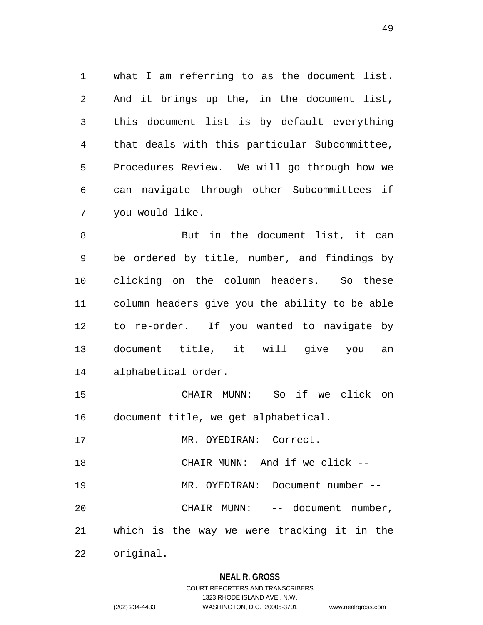what I am referring to as the document list. And it brings up the, in the document list, this document list is by default everything that deals with this particular Subcommittee, Procedures Review. We will go through how we can navigate through other Subcommittees if you would like.

 But in the document list, it can be ordered by title, number, and findings by clicking on the column headers. So these column headers give you the ability to be able to re-order. If you wanted to navigate by document title, it will give you an alphabetical order.

 CHAIR MUNN: So if we click on document title, we get alphabetical.

17 MR. OYEDIRAN: Correct.

CHAIR MUNN: And if we click --

MR. OYEDIRAN: Document number --

CHAIR MUNN: -- document number,

which is the way we were tracking it in the

original.

#### **NEAL R. GROSS**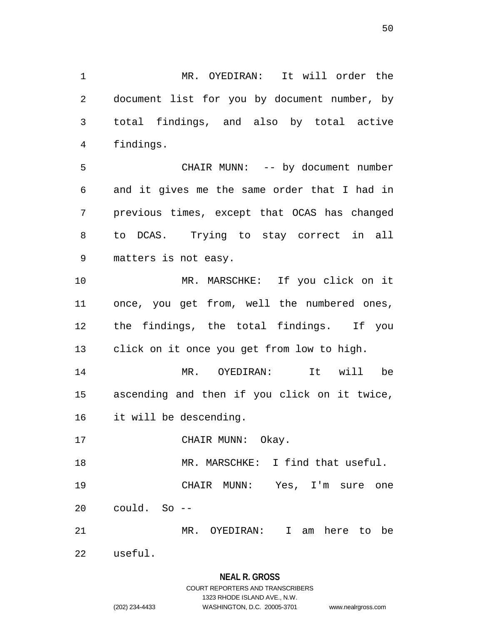MR. OYEDIRAN: It will order the document list for you by document number, by total findings, and also by total active findings.

 CHAIR MUNN: -- by document number and it gives me the same order that I had in previous times, except that OCAS has changed to DCAS. Trying to stay correct in all matters is not easy.

 MR. MARSCHKE: If you click on it once, you get from, well the numbered ones, the findings, the total findings. If you click on it once you get from low to high.

 MR. OYEDIRAN: It will be ascending and then if you click on it twice, it will be descending.

17 CHAIR MUNN: Okay.

MR. MARSCHKE: I find that useful.

 CHAIR MUNN: Yes, I'm sure one could. So --

MR. OYEDIRAN: I am here to be

useful.

# **NEAL R. GROSS**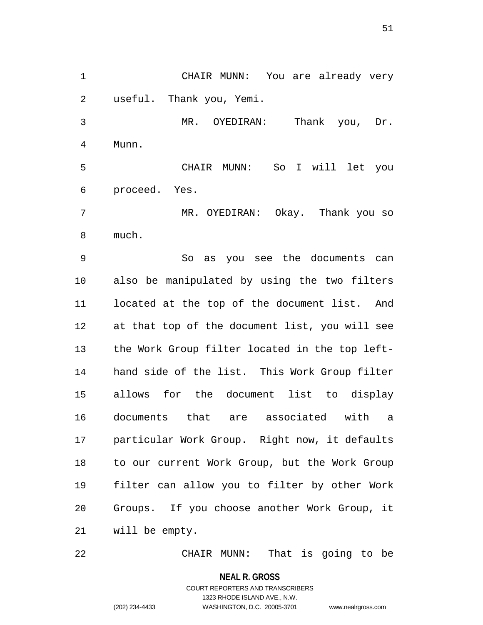CHAIR MUNN: You are already very useful. Thank you, Yemi.

 MR. OYEDIRAN: Thank you, Dr. Munn.

 CHAIR MUNN: So I will let you proceed. Yes.

 MR. OYEDIRAN: Okay. Thank you so much.

 So as you see the documents can also be manipulated by using the two filters located at the top of the document list. And at that top of the document list, you will see the Work Group filter located in the top left- hand side of the list. This Work Group filter allows for the document list to display documents that are associated with a particular Work Group. Right now, it defaults to our current Work Group, but the Work Group filter can allow you to filter by other Work Groups. If you choose another Work Group, it will be empty.

CHAIR MUNN: That is going to be

**NEAL R. GROSS**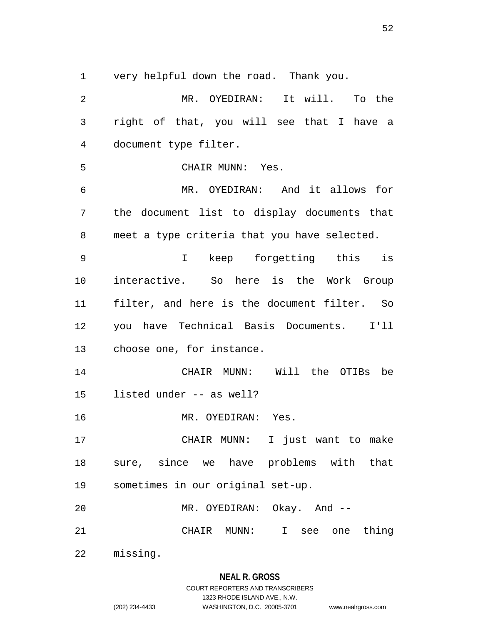very helpful down the road. Thank you.

 MR. OYEDIRAN: It will. To the right of that, you will see that I have a document type filter. CHAIR MUNN: Yes. MR. OYEDIRAN: And it allows for the document list to display documents that meet a type criteria that you have selected. I keep forgetting this is interactive. So here is the Work Group filter, and here is the document filter. So you have Technical Basis Documents. I'll choose one, for instance. CHAIR MUNN: Will the OTIBs be listed under -- as well? MR. OYEDIRAN: Yes. CHAIR MUNN: I just want to make sure, since we have problems with that sometimes in our original set-up. MR. OYEDIRAN: Okay. And -- CHAIR MUNN: I see one thing missing.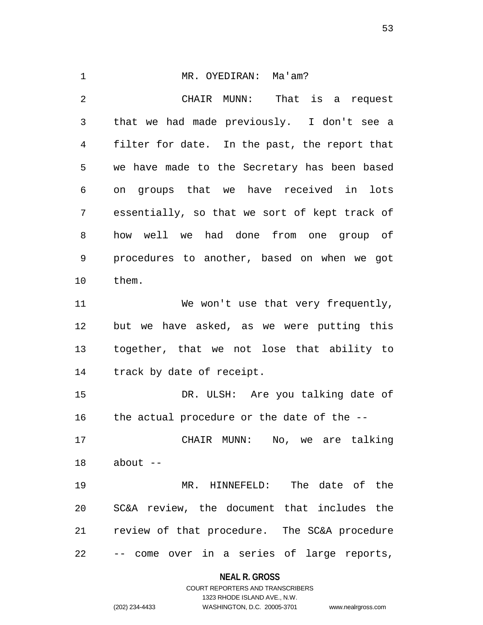MR. OYEDIRAN: Ma'am? CHAIR MUNN: That is a request that we had made previously. I don't see a filter for date. In the past, the report that we have made to the Secretary has been based on groups that we have received in lots essentially, so that we sort of kept track of how well we had done from one group of procedures to another, based on when we got them. 11 We won't use that very frequently, but we have asked, as we were putting this together, that we not lose that ability to track by date of receipt. DR. ULSH: Are you talking date of the actual procedure or the date of the -- CHAIR MUNN: No, we are talking about -- MR. HINNEFELD: The date of the SC&A review, the document that includes the review of that procedure. The SC&A procedure -- come over in a series of large reports,

**NEAL R. GROSS**

COURT REPORTERS AND TRANSCRIBERS 1323 RHODE ISLAND AVE., N.W. (202) 234-4433 WASHINGTON, D.C. 20005-3701 www.nealrgross.com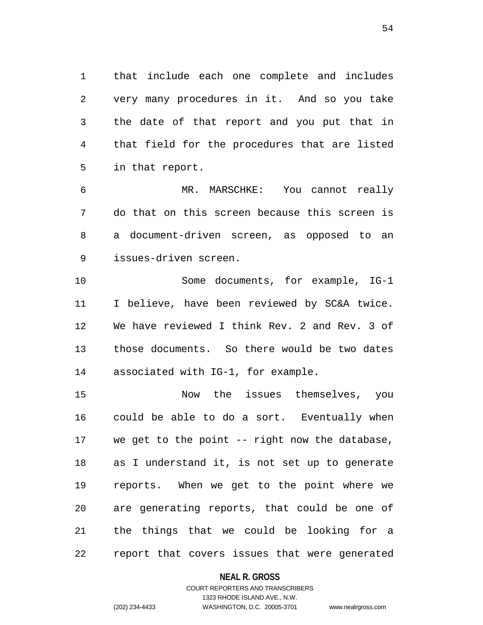that include each one complete and includes very many procedures in it. And so you take the date of that report and you put that in that field for the procedures that are listed in that report.

 MR. MARSCHKE: You cannot really do that on this screen because this screen is a document-driven screen, as opposed to an issues-driven screen.

 Some documents, for example, IG-1 I believe, have been reviewed by SC&A twice. We have reviewed I think Rev. 2 and Rev. 3 of those documents. So there would be two dates associated with IG-1, for example.

 Now the issues themselves, you could be able to do a sort. Eventually when we get to the point -- right now the database, as I understand it, is not set up to generate reports. When we get to the point where we are generating reports, that could be one of the things that we could be looking for a report that covers issues that were generated

### **NEAL R. GROSS**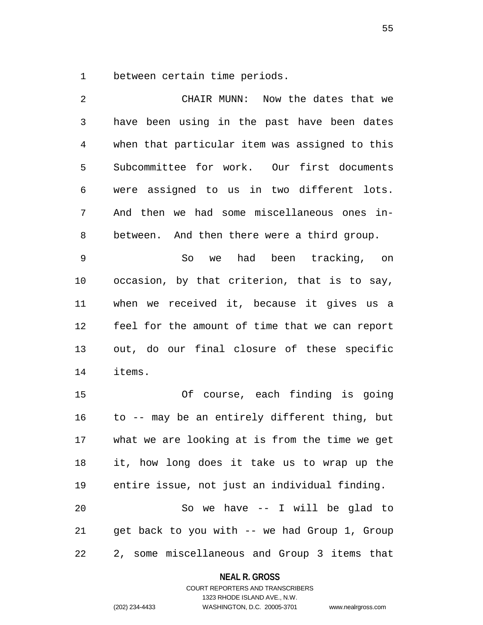between certain time periods.

 CHAIR MUNN: Now the dates that we have been using in the past have been dates when that particular item was assigned to this Subcommittee for work. Our first documents were assigned to us in two different lots. And then we had some miscellaneous ones in- between. And then there were a third group. So we had been tracking, on occasion, by that criterion, that is to say, when we received it, because it gives us a feel for the amount of time that we can report out, do our final closure of these specific items. Of course, each finding is going to -- may be an entirely different thing, but what we are looking at is from the time we get it, how long does it take us to wrap up the entire issue, not just an individual finding. So we have -- I will be glad to get back to you with -- we had Group 1, Group 2, some miscellaneous and Group 3 items that

#### **NEAL R. GROSS**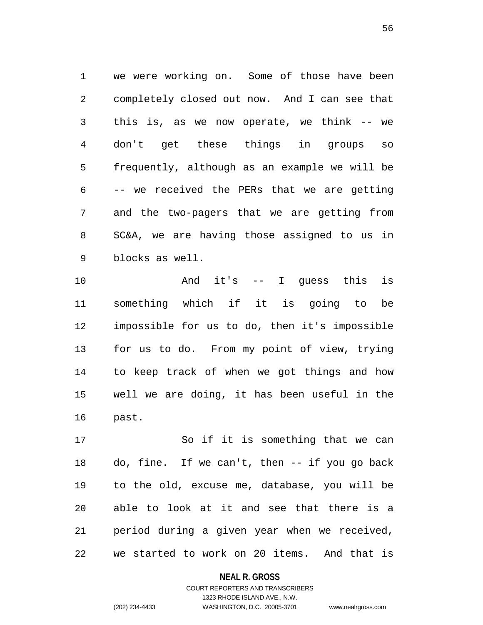we were working on. Some of those have been completely closed out now. And I can see that this is, as we now operate, we think -- we don't get these things in groups so frequently, although as an example we will be -- we received the PERs that we are getting and the two-pagers that we are getting from SC&A, we are having those assigned to us in blocks as well.

 And it's -- I guess this is something which if it is going to be impossible for us to do, then it's impossible for us to do. From my point of view, trying to keep track of when we got things and how well we are doing, it has been useful in the past.

 So if it is something that we can do, fine. If we can't, then -- if you go back to the old, excuse me, database, you will be able to look at it and see that there is a period during a given year when we received, we started to work on 20 items. And that is

**NEAL R. GROSS**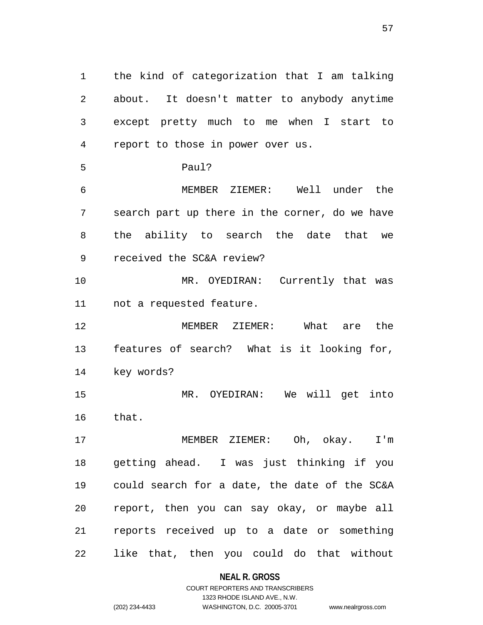the kind of categorization that I am talking about. It doesn't matter to anybody anytime except pretty much to me when I start to report to those in power over us. Paul? MEMBER ZIEMER: Well under the search part up there in the corner, do we have the ability to search the date that we received the SC&A review? MR. OYEDIRAN: Currently that was not a requested feature. MEMBER ZIEMER: What are the features of search? What is it looking for, key words? MR. OYEDIRAN: We will get into that. MEMBER ZIEMER: Oh, okay. I'm getting ahead. I was just thinking if you could search for a date, the date of the SC&A report, then you can say okay, or maybe all reports received up to a date or something like that, then you could do that without

### **NEAL R. GROSS**

COURT REPORTERS AND TRANSCRIBERS 1323 RHODE ISLAND AVE., N.W. (202) 234-4433 WASHINGTON, D.C. 20005-3701 www.nealrgross.com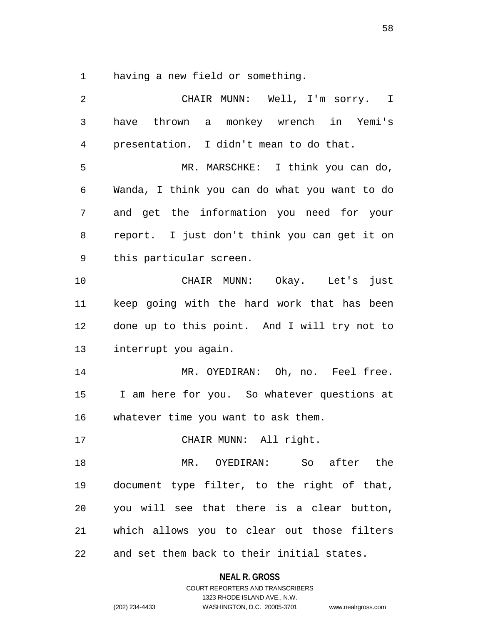having a new field or something.

| 2              | CHAIR MUNN: Well, I'm sorry. I                |
|----------------|-----------------------------------------------|
| 3              | have thrown a monkey wrench in Yemi's         |
| $\overline{4}$ | presentation. I didn't mean to do that.       |
| 5              | MR. MARSCHKE: I think you can do,             |
| 6              | Wanda, I think you can do what you want to do |
| 7              | and get the information you need for your     |
| 8              | report. I just don't think you can get it on  |
| 9              | this particular screen.                       |
| 10             | CHAIR MUNN: Okay. Let's just                  |
| 11             | keep going with the hard work that has been   |
| 12             | done up to this point. And I will try not to  |
| 13             | interrupt you again.                          |
| 14             | MR. OYEDIRAN: Oh, no. Feel free.              |
| 15             | I am here for you. So whatever questions at   |
| 16             | whatever time you want to ask them.           |
| 17             | CHAIR MUNN: All right.                        |
| 18             | MR. OYEDIRAN: So after the                    |
| 19             | document type filter, to the right of that,   |
| 20             | you will see that there is a clear button,    |
| 21             | which allows you to clear out those filters   |
| 22             | and set them back to their initial states.    |

**NEAL R. GROSS** COURT REPORTERS AND TRANSCRIBERS

1323 RHODE ISLAND AVE., N.W. (202) 234-4433 WASHINGTON, D.C. 20005-3701 www.nealrgross.com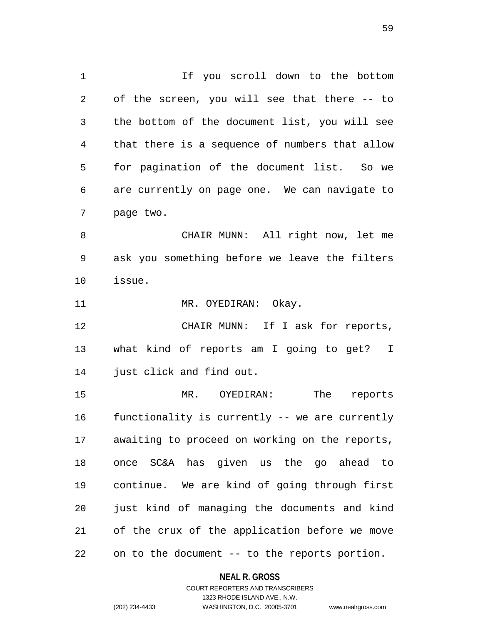If you scroll down to the bottom of the screen, you will see that there -- to the bottom of the document list, you will see that there is a sequence of numbers that allow for pagination of the document list. So we are currently on page one. We can navigate to page two. CHAIR MUNN: All right now, let me

 ask you something before we leave the filters issue.

11 MR. OYEDIRAN: Okay.

12 CHAIR MUNN: If I ask for reports, what kind of reports am I going to get? I just click and find out.

 MR. OYEDIRAN: The reports functionality is currently -- we are currently awaiting to proceed on working on the reports, once SC&A has given us the go ahead to continue. We are kind of going through first just kind of managing the documents and kind of the crux of the application before we move on to the document -- to the reports portion.

**NEAL R. GROSS**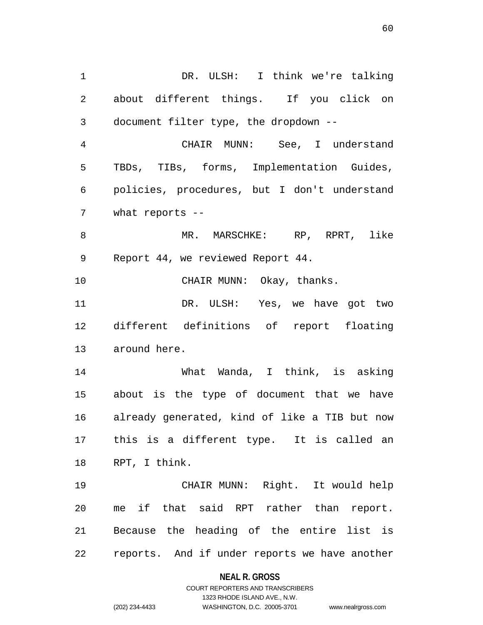DR. ULSH: I think we're talking about different things. If you click on document filter type, the dropdown -- CHAIR MUNN: See, I understand TBDs, TIBs, forms, Implementation Guides, policies, procedures, but I don't understand what reports -- MR. MARSCHKE: RP, RPRT, like Report 44, we reviewed Report 44. 10 CHAIR MUNN: Okay, thanks. DR. ULSH: Yes, we have got two different definitions of report floating around here. What Wanda, I think, is asking about is the type of document that we have already generated, kind of like a TIB but now this is a different type. It is called an RPT, I think. CHAIR MUNN: Right. It would help me if that said RPT rather than report. Because the heading of the entire list is reports. And if under reports we have another

**NEAL R. GROSS**

COURT REPORTERS AND TRANSCRIBERS 1323 RHODE ISLAND AVE., N.W. (202) 234-4433 WASHINGTON, D.C. 20005-3701 www.nealrgross.com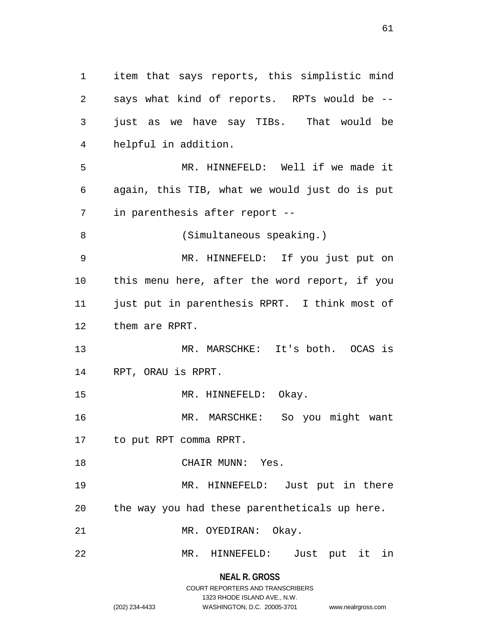**NEAL R. GROSS** says what kind of reports. RPTs would be -- just as we have say TIBs. That would be helpful in addition. MR. HINNEFELD: Well if we made it again, this TIB, what we would just do is put in parenthesis after report -- (Simultaneous speaking.) MR. HINNEFELD: If you just put on this menu here, after the word report, if you just put in parenthesis RPRT. I think most of them are RPRT. MR. MARSCHKE: It's both. OCAS is RPT, ORAU is RPRT. 15 MR. HINNEFELD: Okay. MR. MARSCHKE: So you might want to put RPT comma RPRT. CHAIR MUNN: Yes. MR. HINNEFELD: Just put in there the way you had these parentheticals up here. MR. OYEDIRAN: Okay. MR. HINNEFELD: Just put it in

item that says reports, this simplistic mind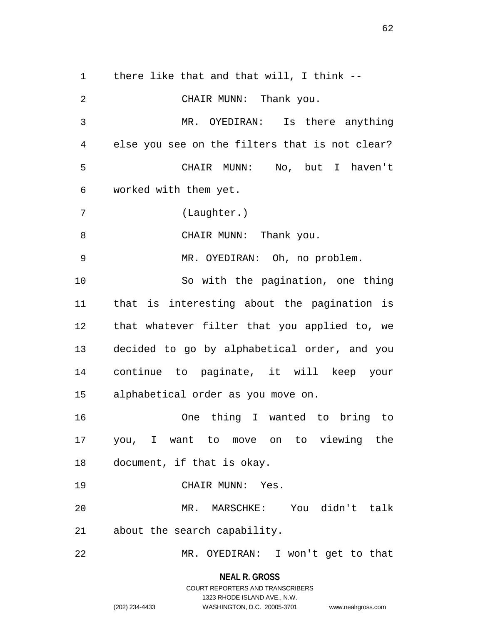there like that and that will, I think -- CHAIR MUNN: Thank you. MR. OYEDIRAN: Is there anything else you see on the filters that is not clear? CHAIR MUNN: No, but I haven't worked with them yet. (Laughter.) 8 CHAIR MUNN: Thank you. MR. OYEDIRAN: Oh, no problem. So with the pagination, one thing that is interesting about the pagination is that whatever filter that you applied to, we decided to go by alphabetical order, and you continue to paginate, it will keep your alphabetical order as you move on. One thing I wanted to bring to you, I want to move on to viewing the document, if that is okay. CHAIR MUNN: Yes. MR. MARSCHKE: You didn't talk about the search capability. MR. OYEDIRAN: I won't get to that

**NEAL R. GROSS**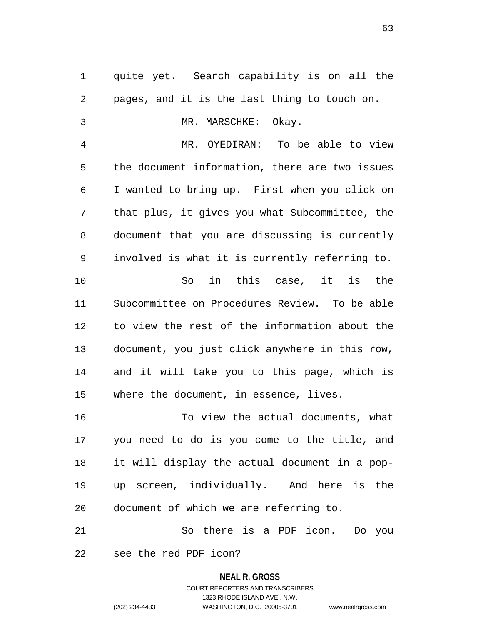quite yet. Search capability is on all the pages, and it is the last thing to touch on. MR. MARSCHKE: Okay. MR. OYEDIRAN: To be able to view the document information, there are two issues I wanted to bring up. First when you click on that plus, it gives you what Subcommittee, the document that you are discussing is currently involved is what it is currently referring to. So in this case, it is the Subcommittee on Procedures Review. To be able to view the rest of the information about the document, you just click anywhere in this row, and it will take you to this page, which is where the document, in essence, lives. To view the actual documents, what

 you need to do is you come to the title, and it will display the actual document in a pop- up screen, individually. And here is the document of which we are referring to.

 So there is a PDF icon. Do you see the red PDF icon?

## **NEAL R. GROSS**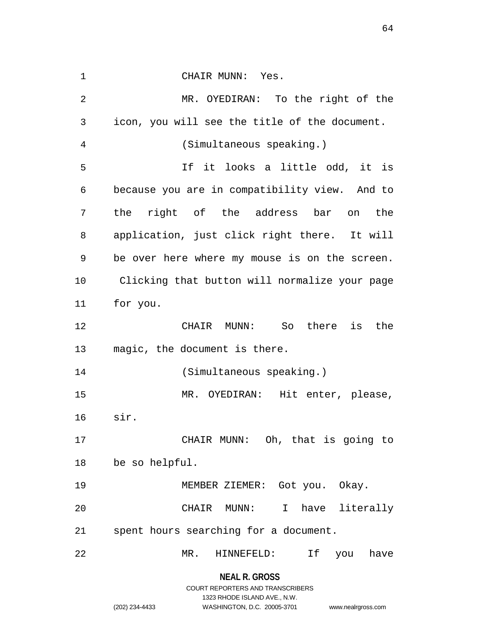| 1  | CHAIR MUNN: Yes.                              |
|----|-----------------------------------------------|
| 2  | MR. OYEDIRAN: To the right of the             |
| 3  | icon, you will see the title of the document. |
| 4  | (Simultaneous speaking.)                      |
| 5  | If it looks a little odd, it is               |
| 6  | because you are in compatibility view. And to |
| 7  | the right of the address bar on the           |
| 8  | application, just click right there. It will  |
| 9  | be over here where my mouse is on the screen. |
| 10 | Clicking that button will normalize your page |
| 11 | for you.                                      |
| 12 | CHAIR MUNN: So there is<br>the                |
| 13 | magic, the document is there.                 |
| 14 | (Simultaneous speaking.)                      |
| 15 | MR. OYEDIRAN: Hit enter, please,              |
| 16 | sir.                                          |
| 17 | CHAIR MUNN: Oh, that is going to              |
| 18 | be so helpful.                                |
| 19 | MEMBER ZIEMER: Got you. Okay.                 |
| 20 | have literally<br>CHAIR MUNN:<br>$\mathbf{I}$ |
| 21 | spent hours searching for a document.         |
|    |                                               |
| 22 | MR.<br>HINNEFELD:<br>If you<br>have           |

**NEAL R. GROSS** COURT REPORTERS AND TRANSCRIBERS

1323 RHODE ISLAND AVE., N.W.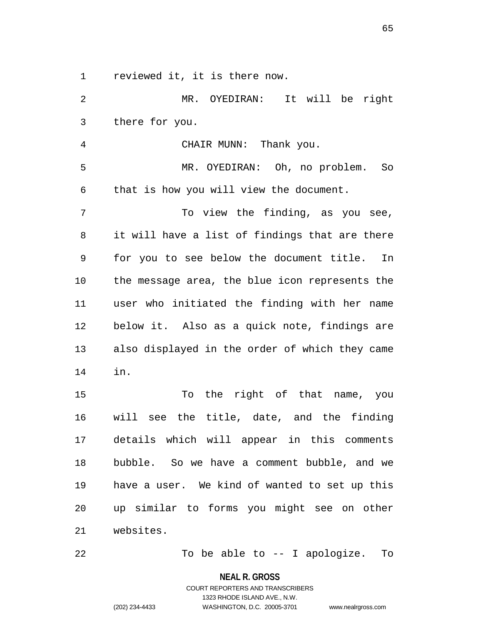reviewed it, it is there now.

 MR. OYEDIRAN: It will be right there for you. CHAIR MUNN: Thank you. MR. OYEDIRAN: Oh, no problem. So that is how you will view the document. 7 To view the finding, as you see, it will have a list of findings that are there for you to see below the document title. In the message area, the blue icon represents the user who initiated the finding with her name below it. Also as a quick note, findings are also displayed in the order of which they came in. To the right of that name, you will see the title, date, and the finding details which will appear in this comments bubble. So we have a comment bubble, and we have a user. We kind of wanted to set up this up similar to forms you might see on other websites.

To be able to -- I apologize. To

**NEAL R. GROSS**

COURT REPORTERS AND TRANSCRIBERS 1323 RHODE ISLAND AVE., N.W. (202) 234-4433 WASHINGTON, D.C. 20005-3701 www.nealrgross.com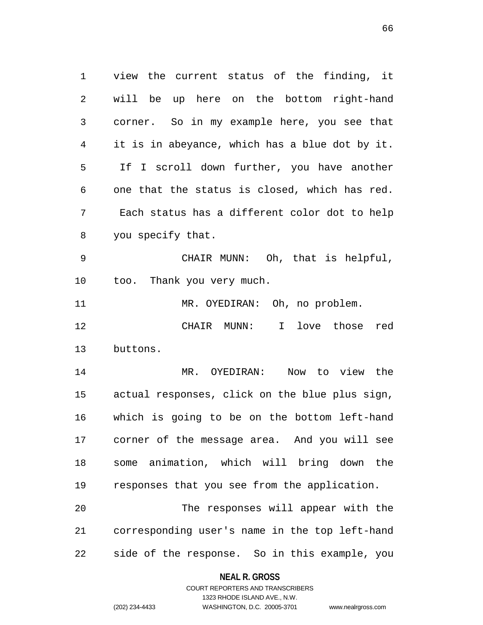view the current status of the finding, it will be up here on the bottom right-hand corner. So in my example here, you see that it is in abeyance, which has a blue dot by it. If I scroll down further, you have another one that the status is closed, which has red. Each status has a different color dot to help you specify that.

 CHAIR MUNN: Oh, that is helpful, too. Thank you very much.

MR. OYEDIRAN: Oh, no problem.

 CHAIR MUNN: I love those red buttons.

 MR. OYEDIRAN: Now to view the actual responses, click on the blue plus sign, which is going to be on the bottom left-hand corner of the message area. And you will see some animation, which will bring down the responses that you see from the application.

 The responses will appear with the corresponding user's name in the top left-hand side of the response. So in this example, you

## **NEAL R. GROSS** COURT REPORTERS AND TRANSCRIBERS

1323 RHODE ISLAND AVE., N.W.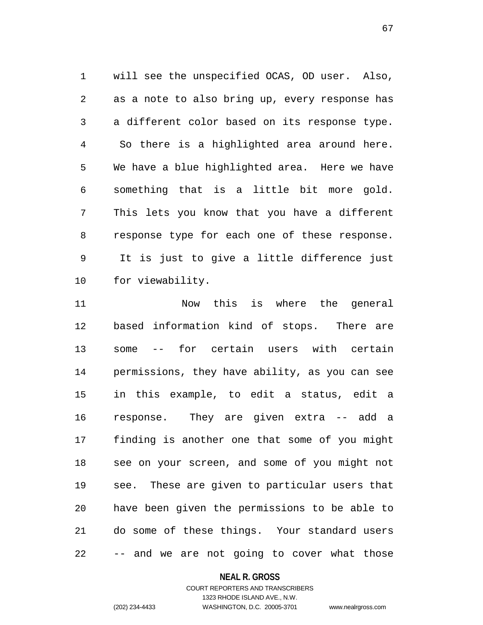will see the unspecified OCAS, OD user. Also, as a note to also bring up, every response has a different color based on its response type. So there is a highlighted area around here. We have a blue highlighted area. Here we have something that is a little bit more gold. This lets you know that you have a different response type for each one of these response. It is just to give a little difference just for viewability.

 Now this is where the general based information kind of stops. There are some -- for certain users with certain permissions, they have ability, as you can see in this example, to edit a status, edit a response. They are given extra -- add a finding is another one that some of you might see on your screen, and some of you might not see. These are given to particular users that have been given the permissions to be able to do some of these things. Your standard users -- and we are not going to cover what those

#### **NEAL R. GROSS**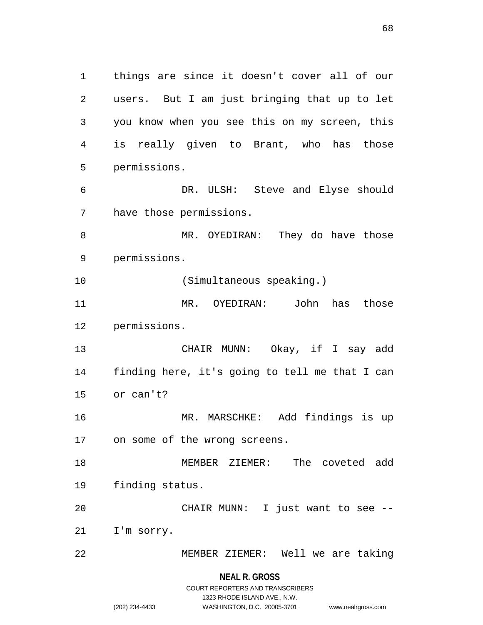things are since it doesn't cover all of our users. But I am just bringing that up to let you know when you see this on my screen, this is really given to Brant, who has those permissions. DR. ULSH: Steve and Elyse should have those permissions. MR. OYEDIRAN: They do have those permissions. (Simultaneous speaking.) MR. OYEDIRAN: John has those permissions. CHAIR MUNN: Okay, if I say add finding here, it's going to tell me that I can or can't? MR. MARSCHKE: Add findings is up on some of the wrong screens. MEMBER ZIEMER: The coveted add finding status. CHAIR MUNN: I just want to see -- I'm sorry. MEMBER ZIEMER: Well we are taking

**NEAL R. GROSS**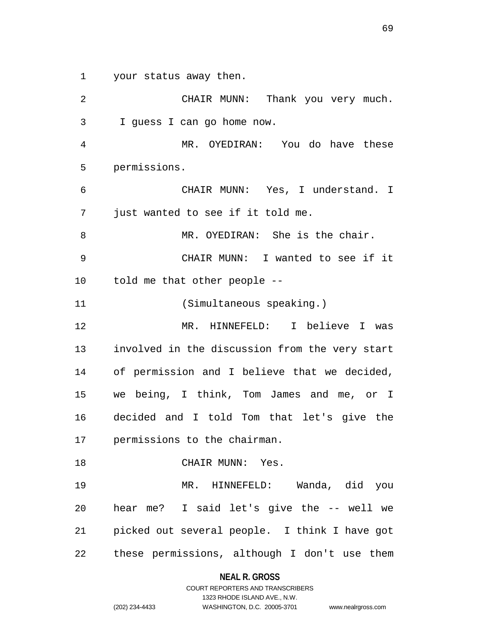your status away then.

 CHAIR MUNN: Thank you very much. I guess I can go home now. MR. OYEDIRAN: You do have these permissions. CHAIR MUNN: Yes, I understand. I just wanted to see if it told me. MR. OYEDIRAN: She is the chair. CHAIR MUNN: I wanted to see if it told me that other people -- (Simultaneous speaking.) MR. HINNEFELD: I believe I was involved in the discussion from the very start of permission and I believe that we decided, we being, I think, Tom James and me, or I decided and I told Tom that let's give the permissions to the chairman. CHAIR MUNN: Yes. MR. HINNEFELD: Wanda, did you hear me? I said let's give the -- well we picked out several people. I think I have got these permissions, although I don't use them

**NEAL R. GROSS**

COURT REPORTERS AND TRANSCRIBERS 1323 RHODE ISLAND AVE., N.W. (202) 234-4433 WASHINGTON, D.C. 20005-3701 www.nealrgross.com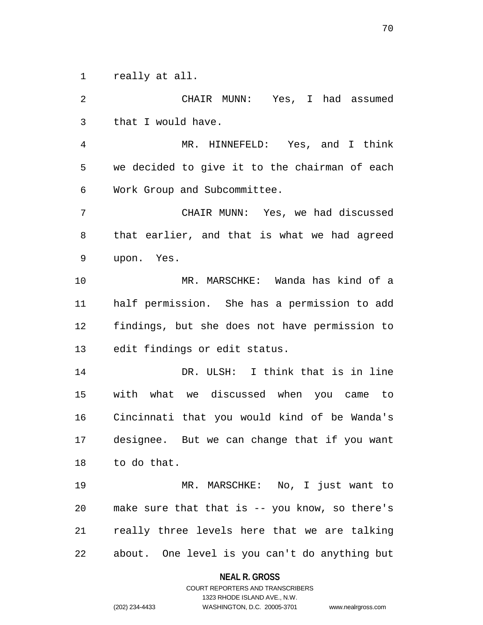really at all.

 CHAIR MUNN: Yes, I had assumed that I would have. MR. HINNEFELD: Yes, and I think we decided to give it to the chairman of each Work Group and Subcommittee. CHAIR MUNN: Yes, we had discussed that earlier, and that is what we had agreed upon. Yes. MR. MARSCHKE: Wanda has kind of a half permission. She has a permission to add findings, but she does not have permission to edit findings or edit status. DR. ULSH: I think that is in line with what we discussed when you came to Cincinnati that you would kind of be Wanda's designee. But we can change that if you want to do that. MR. MARSCHKE: No, I just want to make sure that that is -- you know, so there's really three levels here that we are talking about. One level is you can't do anything but

> **NEAL R. GROSS** COURT REPORTERS AND TRANSCRIBERS

> > 1323 RHODE ISLAND AVE., N.W.

(202) 234-4433 WASHINGTON, D.C. 20005-3701 www.nealrgross.com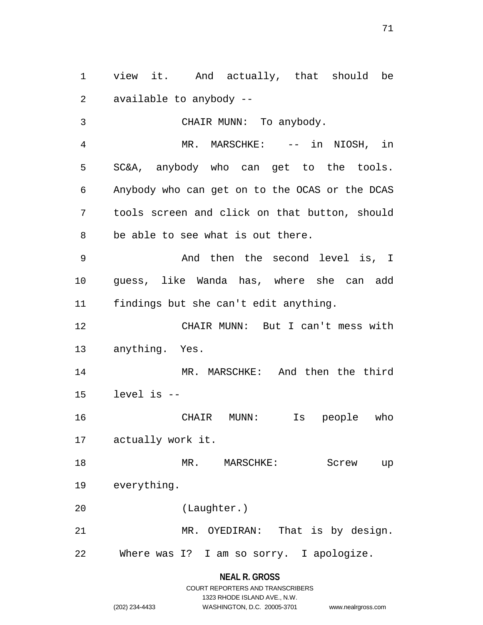view it. And actually, that should be available to anybody --

 CHAIR MUNN: To anybody. MR. MARSCHKE: -- in NIOSH, in SC&A, anybody who can get to the tools. Anybody who can get on to the OCAS or the DCAS tools screen and click on that button, should be able to see what is out there. And then the second level is, I

 guess, like Wanda has, where she can add findings but she can't edit anything.

 CHAIR MUNN: But I can't mess with anything. Yes.

 MR. MARSCHKE: And then the third level is --

 CHAIR MUNN: Is people who actually work it.

 MR. MARSCHKE: Screw up everything.

(Laughter.)

 MR. OYEDIRAN: That is by design. Where was I? I am so sorry. I apologize.

## **NEAL R. GROSS**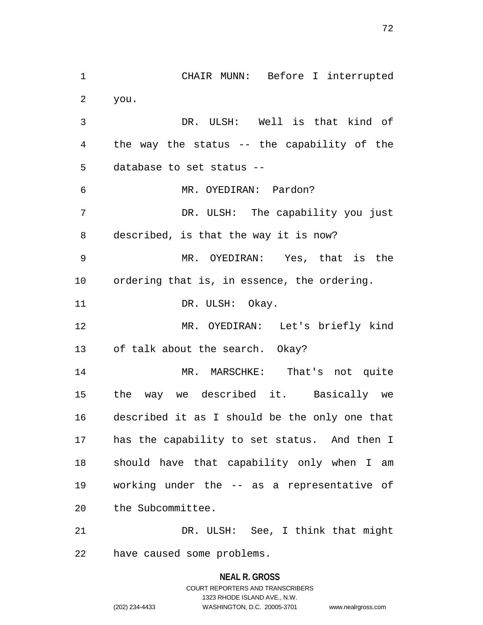CHAIR MUNN: Before I interrupted you. DR. ULSH: Well is that kind of the way the status -- the capability of the database to set status -- MR. OYEDIRAN: Pardon? DR. ULSH: The capability you just described, is that the way it is now? MR. OYEDIRAN: Yes, that is the ordering that is, in essence, the ordering. 11 DR. ULSH: Okay. MR. OYEDIRAN: Let's briefly kind of talk about the search. Okay? MR. MARSCHKE: That's not quite the way we described it. Basically we described it as I should be the only one that has the capability to set status. And then I should have that capability only when I am working under the -- as a representative of the Subcommittee. DR. ULSH: See, I think that might

have caused some problems.

# **NEAL R. GROSS** COURT REPORTERS AND TRANSCRIBERS 1323 RHODE ISLAND AVE., N.W. (202) 234-4433 WASHINGTON, D.C. 20005-3701 www.nealrgross.com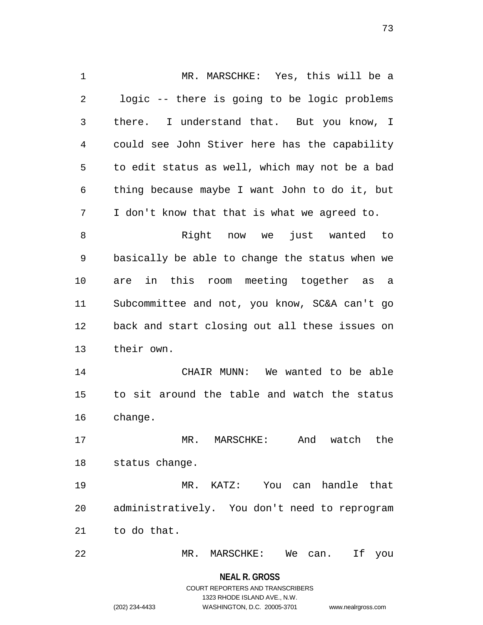MR. MARSCHKE: Yes, this will be a logic -- there is going to be logic problems there. I understand that. But you know, I could see John Stiver here has the capability to edit status as well, which may not be a bad thing because maybe I want John to do it, but I don't know that that is what we agreed to. Right now we just wanted to basically be able to change the status when we are in this room meeting together as a Subcommittee and not, you know, SC&A can't go back and start closing out all these issues on their own. CHAIR MUNN: We wanted to be able to sit around the table and watch the status change. MR. MARSCHKE: And watch the status change. MR. KATZ: You can handle that administratively. You don't need to reprogram to do that. MR. MARSCHKE: We can. If you

> **NEAL R. GROSS** COURT REPORTERS AND TRANSCRIBERS 1323 RHODE ISLAND AVE., N.W. (202) 234-4433 WASHINGTON, D.C. 20005-3701 www.nealrgross.com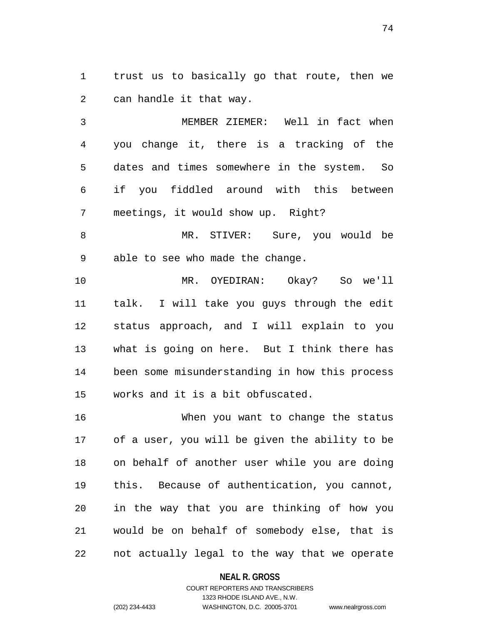trust us to basically go that route, then we can handle it that way.

 MEMBER ZIEMER: Well in fact when you change it, there is a tracking of the dates and times somewhere in the system. So if you fiddled around with this between meetings, it would show up. Right?

 MR. STIVER: Sure, you would be able to see who made the change.

 MR. OYEDIRAN: Okay? So we'll talk. I will take you guys through the edit status approach, and I will explain to you what is going on here. But I think there has been some misunderstanding in how this process works and it is a bit obfuscated.

 When you want to change the status of a user, you will be given the ability to be on behalf of another user while you are doing this. Because of authentication, you cannot, in the way that you are thinking of how you would be on behalf of somebody else, that is not actually legal to the way that we operate

#### **NEAL R. GROSS**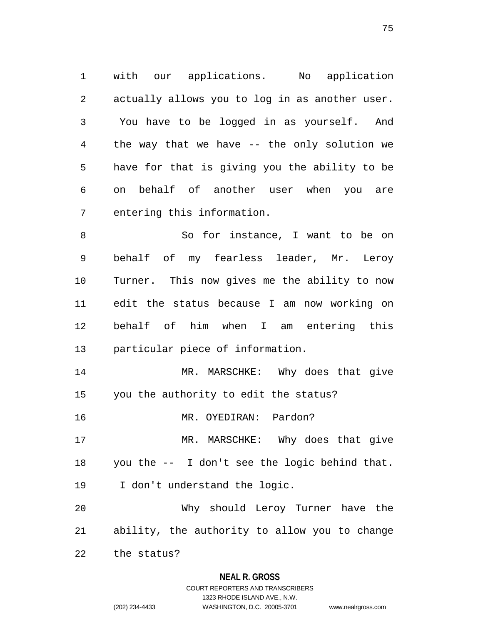with our applications. No application actually allows you to log in as another user. You have to be logged in as yourself. And the way that we have -- the only solution we have for that is giving you the ability to be on behalf of another user when you are entering this information.

8 So for instance, I want to be on behalf of my fearless leader, Mr. Leroy Turner. This now gives me the ability to now edit the status because I am now working on behalf of him when I am entering this particular piece of information.

 MR. MARSCHKE: Why does that give you the authority to edit the status?

MR. OYEDIRAN: Pardon?

17 MR. MARSCHKE: Why does that give you the -- I don't see the logic behind that.

I don't understand the logic.

 Why should Leroy Turner have the ability, the authority to allow you to change

the status?

### **NEAL R. GROSS**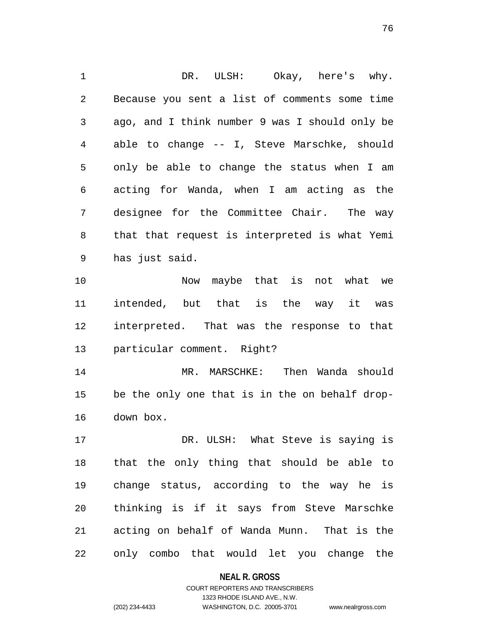DR. ULSH: Okay, here's why. Because you sent a list of comments some time ago, and I think number 9 was I should only be able to change -- I, Steve Marschke, should only be able to change the status when I am acting for Wanda, when I am acting as the designee for the Committee Chair. The way that that request is interpreted is what Yemi has just said. 10 Now maybe that is not what we

 intended, but that is the way it was interpreted. That was the response to that particular comment. Right?

 MR. MARSCHKE: Then Wanda should be the only one that is in the on behalf drop-down box.

 DR. ULSH: What Steve is saying is that the only thing that should be able to change status, according to the way he is thinking is if it says from Steve Marschke acting on behalf of Wanda Munn. That is the only combo that would let you change the

#### **NEAL R. GROSS**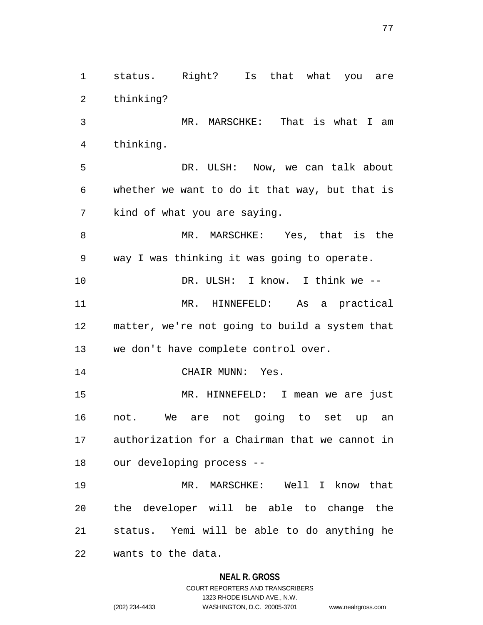**NEAL R. GROSS** MR. MARSCHKE: That is what I am thinking. DR. ULSH: Now, we can talk about whether we want to do it that way, but that is kind of what you are saying. MR. MARSCHKE: Yes, that is the way I was thinking it was going to operate. DR. ULSH: I know. I think we -- MR. HINNEFELD: As a practical matter, we're not going to build a system that we don't have complete control over. 14 CHAIR MUNN: Yes. MR. HINNEFELD: I mean we are just not. We are not going to set up an authorization for a Chairman that we cannot in our developing process -- MR. MARSCHKE: Well I know that the developer will be able to change the status. Yemi will be able to do anything he wants to the data.

status. Right? Is that what you are

thinking?

# COURT REPORTERS AND TRANSCRIBERS 1323 RHODE ISLAND AVE., N.W. (202) 234-4433 WASHINGTON, D.C. 20005-3701 www.nealrgross.com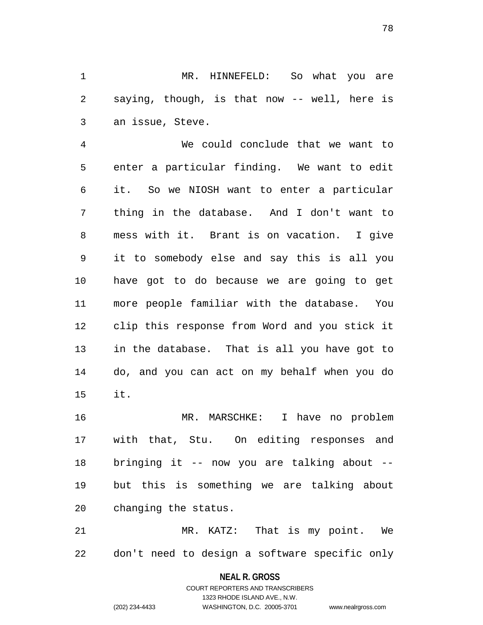MR. HINNEFELD: So what you are saying, though, is that now -- well, here is an issue, Steve.

 We could conclude that we want to enter a particular finding. We want to edit it. So we NIOSH want to enter a particular thing in the database. And I don't want to mess with it. Brant is on vacation. I give it to somebody else and say this is all you have got to do because we are going to get more people familiar with the database. You clip this response from Word and you stick it in the database. That is all you have got to do, and you can act on my behalf when you do it.

 MR. MARSCHKE: I have no problem with that, Stu. On editing responses and bringing it -- now you are talking about -- but this is something we are talking about changing the status.

 MR. KATZ: That is my point. We don't need to design a software specific only

**NEAL R. GROSS**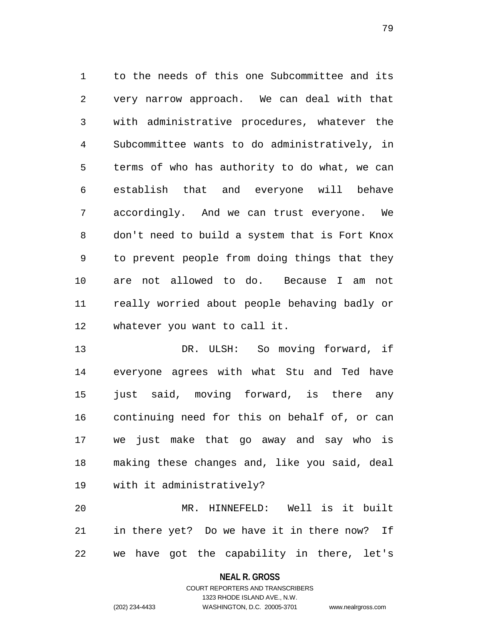to the needs of this one Subcommittee and its very narrow approach. We can deal with that with administrative procedures, whatever the Subcommittee wants to do administratively, in terms of who has authority to do what, we can establish that and everyone will behave accordingly. And we can trust everyone. We don't need to build a system that is Fort Knox to prevent people from doing things that they are not allowed to do. Because I am not really worried about people behaving badly or whatever you want to call it.

 DR. ULSH: So moving forward, if everyone agrees with what Stu and Ted have just said, moving forward, is there any continuing need for this on behalf of, or can we just make that go away and say who is making these changes and, like you said, deal with it administratively?

 MR. HINNEFELD: Well is it built in there yet? Do we have it in there now? If we have got the capability in there, let's

**NEAL R. GROSS**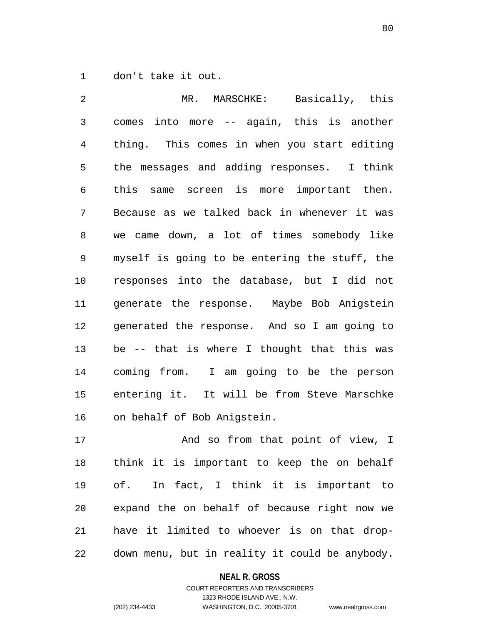don't take it out.

 MR. MARSCHKE: Basically, this comes into more -- again, this is another thing. This comes in when you start editing the messages and adding responses. I think this same screen is more important then. Because as we talked back in whenever it was we came down, a lot of times somebody like myself is going to be entering the stuff, the responses into the database, but I did not generate the response. Maybe Bob Anigstein generated the response. And so I am going to be -- that is where I thought that this was coming from. I am going to be the person entering it. It will be from Steve Marschke on behalf of Bob Anigstein.

17 And so from that point of view, I think it is important to keep the on behalf of. In fact, I think it is important to expand the on behalf of because right now we have it limited to whoever is on that drop-down menu, but in reality it could be anybody.

#### **NEAL R. GROSS**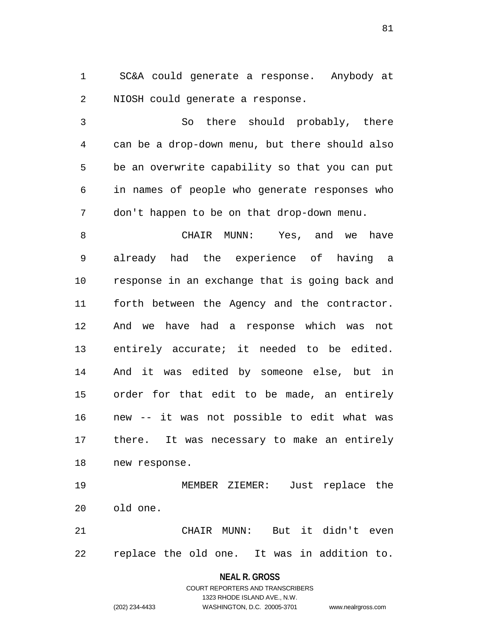SC&A could generate a response. Anybody at NIOSH could generate a response.

 So there should probably, there can be a drop-down menu, but there should also be an overwrite capability so that you can put in names of people who generate responses who don't happen to be on that drop-down menu.

 CHAIR MUNN: Yes, and we have already had the experience of having a response in an exchange that is going back and forth between the Agency and the contractor. And we have had a response which was not entirely accurate; it needed to be edited. And it was edited by someone else, but in order for that edit to be made, an entirely new -- it was not possible to edit what was there. It was necessary to make an entirely new response.

 MEMBER ZIEMER: Just replace the old one.

 CHAIR MUNN: But it didn't even replace the old one. It was in addition to.

#### **NEAL R. GROSS**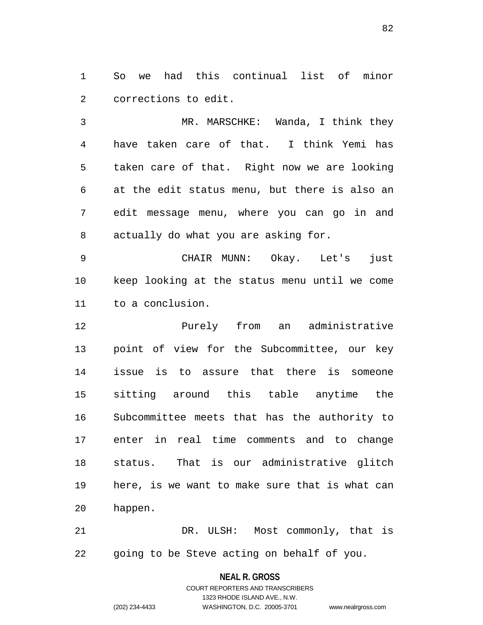So we had this continual list of minor corrections to edit.

 MR. MARSCHKE: Wanda, I think they have taken care of that. I think Yemi has taken care of that. Right now we are looking at the edit status menu, but there is also an edit message menu, where you can go in and actually do what you are asking for.

 CHAIR MUNN: Okay. Let's just keep looking at the status menu until we come to a conclusion.

 Purely from an administrative point of view for the Subcommittee, our key issue is to assure that there is someone sitting around this table anytime the Subcommittee meets that has the authority to enter in real time comments and to change status. That is our administrative glitch here, is we want to make sure that is what can happen.

 DR. ULSH: Most commonly, that is going to be Steve acting on behalf of you.

**NEAL R. GROSS**

COURT REPORTERS AND TRANSCRIBERS 1323 RHODE ISLAND AVE., N.W. (202) 234-4433 WASHINGTON, D.C. 20005-3701 www.nealrgross.com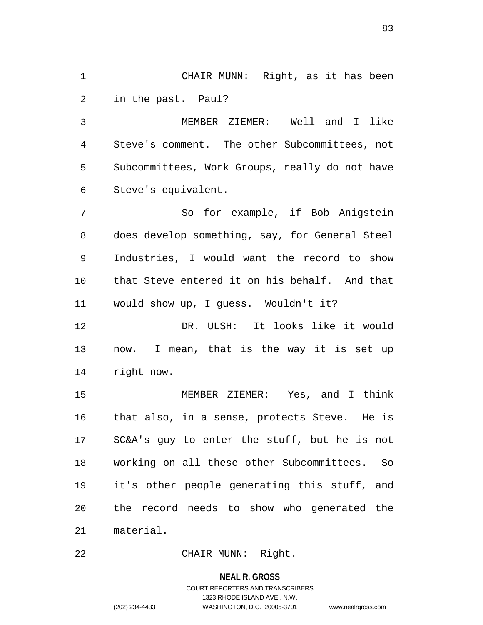CHAIR MUNN: Right, as it has been in the past. Paul?

 MEMBER ZIEMER: Well and I like Steve's comment. The other Subcommittees, not Subcommittees, Work Groups, really do not have Steve's equivalent.

 So for example, if Bob Anigstein does develop something, say, for General Steel Industries, I would want the record to show that Steve entered it on his behalf. And that would show up, I guess. Wouldn't it?

 DR. ULSH: It looks like it would now. I mean, that is the way it is set up right now.

 MEMBER ZIEMER: Yes, and I think that also, in a sense, protects Steve. He is SC&A's guy to enter the stuff, but he is not working on all these other Subcommittees. So it's other people generating this stuff, and the record needs to show who generated the material.

CHAIR MUNN: Right.

#### **NEAL R. GROSS**

# COURT REPORTERS AND TRANSCRIBERS 1323 RHODE ISLAND AVE., N.W. (202) 234-4433 WASHINGTON, D.C. 20005-3701 www.nealrgross.com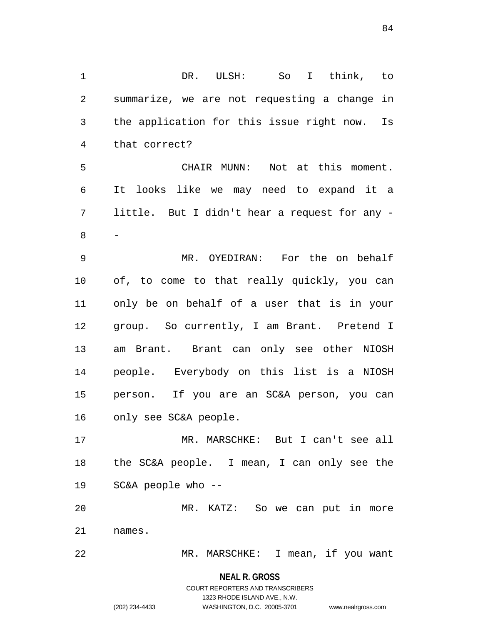DR. ULSH: So I think, to summarize, we are not requesting a change in the application for this issue right now. Is that correct? CHAIR MUNN: Not at this moment. It looks like we may need to expand it a little. But I didn't hear a request for any - - MR. OYEDIRAN: For the on behalf of, to come to that really quickly, you can only be on behalf of a user that is in your group. So currently, I am Brant. Pretend I am Brant. Brant can only see other NIOSH people. Everybody on this list is a NIOSH person. If you are an SC&A person, you can only see SC&A people. MR. MARSCHKE: But I can't see all the SC&A people. I mean, I can only see the SC&A people who -- MR. KATZ: So we can put in more names. MR. MARSCHKE: I mean, if you want

> **NEAL R. GROSS** COURT REPORTERS AND TRANSCRIBERS 1323 RHODE ISLAND AVE., N.W. (202) 234-4433 WASHINGTON, D.C. 20005-3701 www.nealrgross.com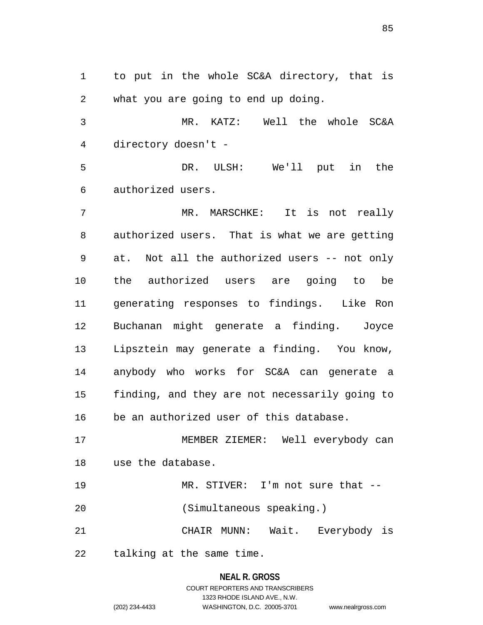to put in the whole SC&A directory, that is what you are going to end up doing.

 MR. KATZ: Well the whole SC&A directory doesn't -

 DR. ULSH: We'll put in the authorized users.

7 MR. MARSCHKE: It is not really authorized users. That is what we are getting at. Not all the authorized users -- not only the authorized users are going to be generating responses to findings. Like Ron Buchanan might generate a finding. Joyce Lipsztein may generate a finding. You know, anybody who works for SC&A can generate a finding, and they are not necessarily going to be an authorized user of this database.

 MEMBER ZIEMER: Well everybody can use the database.

 MR. STIVER: I'm not sure that -- (Simultaneous speaking.)

CHAIR MUNN: Wait. Everybody is

talking at the same time.

# **NEAL R. GROSS**

COURT REPORTERS AND TRANSCRIBERS 1323 RHODE ISLAND AVE., N.W. (202) 234-4433 WASHINGTON, D.C. 20005-3701 www.nealrgross.com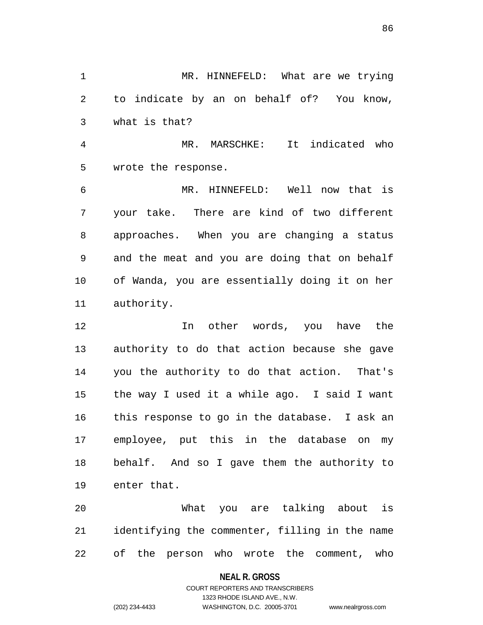MR. HINNEFELD: What are we trying to indicate by an on behalf of? You know, what is that?

 MR. MARSCHKE: It indicated who wrote the response.

 MR. HINNEFELD: Well now that is your take. There are kind of two different approaches. When you are changing a status and the meat and you are doing that on behalf of Wanda, you are essentially doing it on her authority.

 In other words, you have the authority to do that action because she gave you the authority to do that action. That's the way I used it a while ago. I said I want this response to go in the database. I ask an employee, put this in the database on my behalf. And so I gave them the authority to enter that.

 What you are talking about is identifying the commenter, filling in the name of the person who wrote the comment, who

#### **NEAL R. GROSS**

### COURT REPORTERS AND TRANSCRIBERS 1323 RHODE ISLAND AVE., N.W. (202) 234-4433 WASHINGTON, D.C. 20005-3701 www.nealrgross.com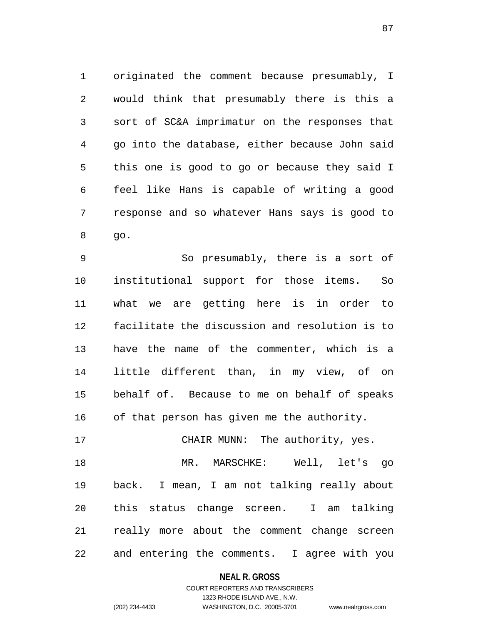originated the comment because presumably, I would think that presumably there is this a sort of SC&A imprimatur on the responses that go into the database, either because John said this one is good to go or because they said I feel like Hans is capable of writing a good response and so whatever Hans says is good to go.

 So presumably, there is a sort of institutional support for those items. So what we are getting here is in order to facilitate the discussion and resolution is to have the name of the commenter, which is a little different than, in my view, of on behalf of. Because to me on behalf of speaks of that person has given me the authority.

 MR. MARSCHKE: Well, let's go back. I mean, I am not talking really about this status change screen. I am talking really more about the comment change screen and entering the comments. I agree with you

CHAIR MUNN: The authority, yes.

#### **NEAL R. GROSS**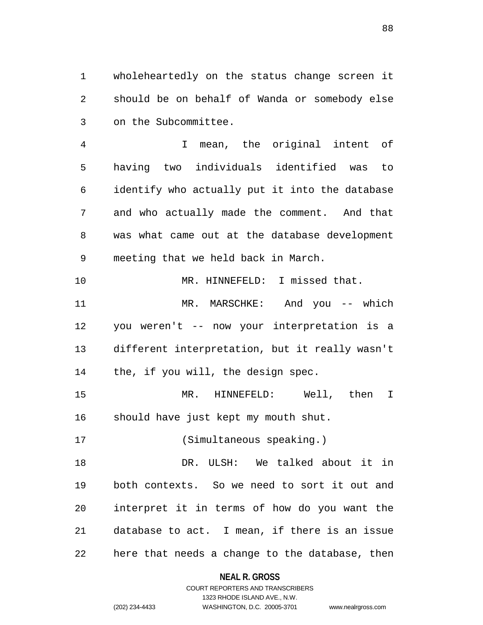wholeheartedly on the status change screen it should be on behalf of Wanda or somebody else on the Subcommittee.

 I mean, the original intent of having two individuals identified was to identify who actually put it into the database and who actually made the comment. And that was what came out at the database development meeting that we held back in March.

 MR. HINNEFELD: I missed that. MR. MARSCHKE: And you -- which you weren't -- now your interpretation is a different interpretation, but it really wasn't the, if you will, the design spec.

 MR. HINNEFELD: Well, then I should have just kept my mouth shut.

(Simultaneous speaking.)

 DR. ULSH: We talked about it in both contexts. So we need to sort it out and interpret it in terms of how do you want the database to act. I mean, if there is an issue here that needs a change to the database, then

**NEAL R. GROSS**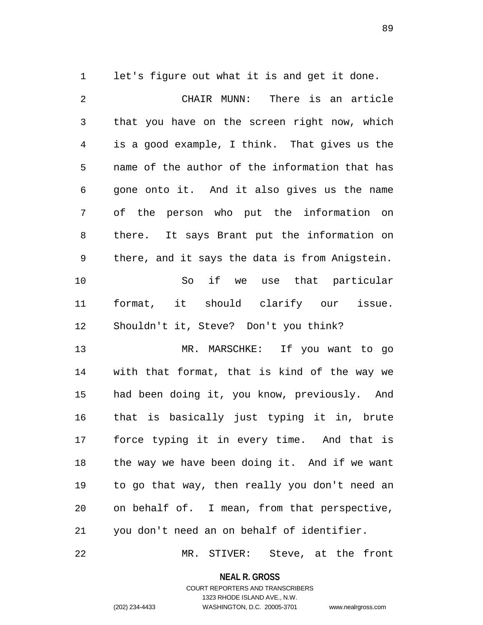let's figure out what it is and get it done.

 CHAIR MUNN: There is an article that you have on the screen right now, which is a good example, I think. That gives us the name of the author of the information that has gone onto it. And it also gives us the name of the person who put the information on there. It says Brant put the information on there, and it says the data is from Anigstein. So if we use that particular format, it should clarify our issue. Shouldn't it, Steve? Don't you think? MR. MARSCHKE: If you want to go with that format, that is kind of the way we had been doing it, you know, previously. And that is basically just typing it in, brute force typing it in every time. And that is the way we have been doing it. And if we want to go that way, then really you don't need an on behalf of. I mean, from that perspective, you don't need an on behalf of identifier.

MR. STIVER: Steve, at the front

**NEAL R. GROSS**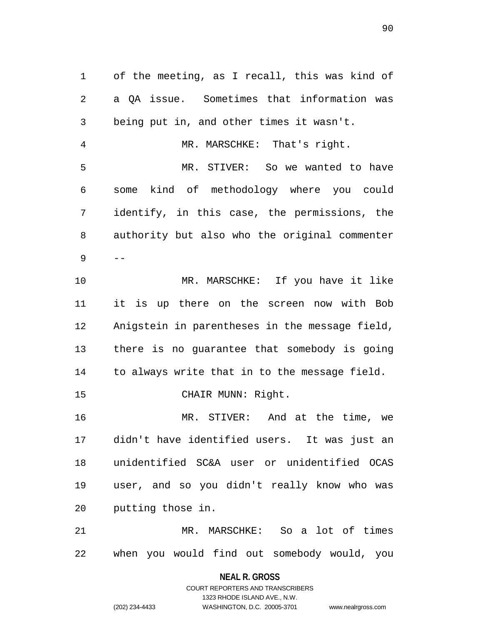of the meeting, as I recall, this was kind of a QA issue. Sometimes that information was being put in, and other times it wasn't. MR. MARSCHKE: That's right. MR. STIVER: So we wanted to have some kind of methodology where you could identify, in this case, the permissions, the authority but also who the original commenter  $9 - -$  MR. MARSCHKE: If you have it like it is up there on the screen now with Bob Anigstein in parentheses in the message field, there is no guarantee that somebody is going to always write that in to the message field. 15 CHAIR MUNN: Right. MR. STIVER: And at the time, we didn't have identified users. It was just an unidentified SC&A user or unidentified OCAS user, and so you didn't really know who was putting those in. MR. MARSCHKE: So a lot of times when you would find out somebody would, you

> **NEAL R. GROSS** COURT REPORTERS AND TRANSCRIBERS

1323 RHODE ISLAND AVE., N.W. (202) 234-4433 WASHINGTON, D.C. 20005-3701 www.nealrgross.com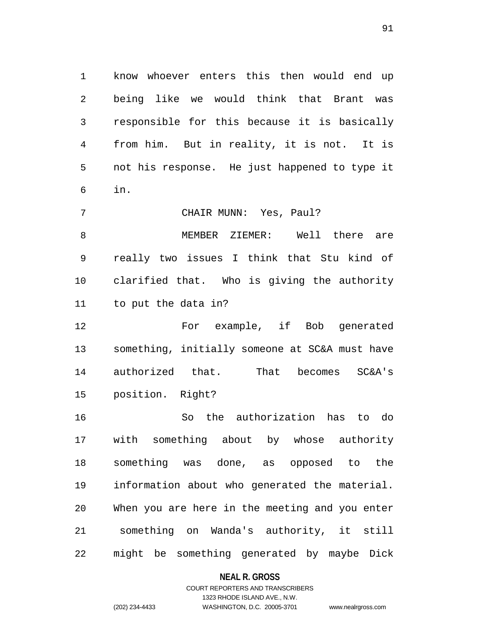know whoever enters this then would end up being like we would think that Brant was responsible for this because it is basically from him. But in reality, it is not. It is not his response. He just happened to type it in.

CHAIR MUNN: Yes, Paul?

 MEMBER ZIEMER: Well there are really two issues I think that Stu kind of clarified that. Who is giving the authority to put the data in?

 For example, if Bob generated something, initially someone at SC&A must have authorized that. That becomes SC&A's position. Right?

 So the authorization has to do with something about by whose authority something was done, as opposed to the information about who generated the material. When you are here in the meeting and you enter something on Wanda's authority, it still might be something generated by maybe Dick

### **NEAL R. GROSS**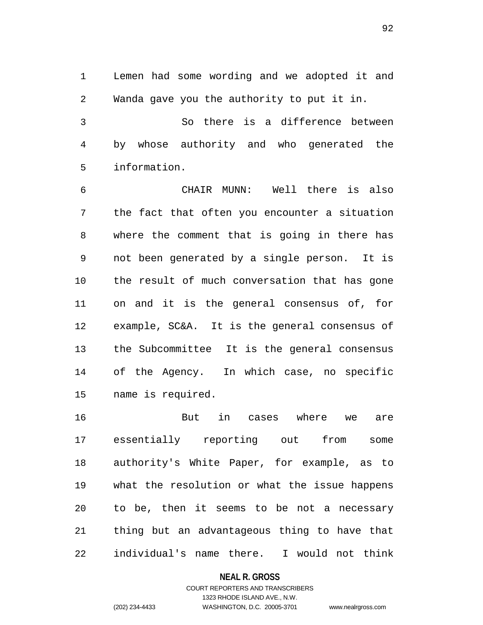Lemen had some wording and we adopted it and Wanda gave you the authority to put it in.

 So there is a difference between by whose authority and who generated the information.

 CHAIR MUNN: Well there is also the fact that often you encounter a situation where the comment that is going in there has not been generated by a single person. It is the result of much conversation that has gone on and it is the general consensus of, for example, SC&A. It is the general consensus of the Subcommittee It is the general consensus of the Agency. In which case, no specific name is required.

 But in cases where we are essentially reporting out from some authority's White Paper, for example, as to what the resolution or what the issue happens to be, then it seems to be not a necessary thing but an advantageous thing to have that individual's name there. I would not think

#### **NEAL R. GROSS**

## COURT REPORTERS AND TRANSCRIBERS 1323 RHODE ISLAND AVE., N.W. (202) 234-4433 WASHINGTON, D.C. 20005-3701 www.nealrgross.com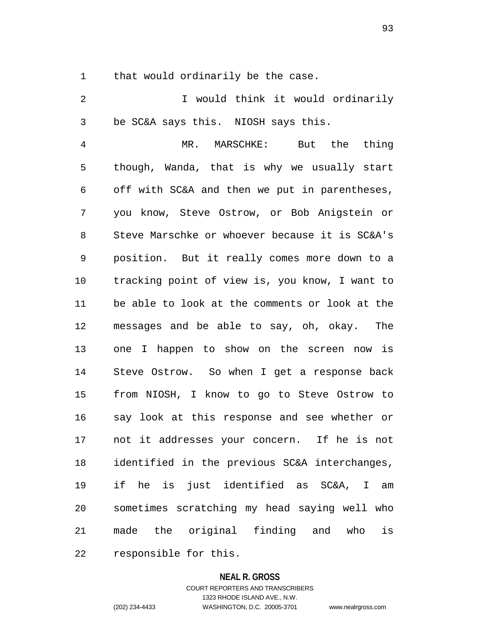that would ordinarily be the case.

 I would think it would ordinarily be SC&A says this. NIOSH says this.

 MR. MARSCHKE: But the thing though, Wanda, that is why we usually start off with SC&A and then we put in parentheses, you know, Steve Ostrow, or Bob Anigstein or Steve Marschke or whoever because it is SC&A's position. But it really comes more down to a tracking point of view is, you know, I want to be able to look at the comments or look at the messages and be able to say, oh, okay. The one I happen to show on the screen now is Steve Ostrow. So when I get a response back from NIOSH, I know to go to Steve Ostrow to say look at this response and see whether or not it addresses your concern. If he is not identified in the previous SC&A interchanges, if he is just identified as SC&A, I am sometimes scratching my head saying well who made the original finding and who is responsible for this.

#### **NEAL R. GROSS**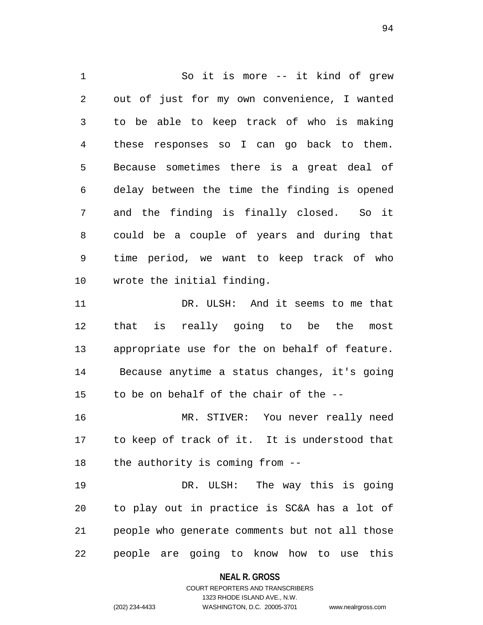So it is more -- it kind of grew out of just for my own convenience, I wanted to be able to keep track of who is making these responses so I can go back to them. Because sometimes there is a great deal of delay between the time the finding is opened and the finding is finally closed. So it could be a couple of years and during that time period, we want to keep track of who wrote the initial finding. DR. ULSH: And it seems to me that that is really going to be the most appropriate use for the on behalf of feature.

 Because anytime a status changes, it's going to be on behalf of the chair of the --

 MR. STIVER: You never really need to keep of track of it. It is understood that the authority is coming from --

 DR. ULSH: The way this is going to play out in practice is SC&A has a lot of people who generate comments but not all those people are going to know how to use this

#### **NEAL R. GROSS**

COURT REPORTERS AND TRANSCRIBERS 1323 RHODE ISLAND AVE., N.W. (202) 234-4433 WASHINGTON, D.C. 20005-3701 www.nealrgross.com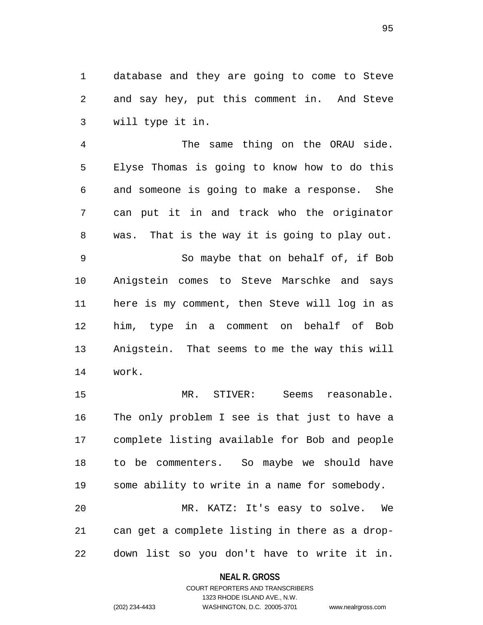database and they are going to come to Steve and say hey, put this comment in. And Steve will type it in.

 The same thing on the ORAU side. Elyse Thomas is going to know how to do this and someone is going to make a response. She can put it in and track who the originator was. That is the way it is going to play out. So maybe that on behalf of, if Bob Anigstein comes to Steve Marschke and says here is my comment, then Steve will log in as him, type in a comment on behalf of Bob Anigstein. That seems to me the way this will work.

 MR. STIVER: Seems reasonable. The only problem I see is that just to have a complete listing available for Bob and people to be commenters. So maybe we should have some ability to write in a name for somebody. MR. KATZ: It's easy to solve. We can get a complete listing in there as a drop-down list so you don't have to write it in.

> **NEAL R. GROSS** COURT REPORTERS AND TRANSCRIBERS

1323 RHODE ISLAND AVE., N.W. (202) 234-4433 WASHINGTON, D.C. 20005-3701 www.nealrgross.com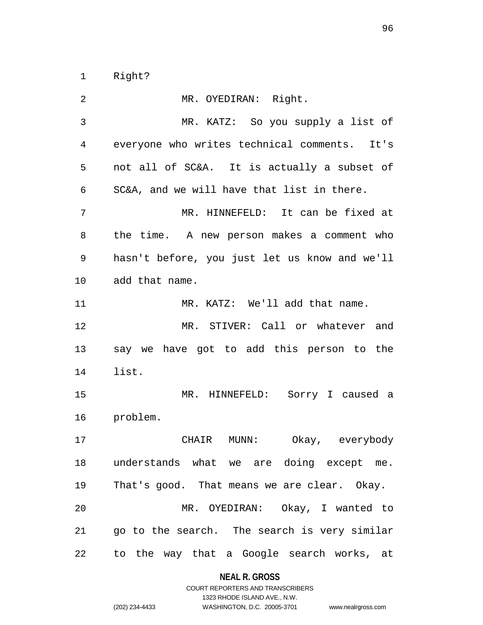Right?

| 2  | MR. OYEDIRAN: Right.                          |
|----|-----------------------------------------------|
| 3  | MR. KATZ: So you supply a list of             |
| 4  | everyone who writes technical comments. It's  |
| 5  | not all of SC&A. It is actually a subset of   |
| 6  | SC&A, and we will have that list in there.    |
| 7  | MR. HINNEFELD: It can be fixed at             |
| 8  | the time. A new person makes a comment who    |
| 9  | hasn't before, you just let us know and we'll |
| 10 | add that name.                                |
| 11 | MR. KATZ: We'll add that name.                |
| 12 | MR. STIVER: Call or whatever and              |
|    |                                               |
| 13 | say we have got to add this person to the     |
| 14 | list.                                         |
| 15 | MR. HINNEFELD: Sorry I caused a               |
| 16 | problem.                                      |
| 17 | Okay, everybody<br>CHAIR MUNN:                |
|    | 18 understands what we are doing except me.   |
| 19 | That's good. That means we are clear. Okay.   |
| 20 | MR. OYEDIRAN: Okay, I wanted to               |
| 21 | go to the search. The search is very similar  |

# **NEAL R. GROSS**

|                | COURT REPORTERS AND TRANSCRIBERS |                    |
|----------------|----------------------------------|--------------------|
|                | 1323 RHODE ISLAND AVE N.W.       |                    |
| (202) 234-4433 | WASHINGTON, D.C. 20005-3701      | www.nealrgross.com |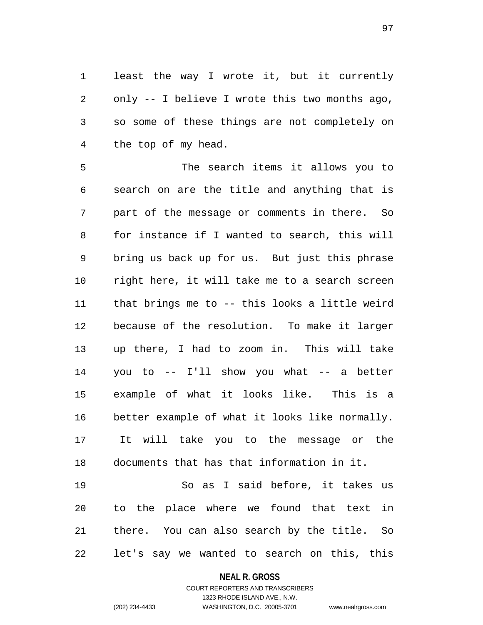least the way I wrote it, but it currently only -- I believe I wrote this two months ago, so some of these things are not completely on the top of my head.

 The search items it allows you to search on are the title and anything that is part of the message or comments in there. So for instance if I wanted to search, this will bring us back up for us. But just this phrase right here, it will take me to a search screen that brings me to -- this looks a little weird because of the resolution. To make it larger up there, I had to zoom in. This will take you to -- I'll show you what -- a better example of what it looks like. This is a better example of what it looks like normally. It will take you to the message or the documents that has that information in it.

 So as I said before, it takes us to the place where we found that text in there. You can also search by the title. So let's say we wanted to search on this, this

#### **NEAL R. GROSS**

COURT REPORTERS AND TRANSCRIBERS 1323 RHODE ISLAND AVE., N.W. (202) 234-4433 WASHINGTON, D.C. 20005-3701 www.nealrgross.com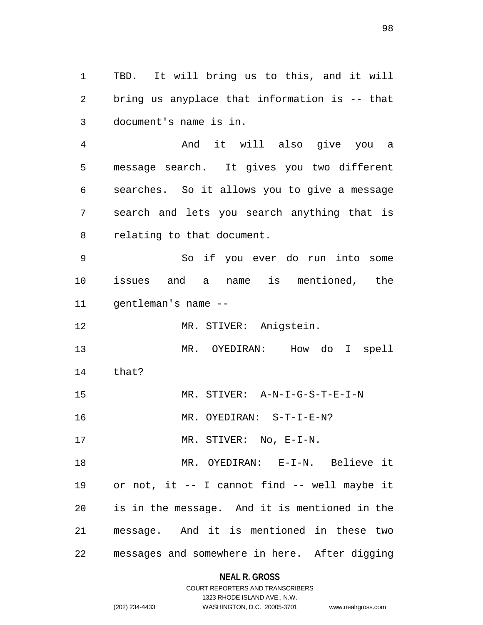TBD. It will bring us to this, and it will bring us anyplace that information is -- that document's name is in.

 And it will also give you a message search. It gives you two different searches. So it allows you to give a message search and lets you search anything that is relating to that document.

 So if you ever do run into some issues and a name is mentioned, the gentleman's name --

MR. STIVER: Anigstein.

 MR. OYEDIRAN: How do I spell that?

MR. STIVER: A-N-I-G-S-T-E-I-N

MR. OYEDIRAN: S-T-I-E-N?

17 MR. STIVER: No, E-I-N.

 MR. OYEDIRAN: E-I-N. Believe it or not, it -- I cannot find -- well maybe it is in the message. And it is mentioned in the message. And it is mentioned in these two messages and somewhere in here. After digging

**NEAL R. GROSS**

### COURT REPORTERS AND TRANSCRIBERS 1323 RHODE ISLAND AVE., N.W. (202) 234-4433 WASHINGTON, D.C. 20005-3701 www.nealrgross.com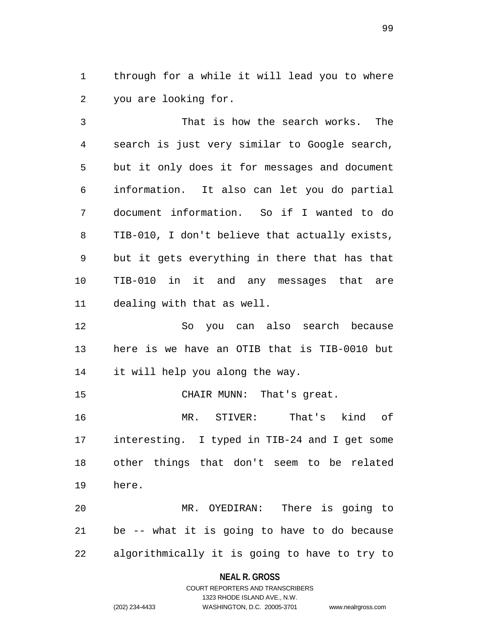through for a while it will lead you to where you are looking for.

 That is how the search works. The search is just very similar to Google search, but it only does it for messages and document information. It also can let you do partial document information. So if I wanted to do TIB-010, I don't believe that actually exists, but it gets everything in there that has that TIB-010 in it and any messages that are dealing with that as well.

 So you can also search because here is we have an OTIB that is TIB-0010 but it will help you along the way.

CHAIR MUNN: That's great.

 MR. STIVER: That's kind of interesting. I typed in TIB-24 and I get some other things that don't seem to be related here.

 MR. OYEDIRAN: There is going to be -- what it is going to have to do because algorithmically it is going to have to try to

#### **NEAL R. GROSS**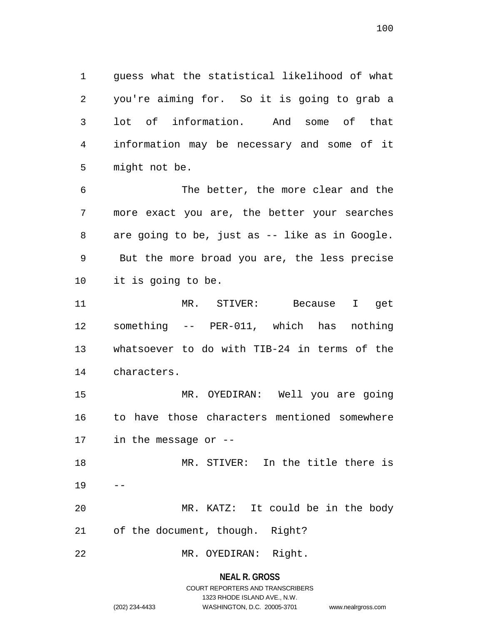guess what the statistical likelihood of what you're aiming for. So it is going to grab a lot of information. And some of that information may be necessary and some of it might not be.

 The better, the more clear and the more exact you are, the better your searches are going to be, just as -- like as in Google. But the more broad you are, the less precise it is going to be.

 MR. STIVER: Because I get something -- PER-011, which has nothing whatsoever to do with TIB-24 in terms of the characters.

 MR. OYEDIRAN: Well you are going to have those characters mentioned somewhere in the message or --

 MR. STIVER: In the title there is MR. KATZ: It could be in the body

of the document, though. Right?

MR. OYEDIRAN: Right.

**NEAL R. GROSS**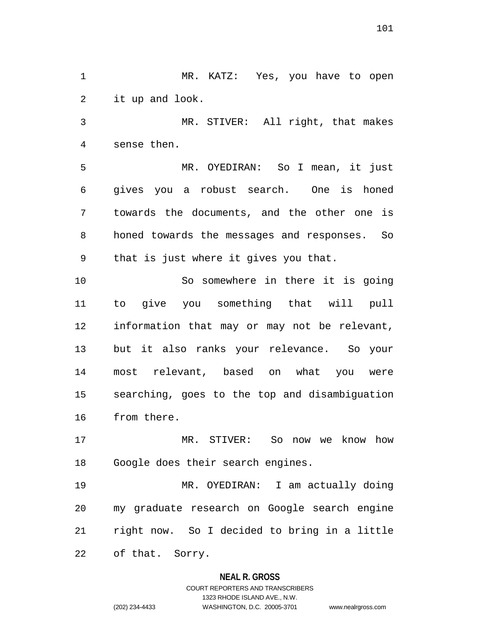MR. KATZ: Yes, you have to open it up and look.

 MR. STIVER: All right, that makes sense then.

 MR. OYEDIRAN: So I mean, it just gives you a robust search. One is honed towards the documents, and the other one is honed towards the messages and responses. So that is just where it gives you that.

10 So somewhere in there it is going to give you something that will pull information that may or may not be relevant, but it also ranks your relevance. So your most relevant, based on what you were searching, goes to the top and disambiguation from there.

 MR. STIVER: So now we know how Google does their search engines.

 MR. OYEDIRAN: I am actually doing my graduate research on Google search engine right now. So I decided to bring in a little of that. Sorry.

### **NEAL R. GROSS**

COURT REPORTERS AND TRANSCRIBERS 1323 RHODE ISLAND AVE., N.W. (202) 234-4433 WASHINGTON, D.C. 20005-3701 www.nealrgross.com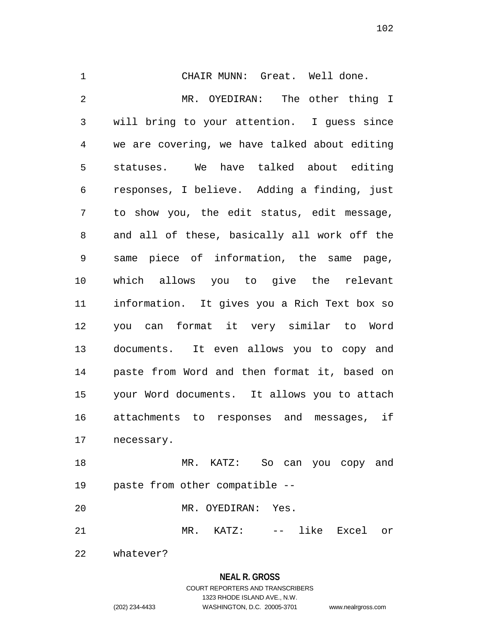CHAIR MUNN: Great. Well done. MR. OYEDIRAN: The other thing I will bring to your attention. I guess since we are covering, we have talked about editing statuses. We have talked about editing responses, I believe. Adding a finding, just to show you, the edit status, edit message, and all of these, basically all work off the same piece of information, the same page, which allows you to give the relevant information. It gives you a Rich Text box so you can format it very similar to Word documents. It even allows you to copy and paste from Word and then format it, based on your Word documents. It allows you to attach attachments to responses and messages, if necessary.

 MR. KATZ: So can you copy and paste from other compatible --

MR. OYEDIRAN: Yes.

MR. KATZ: -- like Excel or

whatever?

### **NEAL R. GROSS**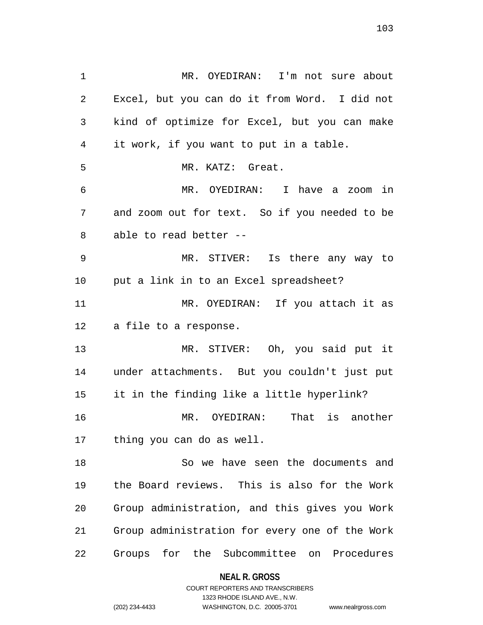MR. OYEDIRAN: I'm not sure about Excel, but you can do it from Word. I did not kind of optimize for Excel, but you can make it work, if you want to put in a table. MR. KATZ: Great. MR. OYEDIRAN: I have a zoom in and zoom out for text. So if you needed to be able to read better -- MR. STIVER: Is there any way to put a link in to an Excel spreadsheet? MR. OYEDIRAN: If you attach it as a file to a response. MR. STIVER: Oh, you said put it under attachments. But you couldn't just put it in the finding like a little hyperlink? MR. OYEDIRAN: That is another thing you can do as well. So we have seen the documents and the Board reviews. This is also for the Work Group administration, and this gives you Work Group administration for every one of the Work

Groups for the Subcommittee on Procedures

**NEAL R. GROSS** COURT REPORTERS AND TRANSCRIBERS

1323 RHODE ISLAND AVE., N.W.

(202) 234-4433 WASHINGTON, D.C. 20005-3701 www.nealrgross.com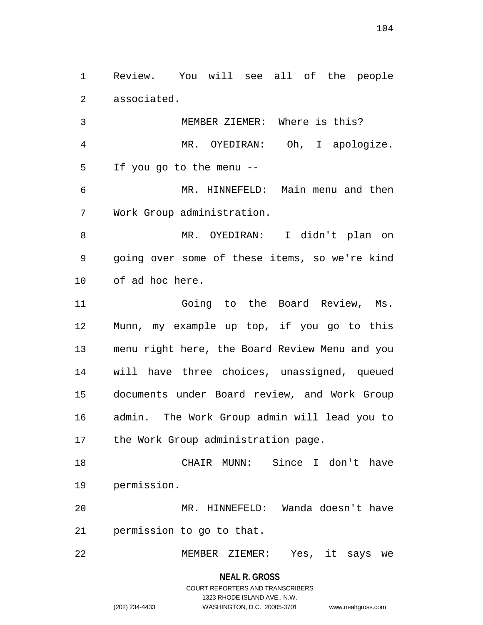Review. You will see all of the people associated.

 MEMBER ZIEMER: Where is this? MR. OYEDIRAN: Oh, I apologize. If you go to the menu --

 MR. HINNEFELD: Main menu and then Work Group administration.

 MR. OYEDIRAN: I didn't plan on going over some of these items, so we're kind of ad hoc here.

 Going to the Board Review, Ms. Munn, my example up top, if you go to this menu right here, the Board Review Menu and you will have three choices, unassigned, queued documents under Board review, and Work Group admin. The Work Group admin will lead you to 17 the Work Group administration page.

 CHAIR MUNN: Since I don't have permission.

 MR. HINNEFELD: Wanda doesn't have permission to go to that.

MEMBER ZIEMER: Yes, it says we

**NEAL R. GROSS**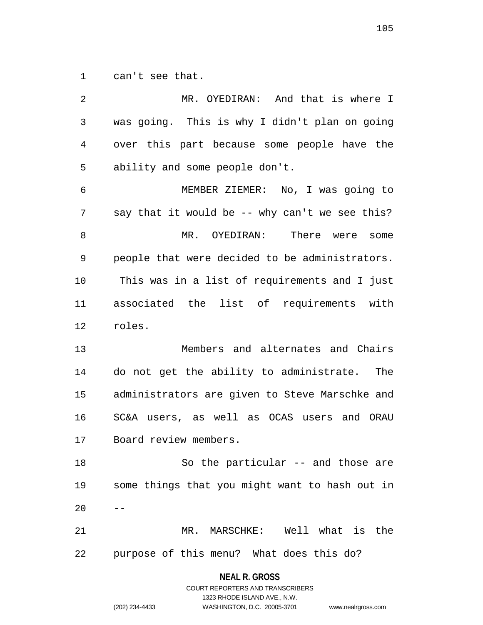can't see that.

| 2              | MR. OYEDIRAN: And that is where I              |
|----------------|------------------------------------------------|
| $\mathfrak{Z}$ | was going. This is why I didn't plan on going  |
| 4              | over this part because some people have the    |
| 5              | ability and some people don't.                 |
| 6              | MEMBER ZIEMER: No, I was going to              |
| 7              | say that it would be -- why can't we see this? |
| 8              | There were<br>MR. OYEDIRAN:<br>some            |
| 9              | people that were decided to be administrators. |
| 10             | This was in a list of requirements and I just  |
| 11             | associated the list of requirements with       |
| 12             | roles.                                         |
| 13             | Members and alternates and Chairs              |
| 14             | do not get the ability to administrate.<br>The |
| 15             | administrators are given to Steve Marschke and |
| 16             | SC&A users, as well as OCAS users and ORAU     |
| 17             | Board review members.                          |
| 18             | So the particular -- and those are             |
| 19             | some things that you might want to hash out in |
| 20             |                                                |
| 21             | MR. MARSCHKE: Well what is the                 |
| 22             | purpose of this menu? What does this do?       |
|                |                                                |

**NEAL R. GROSS** COURT REPORTERS AND TRANSCRIBERS

1323 RHODE ISLAND AVE., N.W.

(202) 234-4433 WASHINGTON, D.C. 20005-3701 www.nealrgross.com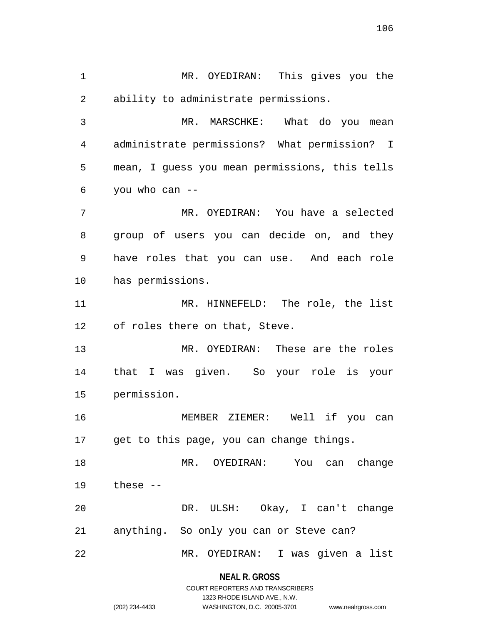MR. OYEDIRAN: This gives you the ability to administrate permissions.

 MR. MARSCHKE: What do you mean administrate permissions? What permission? I mean, I guess you mean permissions, this tells you who can --

 MR. OYEDIRAN: You have a selected group of users you can decide on, and they have roles that you can use. And each role has permissions.

 MR. HINNEFELD: The role, the list of roles there on that, Steve.

 MR. OYEDIRAN: These are the roles that I was given. So your role is your permission.

 MEMBER ZIEMER: Well if you can get to this page, you can change things.

 MR. OYEDIRAN: You can change these --

 DR. ULSH: Okay, I can't change anything. So only you can or Steve can?

MR. OYEDIRAN: I was given a list

### **NEAL R. GROSS**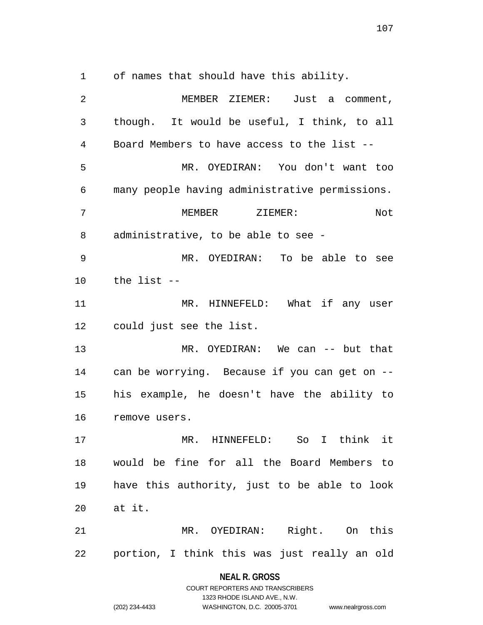of names that should have this ability.

 MEMBER ZIEMER: Just a comment, though. It would be useful, I think, to all Board Members to have access to the list -- MR. OYEDIRAN: You don't want too many people having administrative permissions. MEMBER ZIEMER: Not administrative, to be able to see - MR. OYEDIRAN: To be able to see the list -- MR. HINNEFELD: What if any user could just see the list. MR. OYEDIRAN: We can -- but that can be worrying. Because if you can get on -- his example, he doesn't have the ability to remove users. MR. HINNEFELD: So I think it would be fine for all the Board Members to have this authority, just to be able to look at it. MR. OYEDIRAN: Right. On this portion, I think this was just really an old

> **NEAL R. GROSS** COURT REPORTERS AND TRANSCRIBERS

> > 1323 RHODE ISLAND AVE., N.W.

(202) 234-4433 WASHINGTON, D.C. 20005-3701 www.nealrgross.com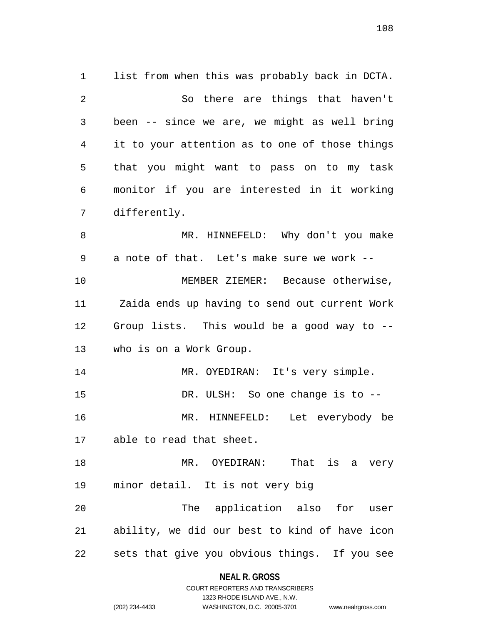list from when this was probably back in DCTA. So there are things that haven't been -- since we are, we might as well bring it to your attention as to one of those things that you might want to pass on to my task monitor if you are interested in it working differently. MR. HINNEFELD: Why don't you make a note of that. Let's make sure we work -- MEMBER ZIEMER: Because otherwise, Zaida ends up having to send out current Work Group lists. This would be a good way to -- who is on a Work Group. MR. OYEDIRAN: It's very simple. 15 DR. ULSH: So one change is to -- MR. HINNEFELD: Let everybody be able to read that sheet. MR. OYEDIRAN: That is a very minor detail. It is not very big The application also for user ability, we did our best to kind of have icon sets that give you obvious things. If you see

#### **NEAL R. GROSS**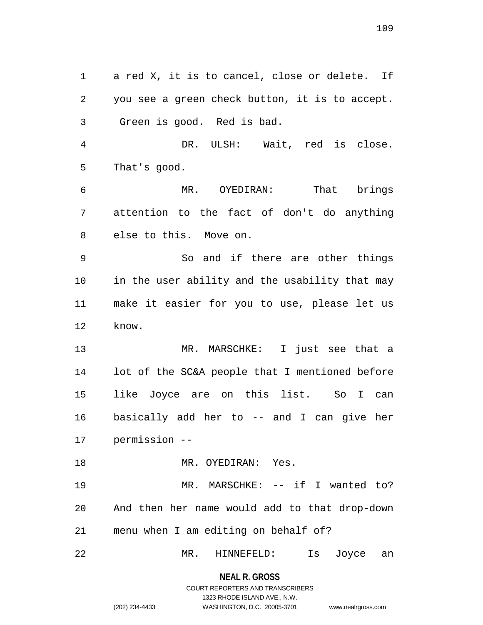a red X, it is to cancel, close or delete. If you see a green check button, it is to accept. Green is good. Red is bad.

 DR. ULSH: Wait, red is close. That's good.

 MR. OYEDIRAN: That brings attention to the fact of don't do anything else to this. Move on.

 So and if there are other things in the user ability and the usability that may make it easier for you to use, please let us know.

 MR. MARSCHKE: I just see that a lot of the SC&A people that I mentioned before like Joyce are on this list. So I can basically add her to -- and I can give her permission --

MR. OYEDIRAN: Yes.

 MR. MARSCHKE: -- if I wanted to? And then her name would add to that drop-down menu when I am editing on behalf of?

MR. HINNEFELD: Is Joyce an

**NEAL R. GROSS**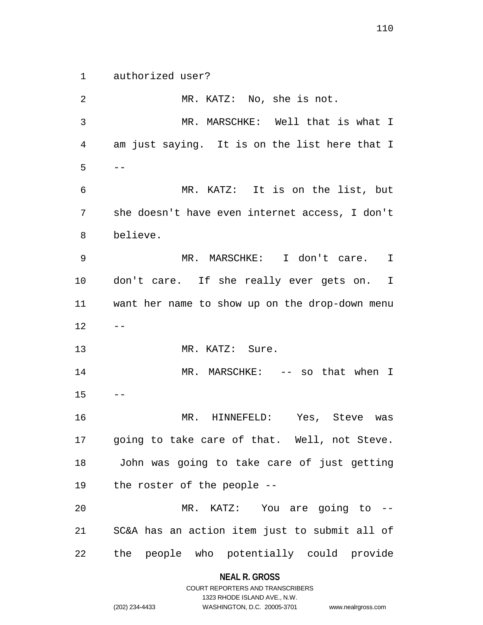authorized user?

 MR. KATZ: No, she is not. MR. MARSCHKE: Well that is what I am just saying. It is on the list here that I  $5 - -$  MR. KATZ: It is on the list, but she doesn't have even internet access, I don't believe. MR. MARSCHKE: I don't care. I don't care. If she really ever gets on. I want her name to show up on the drop-down menu  $12 - -$ 13 MR. KATZ: Sure. MR. MARSCHKE: -- so that when I  $15 - -$  MR. HINNEFELD: Yes, Steve was going to take care of that. Well, not Steve. John was going to take care of just getting the roster of the people -- MR. KATZ: You are going to -- SC&A has an action item just to submit all of the people who potentially could provide

#### **NEAL R. GROSS**

COURT REPORTERS AND TRANSCRIBERS 1323 RHODE ISLAND AVE., N.W. (202) 234-4433 WASHINGTON, D.C. 20005-3701 www.nealrgross.com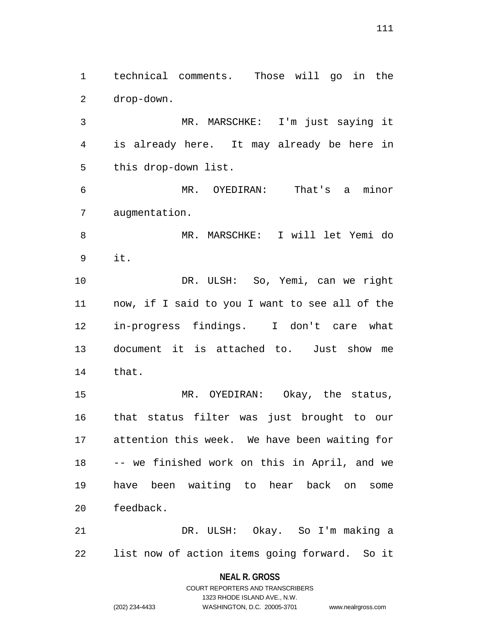technical comments. Those will go in the drop-down.

 MR. MARSCHKE: I'm just saying it is already here. It may already be here in this drop-down list.

 MR. OYEDIRAN: That's a minor augmentation.

 MR. MARSCHKE: I will let Yemi do it.

 DR. ULSH: So, Yemi, can we right now, if I said to you I want to see all of the in-progress findings. I don't care what document it is attached to. Just show me that.

 MR. OYEDIRAN: Okay, the status, that status filter was just brought to our attention this week. We have been waiting for -- we finished work on this in April, and we have been waiting to hear back on some feedback.

 DR. ULSH: Okay. So I'm making a list now of action items going forward. So it

### **NEAL R. GROSS** COURT REPORTERS AND TRANSCRIBERS

1323 RHODE ISLAND AVE., N.W.

(202) 234-4433 WASHINGTON, D.C. 20005-3701 www.nealrgross.com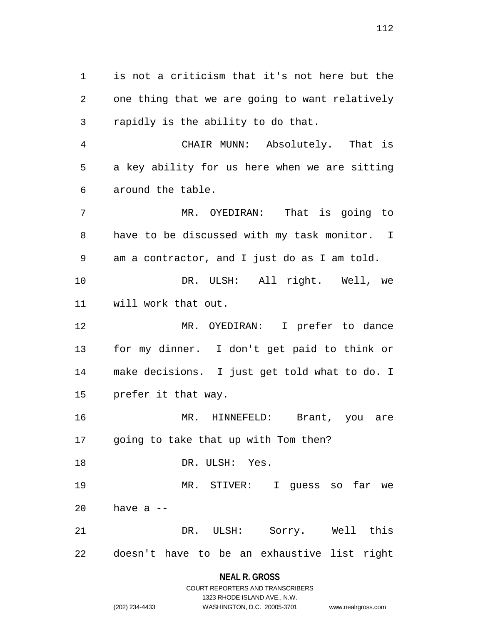is not a criticism that it's not here but the one thing that we are going to want relatively rapidly is the ability to do that.

 CHAIR MUNN: Absolutely. That is a key ability for us here when we are sitting around the table.

 MR. OYEDIRAN: That is going to have to be discussed with my task monitor. I am a contractor, and I just do as I am told. DR. ULSH: All right. Well, we will work that out. MR. OYEDIRAN: I prefer to dance for my dinner. I don't get paid to think or make decisions. I just get told what to do. I

prefer it that way.

 MR. HINNEFELD: Brant, you are going to take that up with Tom then?

DR. ULSH: Yes.

 MR. STIVER: I guess so far we have a  $-$ 

 DR. ULSH: Sorry. Well this doesn't have to be an exhaustive list right

### **NEAL R. GROSS**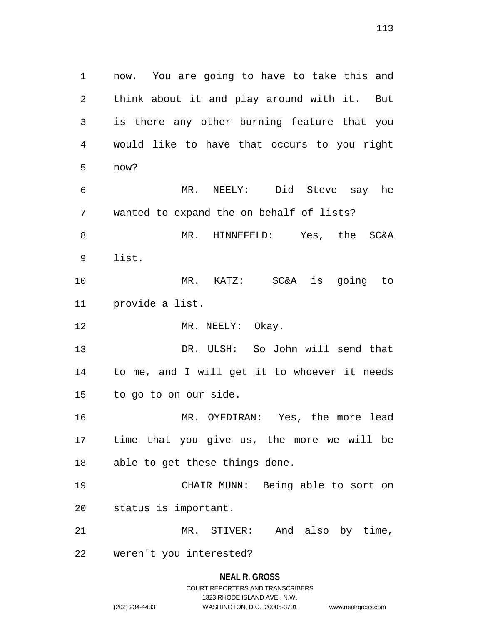now. You are going to have to take this and think about it and play around with it. But is there any other burning feature that you would like to have that occurs to you right now? MR. NEELY: Did Steve say he wanted to expand the on behalf of lists? MR. HINNEFELD: Yes, the SC&A list. MR. KATZ: SC&A is going to provide a list. 12 MR. NEELY: Okay. DR. ULSH: So John will send that to me, and I will get it to whoever it needs to go to on our side. MR. OYEDIRAN: Yes, the more lead time that you give us, the more we will be able to get these things done. CHAIR MUNN: Being able to sort on status is important. MR. STIVER: And also by time, weren't you interested?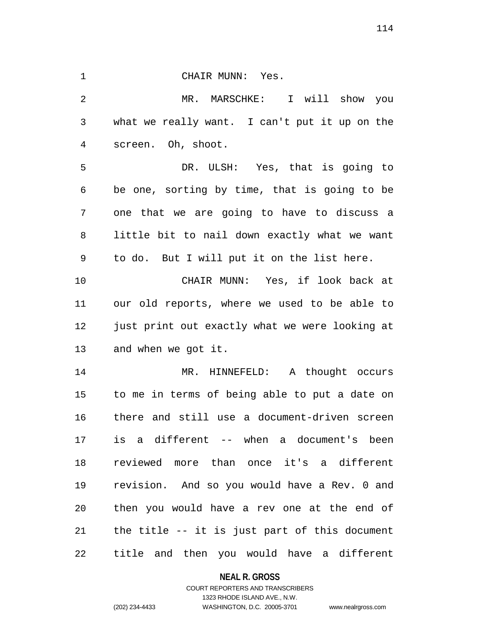1 CHAIR MUNN: Yes. MR. MARSCHKE: I will show you what we really want. I can't put it up on the screen. Oh, shoot. DR. ULSH: Yes, that is going to be one, sorting by time, that is going to be one that we are going to have to discuss a little bit to nail down exactly what we want to do. But I will put it on the list here. CHAIR MUNN: Yes, if look back at our old reports, where we used to be able to 12 just print out exactly what we were looking at and when we got it. MR. HINNEFELD: A thought occurs to me in terms of being able to put a date on there and still use a document-driven screen is a different -- when a document's been reviewed more than once it's a different revision. And so you would have a Rev. 0 and then you would have a rev one at the end of the title -- it is just part of this document title and then you would have a different

### **NEAL R. GROSS**

### COURT REPORTERS AND TRANSCRIBERS 1323 RHODE ISLAND AVE., N.W. (202) 234-4433 WASHINGTON, D.C. 20005-3701 www.nealrgross.com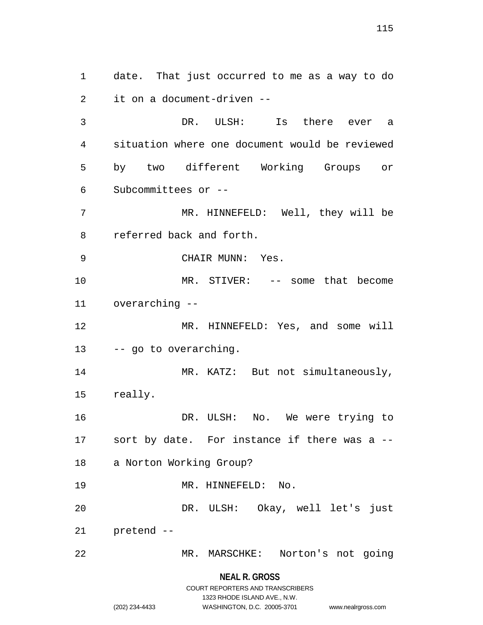date. That just occurred to me as a way to do it on a document-driven -- DR. ULSH: Is there ever a situation where one document would be reviewed by two different Working Groups or Subcommittees or -- MR. HINNEFELD: Well, they will be referred back and forth. 9 CHAIR MUNN: Yes. MR. STIVER: -- some that become overarching -- MR. HINNEFELD: Yes, and some will -- go to overarching. 14 MR. KATZ: But not simultaneously, really. DR. ULSH: No. We were trying to sort by date. For instance if there was a -- a Norton Working Group? 19 MR. HINNEFELD: No. DR. ULSH: Okay, well let's just pretend -- MR. MARSCHKE: Norton's not going

> **NEAL R. GROSS** COURT REPORTERS AND TRANSCRIBERS

> > 1323 RHODE ISLAND AVE., N.W.

(202) 234-4433 WASHINGTON, D.C. 20005-3701 www.nealrgross.com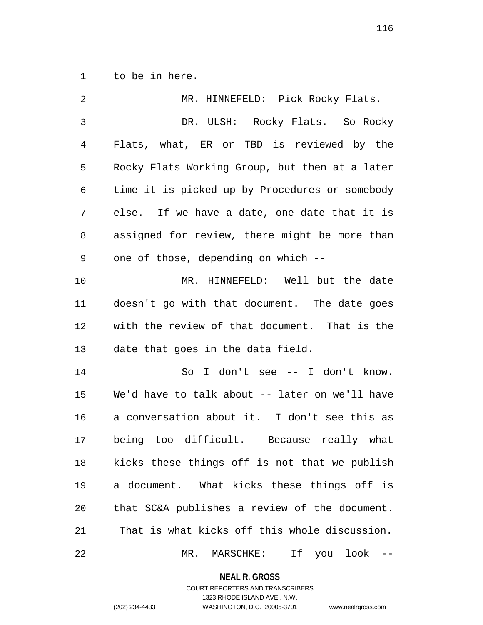to be in here.

| 2              | MR. HINNEFELD: Pick Rocky Flats.               |
|----------------|------------------------------------------------|
| $\mathfrak{Z}$ | DR. ULSH: Rocky Flats. So Rocky                |
| 4              | Flats, what, ER or TBD is reviewed by the      |
| 5              | Rocky Flats Working Group, but then at a later |
| 6              | time it is picked up by Procedures or somebody |
| 7              | else. If we have a date, one date that it is   |
| 8              | assigned for review, there might be more than  |
| 9              | one of those, depending on which --            |
| 10             | MR. HINNEFELD: Well but the date               |
| 11             | doesn't go with that document. The date goes   |
| 12             | with the review of that document. That is the  |
| 13             | date that goes in the data field.              |
| 14             | So I don't see -- I don't know.                |
| 15             | We'd have to talk about -- later on we'll have |
| 16             | a conversation about it. I don't see this as   |
| 17             | being too difficult. Because really what       |
| 18             | kicks these things off is not that we publish  |
| 19             | a document. What kicks these things off is     |
| 20             | that SC&A publishes a review of the document.  |
| 21             | That is what kicks off this whole discussion.  |
| 22             | If<br>MR.<br>MARSCHKE:<br>look<br>you          |

**NEAL R. GROSS**

## COURT REPORTERS AND TRANSCRIBERS 1323 RHODE ISLAND AVE., N.W. (202) 234-4433 WASHINGTON, D.C. 20005-3701 www.nealrgross.com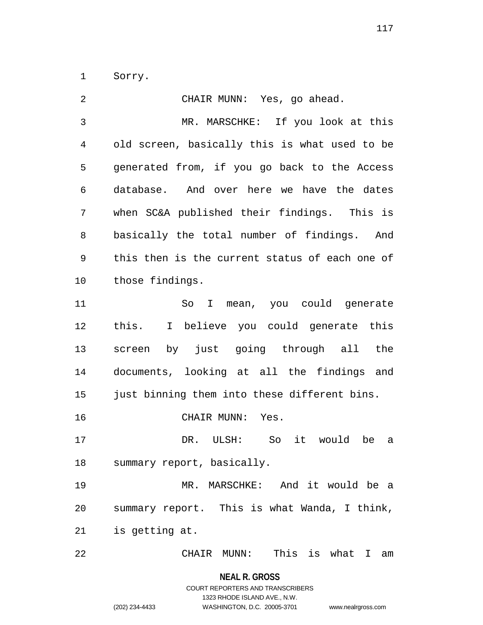Sorry.

| 2  | CHAIR MUNN: Yes, go ahead.                     |
|----|------------------------------------------------|
| 3  | MR. MARSCHKE: If you look at this              |
| 4  | old screen, basically this is what used to be  |
| 5  | generated from, if you go back to the Access   |
| 6  | database. And over here we have the dates      |
| 7  | when SC&A published their findings. This is    |
| 8  | basically the total number of findings. And    |
| 9  | this then is the current status of each one of |
| 10 | those findings.                                |
| 11 | I mean, you could generate<br>So               |
| 12 | this. I believe you could generate this        |
| 13 | screen by just going through all the           |
| 14 | documents, looking at all the findings and     |
| 15 | just binning them into these different bins.   |
| 16 | CHAIR MUNN:<br>Yes.                            |
| 17 | So it would be<br>DR. ULSH:<br>a               |
| 18 | summary report, basically.                     |
| 19 | MR. MARSCHKE: And it would be a                |
| 20 | summary report. This is what Wanda, I think,   |
| 21 | is getting at.                                 |
| 22 | This is what I<br>CHAIR MUNN:<br>am            |

**NEAL R. GROSS** COURT REPORTERS AND TRANSCRIBERS 1323 RHODE ISLAND AVE., N.W.

(202) 234-4433 WASHINGTON, D.C. 20005-3701 www.nealrgross.com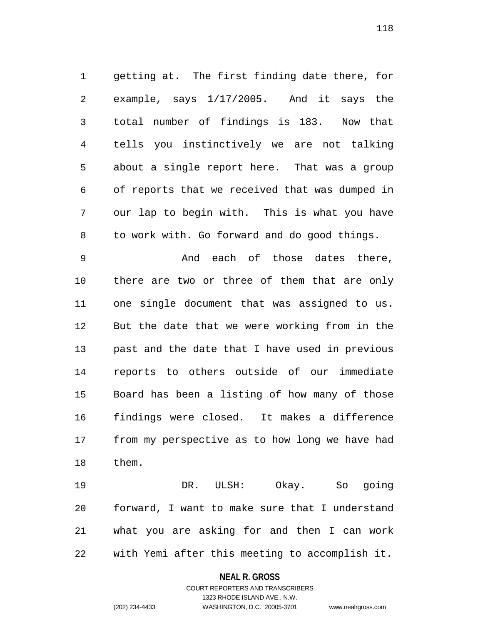getting at. The first finding date there, for example, says 1/17/2005. And it says the total number of findings is 183. Now that tells you instinctively we are not talking about a single report here. That was a group of reports that we received that was dumped in our lap to begin with. This is what you have to work with. Go forward and do good things.

 And each of those dates there, there are two or three of them that are only one single document that was assigned to us. But the date that we were working from in the past and the date that I have used in previous reports to others outside of our immediate Board has been a listing of how many of those findings were closed. It makes a difference from my perspective as to how long we have had them.

 DR. ULSH: Okay. So going forward, I want to make sure that I understand what you are asking for and then I can work with Yemi after this meeting to accomplish it.

#### **NEAL R. GROSS**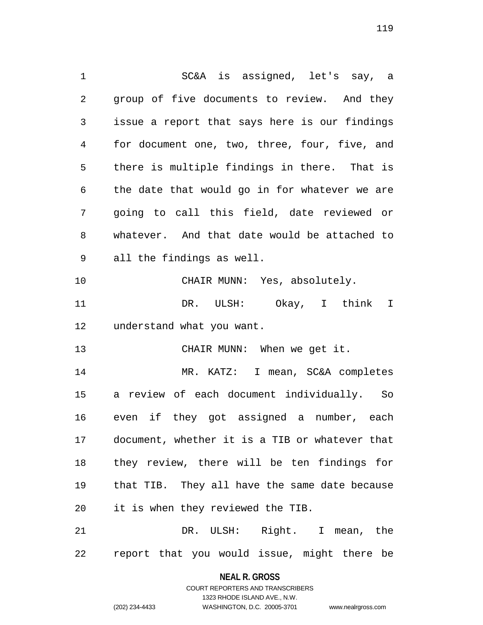SC&A is assigned, let's say, a group of five documents to review. And they issue a report that says here is our findings for document one, two, three, four, five, and there is multiple findings in there. That is the date that would go in for whatever we are going to call this field, date reviewed or whatever. And that date would be attached to all the findings as well. CHAIR MUNN: Yes, absolutely. DR. ULSH: Okay, I think I understand what you want. CHAIR MUNN: When we get it. MR. KATZ: I mean, SC&A completes a review of each document individually. So even if they got assigned a number, each document, whether it is a TIB or whatever that they review, there will be ten findings for that TIB. They all have the same date because it is when they reviewed the TIB. DR. ULSH: Right. I mean, the

report that you would issue, might there be

**NEAL R. GROSS** COURT REPORTERS AND TRANSCRIBERS

1323 RHODE ISLAND AVE., N.W.

(202) 234-4433 WASHINGTON, D.C. 20005-3701 www.nealrgross.com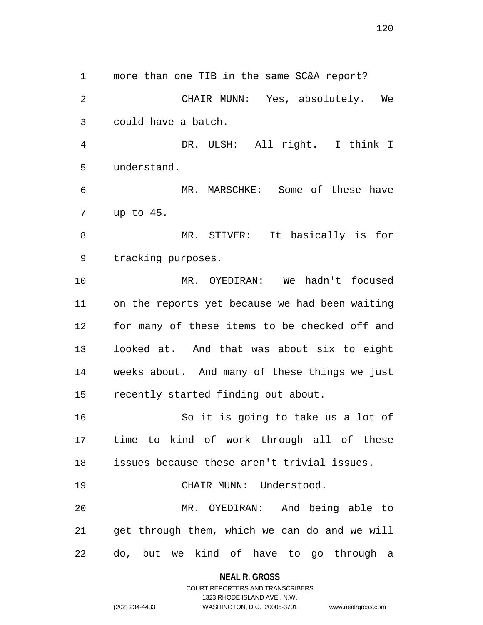more than one TIB in the same SC&A report? CHAIR MUNN: Yes, absolutely. We could have a batch. DR. ULSH: All right. I think I understand. MR. MARSCHKE: Some of these have up to 45. MR. STIVER: It basically is for tracking purposes. MR. OYEDIRAN: We hadn't focused on the reports yet because we had been waiting for many of these items to be checked off and looked at. And that was about six to eight weeks about. And many of these things we just recently started finding out about. So it is going to take us a lot of time to kind of work through all of these issues because these aren't trivial issues. 19 CHAIR MUNN: Understood. MR. OYEDIRAN: And being able to get through them, which we can do and we will

do, but we kind of have to go through a

**NEAL R. GROSS**

COURT REPORTERS AND TRANSCRIBERS 1323 RHODE ISLAND AVE., N.W. (202) 234-4433 WASHINGTON, D.C. 20005-3701 www.nealrgross.com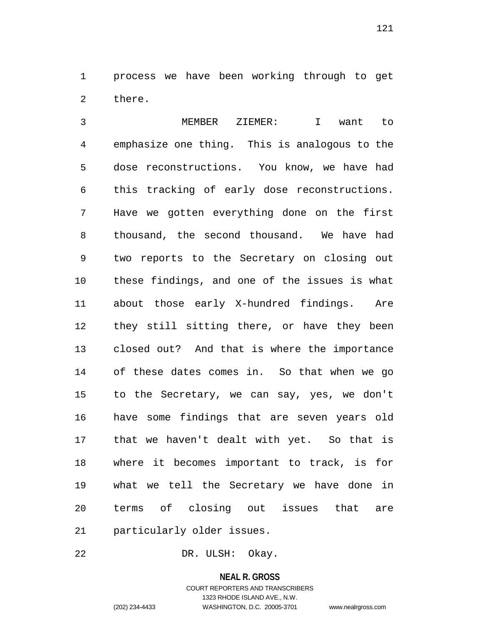process we have been working through to get there.

 MEMBER ZIEMER: I want to emphasize one thing. This is analogous to the dose reconstructions. You know, we have had this tracking of early dose reconstructions. Have we gotten everything done on the first thousand, the second thousand. We have had two reports to the Secretary on closing out these findings, and one of the issues is what about those early X-hundred findings. Are they still sitting there, or have they been closed out? And that is where the importance of these dates comes in. So that when we go to the Secretary, we can say, yes, we don't have some findings that are seven years old that we haven't dealt with yet. So that is where it becomes important to track, is for what we tell the Secretary we have done in terms of closing out issues that are particularly older issues.

DR. ULSH: Okay.

# **NEAL R. GROSS** COURT REPORTERS AND TRANSCRIBERS 1323 RHODE ISLAND AVE., N.W. (202) 234-4433 WASHINGTON, D.C. 20005-3701 www.nealrgross.com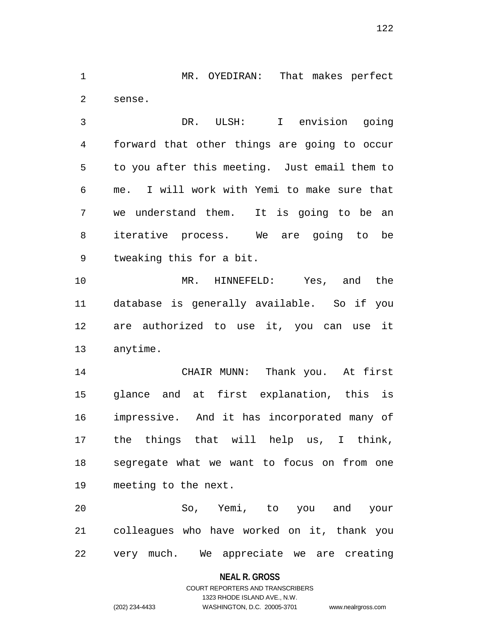MR. OYEDIRAN: That makes perfect sense.

 DR. ULSH: I envision going forward that other things are going to occur to you after this meeting. Just email them to me. I will work with Yemi to make sure that we understand them. It is going to be an iterative process. We are going to be tweaking this for a bit.

 MR. HINNEFELD: Yes, and the database is generally available. So if you are authorized to use it, you can use it anytime.

 CHAIR MUNN: Thank you. At first glance and at first explanation, this is impressive. And it has incorporated many of the things that will help us, I think, segregate what we want to focus on from one meeting to the next.

 So, Yemi, to you and your colleagues who have worked on it, thank you very much. We appreciate we are creating

#### **NEAL R. GROSS**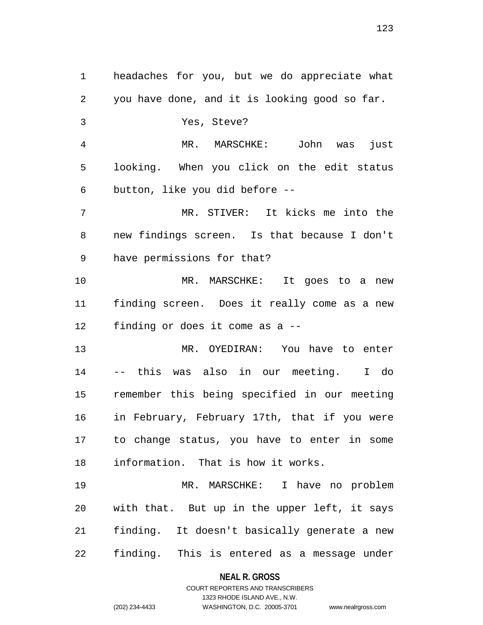headaches for you, but we do appreciate what you have done, and it is looking good so far. Yes, Steve? MR. MARSCHKE: John was just looking. When you click on the edit status button, like you did before -- MR. STIVER: It kicks me into the new findings screen. Is that because I don't have permissions for that? MR. MARSCHKE: It goes to a new finding screen. Does it really come as a new finding or does it come as a -- MR. OYEDIRAN: You have to enter -- this was also in our meeting. I do remember this being specified in our meeting in February, February 17th, that if you were to change status, you have to enter in some information. That is how it works. MR. MARSCHKE: I have no problem with that. But up in the upper left, it says finding. It doesn't basically generate a new finding. This is entered as a message under

#### **NEAL R. GROSS**

COURT REPORTERS AND TRANSCRIBERS 1323 RHODE ISLAND AVE., N.W. (202) 234-4433 WASHINGTON, D.C. 20005-3701 www.nealrgross.com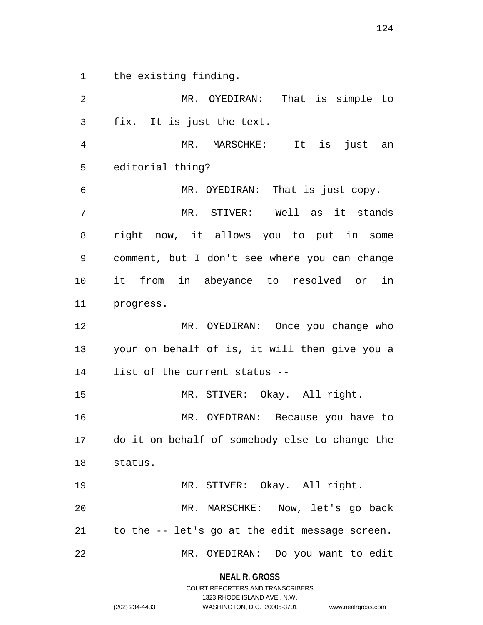the existing finding.

 MR. OYEDIRAN: That is simple to fix. It is just the text. MR. MARSCHKE: It is just an editorial thing? MR. OYEDIRAN: That is just copy. MR. STIVER: Well as it stands right now, it allows you to put in some comment, but I don't see where you can change it from in abeyance to resolved or in progress. MR. OYEDIRAN: Once you change who your on behalf of is, it will then give you a list of the current status -- MR. STIVER: Okay. All right. MR. OYEDIRAN: Because you have to do it on behalf of somebody else to change the status. MR. STIVER: Okay. All right. MR. MARSCHKE: Now, let's go back to the -- let's go at the edit message screen. MR. OYEDIRAN: Do you want to edit

**NEAL R. GROSS**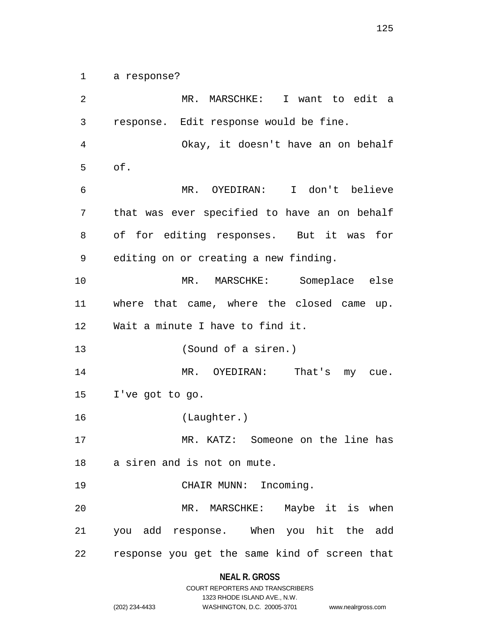a response?

 MR. MARSCHKE: I want to edit a response. Edit response would be fine. Okay, it doesn't have an on behalf of. MR. OYEDIRAN: I don't believe that was ever specified to have an on behalf of for editing responses. But it was for editing on or creating a new finding. MR. MARSCHKE: Someplace else where that came, where the closed came up. Wait a minute I have to find it. (Sound of a siren.) 14 MR. OYEDIRAN: That's my cue. I've got to go. (Laughter.) MR. KATZ: Someone on the line has a siren and is not on mute. 19 CHAIR MUNN: Incoming. MR. MARSCHKE: Maybe it is when you add response. When you hit the add response you get the same kind of screen that

### **NEAL R. GROSS**

|                | COURT REPORTERS AND TRANSCRIBERS |                    |
|----------------|----------------------------------|--------------------|
|                | 1323 RHODE ISLAND AVE N.W.       |                    |
| (202) 234-4433 | WASHINGTON, D.C. 20005-3701      | www.nealrgross.com |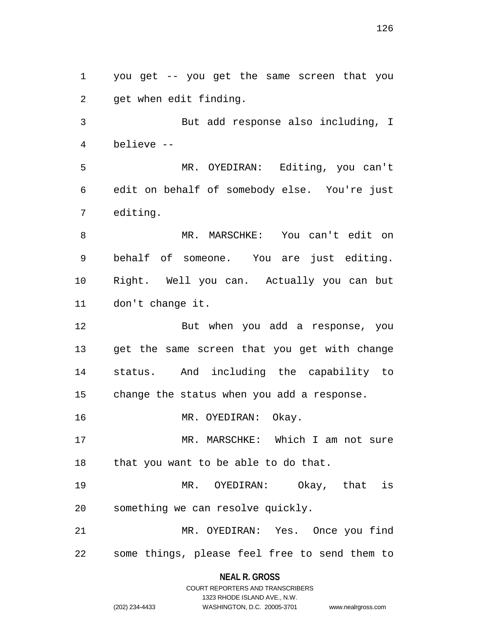you get -- you get the same screen that you get when edit finding.

 But add response also including, I believe --

 MR. OYEDIRAN: Editing, you can't edit on behalf of somebody else. You're just editing.

 MR. MARSCHKE: You can't edit on behalf of someone. You are just editing. Right. Well you can. Actually you can but don't change it.

 But when you add a response, you get the same screen that you get with change status. And including the capability to change the status when you add a response.

MR. OYEDIRAN: Okay.

 MR. MARSCHKE: Which I am not sure that you want to be able to do that.

 MR. OYEDIRAN: Okay, that is something we can resolve quickly.

 MR. OYEDIRAN: Yes. Once you find some things, please feel free to send them to

> **NEAL R. GROSS** COURT REPORTERS AND TRANSCRIBERS

> > 1323 RHODE ISLAND AVE., N.W.

02) 234-4433 **WASHINGTON, D.C. 20005-3701** www.nealrgross.com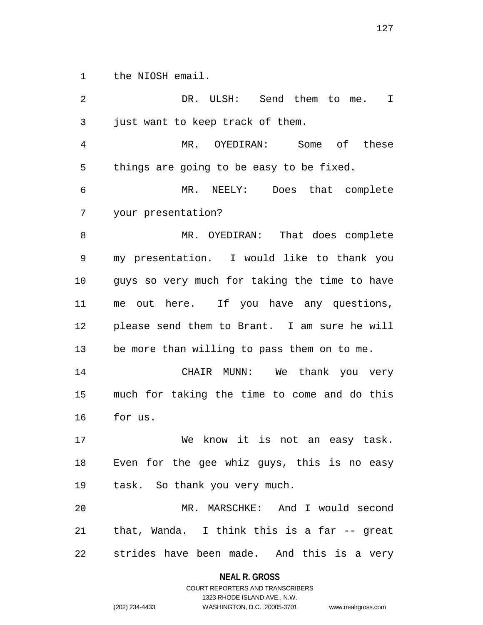the NIOSH email.

 DR. ULSH: Send them to me. I just want to keep track of them. MR. OYEDIRAN: Some of these things are going to be easy to be fixed. MR. NEELY: Does that complete your presentation? MR. OYEDIRAN: That does complete my presentation. I would like to thank you guys so very much for taking the time to have me out here. If you have any questions, please send them to Brant. I am sure he will be more than willing to pass them on to me. CHAIR MUNN: We thank you very much for taking the time to come and do this for us. We know it is not an easy task. Even for the gee whiz guys, this is no easy task. So thank you very much. MR. MARSCHKE: And I would second that, Wanda. I think this is a far -- great strides have been made. And this is a very

> **NEAL R. GROSS** COURT REPORTERS AND TRANSCRIBERS

> > 1323 RHODE ISLAND AVE., N.W.

(202) 234-4433 WASHINGTON, D.C. 20005-3701 www.nealrgross.com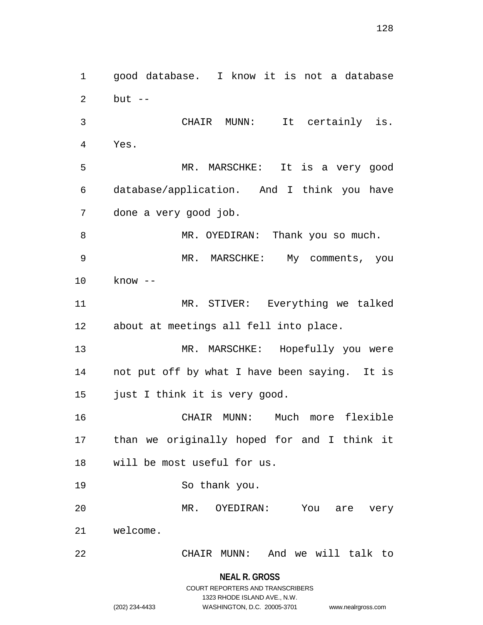good database. I know it is not a database but -- CHAIR MUNN: It certainly is. Yes. MR. MARSCHKE: It is a very good database/application. And I think you have done a very good job. 8 MR. OYEDIRAN: Thank you so much. MR. MARSCHKE: My comments, you know -- MR. STIVER: Everything we talked about at meetings all fell into place. MR. MARSCHKE: Hopefully you were not put off by what I have been saying. It is just I think it is very good. CHAIR MUNN: Much more flexible than we originally hoped for and I think it will be most useful for us. So thank you. MR. OYEDIRAN: You are very welcome. CHAIR MUNN: And we will talk to

**NEAL R. GROSS**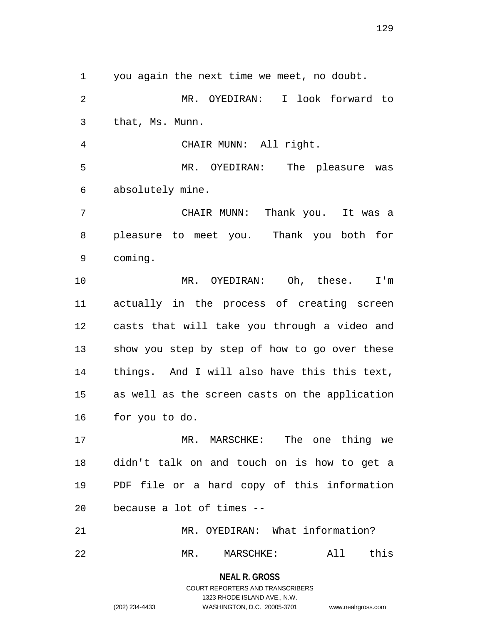you again the next time we meet, no doubt.

 MR. OYEDIRAN: I look forward to that, Ms. Munn.

 CHAIR MUNN: All right. MR. OYEDIRAN: The pleasure was absolutely mine.

 CHAIR MUNN: Thank you. It was a pleasure to meet you. Thank you both for coming.

 MR. OYEDIRAN: Oh, these. I'm actually in the process of creating screen casts that will take you through a video and show you step by step of how to go over these things. And I will also have this this text, as well as the screen casts on the application for you to do.

 MR. MARSCHKE: The one thing we didn't talk on and touch on is how to get a PDF file or a hard copy of this information because a lot of times --

 MR. OYEDIRAN: What information? MR. MARSCHKE: All this

**NEAL R. GROSS**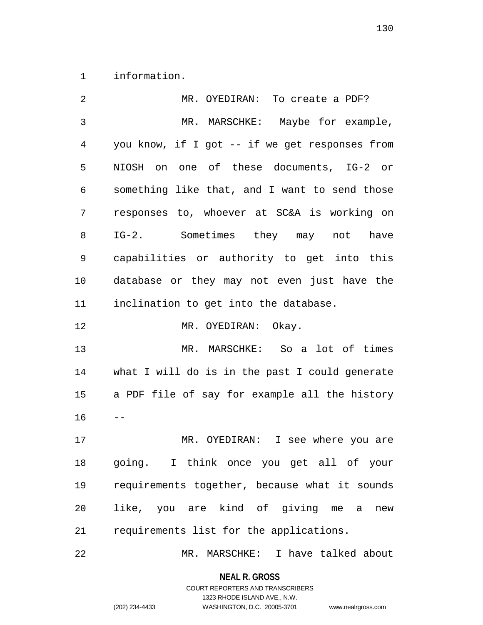information.

| $\overline{2}$ | MR. OYEDIRAN: To create a PDF?                 |
|----------------|------------------------------------------------|
| 3              | MR. MARSCHKE: Maybe for example,               |
| 4              | you know, if I got -- if we get responses from |
| 5              | NIOSH on one of these documents, IG-2 or       |
| 6              | something like that, and I want to send those  |
| 7              | responses to, whoever at SC&A is working on    |
| 8              | IG-2. Sometimes they may not have              |
| 9              | capabilities or authority to get into this     |
| 10             | database or they may not even just have the    |
| 11             | inclination to get into the database.          |
| 12             | MR. OYEDIRAN: Okay.                            |
| 13             | MR. MARSCHKE: So a lot of times                |
| 14             | what I will do is in the past I could generate |
| 15             | a PDF file of say for example all the history  |
| 16             |                                                |
| 17             | MR. OYEDIRAN: I see where you are              |
| 18             | going. I think once you get all of your        |
| 19             | requirements together, because what it sounds  |
| 20             | like, you are kind of giving me a<br>new       |
| 21             | requirements list for the applications.        |
|                |                                                |

MR. MARSCHKE: I have talked about

**NEAL R. GROSS** COURT REPORTERS AND TRANSCRIBERS

1323 RHODE ISLAND AVE., N.W.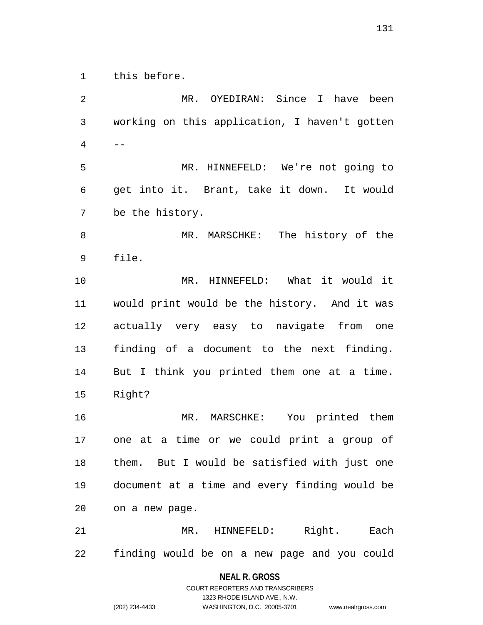this before.

 MR. OYEDIRAN: Since I have been working on this application, I haven't gotten -- MR. HINNEFELD: We're not going to get into it. Brant, take it down. It would be the history. MR. MARSCHKE: The history of the file. MR. HINNEFELD: What it would it would print would be the history. And it was actually very easy to navigate from one finding of a document to the next finding. But I think you printed them one at a time. Right? MR. MARSCHKE: You printed them one at a time or we could print a group of them. But I would be satisfied with just one document at a time and every finding would be on a new page. MR. HINNEFELD: Right. Each finding would be on a new page and you could

#### **NEAL R. GROSS**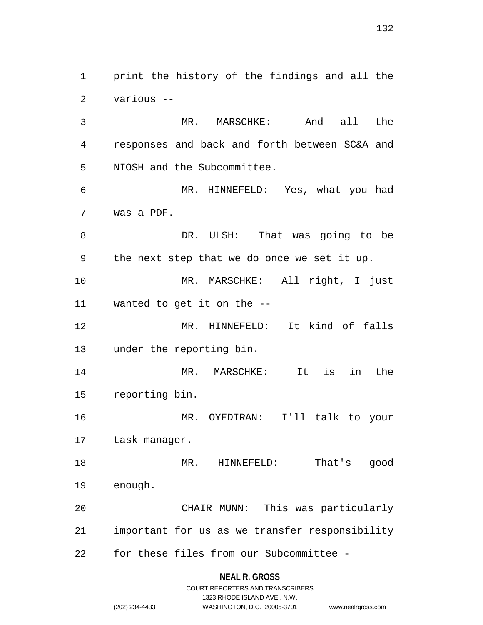print the history of the findings and all the various --

 MR. MARSCHKE: And all the responses and back and forth between SC&A and NIOSH and the Subcommittee.

 MR. HINNEFELD: Yes, what you had was a PDF.

 DR. ULSH: That was going to be the next step that we do once we set it up. MR. MARSCHKE: All right, I just wanted to get it on the -- MR. HINNEFELD: It kind of falls under the reporting bin.

 MR. MARSCHKE: It is in the reporting bin.

 MR. OYEDIRAN: I'll talk to your task manager.

 MR. HINNEFELD: That's good enough. CHAIR MUNN: This was particularly

 important for us as we transfer responsibility for these files from our Subcommittee -

#### **NEAL R. GROSS**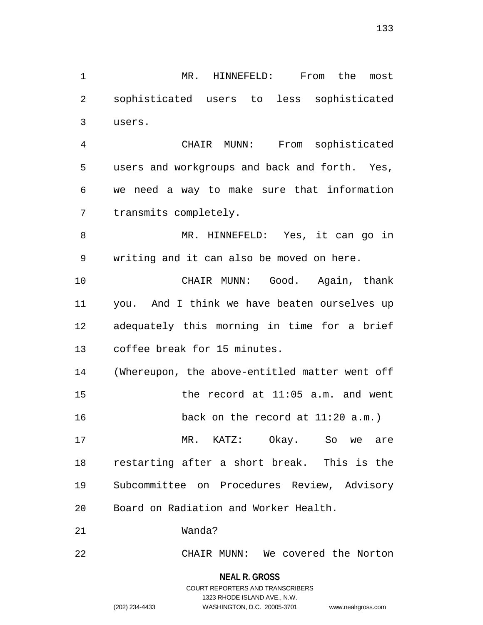MR. HINNEFELD: From the most sophisticated users to less sophisticated users.

 CHAIR MUNN: From sophisticated users and workgroups and back and forth. Yes, we need a way to make sure that information transmits completely.

 MR. HINNEFELD: Yes, it can go in writing and it can also be moved on here.

 CHAIR MUNN: Good. Again, thank you. And I think we have beaten ourselves up adequately this morning in time for a brief coffee break for 15 minutes.

 (Whereupon, the above-entitled matter went off the record at 11:05 a.m. and went back on the record at 11:20 a.m.)

 MR. KATZ: Okay. So we are restarting after a short break. This is the Subcommittee on Procedures Review, Advisory Board on Radiation and Worker Health.

Wanda?

CHAIR MUNN: We covered the Norton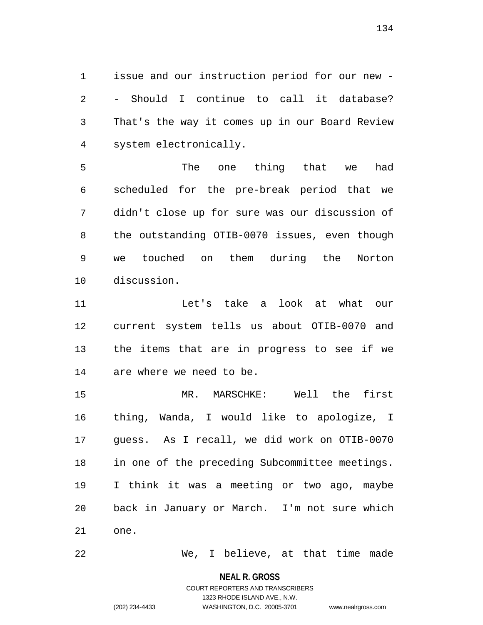issue and our instruction period for our new - - Should I continue to call it database? That's the way it comes up in our Board Review system electronically.

 The one thing that we had scheduled for the pre-break period that we didn't close up for sure was our discussion of the outstanding OTIB-0070 issues, even though we touched on them during the Norton discussion.

 Let's take a look at what our current system tells us about OTIB-0070 and the items that are in progress to see if we are where we need to be.

 MR. MARSCHKE: Well the first thing, Wanda, I would like to apologize, I guess. As I recall, we did work on OTIB-0070 in one of the preceding Subcommittee meetings. I think it was a meeting or two ago, maybe back in January or March. I'm not sure which one.

We, I believe, at that time made

**NEAL R. GROSS**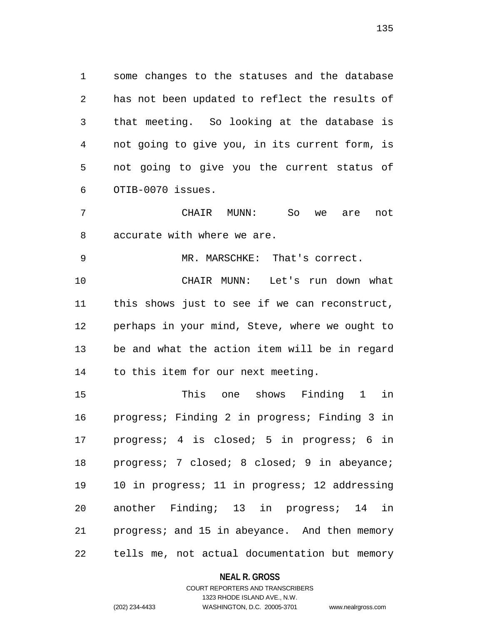some changes to the statuses and the database has not been updated to reflect the results of that meeting. So looking at the database is not going to give you, in its current form, is not going to give you the current status of OTIB-0070 issues.

 CHAIR MUNN: So we are not accurate with where we are.

MR. MARSCHKE: That's correct.

 CHAIR MUNN: Let's run down what this shows just to see if we can reconstruct, perhaps in your mind, Steve, where we ought to be and what the action item will be in regard to this item for our next meeting.

 This one shows Finding 1 in progress; Finding 2 in progress; Finding 3 in progress; 4 is closed; 5 in progress; 6 in progress; 7 closed; 8 closed; 9 in abeyance; 10 in progress; 11 in progress; 12 addressing another Finding; 13 in progress; 14 in progress; and 15 in abeyance. And then memory tells me, not actual documentation but memory

#### **NEAL R. GROSS**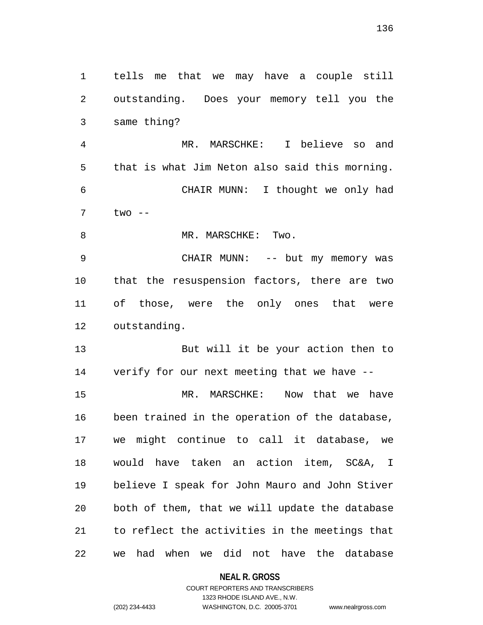tells me that we may have a couple still outstanding. Does your memory tell you the same thing? MR. MARSCHKE: I believe so and that is what Jim Neton also said this morning. CHAIR MUNN: I thought we only had two -- 8 MR. MARSCHKE: Two. CHAIR MUNN: -- but my memory was that the resuspension factors, there are two of those, were the only ones that were outstanding. But will it be your action then to verify for our next meeting that we have -- MR. MARSCHKE: Now that we have been trained in the operation of the database, we might continue to call it database, we would have taken an action item, SC&A, I believe I speak for John Mauro and John Stiver both of them, that we will update the database to reflect the activities in the meetings that we had when we did not have the database

**NEAL R. GROSS**

COURT REPORTERS AND TRANSCRIBERS 1323 RHODE ISLAND AVE., N.W. (202) 234-4433 WASHINGTON, D.C. 20005-3701 www.nealrgross.com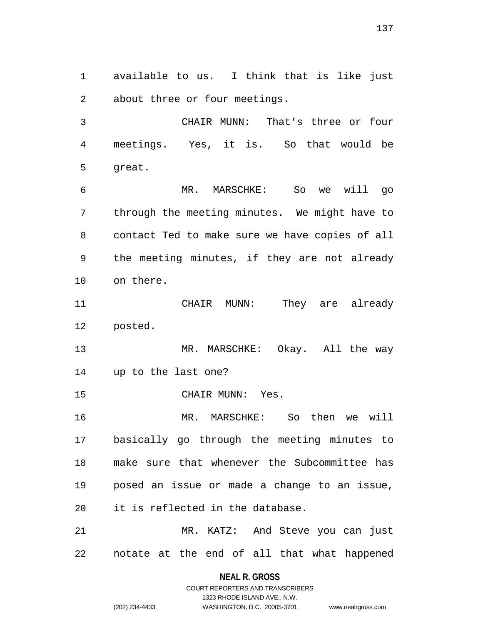available to us. I think that is like just about three or four meetings.

 CHAIR MUNN: That's three or four meetings. Yes, it is. So that would be great.

 MR. MARSCHKE: So we will go through the meeting minutes. We might have to contact Ted to make sure we have copies of all the meeting minutes, if they are not already on there.

 CHAIR MUNN: They are already posted.

 MR. MARSCHKE: Okay. All the way up to the last one?

CHAIR MUNN: Yes.

 MR. MARSCHKE: So then we will basically go through the meeting minutes to make sure that whenever the Subcommittee has posed an issue or made a change to an issue, it is reflected in the database.

 MR. KATZ: And Steve you can just notate at the end of all that what happened

> **NEAL R. GROSS** COURT REPORTERS AND TRANSCRIBERS

> > 1323 RHODE ISLAND AVE., N.W.

```
(202) 234-4433 WASHINGTON, D.C. 20005-3701 www.nealrgross.com
```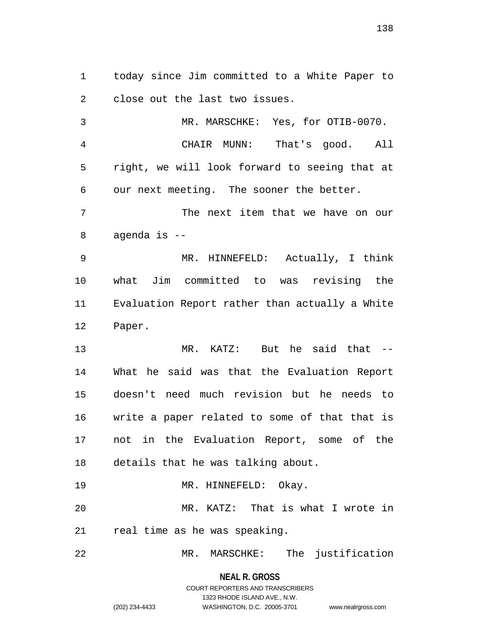today since Jim committed to a White Paper to close out the last two issues.

 MR. MARSCHKE: Yes, for OTIB-0070. CHAIR MUNN: That's good. All right, we will look forward to seeing that at our next meeting. The sooner the better. The next item that we have on our agenda is -- MR. HINNEFELD: Actually, I think what Jim committed to was revising the Evaluation Report rather than actually a White Paper. MR. KATZ: But he said that -- What he said was that the Evaluation Report doesn't need much revision but he needs to write a paper related to some of that that is not in the Evaluation Report, some of the details that he was talking about. 19 MR. HINNEFELD: Okay. MR. KATZ: That is what I wrote in real time as he was speaking.

MR. MARSCHKE: The justification

**NEAL R. GROSS**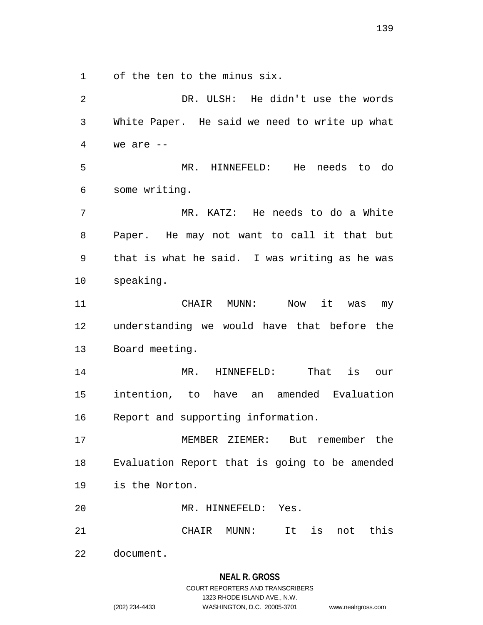of the ten to the minus six.

 DR. ULSH: He didn't use the words White Paper. He said we need to write up what we are  $-$  MR. HINNEFELD: He needs to do some writing. MR. KATZ: He needs to do a White Paper. He may not want to call it that but that is what he said. I was writing as he was speaking. CHAIR MUNN: Now it was my understanding we would have that before the Board meeting. MR. HINNEFELD: That is our intention, to have an amended Evaluation Report and supporting information. MEMBER ZIEMER: But remember the Evaluation Report that is going to be amended is the Norton. MR. HINNEFELD: Yes. CHAIR MUNN: It is not this document.

1323 RHODE ISLAND AVE., N.W.

(202) 234-4433 WASHINGTON, D.C. 20005-3701 www.nealrgross.com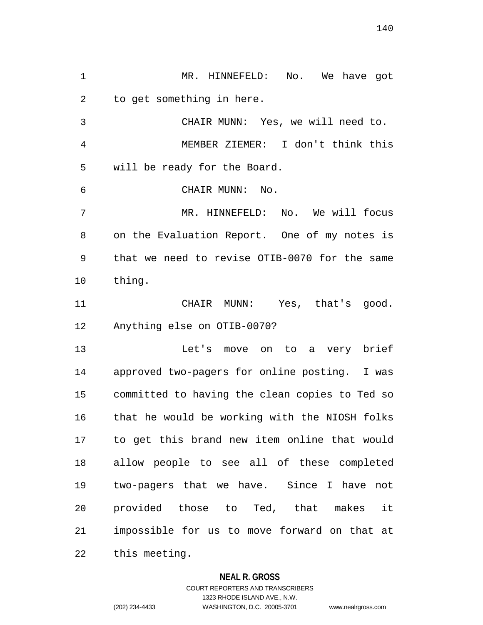MR. HINNEFELD: No. We have got to get something in here. CHAIR MUNN: Yes, we will need to. MEMBER ZIEMER: I don't think this will be ready for the Board. CHAIR MUNN: No. MR. HINNEFELD: No. We will focus on the Evaluation Report. One of my notes is that we need to revise OTIB-0070 for the same thing. CHAIR MUNN: Yes, that's good. Anything else on OTIB-0070? Let's move on to a very brief approved two-pagers for online posting. I was committed to having the clean copies to Ted so that he would be working with the NIOSH folks to get this brand new item online that would allow people to see all of these completed two-pagers that we have. Since I have not provided those to Ted, that makes it impossible for us to move forward on that at this meeting.

### **NEAL R. GROSS**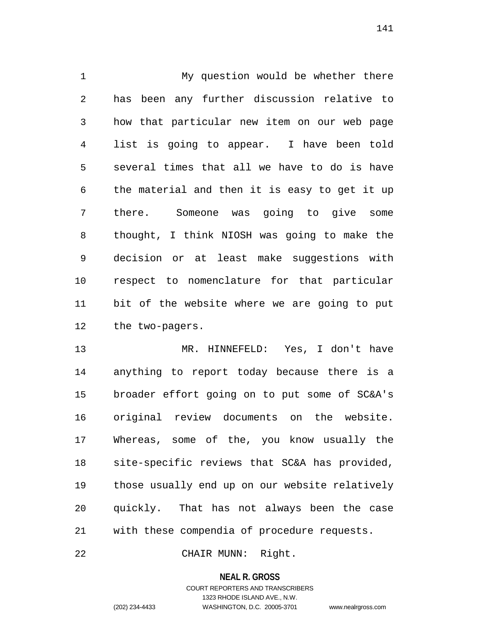My question would be whether there has been any further discussion relative to how that particular new item on our web page list is going to appear. I have been told several times that all we have to do is have the material and then it is easy to get it up there. Someone was going to give some thought, I think NIOSH was going to make the decision or at least make suggestions with respect to nomenclature for that particular bit of the website where we are going to put the two-pagers.

 MR. HINNEFELD: Yes, I don't have anything to report today because there is a broader effort going on to put some of SC&A's original review documents on the website. Whereas, some of the, you know usually the site-specific reviews that SC&A has provided, those usually end up on our website relatively quickly. That has not always been the case with these compendia of procedure requests.

CHAIR MUNN: Right.

**NEAL R. GROSS**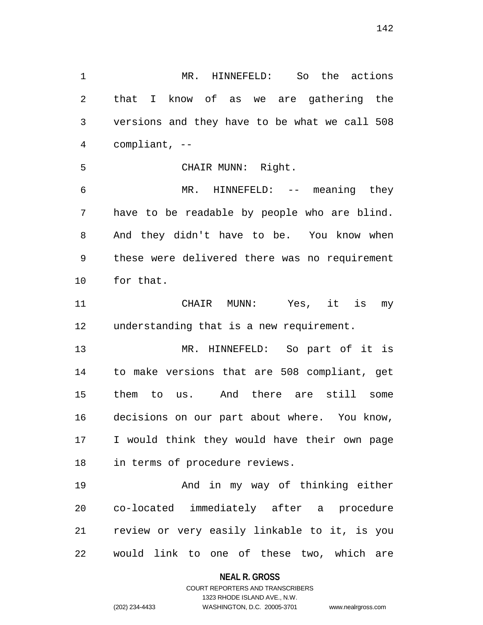MR. HINNEFELD: So the actions that I know of as we are gathering the versions and they have to be what we call 508 compliant, -- CHAIR MUNN: Right. MR. HINNEFELD: -- meaning they have to be readable by people who are blind. And they didn't have to be. You know when these were delivered there was no requirement for that. CHAIR MUNN: Yes, it is my understanding that is a new requirement. MR. HINNEFELD: So part of it is to make versions that are 508 compliant, get them to us. And there are still some decisions on our part about where. You know, I would think they would have their own page

 And in my way of thinking either co-located immediately after a procedure review or very easily linkable to it, is you would link to one of these two, which are

in terms of procedure reviews.

#### **NEAL R. GROSS**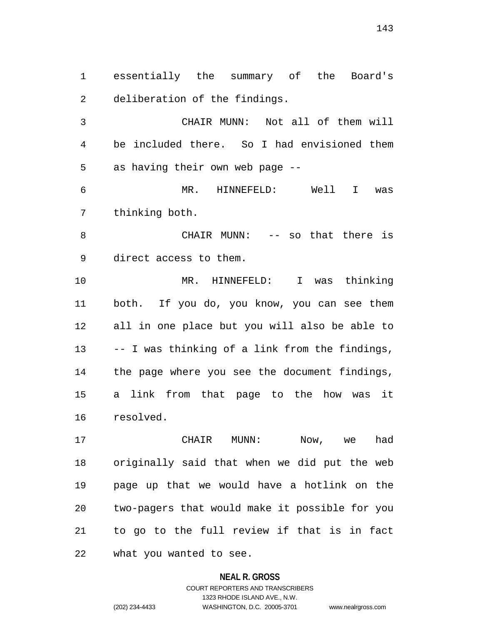essentially the summary of the Board's deliberation of the findings.

 CHAIR MUNN: Not all of them will be included there. So I had envisioned them as having their own web page --

 MR. HINNEFELD: Well I was thinking both.

 CHAIR MUNN: -- so that there is direct access to them.

 MR. HINNEFELD: I was thinking both. If you do, you know, you can see them all in one place but you will also be able to -- I was thinking of a link from the findings, the page where you see the document findings, a link from that page to the how was it resolved.

 CHAIR MUNN: Now, we had originally said that when we did put the web page up that we would have a hotlink on the two-pagers that would make it possible for you to go to the full review if that is in fact what you wanted to see.

# **NEAL R. GROSS** COURT REPORTERS AND TRANSCRIBERS 1323 RHODE ISLAND AVE., N.W. (202) 234-4433 WASHINGTON, D.C. 20005-3701 www.nealrgross.com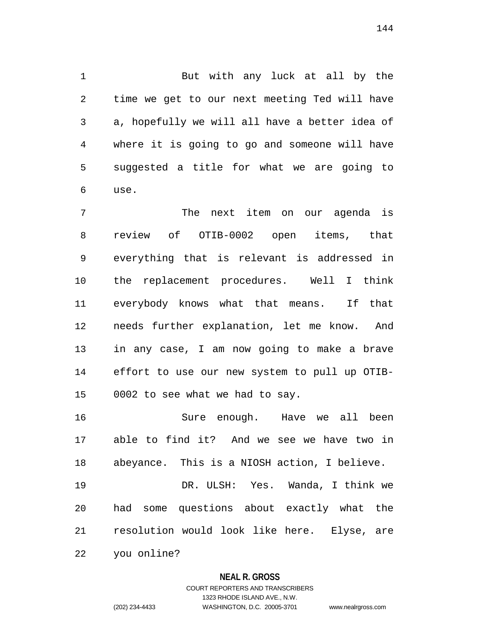But with any luck at all by the time we get to our next meeting Ted will have a, hopefully we will all have a better idea of where it is going to go and someone will have suggested a title for what we are going to use.

 The next item on our agenda is review of OTIB-0002 open items, that everything that is relevant is addressed in the replacement procedures. Well I think everybody knows what that means. If that needs further explanation, let me know. And in any case, I am now going to make a brave effort to use our new system to pull up OTIB-0002 to see what we had to say.

 Sure enough. Have we all been able to find it? And we see we have two in abeyance. This is a NIOSH action, I believe.

 DR. ULSH: Yes. Wanda, I think we had some questions about exactly what the resolution would look like here. Elyse, are

you online?

### **NEAL R. GROSS**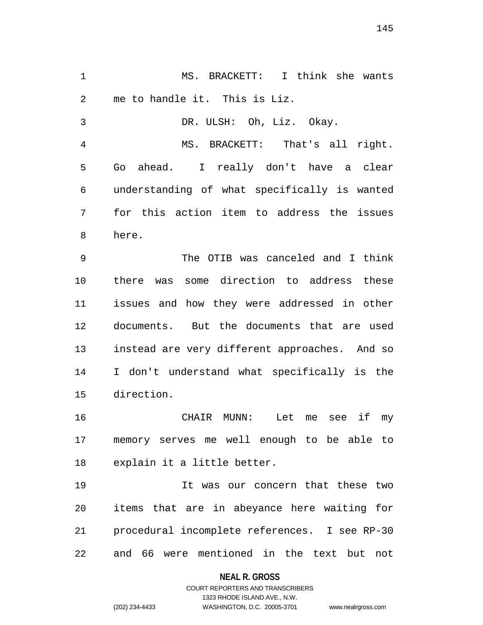MS. BRACKETT: I think she wants me to handle it. This is Liz.

 DR. ULSH: Oh, Liz. Okay. MS. BRACKETT: That's all right. Go ahead. I really don't have a clear understanding of what specifically is wanted for this action item to address the issues here.

 The OTIB was canceled and I think there was some direction to address these issues and how they were addressed in other documents. But the documents that are used instead are very different approaches. And so I don't understand what specifically is the direction.

 CHAIR MUNN: Let me see if my memory serves me well enough to be able to explain it a little better.

 It was our concern that these two items that are in abeyance here waiting for procedural incomplete references. I see RP-30 and 66 were mentioned in the text but not

## **NEAL R. GROSS**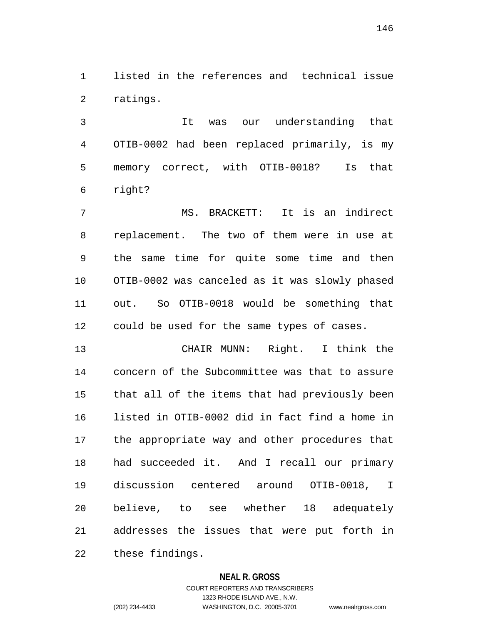listed in the references and technical issue ratings.

 It was our understanding that OTIB-0002 had been replaced primarily, is my memory correct, with OTIB-0018? Is that right?

 MS. BRACKETT: It is an indirect replacement. The two of them were in use at the same time for quite some time and then OTIB-0002 was canceled as it was slowly phased out. So OTIB-0018 would be something that could be used for the same types of cases.

 CHAIR MUNN: Right. I think the concern of the Subcommittee was that to assure that all of the items that had previously been listed in OTIB-0002 did in fact find a home in the appropriate way and other procedures that had succeeded it. And I recall our primary discussion centered around OTIB-0018, I believe, to see whether 18 adequately addresses the issues that were put forth in these findings.

## **NEAL R. GROSS**

COURT REPORTERS AND TRANSCRIBERS 1323 RHODE ISLAND AVE., N.W. (202) 234-4433 WASHINGTON, D.C. 20005-3701 www.nealrgross.com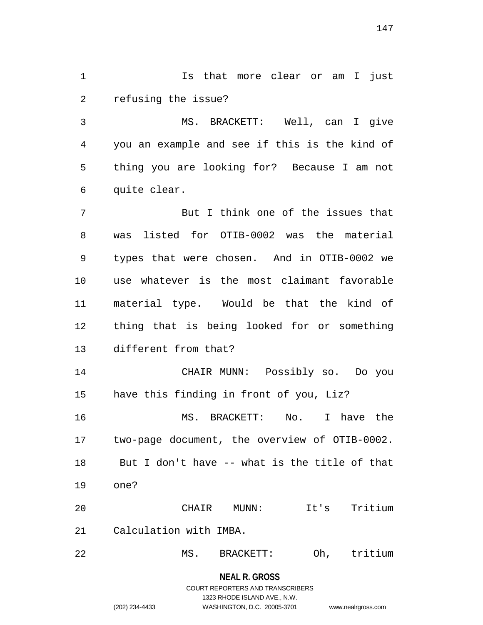1 1 Is that more clear or am I just refusing the issue?

 MS. BRACKETT: Well, can I give you an example and see if this is the kind of thing you are looking for? Because I am not quite clear.

 But I think one of the issues that was listed for OTIB-0002 was the material types that were chosen. And in OTIB-0002 we use whatever is the most claimant favorable material type. Would be that the kind of thing that is being looked for or something different from that?

 CHAIR MUNN: Possibly so. Do you have this finding in front of you, Liz?

 MS. BRACKETT: No. I have the two-page document, the overview of OTIB-0002. But I don't have -- what is the title of that one?

 CHAIR MUNN: It's Tritium Calculation with IMBA.

MS. BRACKETT: Oh, tritium

**NEAL R. GROSS** COURT REPORTERS AND TRANSCRIBERS

1323 RHODE ISLAND AVE., N.W.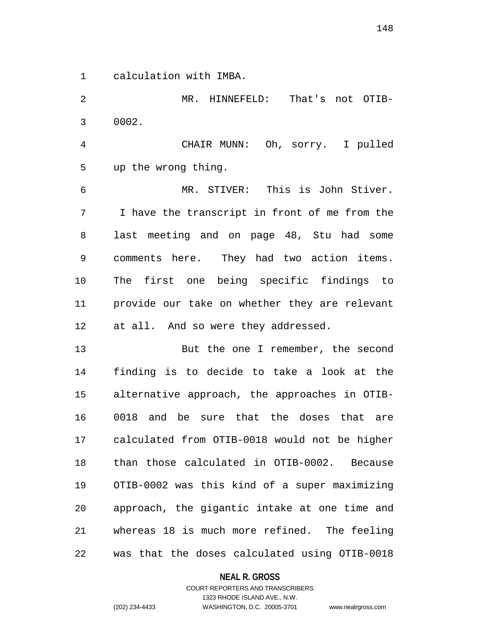calculation with IMBA.

 MR. HINNEFELD: That's not OTIB- 0002. CHAIR MUNN: Oh, sorry. I pulled up the wrong thing. MR. STIVER: This is John Stiver. I have the transcript in front of me from the last meeting and on page 48, Stu had some comments here. They had two action items. The first one being specific findings to provide our take on whether they are relevant at all. And so were they addressed. 13 But the one I remember, the second finding is to decide to take a look at the alternative approach, the approaches in OTIB- 0018 and be sure that the doses that are calculated from OTIB-0018 would not be higher than those calculated in OTIB-0002. Because OTIB-0002 was this kind of a super maximizing approach, the gigantic intake at one time and whereas 18 is much more refined. The feeling was that the doses calculated using OTIB-0018

## **NEAL R. GROSS**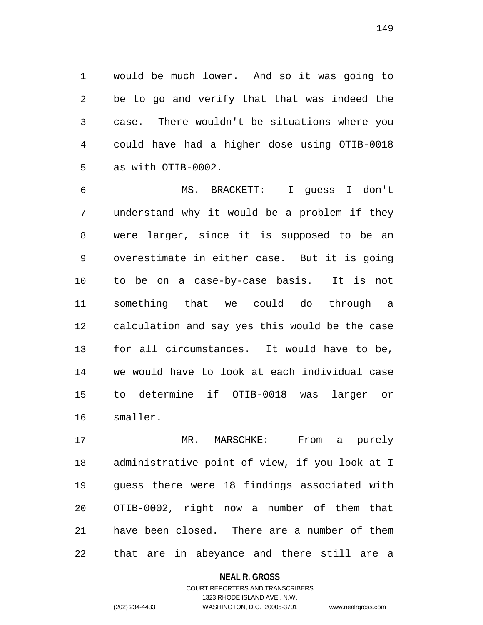would be much lower. And so it was going to be to go and verify that that was indeed the case. There wouldn't be situations where you could have had a higher dose using OTIB-0018 as with OTIB-0002.

 MS. BRACKETT: I guess I don't understand why it would be a problem if they were larger, since it is supposed to be an overestimate in either case. But it is going to be on a case-by-case basis. It is not something that we could do through a calculation and say yes this would be the case for all circumstances. It would have to be, we would have to look at each individual case to determine if OTIB-0018 was larger or smaller.

 MR. MARSCHKE: From a purely administrative point of view, if you look at I guess there were 18 findings associated with OTIB-0002, right now a number of them that have been closed. There are a number of them that are in abeyance and there still are a

#### **NEAL R. GROSS**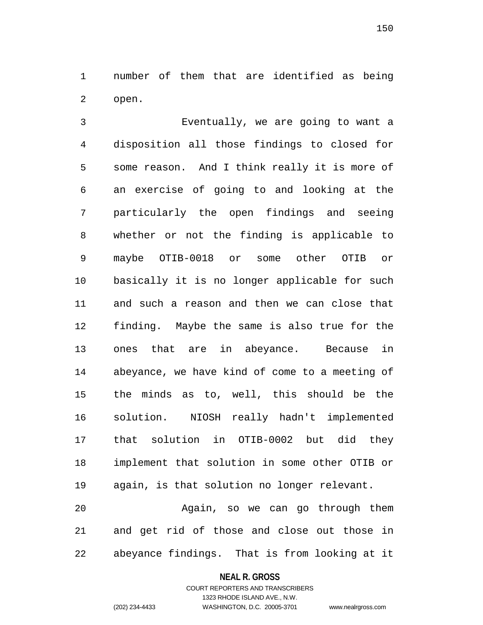number of them that are identified as being open.

 Eventually, we are going to want a disposition all those findings to closed for some reason. And I think really it is more of an exercise of going to and looking at the particularly the open findings and seeing whether or not the finding is applicable to maybe OTIB-0018 or some other OTIB or basically it is no longer applicable for such and such a reason and then we can close that finding. Maybe the same is also true for the ones that are in abeyance. Because in abeyance, we have kind of come to a meeting of the minds as to, well, this should be the solution. NIOSH really hadn't implemented that solution in OTIB-0002 but did they implement that solution in some other OTIB or again, is that solution no longer relevant.

 Again, so we can go through them and get rid of those and close out those in abeyance findings. That is from looking at it

#### **NEAL R. GROSS**

# COURT REPORTERS AND TRANSCRIBERS 1323 RHODE ISLAND AVE., N.W. (202) 234-4433 WASHINGTON, D.C. 20005-3701 www.nealrgross.com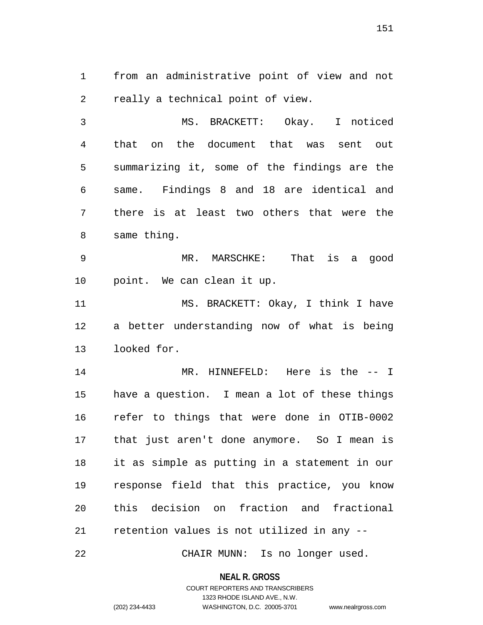from an administrative point of view and not really a technical point of view.

 MS. BRACKETT: Okay. I noticed that on the document that was sent out summarizing it, some of the findings are the same. Findings 8 and 18 are identical and there is at least two others that were the same thing.

 MR. MARSCHKE: That is a good point. We can clean it up.

 MS. BRACKETT: Okay, I think I have a better understanding now of what is being looked for.

 MR. HINNEFELD: Here is the -- I have a question. I mean a lot of these things refer to things that were done in OTIB-0002 that just aren't done anymore. So I mean is it as simple as putting in a statement in our response field that this practice, you know this decision on fraction and fractional retention values is not utilized in any --

CHAIR MUNN: Is no longer used.

**NEAL R. GROSS**

COURT REPORTERS AND TRANSCRIBERS 1323 RHODE ISLAND AVE., N.W. (202) 234-4433 WASHINGTON, D.C. 20005-3701 www.nealrgross.com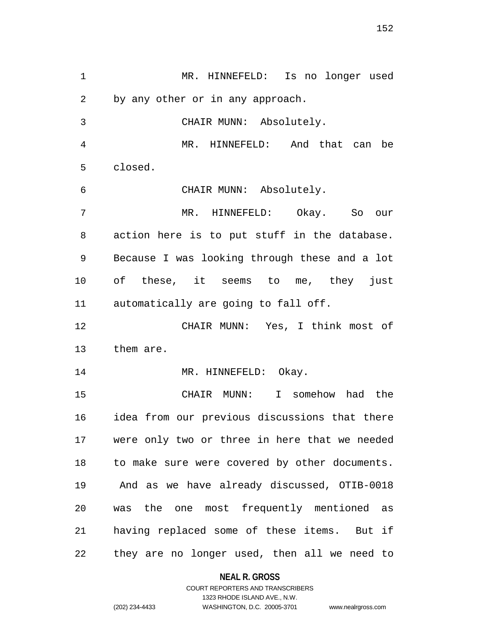MR. HINNEFELD: Is no longer used by any other or in any approach. CHAIR MUNN: Absolutely. MR. HINNEFELD: And that can be closed. CHAIR MUNN: Absolutely. MR. HINNEFELD: Okay. So our action here is to put stuff in the database. Because I was looking through these and a lot of these, it seems to me, they just automatically are going to fall off. CHAIR MUNN: Yes, I think most of them are. 14 MR. HINNEFELD: Okay. CHAIR MUNN: I somehow had the idea from our previous discussions that there were only two or three in here that we needed to make sure were covered by other documents. And as we have already discussed, OTIB-0018 was the one most frequently mentioned as having replaced some of these items. But if they are no longer used, then all we need to

#### **NEAL R. GROSS**

COURT REPORTERS AND TRANSCRIBERS 1323 RHODE ISLAND AVE., N.W. (202) 234-4433 WASHINGTON, D.C. 20005-3701 www.nealrgross.com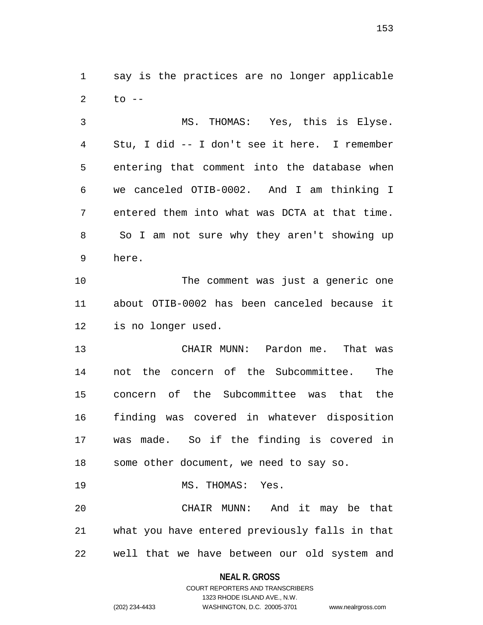say is the practices are no longer applicable to  $-$ 

 MS. THOMAS: Yes, this is Elyse. Stu, I did -- I don't see it here. I remember entering that comment into the database when we canceled OTIB-0002. And I am thinking I entered them into what was DCTA at that time. So I am not sure why they aren't showing up here.

 The comment was just a generic one about OTIB-0002 has been canceled because it is no longer used.

 CHAIR MUNN: Pardon me. That was not the concern of the Subcommittee. The concern of the Subcommittee was that the finding was covered in whatever disposition was made. So if the finding is covered in some other document, we need to say so.

MS. THOMAS: Yes.

 CHAIR MUNN: And it may be that what you have entered previously falls in that well that we have between our old system and

**NEAL R. GROSS**

COURT REPORTERS AND TRANSCRIBERS 1323 RHODE ISLAND AVE., N.W. (202) 234-4433 WASHINGTON, D.C. 20005-3701 www.nealrgross.com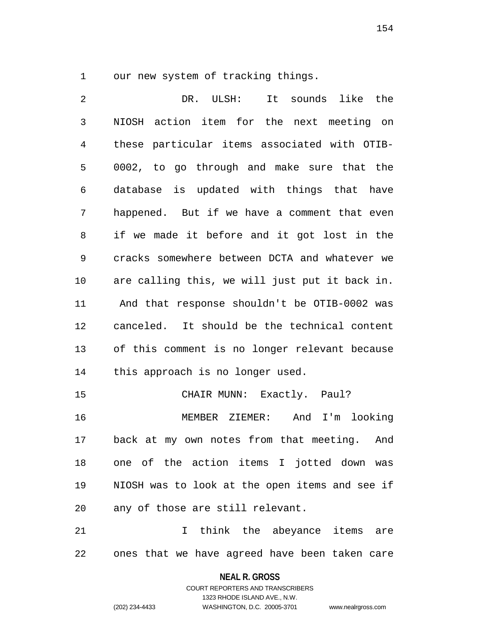our new system of tracking things.

 DR. ULSH: It sounds like the NIOSH action item for the next meeting on these particular items associated with OTIB- 0002, to go through and make sure that the database is updated with things that have happened. But if we have a comment that even if we made it before and it got lost in the cracks somewhere between DCTA and whatever we are calling this, we will just put it back in. And that response shouldn't be OTIB-0002 was canceled. It should be the technical content of this comment is no longer relevant because this approach is no longer used. CHAIR MUNN: Exactly. Paul? MEMBER ZIEMER: And I'm looking back at my own notes from that meeting. And

 one of the action items I jotted down was NIOSH was to look at the open items and see if any of those are still relevant.

21 1 I think the abeyance items are ones that we have agreed have been taken care

## **NEAL R. GROSS**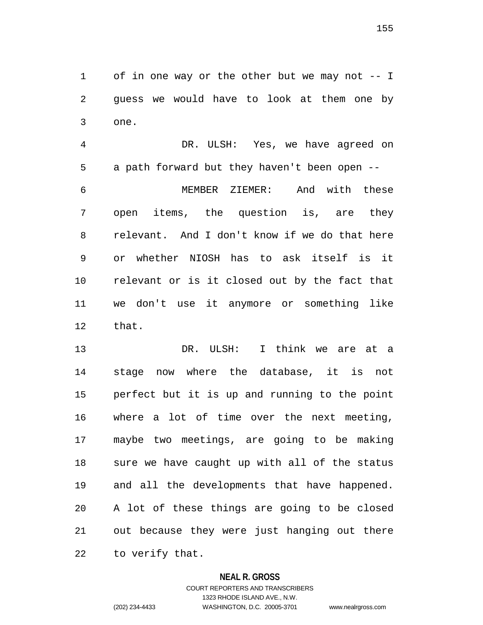of in one way or the other but we may not -- I guess we would have to look at them one by one.

 DR. ULSH: Yes, we have agreed on a path forward but they haven't been open --

 MEMBER ZIEMER: And with these open items, the question is, are they relevant. And I don't know if we do that here or whether NIOSH has to ask itself is it relevant or is it closed out by the fact that we don't use it anymore or something like that.

 DR. ULSH: I think we are at a stage now where the database, it is not perfect but it is up and running to the point where a lot of time over the next meeting, maybe two meetings, are going to be making sure we have caught up with all of the status and all the developments that have happened. A lot of these things are going to be closed out because they were just hanging out there to verify that.

## **NEAL R. GROSS**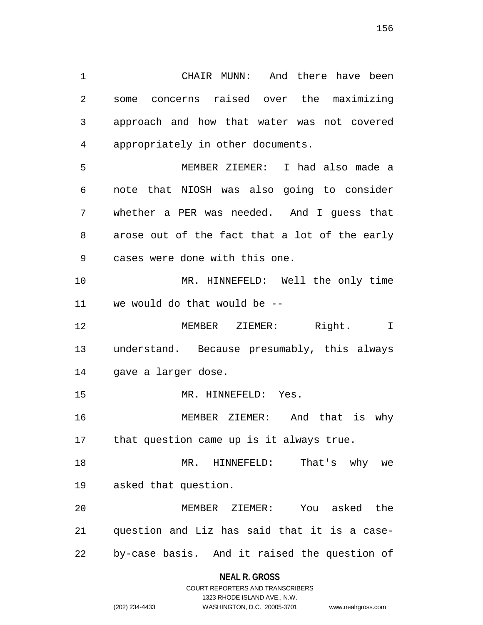CHAIR MUNN: And there have been some concerns raised over the maximizing approach and how that water was not covered appropriately in other documents.

 MEMBER ZIEMER: I had also made a note that NIOSH was also going to consider whether a PER was needed. And I guess that arose out of the fact that a lot of the early cases were done with this one.

 MR. HINNEFELD: Well the only time we would do that would be --

 MEMBER ZIEMER: Right. I understand. Because presumably, this always gave a larger dose.

MR. HINNEFELD: Yes.

 MEMBER ZIEMER: And that is why that question came up is it always true.

 MR. HINNEFELD: That's why we asked that question.

 MEMBER ZIEMER: You asked the question and Liz has said that it is a case-by-case basis. And it raised the question of

## **NEAL R. GROSS**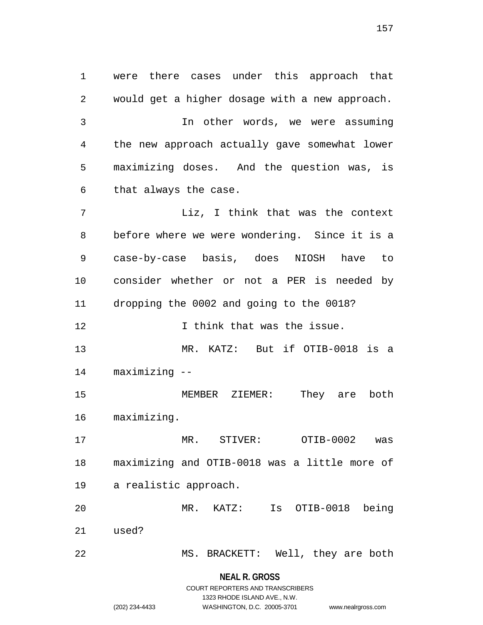were there cases under this approach that would get a higher dosage with a new approach. In other words, we were assuming the new approach actually gave somewhat lower maximizing doses. And the question was, is that always the case. Liz, I think that was the context before where we were wondering. Since it is a case-by-case basis, does NIOSH have to consider whether or not a PER is needed by dropping the 0002 and going to the 0018? **I** think that was the issue. MR. KATZ: But if OTIB-0018 is a maximizing -- MEMBER ZIEMER: They are both maximizing. MR. STIVER: OTIB-0002 was maximizing and OTIB-0018 was a little more of a realistic approach. MR. KATZ: Is OTIB-0018 being used? MS. BRACKETT: Well, they are both

> **NEAL R. GROSS** COURT REPORTERS AND TRANSCRIBERS

> > 1323 RHODE ISLAND AVE., N.W.

(202) 234-4433 WASHINGTON, D.C. 20005-3701 www.nealrgross.com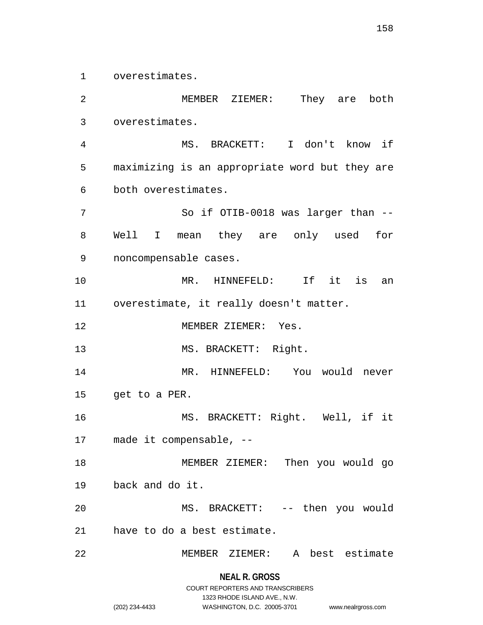overestimates.

 MEMBER ZIEMER: They are both overestimates. MS. BRACKETT: I don't know if maximizing is an appropriate word but they are both overestimates. So if OTIB-0018 was larger than -- Well I mean they are only used for noncompensable cases. MR. HINNEFELD: If it is an overestimate, it really doesn't matter. MEMBER ZIEMER: Yes. 13 MS. BRACKETT: Right. MR. HINNEFELD: You would never get to a PER. MS. BRACKETT: Right. Well, if it made it compensable, -- MEMBER ZIEMER: Then you would go back and do it. MS. BRACKETT: -- then you would have to do a best estimate. MEMBER ZIEMER: A best estimate

**NEAL R. GROSS**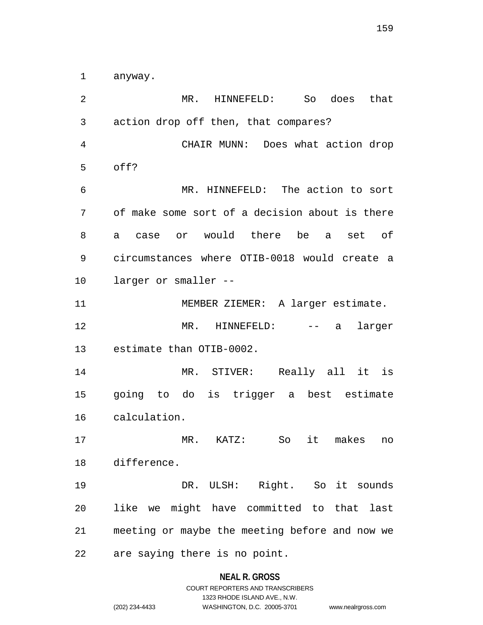anyway.

 MR. HINNEFELD: So does that action drop off then, that compares? CHAIR MUNN: Does what action drop off? MR. HINNEFELD: The action to sort of make some sort of a decision about is there a case or would there be a set of circumstances where OTIB-0018 would create a larger or smaller -- MEMBER ZIEMER: A larger estimate. MR. HINNEFELD: -- a larger estimate than OTIB-0002. MR. STIVER: Really all it is going to do is trigger a best estimate calculation. MR. KATZ: So it makes no difference. DR. ULSH: Right. So it sounds like we might have committed to that last meeting or maybe the meeting before and now we are saying there is no point.

#### **NEAL R. GROSS**

COURT REPORTERS AND TRANSCRIBERS 1323 RHODE ISLAND AVE., N.W. (202) 234-4433 WASHINGTON, D.C. 20005-3701 www.nealrgross.com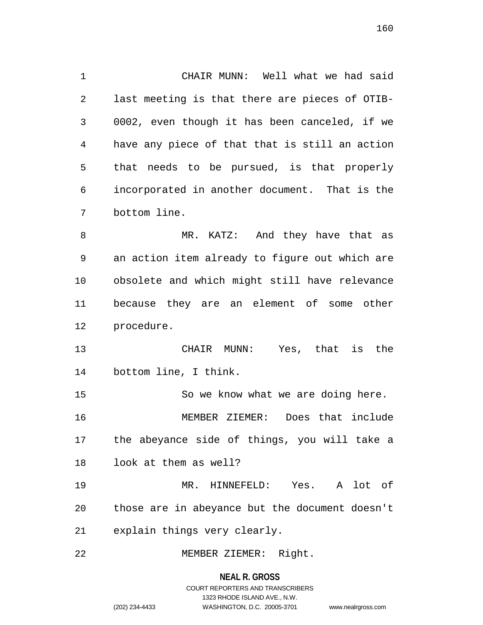CHAIR MUNN: Well what we had said last meeting is that there are pieces of OTIB- 0002, even though it has been canceled, if we have any piece of that that is still an action that needs to be pursued, is that properly incorporated in another document. That is the bottom line. 8 MR. KATZ: And they have that as an action item already to figure out which are obsolete and which might still have relevance because they are an element of some other procedure. CHAIR MUNN: Yes, that is the bottom line, I think. So we know what we are doing here. MEMBER ZIEMER: Does that include

 the abeyance side of things, you will take a look at them as well?

 MR. HINNEFELD: Yes. A lot of those are in abeyance but the document doesn't explain things very clearly.

MEMBER ZIEMER: Right.

**NEAL R. GROSS**

COURT REPORTERS AND TRANSCRIBERS 1323 RHODE ISLAND AVE., N.W. (202) 234-4433 WASHINGTON, D.C. 20005-3701 www.nealrgross.com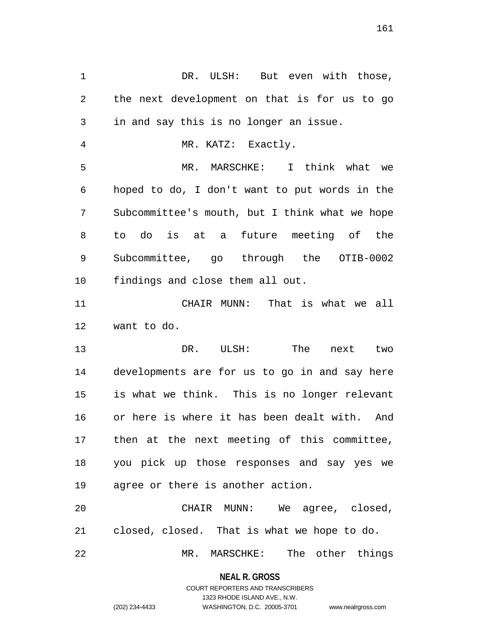1 DR. ULSH: But even with those, the next development on that is for us to go in and say this is no longer an issue. MR. KATZ: Exactly. MR. MARSCHKE: I think what we hoped to do, I don't want to put words in the Subcommittee's mouth, but I think what we hope to do is at a future meeting of the Subcommittee, go through the OTIB-0002 findings and close them all out. CHAIR MUNN: That is what we all want to do. DR. ULSH: The next two developments are for us to go in and say here is what we think. This is no longer relevant or here is where it has been dealt with. And then at the next meeting of this committee, you pick up those responses and say yes we agree or there is another action. CHAIR MUNN: We agree, closed, closed, closed. That is what we hope to do.

MR. MARSCHKE: The other things

**NEAL R. GROSS** COURT REPORTERS AND TRANSCRIBERS

1323 RHODE ISLAND AVE., N.W.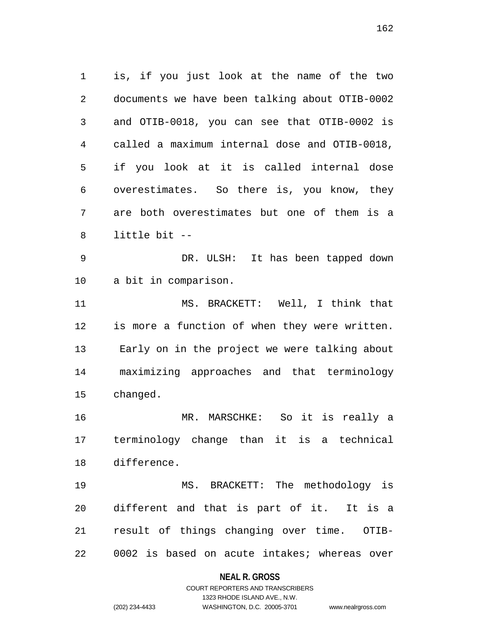is, if you just look at the name of the two documents we have been talking about OTIB-0002 and OTIB-0018, you can see that OTIB-0002 is called a maximum internal dose and OTIB-0018, if you look at it is called internal dose overestimates. So there is, you know, they are both overestimates but one of them is a little bit --

 DR. ULSH: It has been tapped down a bit in comparison.

 MS. BRACKETT: Well, I think that is more a function of when they were written. Early on in the project we were talking about maximizing approaches and that terminology changed.

 MR. MARSCHKE: So it is really a terminology change than it is a technical difference.

 MS. BRACKETT: The methodology is different and that is part of it. It is a result of things changing over time. OTIB-0002 is based on acute intakes; whereas over

## **NEAL R. GROSS**

# COURT REPORTERS AND TRANSCRIBERS 1323 RHODE ISLAND AVE., N.W. (202) 234-4433 WASHINGTON, D.C. 20005-3701 www.nealrgross.com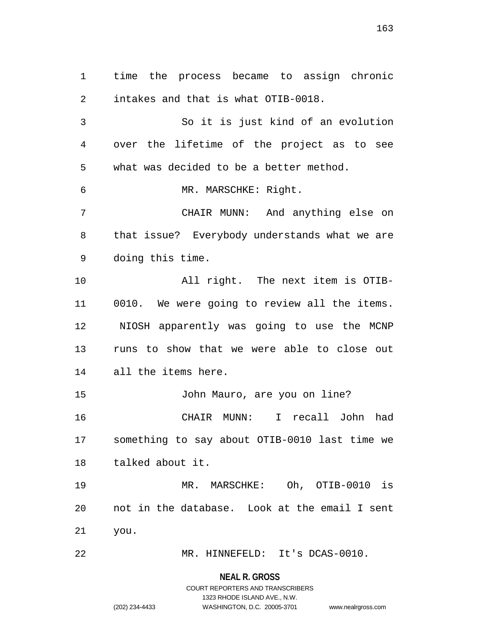time the process became to assign chronic intakes and that is what OTIB-0018. So it is just kind of an evolution over the lifetime of the project as to see what was decided to be a better method. MR. MARSCHKE: Right. CHAIR MUNN: And anything else on that issue? Everybody understands what we are doing this time. All right. The next item is OTIB- 0010. We were going to review all the items. NIOSH apparently was going to use the MCNP runs to show that we were able to close out all the items here. John Mauro, are you on line? CHAIR MUNN: I recall John had something to say about OTIB-0010 last time we talked about it. MR. MARSCHKE: Oh, OTIB-0010 is not in the database. Look at the email I sent you.

MR. HINNEFELD: It's DCAS-0010.

**NEAL R. GROSS** COURT REPORTERS AND TRANSCRIBERS

1323 RHODE ISLAND AVE., N.W.

(202) 234-4433 WASHINGTON, D.C. 20005-3701 www.nealrgross.com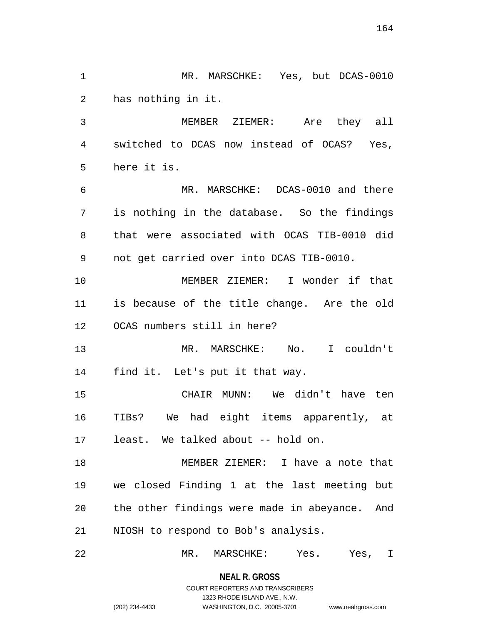**NEAL R. GROSS** has nothing in it. MEMBER ZIEMER: Are they all switched to DCAS now instead of OCAS? Yes, here it is. MR. MARSCHKE: DCAS-0010 and there is nothing in the database. So the findings that were associated with OCAS TIB-0010 did not get carried over into DCAS TIB-0010. MEMBER ZIEMER: I wonder if that is because of the title change. Are the old OCAS numbers still in here? MR. MARSCHKE: No. I couldn't find it. Let's put it that way. CHAIR MUNN: We didn't have ten TIBs? We had eight items apparently, at least. We talked about -- hold on. MEMBER ZIEMER: I have a note that we closed Finding 1 at the last meeting but the other findings were made in abeyance. And NIOSH to respond to Bob's analysis. MR. MARSCHKE: Yes. Yes, I

MR. MARSCHKE: Yes, but DCAS-0010

COURT REPORTERS AND TRANSCRIBERS

## 1323 RHODE ISLAND AVE., N.W. (202) 234-4433 WASHINGTON, D.C. 20005-3701 www.nealrgross.com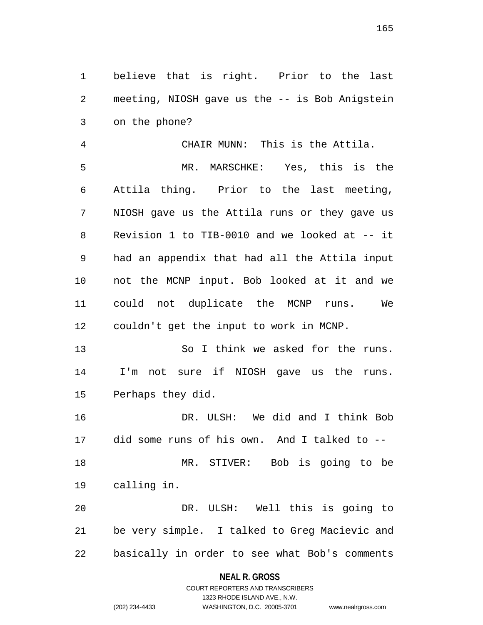believe that is right. Prior to the last meeting, NIOSH gave us the -- is Bob Anigstein on the phone?

 CHAIR MUNN: This is the Attila. MR. MARSCHKE: Yes, this is the Attila thing. Prior to the last meeting, NIOSH gave us the Attila runs or they gave us Revision 1 to TIB-0010 and we looked at -- it had an appendix that had all the Attila input not the MCNP input. Bob looked at it and we could not duplicate the MCNP runs. We couldn't get the input to work in MCNP.

 So I think we asked for the runs. I'm not sure if NIOSH gave us the runs. Perhaps they did.

 DR. ULSH: We did and I think Bob did some runs of his own. And I talked to -- MR. STIVER: Bob is going to be calling in.

 DR. ULSH: Well this is going to be very simple. I talked to Greg Macievic and basically in order to see what Bob's comments

## **NEAL R. GROSS**

# COURT REPORTERS AND TRANSCRIBERS 1323 RHODE ISLAND AVE., N.W. (202) 234-4433 WASHINGTON, D.C. 20005-3701 www.nealrgross.com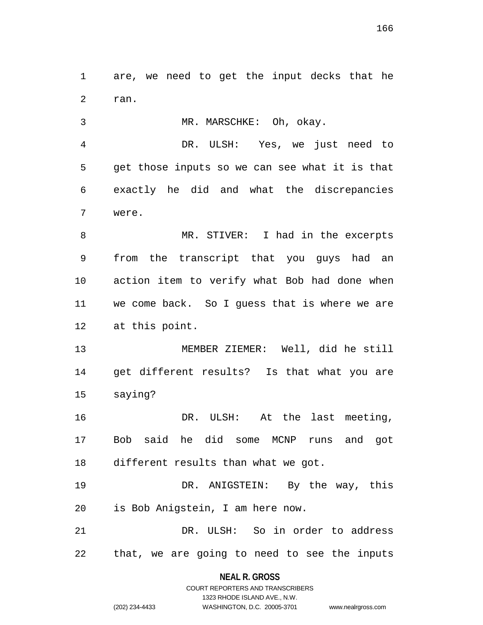are, we need to get the input decks that he ran.

MR. MARSCHKE: Oh, okay.

 DR. ULSH: Yes, we just need to get those inputs so we can see what it is that exactly he did and what the discrepancies were.

8 MR. STIVER: I had in the excerpts from the transcript that you guys had an action item to verify what Bob had done when we come back. So I guess that is where we are at this point.

 MEMBER ZIEMER: Well, did he still get different results? Is that what you are saying?

 DR. ULSH: At the last meeting, Bob said he did some MCNP runs and got different results than what we got.

 DR. ANIGSTEIN: By the way, this is Bob Anigstein, I am here now.

 DR. ULSH: So in order to address that, we are going to need to see the inputs

## **NEAL R. GROSS** COURT REPORTERS AND TRANSCRIBERS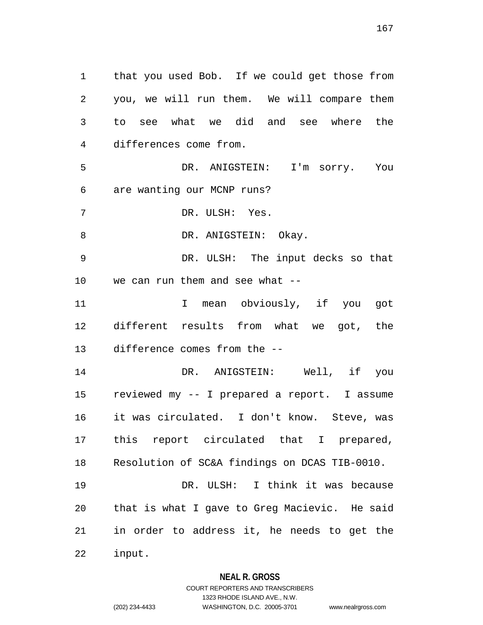that you used Bob. If we could get those from you, we will run them. We will compare them to see what we did and see where the differences come from. DR. ANIGSTEIN: I'm sorry. You are wanting our MCNP runs? DR. ULSH: Yes. 8 DR. ANIGSTEIN: Okay. DR. ULSH: The input decks so that we can run them and see what -- 11 1 I mean obviously, if you got different results from what we got, the difference comes from the -- DR. ANIGSTEIN: Well, if you reviewed my -- I prepared a report. I assume it was circulated. I don't know. Steve, was this report circulated that I prepared, Resolution of SC&A findings on DCAS TIB-0010. DR. ULSH: I think it was because that is what I gave to Greg Macievic. He said in order to address it, he needs to get the

input.

## **NEAL R. GROSS**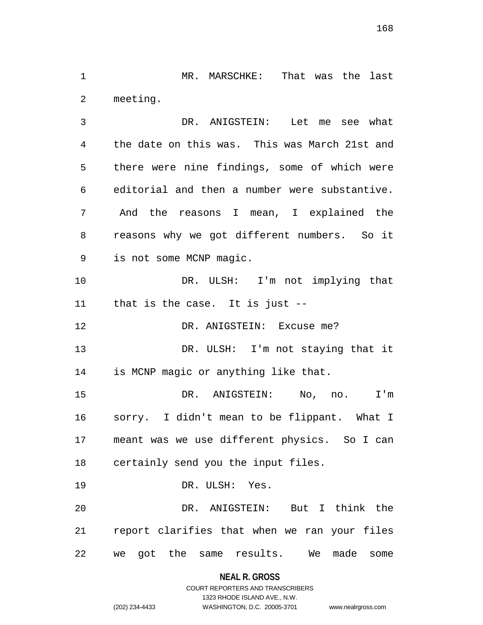MR. MARSCHKE: That was the last meeting.

 DR. ANIGSTEIN: Let me see what the date on this was. This was March 21st and there were nine findings, some of which were editorial and then a number were substantive. And the reasons I mean, I explained the reasons why we got different numbers. So it is not some MCNP magic. DR. ULSH: I'm not implying that that is the case. It is just -- 12 DR. ANIGSTEIN: Excuse me? DR. ULSH: I'm not staying that it is MCNP magic or anything like that. DR. ANIGSTEIN: No, no. I'm sorry. I didn't mean to be flippant. What I

 meant was we use different physics. So I can certainly send you the input files.

 DR. ULSH: Yes. DR. ANIGSTEIN: But I think the report clarifies that when we ran your files we got the same results. We made some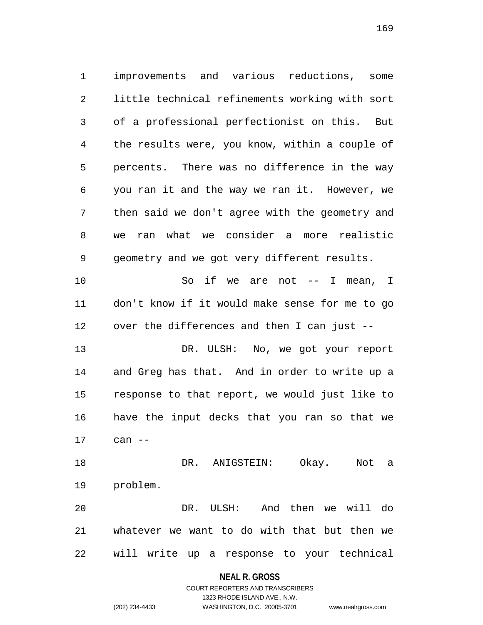improvements and various reductions, some little technical refinements working with sort of a professional perfectionist on this. But the results were, you know, within a couple of percents. There was no difference in the way you ran it and the way we ran it. However, we then said we don't agree with the geometry and we ran what we consider a more realistic geometry and we got very different results. 10 So if we are not -- I mean, I don't know if it would make sense for me to go over the differences and then I can just -- 13 DR. ULSH: No, we got your report and Greg has that. And in order to write up a response to that report, we would just like to have the input decks that you ran so that we can -- DR. ANIGSTEIN: Okay. Not a problem. DR. ULSH: And then we will do whatever we want to do with that but then we

will write up a response to your technical

#### **NEAL R. GROSS**

## COURT REPORTERS AND TRANSCRIBERS 1323 RHODE ISLAND AVE., N.W. (202) 234-4433 WASHINGTON, D.C. 20005-3701 www.nealrgross.com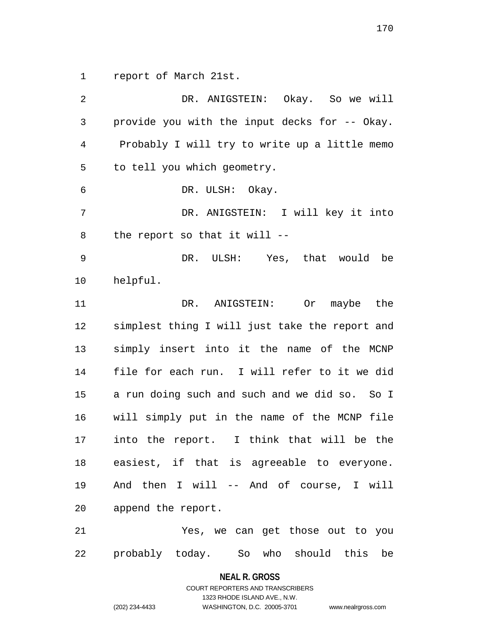report of March 21st.

 DR. ANIGSTEIN: Okay. So we will provide you with the input decks for -- Okay. Probably I will try to write up a little memo to tell you which geometry. DR. ULSH: Okay. DR. ANIGSTEIN: I will key it into the report so that it will -- DR. ULSH: Yes, that would be helpful. DR. ANIGSTEIN: Or maybe the simplest thing I will just take the report and simply insert into it the name of the MCNP file for each run. I will refer to it we did a run doing such and such and we did so. So I will simply put in the name of the MCNP file into the report. I think that will be the easiest, if that is agreeable to everyone. And then I will -- And of course, I will append the report. Yes, we can get those out to you probably today. So who should this be

**NEAL R. GROSS**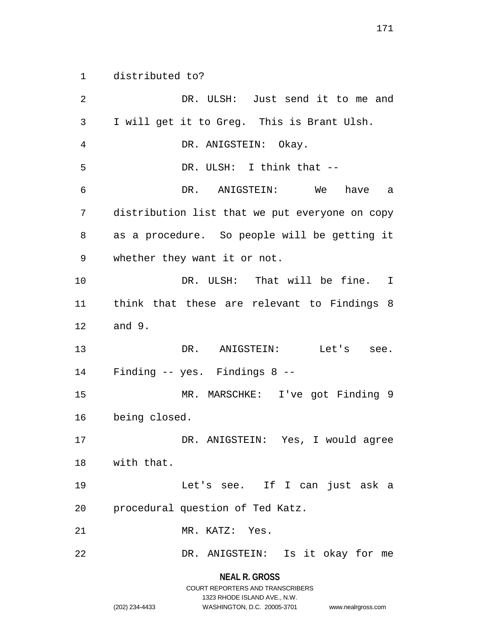distributed to?

 DR. ULSH: Just send it to me and I will get it to Greg. This is Brant Ulsh. DR. ANIGSTEIN: Okay. DR. ULSH: I think that -- DR. ANIGSTEIN: We have a distribution list that we put everyone on copy as a procedure. So people will be getting it whether they want it or not. DR. ULSH: That will be fine. I think that these are relevant to Findings 8 and 9. DR. ANIGSTEIN: Let's see. Finding -- yes. Findings 8 -- MR. MARSCHKE: I've got Finding 9 being closed. DR. ANIGSTEIN: Yes, I would agree with that. Let's see. If I can just ask a procedural question of Ted Katz. MR. KATZ: Yes. DR. ANIGSTEIN: Is it okay for me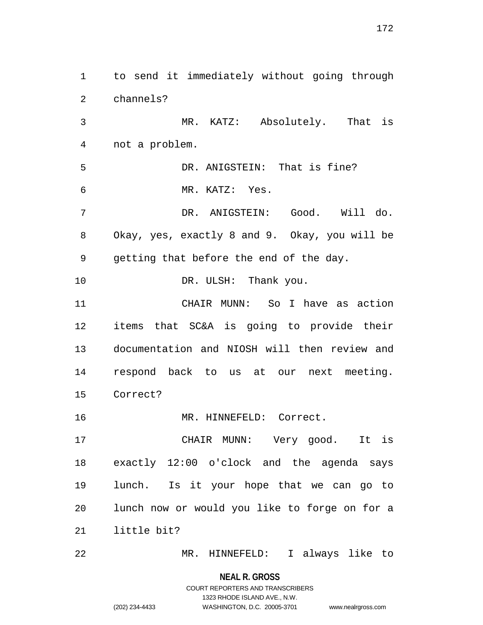to send it immediately without going through channels? MR. KATZ: Absolutely. That is not a problem. DR. ANIGSTEIN: That is fine? MR. KATZ: Yes. DR. ANIGSTEIN: Good. Will do. Okay, yes, exactly 8 and 9. Okay, you will be getting that before the end of the day. 10 DR. ULSH: Thank you. CHAIR MUNN: So I have as action items that SC&A is going to provide their documentation and NIOSH will then review and respond back to us at our next meeting. Correct? 16 MR. HINNEFELD: Correct. CHAIR MUNN: Very good. It is exactly 12:00 o'clock and the agenda says lunch. Is it your hope that we can go to lunch now or would you like to forge on for a little bit? MR. HINNEFELD: I always like to

# **NEAL R. GROSS**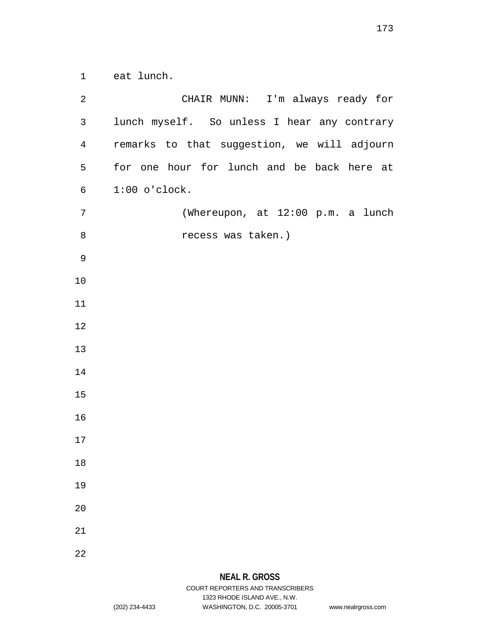eat lunch.

| $\overline{2}$ | CHAIR MUNN: I'm always ready for            |
|----------------|---------------------------------------------|
| $\mathbf{3}$   | lunch myself. So unless I hear any contrary |
| $\overline{4}$ | remarks to that suggestion, we will adjourn |
| 5              | for one hour for lunch and be back here at  |
| 6              | $1:00$ o'clock.                             |
| $\overline{7}$ | (Whereupon, at 12:00 p.m. a lunch           |
| $\,8\,$        | recess was taken.)                          |
| $\mathsf 9$    |                                             |
| 10             |                                             |
| 11             |                                             |
| 12             |                                             |
| 13             |                                             |
| 14             |                                             |
| 15             |                                             |
| 16             |                                             |
| 17             |                                             |
| 18             |                                             |
| 19             |                                             |
| 20             |                                             |
| 21             |                                             |
| 22             |                                             |

1323 RHODE ISLAND AVE., N.W.

(202) 234-4433 WASHINGTON, D.C. 20005-3701 www.nealrgross.com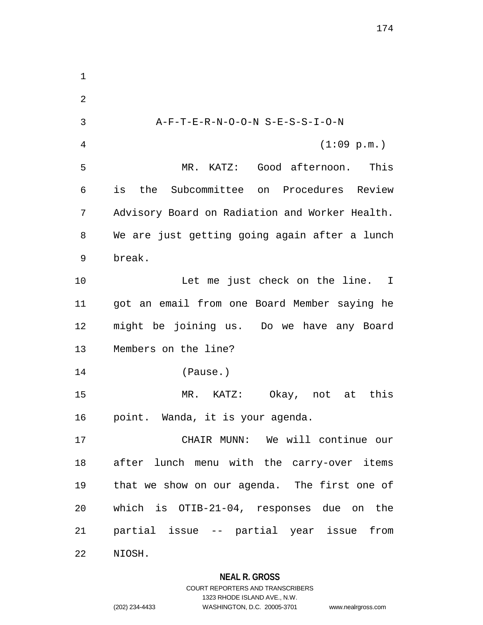A-F-T-E-R-N-O-O-N S-E-S-S-I-O-N (1:09 p.m.) MR. KATZ: Good afternoon. This is the Subcommittee on Procedures Review Advisory Board on Radiation and Worker Health. We are just getting going again after a lunch break. 10 Let me just check on the line. I got an email from one Board Member saying he might be joining us. Do we have any Board Members on the line? (Pause.) MR. KATZ: Okay, not at this point. Wanda, it is your agenda. CHAIR MUNN: We will continue our after lunch menu with the carry-over items that we show on our agenda. The first one of which is OTIB-21-04, responses due on the partial issue -- partial year issue from NIOSH.

# **NEAL R. GROSS**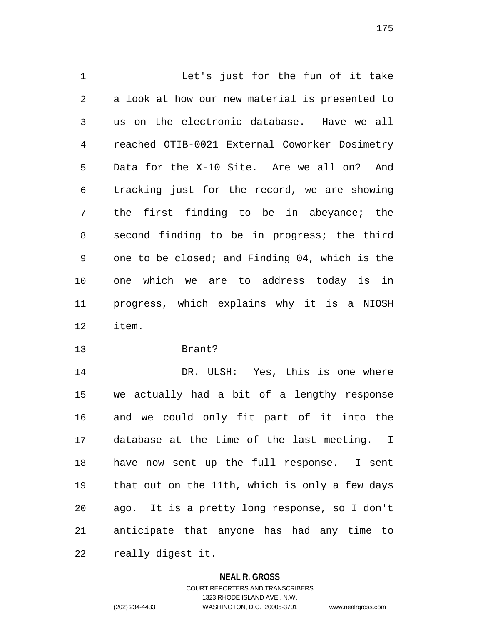Let's just for the fun of it take a look at how our new material is presented to us on the electronic database. Have we all reached OTIB-0021 External Coworker Dosimetry Data for the X-10 Site. Are we all on? And tracking just for the record, we are showing the first finding to be in abeyance; the second finding to be in progress; the third one to be closed; and Finding 04, which is the one which we are to address today is in progress, which explains why it is a NIOSH item.

Brant?

 DR. ULSH: Yes, this is one where we actually had a bit of a lengthy response and we could only fit part of it into the database at the time of the last meeting. I have now sent up the full response. I sent that out on the 11th, which is only a few days ago. It is a pretty long response, so I don't anticipate that anyone has had any time to really digest it.

## **NEAL R. GROSS**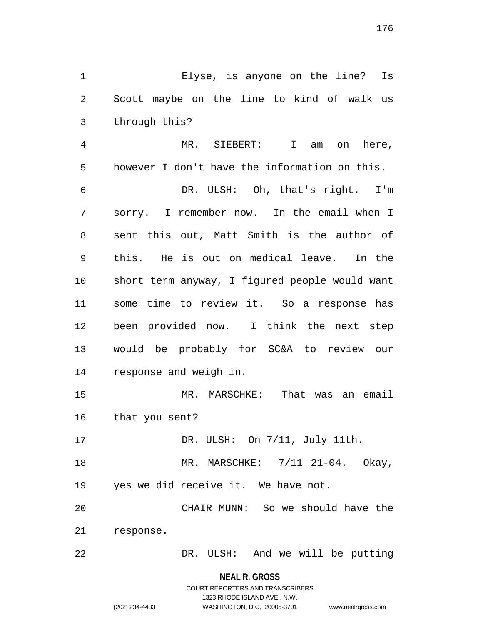Elyse, is anyone on the line? Is Scott maybe on the line to kind of walk us through this?

 MR. SIEBERT: I am on here, however I don't have the information on this.

 DR. ULSH: Oh, that's right. I'm sorry. I remember now. In the email when I sent this out, Matt Smith is the author of this. He is out on medical leave. In the short term anyway, I figured people would want some time to review it. So a response has been provided now. I think the next step would be probably for SC&A to review our response and weigh in.

 MR. MARSCHKE: That was an email that you sent?

17 DR. ULSH: On  $7/11$ , July 11th.

 MR. MARSCHKE: 7/11 21-04. Okay, yes we did receive it. We have not.

 CHAIR MUNN: So we should have the response.

DR. ULSH: And we will be putting

**NEAL R. GROSS**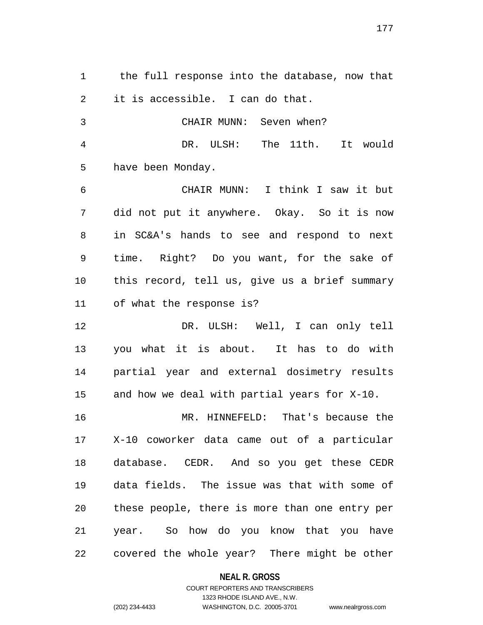the full response into the database, now that it is accessible. I can do that.

 CHAIR MUNN: Seven when? DR. ULSH: The 11th. It would have been Monday.

 CHAIR MUNN: I think I saw it but did not put it anywhere. Okay. So it is now in SC&A's hands to see and respond to next time. Right? Do you want, for the sake of this record, tell us, give us a brief summary of what the response is?

 DR. ULSH: Well, I can only tell you what it is about. It has to do with partial year and external dosimetry results and how we deal with partial years for X-10.

 MR. HINNEFELD: That's because the X-10 coworker data came out of a particular database. CEDR. And so you get these CEDR data fields. The issue was that with some of these people, there is more than one entry per year. So how do you know that you have covered the whole year? There might be other

## **NEAL R. GROSS**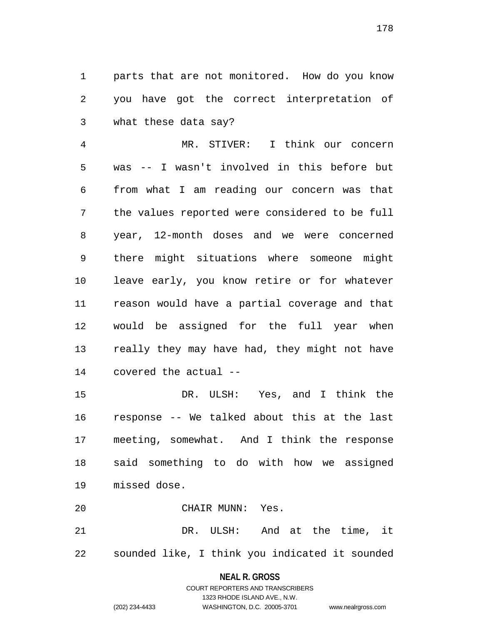parts that are not monitored. How do you know you have got the correct interpretation of what these data say?

 MR. STIVER: I think our concern was -- I wasn't involved in this before but from what I am reading our concern was that the values reported were considered to be full year, 12-month doses and we were concerned there might situations where someone might leave early, you know retire or for whatever reason would have a partial coverage and that would be assigned for the full year when really they may have had, they might not have covered the actual --

 DR. ULSH: Yes, and I think the response -- We talked about this at the last meeting, somewhat. And I think the response said something to do with how we assigned missed dose.

CHAIR MUNN: Yes.

 DR. ULSH: And at the time, it sounded like, I think you indicated it sounded

#### **NEAL R. GROSS**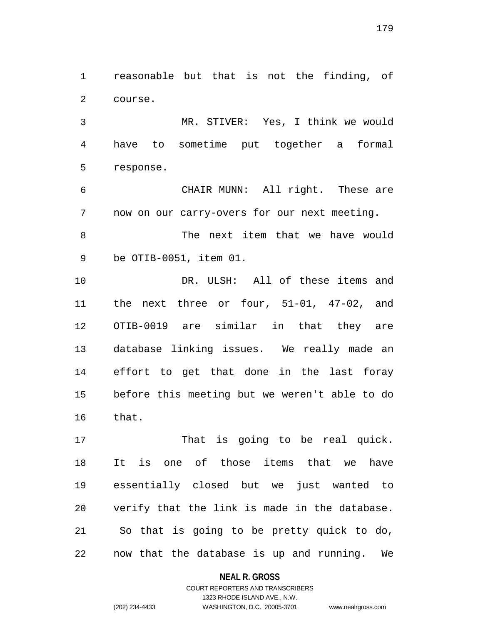reasonable but that is not the finding, of course.

 MR. STIVER: Yes, I think we would have to sometime put together a formal response.

 CHAIR MUNN: All right. These are now on our carry-overs for our next meeting.

 The next item that we have would be OTIB-0051, item 01.

 DR. ULSH: All of these items and the next three or four, 51-01, 47-02, and OTIB-0019 are similar in that they are database linking issues. We really made an effort to get that done in the last foray before this meeting but we weren't able to do that.

17 That is going to be real quick. It is one of those items that we have essentially closed but we just wanted to verify that the link is made in the database. So that is going to be pretty quick to do, now that the database is up and running. We

## **NEAL R. GROSS**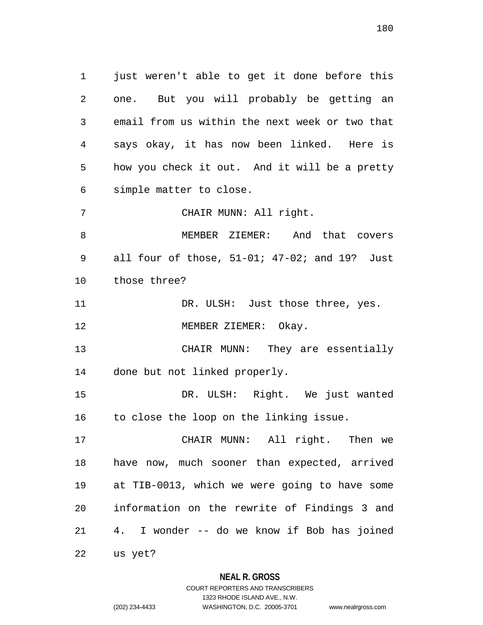just weren't able to get it done before this one. But you will probably be getting an email from us within the next week or two that says okay, it has now been linked. Here is how you check it out. And it will be a pretty simple matter to close.

CHAIR MUNN: All right.

 MEMBER ZIEMER: And that covers all four of those, 51-01; 47-02; and 19? Just those three?

11 DR. ULSH: Just those three, yes. 12 MEMBER ZIEMER: Okay.

 CHAIR MUNN: They are essentially done but not linked properly.

 DR. ULSH: Right. We just wanted to close the loop on the linking issue.

 CHAIR MUNN: All right. Then we have now, much sooner than expected, arrived at TIB-0013, which we were going to have some information on the rewrite of Findings 3 and 4. I wonder -- do we know if Bob has joined

us yet?

**NEAL R. GROSS**

# COURT REPORTERS AND TRANSCRIBERS 1323 RHODE ISLAND AVE., N.W. (202) 234-4433 WASHINGTON, D.C. 20005-3701 www.nealrgross.com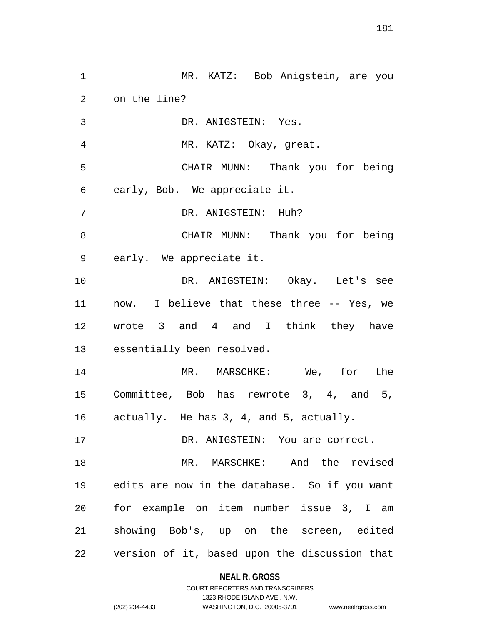MR. KATZ: Bob Anigstein, are you on the line? DR. ANIGSTEIN: Yes. MR. KATZ: Okay, great. CHAIR MUNN: Thank you for being early, Bob. We appreciate it. DR. ANIGSTEIN: Huh? CHAIR MUNN: Thank you for being early. We appreciate it. DR. ANIGSTEIN: Okay. Let's see now. I believe that these three -- Yes, we wrote 3 and 4 and I think they have essentially been resolved. MR. MARSCHKE: We, for the Committee, Bob has rewrote 3, 4, and 5, actually. He has 3, 4, and 5, actually. DR. ANIGSTEIN: You are correct. MR. MARSCHKE: And the revised edits are now in the database. So if you want for example on item number issue 3, I am showing Bob's, up on the screen, edited version of it, based upon the discussion that

### **NEAL R. GROSS**

## COURT REPORTERS AND TRANSCRIBERS 1323 RHODE ISLAND AVE., N.W. (202) 234-4433 WASHINGTON, D.C. 20005-3701 www.nealrgross.com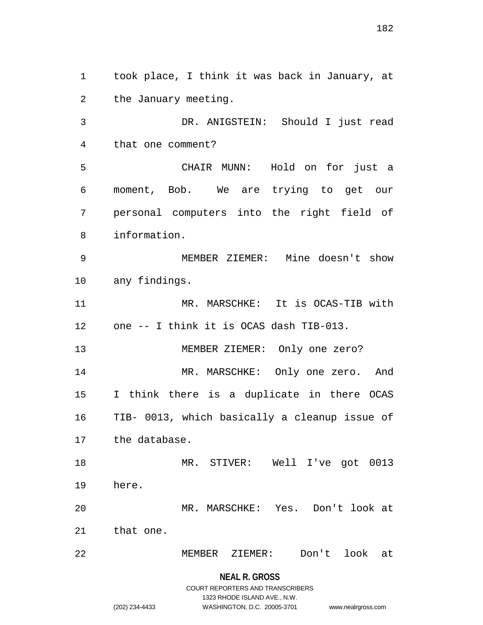took place, I think it was back in January, at the January meeting. DR. ANIGSTEIN: Should I just read that one comment? CHAIR MUNN: Hold on for just a moment, Bob. We are trying to get our personal computers into the right field of information. MEMBER ZIEMER: Mine doesn't show any findings. MR. MARSCHKE: It is OCAS-TIB with one -- I think it is OCAS dash TIB-013. MEMBER ZIEMER: Only one zero? MR. MARSCHKE: Only one zero. And I think there is a duplicate in there OCAS TIB- 0013, which basically a cleanup issue of the database. MR. STIVER: Well I've got 0013 here. MR. MARSCHKE: Yes. Don't look at that one. MEMBER ZIEMER: Don't look at

**NEAL R. GROSS**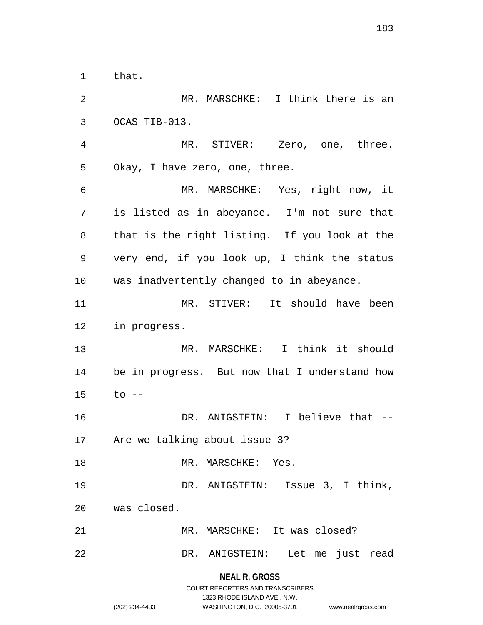that.

**NEAL R. GROSS** COURT REPORTERS AND TRANSCRIBERS MR. MARSCHKE: I think there is an OCAS TIB-013. MR. STIVER: Zero, one, three. Okay, I have zero, one, three. MR. MARSCHKE: Yes, right now, it is listed as in abeyance. I'm not sure that that is the right listing. If you look at the very end, if you look up, I think the status was inadvertently changed to in abeyance. MR. STIVER: It should have been in progress. MR. MARSCHKE: I think it should be in progress. But now that I understand how to -- DR. ANIGSTEIN: I believe that -- Are we talking about issue 3? 18 MR. MARSCHKE: Yes. DR. ANIGSTEIN: Issue 3, I think, was closed. MR. MARSCHKE: It was closed? DR. ANIGSTEIN: Let me just read

1323 RHODE ISLAND AVE., N.W.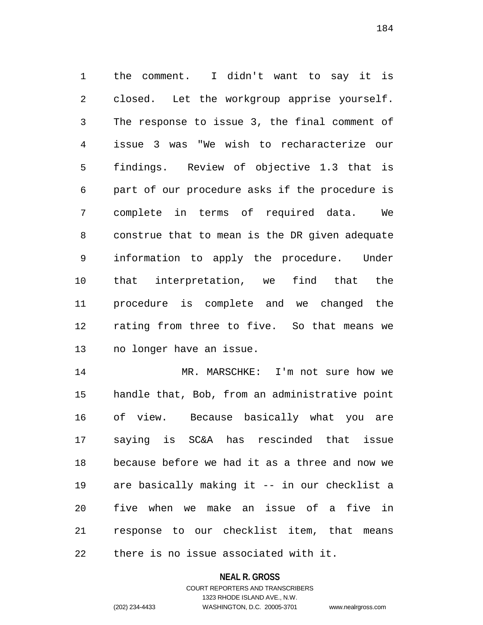the comment. I didn't want to say it is closed. Let the workgroup apprise yourself. The response to issue 3, the final comment of issue 3 was "We wish to recharacterize our findings. Review of objective 1.3 that is part of our procedure asks if the procedure is complete in terms of required data. We construe that to mean is the DR given adequate information to apply the procedure. Under that interpretation, we find that the procedure is complete and we changed the rating from three to five. So that means we no longer have an issue.

14 MR. MARSCHKE: I'm not sure how we handle that, Bob, from an administrative point of view. Because basically what you are saying is SC&A has rescinded that issue because before we had it as a three and now we are basically making it -- in our checklist a five when we make an issue of a five in response to our checklist item, that means there is no issue associated with it.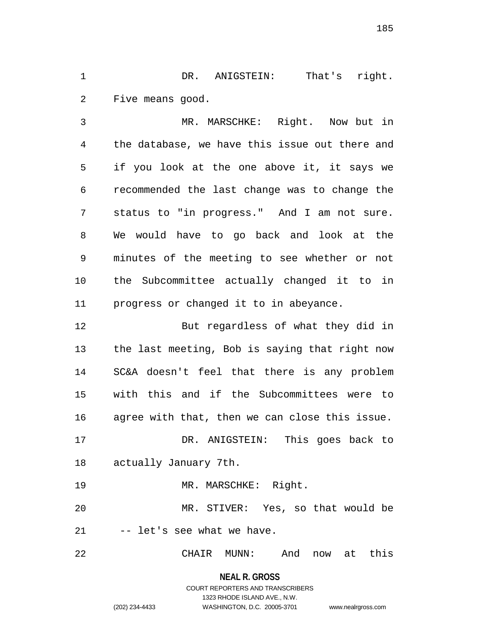DR. ANIGSTEIN: That's right. Five means good.

 MR. MARSCHKE: Right. Now but in the database, we have this issue out there and if you look at the one above it, it says we recommended the last change was to change the status to "in progress." And I am not sure. We would have to go back and look at the minutes of the meeting to see whether or not the Subcommittee actually changed it to in progress or changed it to in abeyance.

 But regardless of what they did in the last meeting, Bob is saying that right now SC&A doesn't feel that there is any problem with this and if the Subcommittees were to agree with that, then we can close this issue. DR. ANIGSTEIN: This goes back to

actually January 7th.

MR. MARSCHKE: Right.

 MR. STIVER: Yes, so that would be -- let's see what we have.

CHAIR MUNN: And now at this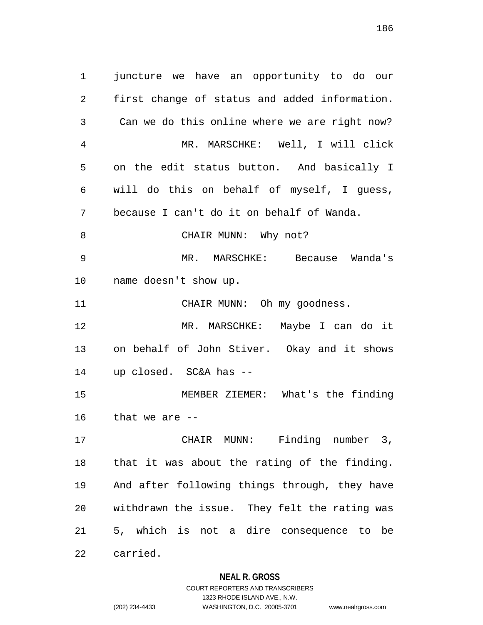juncture we have an opportunity to do our first change of status and added information. Can we do this online where we are right now? MR. MARSCHKE: Well, I will click on the edit status button. And basically I will do this on behalf of myself, I guess, because I can't do it on behalf of Wanda. 8 CHAIR MUNN: Why not? MR. MARSCHKE: Because Wanda's name doesn't show up. 11 CHAIR MUNN: Oh my goodness. MR. MARSCHKE: Maybe I can do it on behalf of John Stiver. Okay and it shows up closed. SC&A has -- MEMBER ZIEMER: What's the finding that we are -- CHAIR MUNN: Finding number 3, that it was about the rating of the finding. And after following things through, they have withdrawn the issue. They felt the rating was 5, which is not a dire consequence to be

carried.

### **NEAL R. GROSS**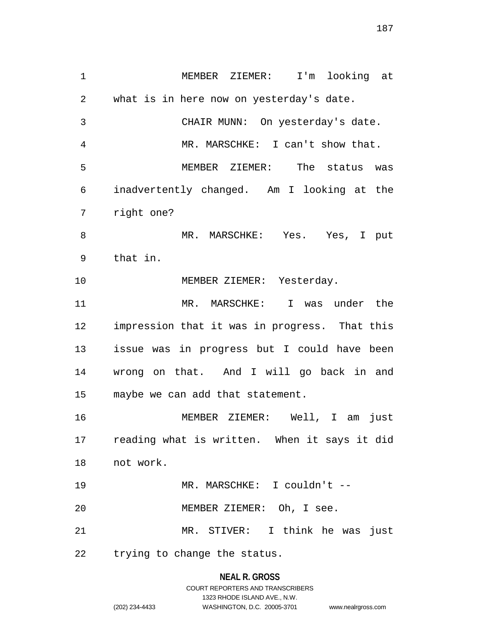MEMBER ZIEMER: I'm looking at what is in here now on yesterday's date. CHAIR MUNN: On yesterday's date. MR. MARSCHKE: I can't show that. MEMBER ZIEMER: The status was inadvertently changed. Am I looking at the right one? MR. MARSCHKE: Yes. Yes, I put that in. 10 MEMBER ZIEMER: Yesterday. MR. MARSCHKE: I was under the impression that it was in progress. That this issue was in progress but I could have been wrong on that. And I will go back in and maybe we can add that statement. MEMBER ZIEMER: Well, I am just reading what is written. When it says it did not work. MR. MARSCHKE: I couldn't -- MEMBER ZIEMER: Oh, I see. MR. STIVER: I think he was just trying to change the status.

#### **NEAL R. GROSS**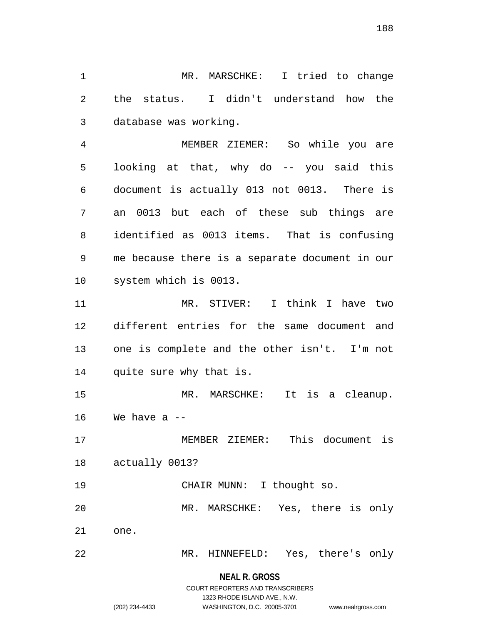MR. MARSCHKE: I tried to change the status. I didn't understand how the database was working.

 MEMBER ZIEMER: So while you are looking at that, why do -- you said this document is actually 013 not 0013. There is an 0013 but each of these sub things are identified as 0013 items. That is confusing me because there is a separate document in our system which is 0013.

 MR. STIVER: I think I have two different entries for the same document and one is complete and the other isn't. I'm not quite sure why that is.

 MR. MARSCHKE: It is a cleanup. We have a  $-$ 

 MEMBER ZIEMER: This document is actually 0013?

 CHAIR MUNN: I thought so. MR. MARSCHKE: Yes, there is only one.

MR. HINNEFELD: Yes, there's only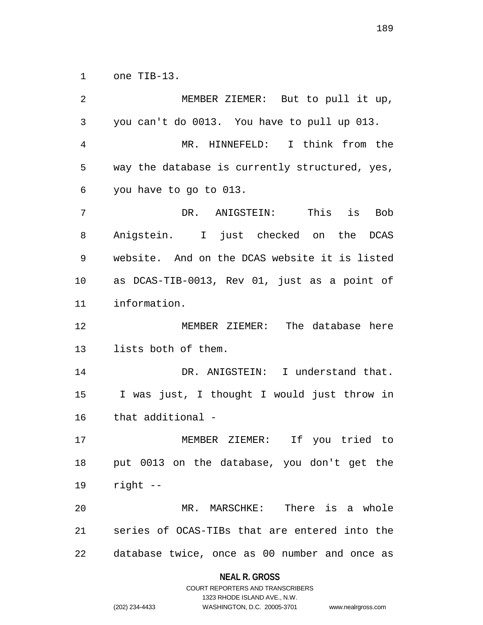one TIB-13.

 MEMBER ZIEMER: But to pull it up, you can't do 0013. You have to pull up 013. MR. HINNEFELD: I think from the way the database is currently structured, yes, you have to go to 013. DR. ANIGSTEIN: This is Bob Anigstein. I just checked on the DCAS website. And on the DCAS website it is listed as DCAS-TIB-0013, Rev 01, just as a point of information. MEMBER ZIEMER: The database here lists both of them. DR. ANIGSTEIN: I understand that. I was just, I thought I would just throw in that additional - MEMBER ZIEMER: If you tried to put 0013 on the database, you don't get the right -- MR. MARSCHKE: There is a whole series of OCAS-TIBs that are entered into the database twice, once as 00 number and once as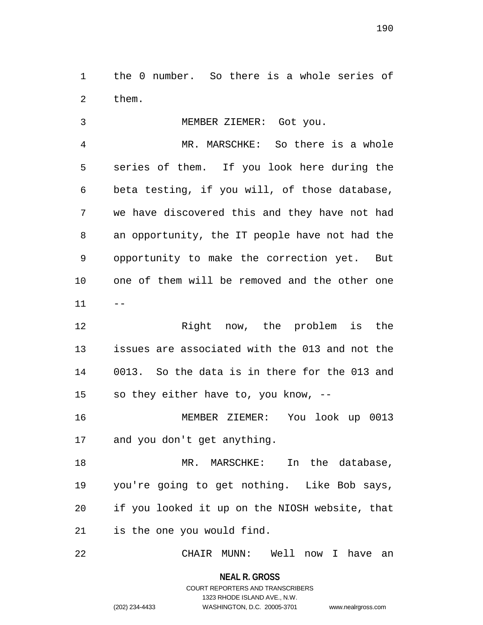the 0 number. So there is a whole series of them.

 MEMBER ZIEMER: Got you. MR. MARSCHKE: So there is a whole series of them. If you look here during the beta testing, if you will, of those database, we have discovered this and they have not had an opportunity, the IT people have not had the opportunity to make the correction yet. But one of them will be removed and the other one  $11 - -$ Right now, the problem is the

 issues are associated with the 013 and not the 0013. So the data is in there for the 013 and so they either have to, you know, --

 MEMBER ZIEMER: You look up 0013 and you don't get anything.

18 MR. MARSCHKE: In the database, you're going to get nothing. Like Bob says, if you looked it up on the NIOSH website, that is the one you would find.

CHAIR MUNN: Well now I have an

**NEAL R. GROSS** COURT REPORTERS AND TRANSCRIBERS

1323 RHODE ISLAND AVE., N.W.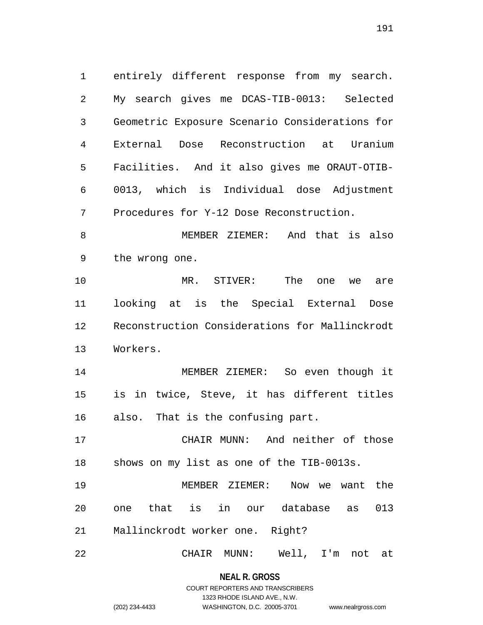entirely different response from my search. My search gives me DCAS-TIB-0013: Selected Geometric Exposure Scenario Considerations for External Dose Reconstruction at Uranium Facilities. And it also gives me ORAUT-OTIB- 0013, which is Individual dose Adjustment Procedures for Y-12 Dose Reconstruction.

 MEMBER ZIEMER: And that is also the wrong one.

 MR. STIVER: The one we are looking at is the Special External Dose Reconstruction Considerations for Mallinckrodt Workers.

 MEMBER ZIEMER: So even though it is in twice, Steve, it has different titles also. That is the confusing part.

 CHAIR MUNN: And neither of those shows on my list as one of the TIB-0013s.

 MEMBER ZIEMER: Now we want the one that is in our database as 013 Mallinckrodt worker one. Right?

CHAIR MUNN: Well, I'm not at

**NEAL R. GROSS** COURT REPORTERS AND TRANSCRIBERS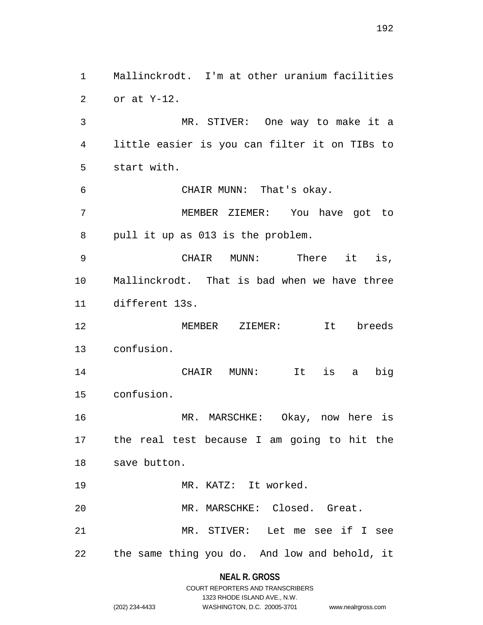Mallinckrodt. I'm at other uranium facilities or at Y-12. MR. STIVER: One way to make it a little easier is you can filter it on TIBs to start with. CHAIR MUNN: That's okay. MEMBER ZIEMER: You have got to pull it up as 013 is the problem. CHAIR MUNN: There it is, Mallinckrodt. That is bad when we have three different 13s. MEMBER ZIEMER: It breeds confusion. CHAIR MUNN: It is a big confusion. MR. MARSCHKE: Okay, now here is the real test because I am going to hit the save button. MR. KATZ: It worked. MR. MARSCHKE: Closed. Great. MR. STIVER: Let me see if I see the same thing you do. And low and behold, it

**NEAL R. GROSS**

|                | COURT REPORTERS AND TRANSCRIBERS |                    |
|----------------|----------------------------------|--------------------|
|                | 1323 RHODE ISLAND AVE N.W.       |                    |
| (202) 234-4433 | WASHINGTON, D.C. 20005-3701      | www.nealrgross.com |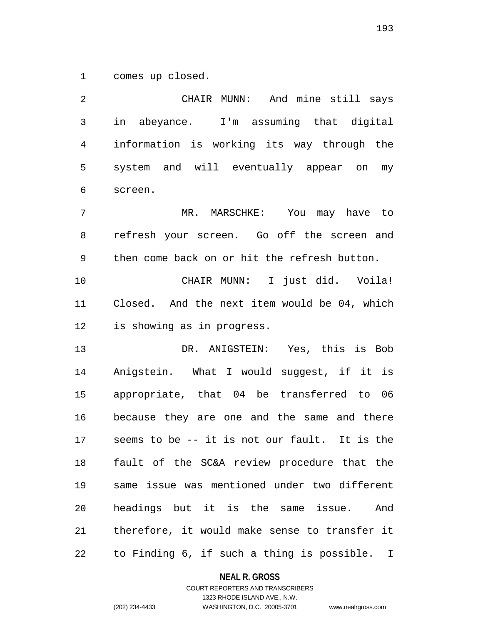comes up closed.

 CHAIR MUNN: And mine still says in abeyance. I'm assuming that digital information is working its way through the system and will eventually appear on my screen. MR. MARSCHKE: You may have to refresh your screen. Go off the screen and then come back on or hit the refresh button. CHAIR MUNN: I just did. Voila! Closed. And the next item would be 04, which is showing as in progress. DR. ANIGSTEIN: Yes, this is Bob Anigstein. What I would suggest, if it is appropriate, that 04 be transferred to 06 because they are one and the same and there seems to be -- it is not our fault. It is the fault of the SC&A review procedure that the same issue was mentioned under two different headings but it is the same issue. And therefore, it would make sense to transfer it to Finding 6, if such a thing is possible. I

**NEAL R. GROSS**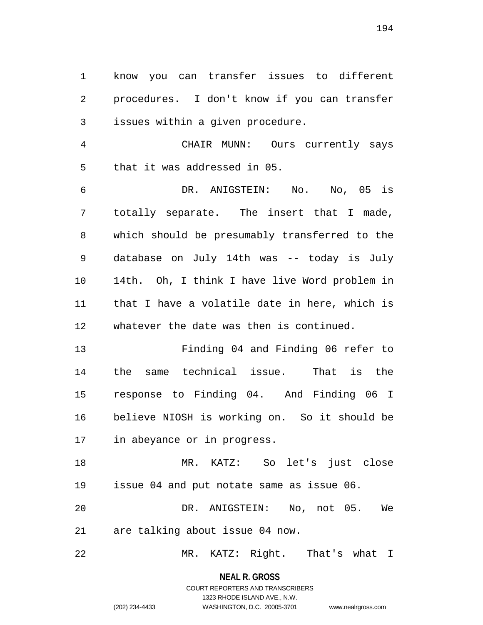know you can transfer issues to different procedures. I don't know if you can transfer issues within a given procedure.

 CHAIR MUNN: Ours currently says that it was addressed in 05.

 DR. ANIGSTEIN: No. No, 05 is totally separate. The insert that I made, which should be presumably transferred to the database on July 14th was -- today is July 14th. Oh, I think I have live Word problem in that I have a volatile date in here, which is whatever the date was then is continued.

 Finding 04 and Finding 06 refer to the same technical issue. That is the response to Finding 04. And Finding 06 I believe NIOSH is working on. So it should be in abeyance or in progress.

 MR. KATZ: So let's just close issue 04 and put notate same as issue 06.

 DR. ANIGSTEIN: No, not 05. We are talking about issue 04 now.

MR. KATZ: Right. That's what I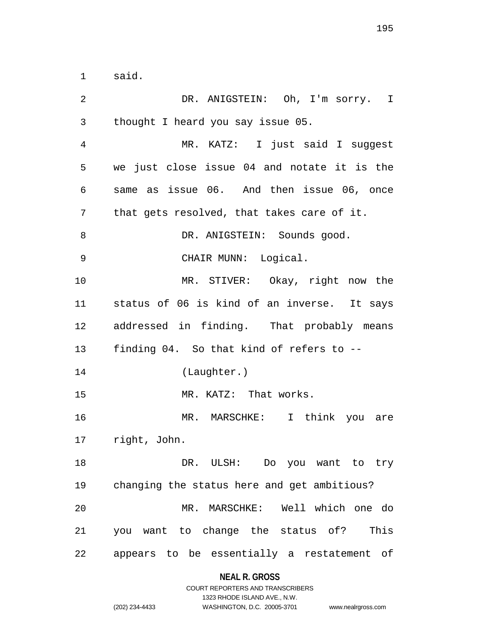said.

 DR. ANIGSTEIN: Oh, I'm sorry. I thought I heard you say issue 05. MR. KATZ: I just said I suggest we just close issue 04 and notate it is the same as issue 06. And then issue 06, once that gets resolved, that takes care of it. 8 DR. ANIGSTEIN: Sounds good. CHAIR MUNN: Logical. MR. STIVER: Okay, right now the status of 06 is kind of an inverse. It says addressed in finding. That probably means finding 04. So that kind of refers to -- (Laughter.) 15 MR. KATZ: That works. MR. MARSCHKE: I think you are right, John. 18 DR. ULSH: Do you want to try changing the status here and get ambitious? MR. MARSCHKE: Well which one do you want to change the status of? This appears to be essentially a restatement of

### **NEAL R. GROSS**

# COURT REPORTERS AND TRANSCRIBERS 1323 RHODE ISLAND AVE., N.W. (202) 234-4433 WASHINGTON, D.C. 20005-3701 www.nealrgross.com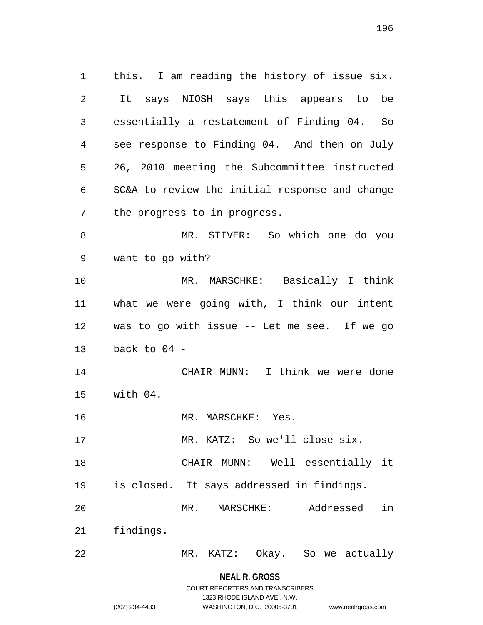this. I am reading the history of issue six. It says NIOSH says this appears to be essentially a restatement of Finding 04. So see response to Finding 04. And then on July 26, 2010 meeting the Subcommittee instructed SC&A to review the initial response and change the progress to in progress. MR. STIVER: So which one do you want to go with? MR. MARSCHKE: Basically I think what we were going with, I think our intent was to go with issue -- Let me see. If we go back to 04 - CHAIR MUNN: I think we were done with 04. MR. MARSCHKE: Yes. MR. KATZ: So we'll close six. CHAIR MUNN: Well essentially it is closed. It says addressed in findings. MR. MARSCHKE: Addressed in findings. MR. KATZ: Okay. So we actually

> **NEAL R. GROSS** COURT REPORTERS AND TRANSCRIBERS

> > 1323 RHODE ISLAND AVE., N.W.

(202) 234-4433 WASHINGTON, D.C. 20005-3701 www.nealrgross.com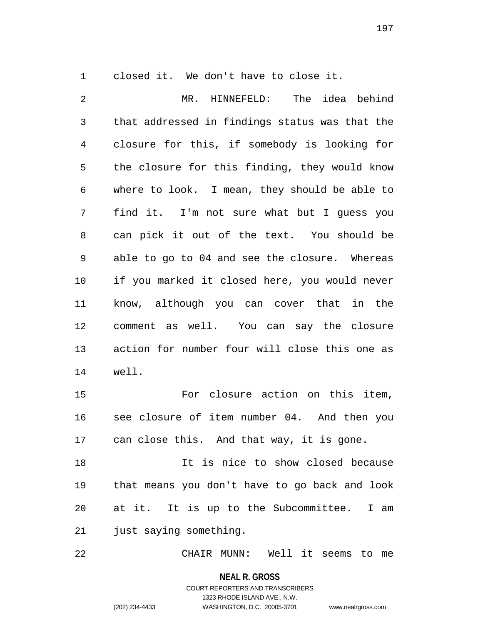closed it. We don't have to close it.

 MR. HINNEFELD: The idea behind that addressed in findings status was that the closure for this, if somebody is looking for the closure for this finding, they would know where to look. I mean, they should be able to find it. I'm not sure what but I guess you can pick it out of the text. You should be able to go to 04 and see the closure. Whereas if you marked it closed here, you would never know, although you can cover that in the comment as well. You can say the closure action for number four will close this one as well. For closure action on this item, see closure of item number 04. And then you can close this. And that way, it is gone.

 It is nice to show closed because that means you don't have to go back and look at it. It is up to the Subcommittee. I am just saying something.

CHAIR MUNN: Well it seems to me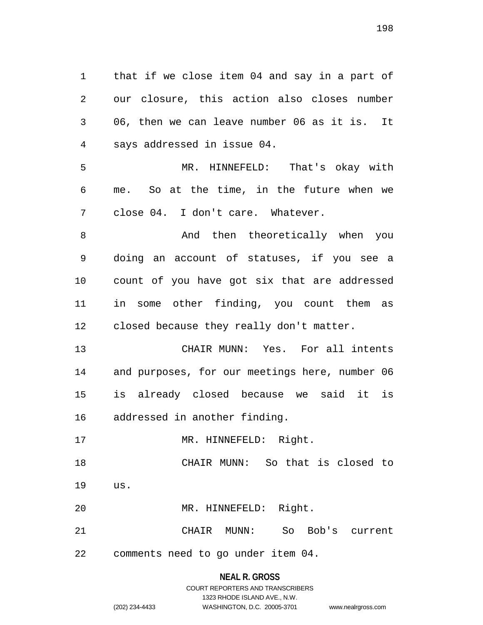that if we close item 04 and say in a part of our closure, this action also closes number 06, then we can leave number 06 as it is. It says addressed in issue 04. MR. HINNEFELD: That's okay with me. So at the time, in the future when we close 04. I don't care. Whatever. 8 And then theoretically when you doing an account of statuses, if you see a count of you have got six that are addressed in some other finding, you count them as closed because they really don't matter. CHAIR MUNN: Yes. For all intents and purposes, for our meetings here, number 06 is already closed because we said it is addressed in another finding. 17 MR. HINNEFELD: Right. CHAIR MUNN: So that is closed to us. MR. HINNEFELD: Right. CHAIR MUNN: So Bob's current comments need to go under item 04.

> **NEAL R. GROSS** COURT REPORTERS AND TRANSCRIBERS 1323 RHODE ISLAND AVE., N.W. (202) 234-4433 WASHINGTON, D.C. 20005-3701 www.nealrgross.com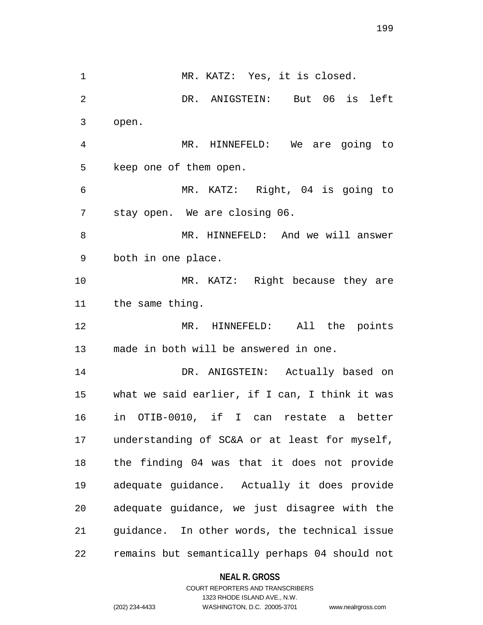1 MR. KATZ: Yes, it is closed. DR. ANIGSTEIN: But 06 is left open. MR. HINNEFELD: We are going to keep one of them open. MR. KATZ: Right, 04 is going to stay open. We are closing 06. MR. HINNEFELD: And we will answer both in one place. 10 MR. KATZ: Right because they are the same thing. MR. HINNEFELD: All the points made in both will be answered in one. DR. ANIGSTEIN: Actually based on what we said earlier, if I can, I think it was in OTIB-0010, if I can restate a better understanding of SC&A or at least for myself, the finding 04 was that it does not provide adequate guidance. Actually it does provide adequate guidance, we just disagree with the guidance. In other words, the technical issue remains but semantically perhaps 04 should not

**NEAL R. GROSS**

COURT REPORTERS AND TRANSCRIBERS 1323 RHODE ISLAND AVE., N.W. (202) 234-4433 WASHINGTON, D.C. 20005-3701 www.nealrgross.com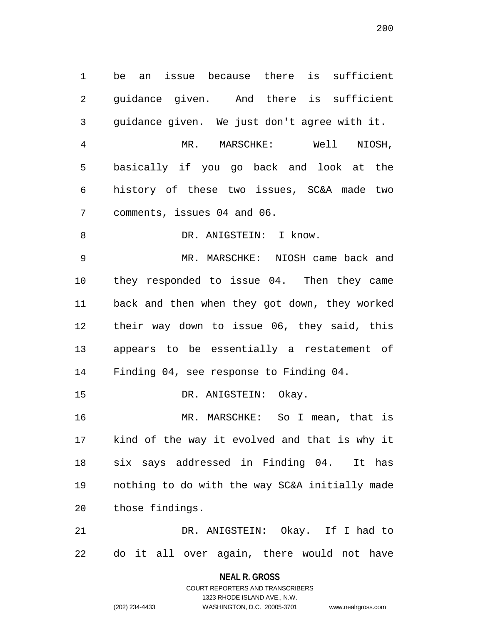be an issue because there is sufficient guidance given. And there is sufficient guidance given. We just don't agree with it. MR. MARSCHKE: Well NIOSH, basically if you go back and look at the history of these two issues, SC&A made two comments, issues 04 and 06. 8 DR. ANIGSTEIN: I know. MR. MARSCHKE: NIOSH came back and they responded to issue 04. Then they came back and then when they got down, they worked their way down to issue 06, they said, this appears to be essentially a restatement of Finding 04, see response to Finding 04. DR. ANIGSTEIN: Okay. MR. MARSCHKE: So I mean, that is kind of the way it evolved and that is why it six says addressed in Finding 04. It has nothing to do with the way SC&A initially made those findings. DR. ANIGSTEIN: Okay. If I had to do it all over again, there would not have

> **NEAL R. GROSS** COURT REPORTERS AND TRANSCRIBERS

> > 1323 RHODE ISLAND AVE., N.W.

(202) 234-4433 WASHINGTON, D.C. 20005-3701 www.nealrgross.com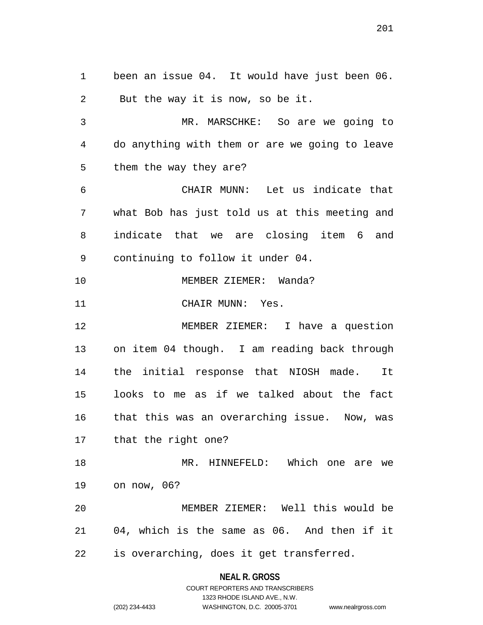been an issue 04. It would have just been 06. But the way it is now, so be it.

 MR. MARSCHKE: So are we going to do anything with them or are we going to leave them the way they are?

 CHAIR MUNN: Let us indicate that what Bob has just told us at this meeting and indicate that we are closing item 6 and continuing to follow it under 04.

MEMBER ZIEMER: Wanda?

11 CHAIR MUNN: Yes.

 MEMBER ZIEMER: I have a question on item 04 though. I am reading back through the initial response that NIOSH made. It looks to me as if we talked about the fact that this was an overarching issue. Now, was that the right one?

 MR. HINNEFELD: Which one are we on now, 06?

 MEMBER ZIEMER: Well this would be 04, which is the same as 06. And then if it is overarching, does it get transferred.

> **NEAL R. GROSS** COURT REPORTERS AND TRANSCRIBERS

> > 1323 RHODE ISLAND AVE., N.W.

(202) 234-4433 WASHINGTON, D.C. 20005-3701 www.nealrgross.com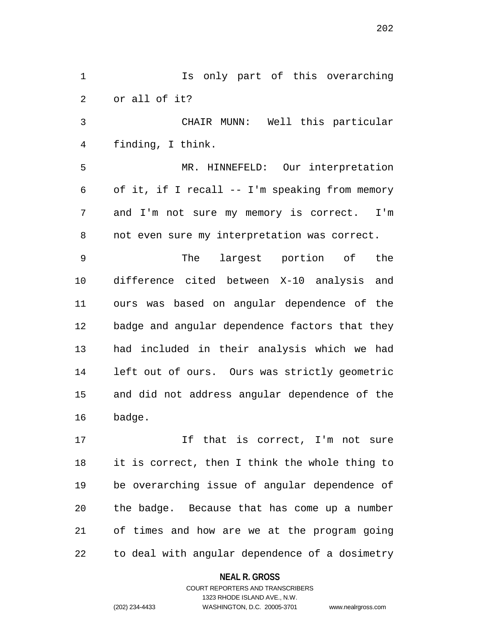Is only part of this overarching or all of it? CHAIR MUNN: Well this particular finding, I think. MR. HINNEFELD: Our interpretation of it, if I recall -- I'm speaking from memory and I'm not sure my memory is correct. I'm not even sure my interpretation was correct. The largest portion of the difference cited between X-10 analysis and ours was based on angular dependence of the badge and angular dependence factors that they had included in their analysis which we had left out of ours. Ours was strictly geometric and did not address angular dependence of the badge. 17 17 If that is correct, I'm not sure

 it is correct, then I think the whole thing to be overarching issue of angular dependence of the badge. Because that has come up a number of times and how are we at the program going to deal with angular dependence of a dosimetry

**NEAL R. GROSS**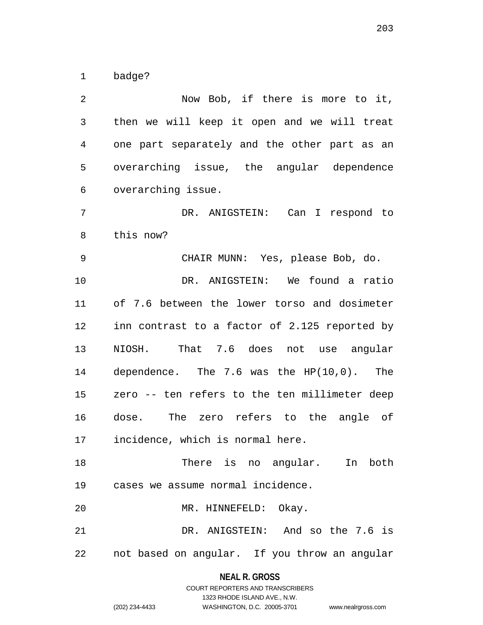badge?

 Now Bob, if there is more to it, then we will keep it open and we will treat one part separately and the other part as an overarching issue, the angular dependence overarching issue. DR. ANIGSTEIN: Can I respond to this now? CHAIR MUNN: Yes, please Bob, do. DR. ANIGSTEIN: We found a ratio of 7.6 between the lower torso and dosimeter inn contrast to a factor of 2.125 reported by NIOSH. That 7.6 does not use angular dependence. The 7.6 was the HP(10,0). The zero -- ten refers to the ten millimeter deep dose. The zero refers to the angle of incidence, which is normal here. There is no angular. In both cases we assume normal incidence. MR. HINNEFELD: Okay. DR. ANIGSTEIN: And so the 7.6 is not based on angular. If you throw an angular

> **NEAL R. GROSS** COURT REPORTERS AND TRANSCRIBERS

> > 1323 RHODE ISLAND AVE., N.W.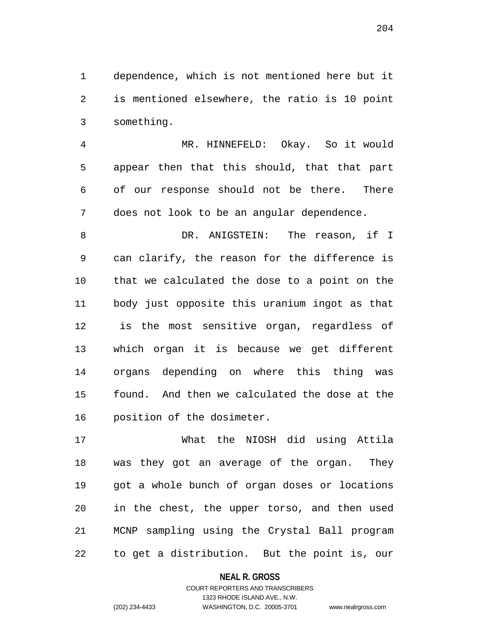dependence, which is not mentioned here but it is mentioned elsewhere, the ratio is 10 point something.

 MR. HINNEFELD: Okay. So it would appear then that this should, that that part of our response should not be there. There does not look to be an angular dependence.

 DR. ANIGSTEIN: The reason, if I can clarify, the reason for the difference is that we calculated the dose to a point on the body just opposite this uranium ingot as that is the most sensitive organ, regardless of which organ it is because we get different organs depending on where this thing was found. And then we calculated the dose at the position of the dosimeter.

 What the NIOSH did using Attila was they got an average of the organ. They got a whole bunch of organ doses or locations in the chest, the upper torso, and then used MCNP sampling using the Crystal Ball program to get a distribution. But the point is, our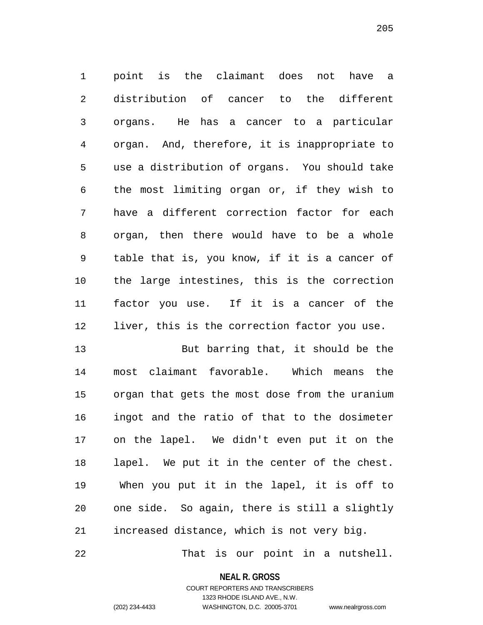point is the claimant does not have a distribution of cancer to the different organs. He has a cancer to a particular organ. And, therefore, it is inappropriate to use a distribution of organs. You should take the most limiting organ or, if they wish to have a different correction factor for each organ, then there would have to be a whole table that is, you know, if it is a cancer of the large intestines, this is the correction factor you use. If it is a cancer of the liver, this is the correction factor you use.

 But barring that, it should be the most claimant favorable. Which means the organ that gets the most dose from the uranium ingot and the ratio of that to the dosimeter on the lapel. We didn't even put it on the lapel. We put it in the center of the chest. When you put it in the lapel, it is off to one side. So again, there is still a slightly increased distance, which is not very big.

That is our point in a nutshell.

**NEAL R. GROSS** COURT REPORTERS AND TRANSCRIBERS

1323 RHODE ISLAND AVE., N.W.

(202) 234-4433 WASHINGTON, D.C. 20005-3701 www.nealrgross.com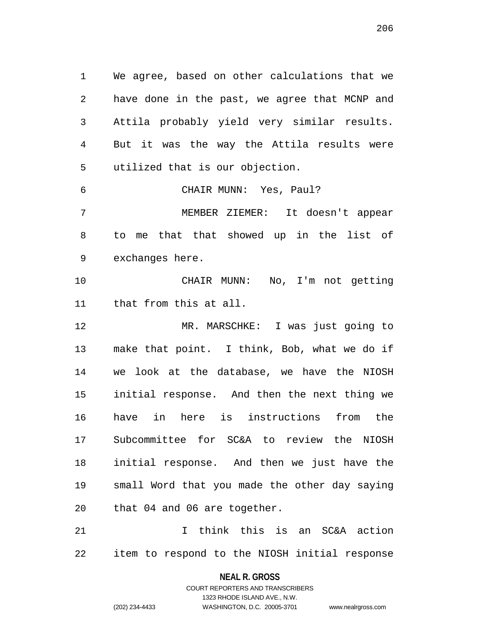We agree, based on other calculations that we have done in the past, we agree that MCNP and Attila probably yield very similar results. But it was the way the Attila results were utilized that is our objection. CHAIR MUNN: Yes, Paul? MEMBER ZIEMER: It doesn't appear to me that that showed up in the list of exchanges here. CHAIR MUNN: No, I'm not getting that from this at all. MR. MARSCHKE: I was just going to make that point. I think, Bob, what we do if we look at the database, we have the NIOSH initial response. And then the next thing we have in here is instructions from the Subcommittee for SC&A to review the NIOSH initial response. And then we just have the small Word that you made the other day saying that 04 and 06 are together.

 I think this is an SC&A action item to respond to the NIOSH initial response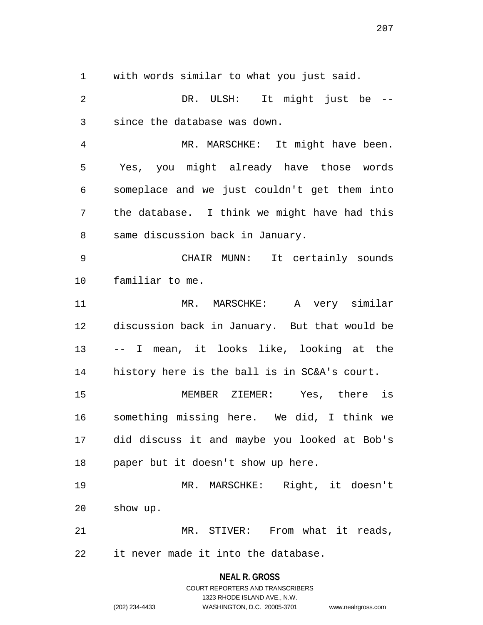with words similar to what you just said.

 DR. ULSH: It might just be -- since the database was down.

 MR. MARSCHKE: It might have been. Yes, you might already have those words someplace and we just couldn't get them into the database. I think we might have had this same discussion back in January.

 CHAIR MUNN: It certainly sounds familiar to me.

 MR. MARSCHKE: A very similar discussion back in January. But that would be -- I mean, it looks like, looking at the history here is the ball is in SC&A's court.

 MEMBER ZIEMER: Yes, there is something missing here. We did, I think we did discuss it and maybe you looked at Bob's paper but it doesn't show up here.

 MR. MARSCHKE: Right, it doesn't show up.

 MR. STIVER: From what it reads, it never made it into the database.

> **NEAL R. GROSS** COURT REPORTERS AND TRANSCRIBERS

> > 1323 RHODE ISLAND AVE., N.W.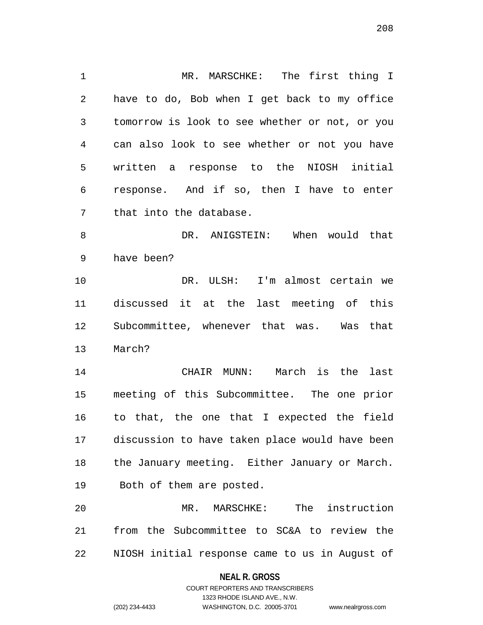MR. MARSCHKE: The first thing I have to do, Bob when I get back to my office tomorrow is look to see whether or not, or you can also look to see whether or not you have written a response to the NIOSH initial response. And if so, then I have to enter that into the database. 8 DR. ANIGSTEIN: When would that have been?

 DR. ULSH: I'm almost certain we discussed it at the last meeting of this Subcommittee, whenever that was. Was that March?

 CHAIR MUNN: March is the last meeting of this Subcommittee. The one prior to that, the one that I expected the field discussion to have taken place would have been the January meeting. Either January or March. Both of them are posted.

 MR. MARSCHKE: The instruction from the Subcommittee to SC&A to review the NIOSH initial response came to us in August of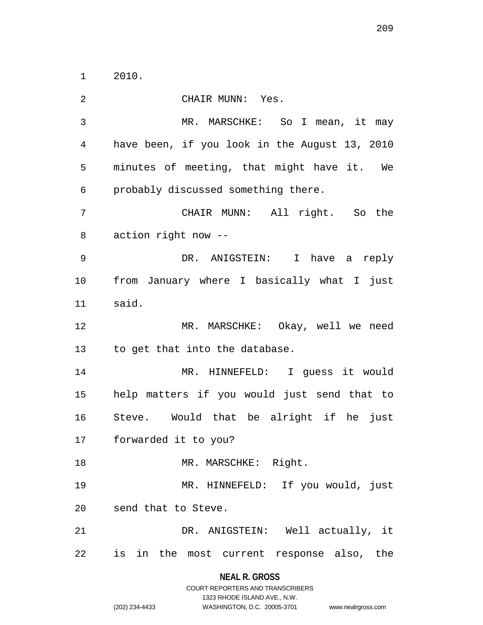2010.

 CHAIR MUNN: Yes. MR. MARSCHKE: So I mean, it may have been, if you look in the August 13, 2010 minutes of meeting, that might have it. We probably discussed something there. CHAIR MUNN: All right. So the action right now -- DR. ANIGSTEIN: I have a reply from January where I basically what I just said. MR. MARSCHKE: Okay, well we need to get that into the database. MR. HINNEFELD: I guess it would help matters if you would just send that to Steve. Would that be alright if he just forwarded it to you? 18 MR. MARSCHKE: Right. MR. HINNEFELD: If you would, just send that to Steve. DR. ANIGSTEIN: Well actually, it is in the most current response also, the

#### **NEAL R. GROSS**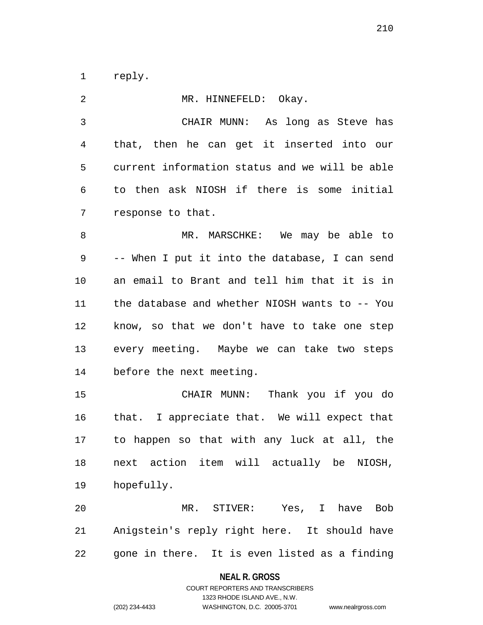reply.

| $\overline{2}$ | MR. HINNEFELD: Okay.                           |
|----------------|------------------------------------------------|
| $\mathfrak{Z}$ | CHAIR MUNN: As long as Steve has               |
| 4              | that, then he can get it inserted into our     |
| 5              | current information status and we will be able |
| 6              | to then ask NIOSH if there is some initial     |
| 7              | response to that.                              |
| 8              | MR. MARSCHKE: We may be able to                |
| 9              | -- When I put it into the database, I can send |
| 10             | an email to Brant and tell him that it is in   |
| 11             | the database and whether NIOSH wants to -- You |
| 12             | know, so that we don't have to take one step   |
| 13             | every meeting. Maybe we can take two steps     |
| 14             | before the next meeting.                       |
| 15             | CHAIR MUNN: Thank you if you do                |
| 16             | that. I appreciate that. We will expect that   |
| 17             | to happen so that with any luck at all, the    |
| 18             | next action item will actually be NIOSH,       |
| 19             | hopefully.                                     |
| 20             | MR. STIVER: Yes, I have Bob                    |
| 21             | Anigstein's reply right here. It should have   |
| 22             | gone in there. It is even listed as a finding  |

**NEAL R. GROSS**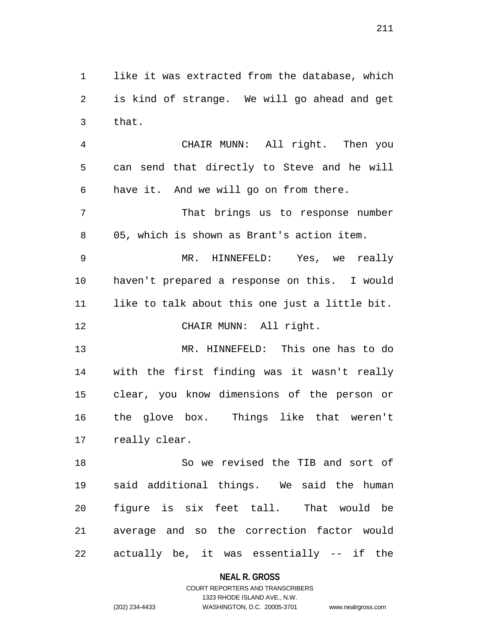like it was extracted from the database, which is kind of strange. We will go ahead and get that.

 CHAIR MUNN: All right. Then you can send that directly to Steve and he will have it. And we will go on from there.

 That brings us to response number 05, which is shown as Brant's action item.

 MR. HINNEFELD: Yes, we really haven't prepared a response on this. I would like to talk about this one just a little bit.

CHAIR MUNN: All right.

 MR. HINNEFELD: This one has to do with the first finding was it wasn't really clear, you know dimensions of the person or the glove box. Things like that weren't really clear.

 So we revised the TIB and sort of said additional things. We said the human figure is six feet tall. That would be average and so the correction factor would actually be, it was essentially -- if the

### **NEAL R. GROSS**

# COURT REPORTERS AND TRANSCRIBERS 1323 RHODE ISLAND AVE., N.W. (202) 234-4433 WASHINGTON, D.C. 20005-3701 www.nealrgross.com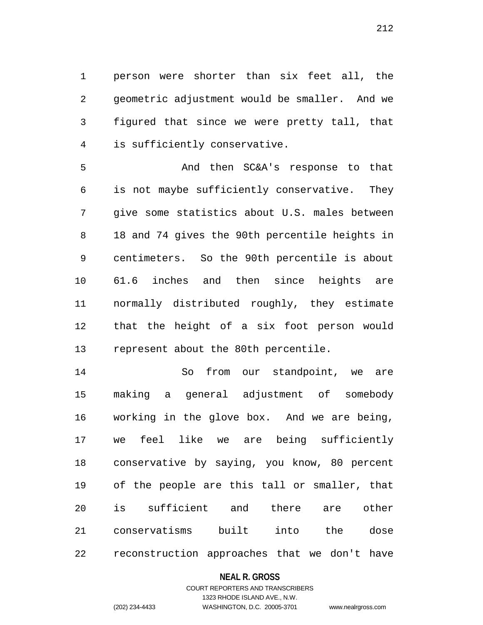person were shorter than six feet all, the geometric adjustment would be smaller. And we figured that since we were pretty tall, that is sufficiently conservative.

 And then SC&A's response to that is not maybe sufficiently conservative. They give some statistics about U.S. males between 18 and 74 gives the 90th percentile heights in centimeters. So the 90th percentile is about 61.6 inches and then since heights are normally distributed roughly, they estimate that the height of a six foot person would represent about the 80th percentile.

 So from our standpoint, we are making a general adjustment of somebody working in the glove box. And we are being, we feel like we are being sufficiently conservative by saying, you know, 80 percent of the people are this tall or smaller, that is sufficient and there are other conservatisms built into the dose reconstruction approaches that we don't have

### **NEAL R. GROSS**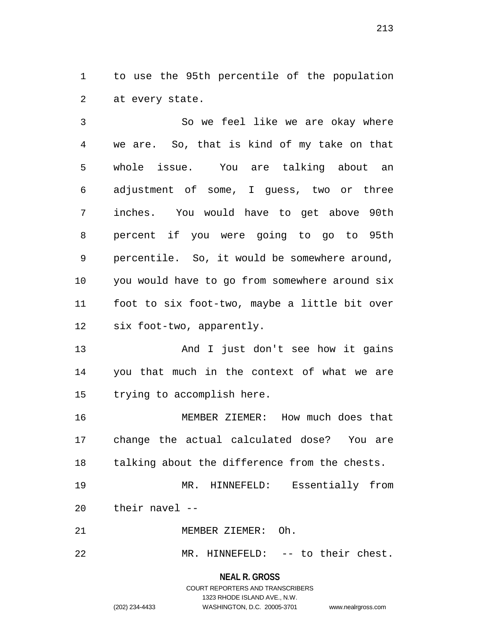to use the 95th percentile of the population at every state.

 So we feel like we are okay where we are. So, that is kind of my take on that whole issue. You are talking about an adjustment of some, I guess, two or three inches. You would have to get above 90th percent if you were going to go to 95th percentile. So, it would be somewhere around, you would have to go from somewhere around six foot to six foot-two, maybe a little bit over six foot-two, apparently.

13 And I just don't see how it gains you that much in the context of what we are trying to accomplish here.

 MEMBER ZIEMER: How much does that change the actual calculated dose? You are talking about the difference from the chests.

 MR. HINNEFELD: Essentially from their navel --

MEMBER ZIEMER: Oh.

MR. HINNEFELD: -- to their chest.

#### **NEAL R. GROSS**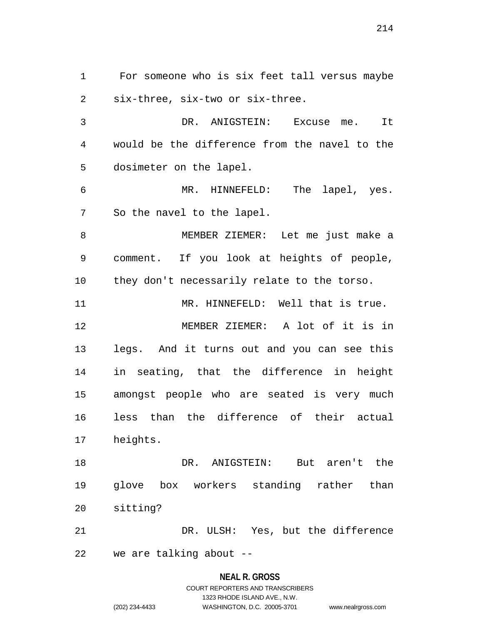For someone who is six feet tall versus maybe six-three, six-two or six-three.

 DR. ANIGSTEIN: Excuse me. It would be the difference from the navel to the dosimeter on the lapel.

 MR. HINNEFELD: The lapel, yes. So the navel to the lapel.

 MEMBER ZIEMER: Let me just make a comment. If you look at heights of people, they don't necessarily relate to the torso.

MR. HINNEFELD: Well that is true.

 MEMBER ZIEMER: A lot of it is in legs. And it turns out and you can see this in seating, that the difference in height amongst people who are seated is very much less than the difference of their actual heights.

 DR. ANIGSTEIN: But aren't the glove box workers standing rather than sitting?

 DR. ULSH: Yes, but the difference we are talking about --

#### **NEAL R. GROSS**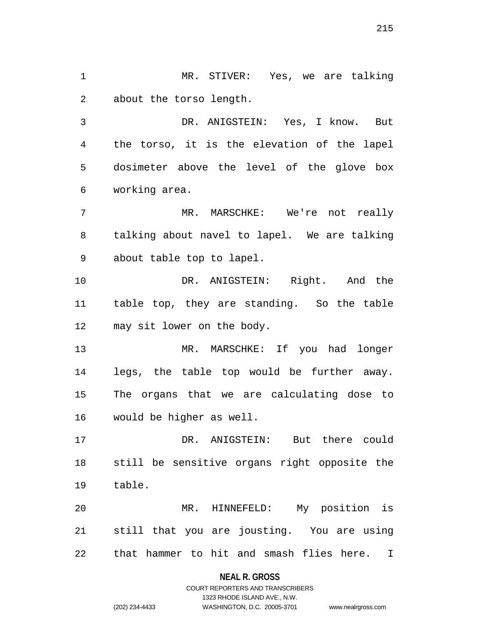MR. STIVER: Yes, we are talking about the torso length.

 DR. ANIGSTEIN: Yes, I know. But the torso, it is the elevation of the lapel dosimeter above the level of the glove box working area.

 MR. MARSCHKE: We're not really talking about navel to lapel. We are talking about table top to lapel.

 DR. ANIGSTEIN: Right. And the table top, they are standing. So the table may sit lower on the body.

 MR. MARSCHKE: If you had longer legs, the table top would be further away. The organs that we are calculating dose to would be higher as well.

 DR. ANIGSTEIN: But there could still be sensitive organs right opposite the table.

 MR. HINNEFELD: My position is still that you are jousting. You are using that hammer to hit and smash flies here. I

### **NEAL R. GROSS**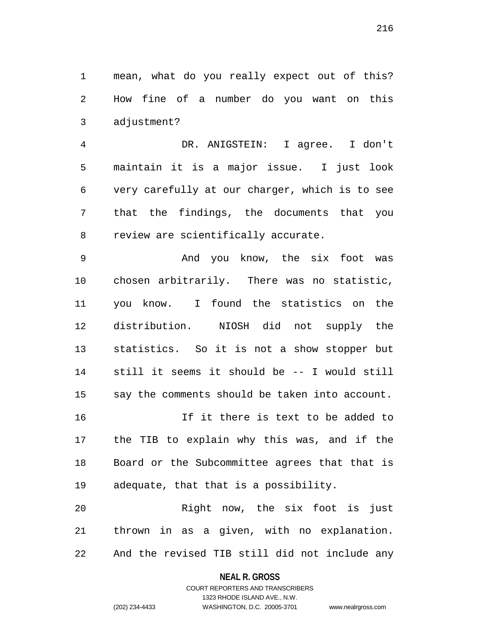mean, what do you really expect out of this? How fine of a number do you want on this adjustment?

 DR. ANIGSTEIN: I agree. I don't maintain it is a major issue. I just look very carefully at our charger, which is to see that the findings, the documents that you review are scientifically accurate.

 And you know, the six foot was chosen arbitrarily. There was no statistic, you know. I found the statistics on the distribution. NIOSH did not supply the statistics. So it is not a show stopper but still it seems it should be -- I would still say the comments should be taken into account. If it there is text to be added to the TIB to explain why this was, and if the

 Board or the Subcommittee agrees that that is adequate, that that is a possibility.

 Right now, the six foot is just thrown in as a given, with no explanation. And the revised TIB still did not include any

### **NEAL R. GROSS**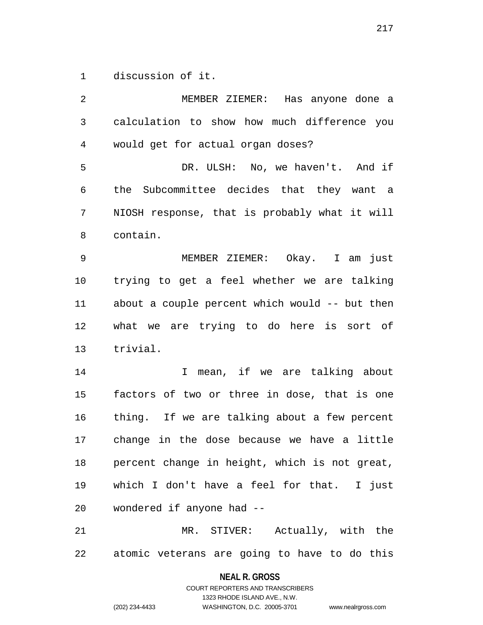discussion of it.

 MEMBER ZIEMER: Has anyone done a calculation to show how much difference you would get for actual organ doses? DR. ULSH: No, we haven't. And if the Subcommittee decides that they want a NIOSH response, that is probably what it will contain. MEMBER ZIEMER: Okay. I am just trying to get a feel whether we are talking about a couple percent which would -- but then what we are trying to do here is sort of trivial. 14 14 I mean, if we are talking about factors of two or three in dose, that is one thing. If we are talking about a few percent change in the dose because we have a little percent change in height, which is not great, which I don't have a feel for that. I just wondered if anyone had -- MR. STIVER: Actually, with the atomic veterans are going to have to do this

> **NEAL R. GROSS** COURT REPORTERS AND TRANSCRIBERS

> > 1323 RHODE ISLAND AVE., N.W.

(202) 234-4433 WASHINGTON, D.C. 20005-3701 www.nealrgross.com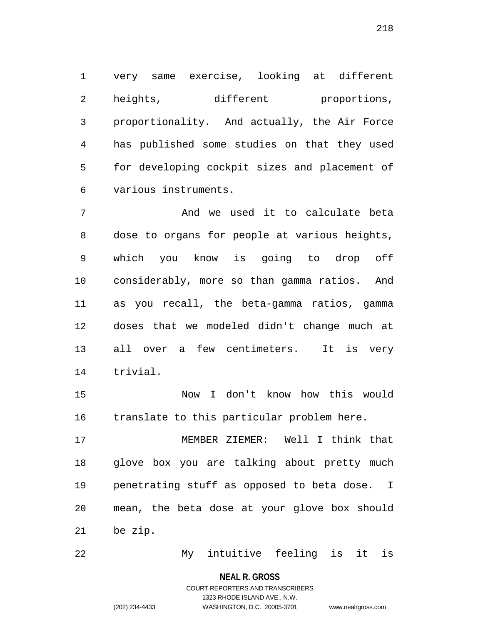very same exercise, looking at different 2 heights, different proportions, proportionality. And actually, the Air Force has published some studies on that they used for developing cockpit sizes and placement of various instruments.

 And we used it to calculate beta dose to organs for people at various heights, which you know is going to drop off considerably, more so than gamma ratios. And as you recall, the beta-gamma ratios, gamma doses that we modeled didn't change much at all over a few centimeters. It is very trivial.

 Now I don't know how this would translate to this particular problem here.

 MEMBER ZIEMER: Well I think that glove box you are talking about pretty much penetrating stuff as opposed to beta dose. I mean, the beta dose at your glove box should be zip.

My intuitive feeling is it is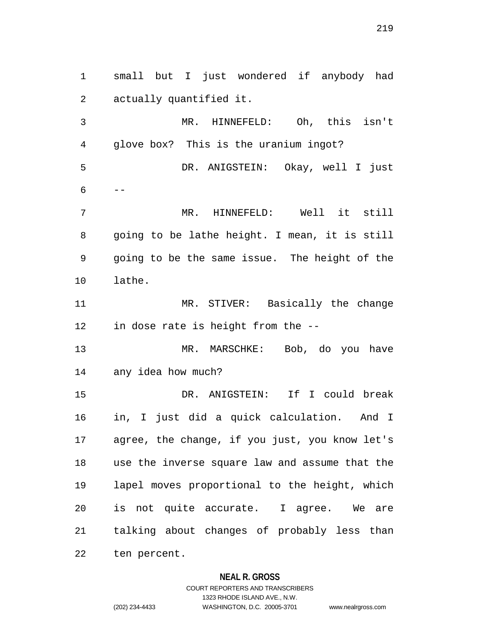small but I just wondered if anybody had actually quantified it. MR. HINNEFELD: Oh, this isn't glove box? This is the uranium ingot? DR. ANIGSTEIN: Okay, well I just  $6 - -$  MR. HINNEFELD: Well it still going to be lathe height. I mean, it is still going to be the same issue. The height of the lathe. MR. STIVER: Basically the change in dose rate is height from the -- MR. MARSCHKE: Bob, do you have any idea how much? DR. ANIGSTEIN: If I could break in, I just did a quick calculation. And I agree, the change, if you just, you know let's use the inverse square law and assume that the lapel moves proportional to the height, which is not quite accurate. I agree. We are talking about changes of probably less than ten percent.

### **NEAL R. GROSS**

# COURT REPORTERS AND TRANSCRIBERS 1323 RHODE ISLAND AVE., N.W. (202) 234-4433 WASHINGTON, D.C. 20005-3701 www.nealrgross.com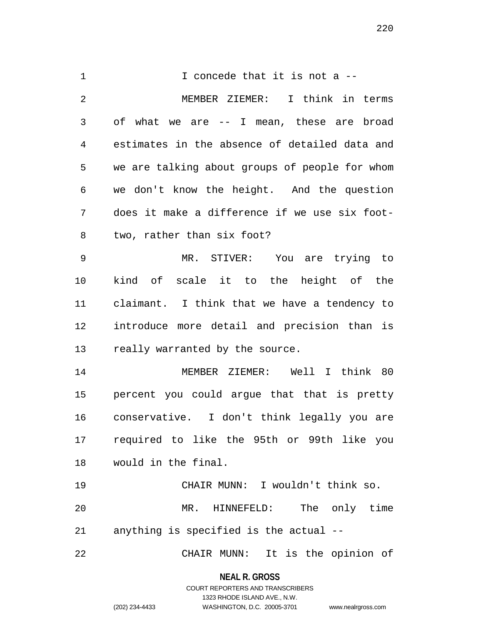1 1 I concede that it is not a -- MEMBER ZIEMER: I think in terms of what we are -- I mean, these are broad estimates in the absence of detailed data and we are talking about groups of people for whom we don't know the height. And the question does it make a difference if we use six foot- two, rather than six foot? MR. STIVER: You are trying to kind of scale it to the height of the claimant. I think that we have a tendency to introduce more detail and precision than is really warranted by the source. MEMBER ZIEMER: Well I think 80 percent you could argue that that is pretty conservative. I don't think legally you are required to like the 95th or 99th like you would in the final. CHAIR MUNN: I wouldn't think so. MR. HINNEFELD: The only time anything is specified is the actual -- CHAIR MUNN: It is the opinion of

> **NEAL R. GROSS** COURT REPORTERS AND TRANSCRIBERS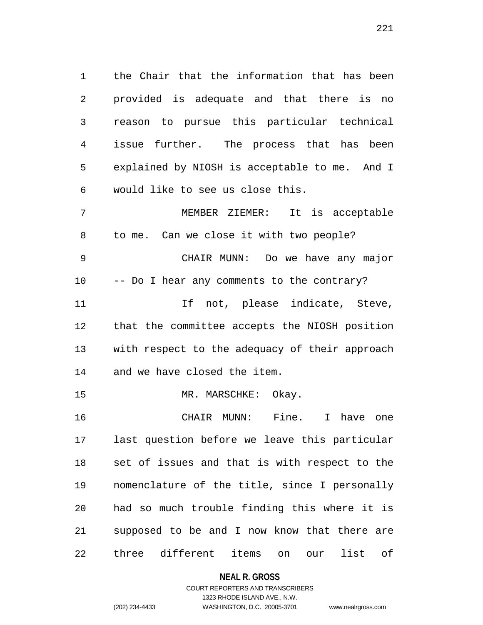the Chair that the information that has been provided is adequate and that there is no reason to pursue this particular technical issue further. The process that has been explained by NIOSH is acceptable to me. And I would like to see us close this.

 MEMBER ZIEMER: It is acceptable to me. Can we close it with two people? CHAIR MUNN: Do we have any major -- Do I hear any comments to the contrary? 11 11 If not, please indicate, Steve, that the committee accepts the NIOSH position with respect to the adequacy of their approach and we have closed the item. 15 MR. MARSCHKE: Okay.

 CHAIR MUNN: Fine. I have one last question before we leave this particular set of issues and that is with respect to the nomenclature of the title, since I personally had so much trouble finding this where it is supposed to be and I now know that there are three different items on our list of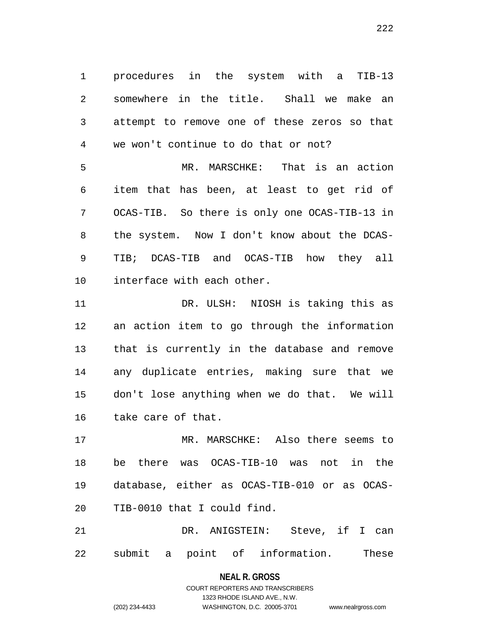procedures in the system with a TIB-13 somewhere in the title. Shall we make an attempt to remove one of these zeros so that we won't continue to do that or not?

 MR. MARSCHKE: That is an action item that has been, at least to get rid of OCAS-TIB. So there is only one OCAS-TIB-13 in the system. Now I don't know about the DCAS- TIB; DCAS-TIB and OCAS-TIB how they all interface with each other.

 DR. ULSH: NIOSH is taking this as an action item to go through the information that is currently in the database and remove any duplicate entries, making sure that we don't lose anything when we do that. We will take care of that.

 MR. MARSCHKE: Also there seems to be there was OCAS-TIB-10 was not in the database, either as OCAS-TIB-010 or as OCAS-TIB-0010 that I could find.

 DR. ANIGSTEIN: Steve, if I can submit a point of information. These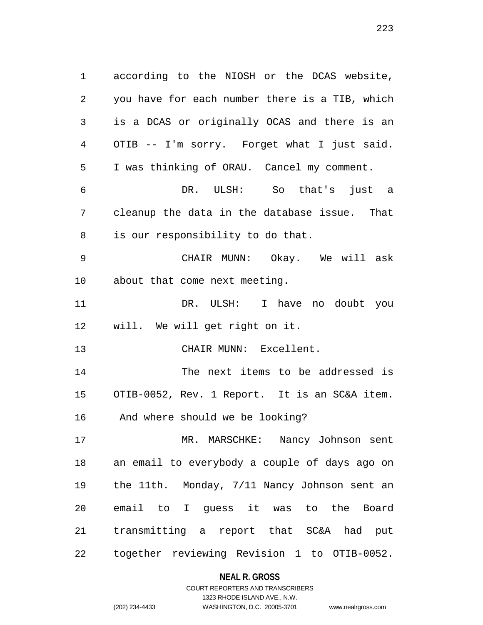according to the NIOSH or the DCAS website, you have for each number there is a TIB, which is a DCAS or originally OCAS and there is an OTIB -- I'm sorry. Forget what I just said. I was thinking of ORAU. Cancel my comment. DR. ULSH: So that's just a cleanup the data in the database issue. That is our responsibility to do that. CHAIR MUNN: Okay. We will ask about that come next meeting. DR. ULSH: I have no doubt you will. We will get right on it. CHAIR MUNN: Excellent. The next items to be addressed is OTIB-0052, Rev. 1 Report. It is an SC&A item. And where should we be looking? MR. MARSCHKE: Nancy Johnson sent an email to everybody a couple of days ago on the 11th. Monday, 7/11 Nancy Johnson sent an email to I guess it was to the Board transmitting a report that SC&A had put together reviewing Revision 1 to OTIB-0052.

### **NEAL R. GROSS**

COURT REPORTERS AND TRANSCRIBERS 1323 RHODE ISLAND AVE., N.W. (202) 234-4433 WASHINGTON, D.C. 20005-3701 www.nealrgross.com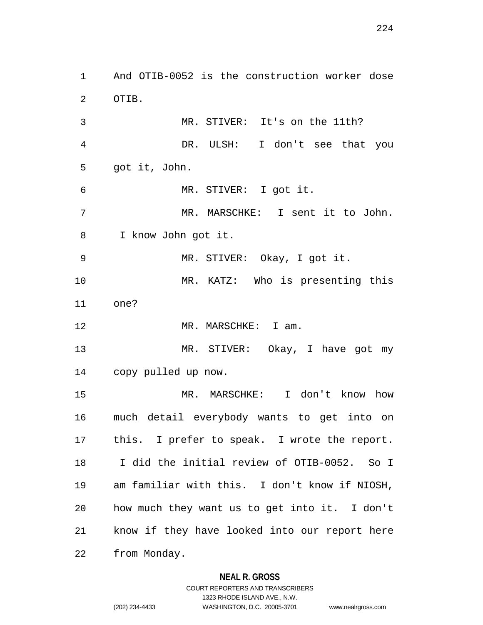And OTIB-0052 is the construction worker dose OTIB. MR. STIVER: It's on the 11th? DR. ULSH: I don't see that you got it, John. MR. STIVER: I got it. MR. MARSCHKE: I sent it to John. I know John got it. MR. STIVER: Okay, I got it. MR. KATZ: Who is presenting this one? 12 MR. MARSCHKE: I am. MR. STIVER: Okay, I have got my copy pulled up now. MR. MARSCHKE: I don't know how much detail everybody wants to get into on this. I prefer to speak. I wrote the report. I did the initial review of OTIB-0052. So I am familiar with this. I don't know if NIOSH, how much they want us to get into it. I don't know if they have looked into our report here from Monday.

### **NEAL R. GROSS**

COURT REPORTERS AND TRANSCRIBERS 1323 RHODE ISLAND AVE., N.W. (202) 234-4433 WASHINGTON, D.C. 20005-3701 www.nealrgross.com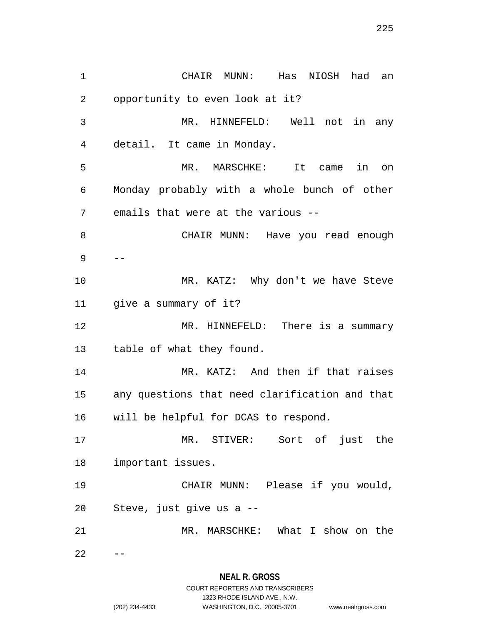CHAIR MUNN: Has NIOSH had an opportunity to even look at it? MR. HINNEFELD: Well not in any detail. It came in Monday. MR. MARSCHKE: It came in on Monday probably with a whole bunch of other emails that were at the various -- CHAIR MUNN: Have you read enough -- 10 MR. KATZ: Why don't we have Steve give a summary of it? MR. HINNEFELD: There is a summary table of what they found. 14 MR. KATZ: And then if that raises any questions that need clarification and that will be helpful for DCAS to respond. MR. STIVER: Sort of just the important issues. CHAIR MUNN: Please if you would, Steve, just give us a -- MR. MARSCHKE: What I show on the  $22 - -$ 

1323 RHODE ISLAND AVE., N.W.

(202) 234-4433 WASHINGTON, D.C. 20005-3701 www.nealrgross.com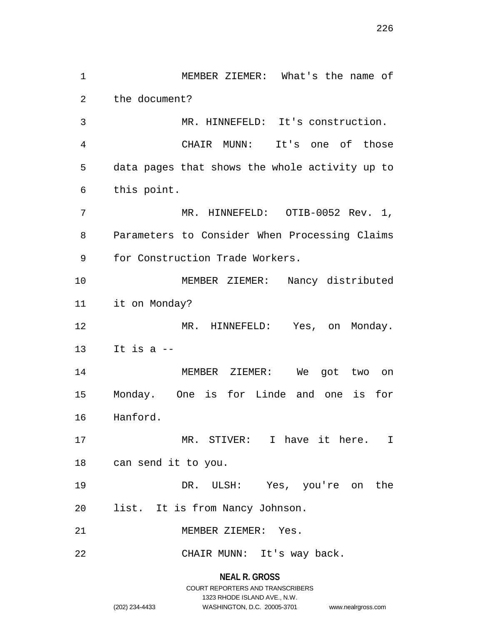MEMBER ZIEMER: What's the name of the document? MR. HINNEFELD: It's construction. CHAIR MUNN: It's one of those data pages that shows the whole activity up to this point. MR. HINNEFELD: OTIB-0052 Rev. 1, Parameters to Consider When Processing Claims for Construction Trade Workers. MEMBER ZIEMER: Nancy distributed it on Monday? MR. HINNEFELD: Yes, on Monday. It is a  $-$  MEMBER ZIEMER: We got two on Monday. One is for Linde and one is for Hanford. MR. STIVER: I have it here. I can send it to you. DR. ULSH: Yes, you're on the list. It is from Nancy Johnson. MEMBER ZIEMER: Yes. CHAIR MUNN: It's way back.

# **NEAL R. GROSS** COURT REPORTERS AND TRANSCRIBERS 1323 RHODE ISLAND AVE., N.W. (202) 234-4433 WASHINGTON, D.C. 20005-3701 www.nealrgross.com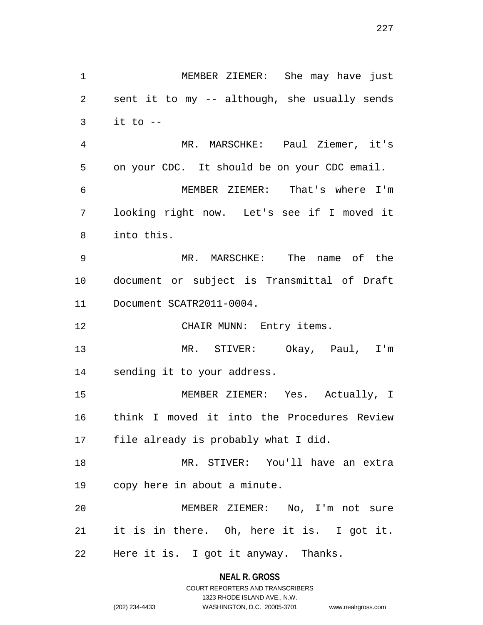MEMBER ZIEMER: She may have just sent it to my -- although, she usually sends it to  $-$  MR. MARSCHKE: Paul Ziemer, it's on your CDC. It should be on your CDC email. MEMBER ZIEMER: That's where I'm looking right now. Let's see if I moved it into this. MR. MARSCHKE: The name of the document or subject is Transmittal of Draft Document SCATR2011-0004. 12 CHAIR MUNN: Entry items. MR. STIVER: Okay, Paul, I'm sending it to your address. MEMBER ZIEMER: Yes. Actually, I think I moved it into the Procedures Review file already is probably what I did. MR. STIVER: You'll have an extra copy here in about a minute. MEMBER ZIEMER: No, I'm not sure it is in there. Oh, here it is. I got it. Here it is. I got it anyway. Thanks.

### **NEAL R. GROSS** COURT REPORTERS AND TRANSCRIBERS

1323 RHODE ISLAND AVE., N.W. (202) 234-4433 WASHINGTON, D.C. 20005-3701 www.nealrgross.com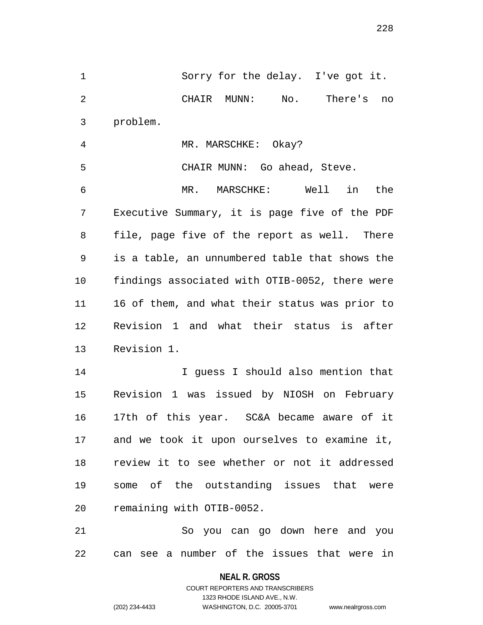Sorry for the delay. I've got it. CHAIR MUNN: No. There's no problem.

MR. MARSCHKE: Okay?

 CHAIR MUNN: Go ahead, Steve. MR. MARSCHKE: Well in the Executive Summary, it is page five of the PDF file, page five of the report as well. There is a table, an unnumbered table that shows the findings associated with OTIB-0052, there were 16 of them, and what their status was prior to Revision 1 and what their status is after Revision 1.

 I guess I should also mention that Revision 1 was issued by NIOSH on February 17th of this year. SC&A became aware of it and we took it upon ourselves to examine it, review it to see whether or not it addressed some of the outstanding issues that were remaining with OTIB-0052.

 So you can go down here and you can see a number of the issues that were in

**NEAL R. GROSS**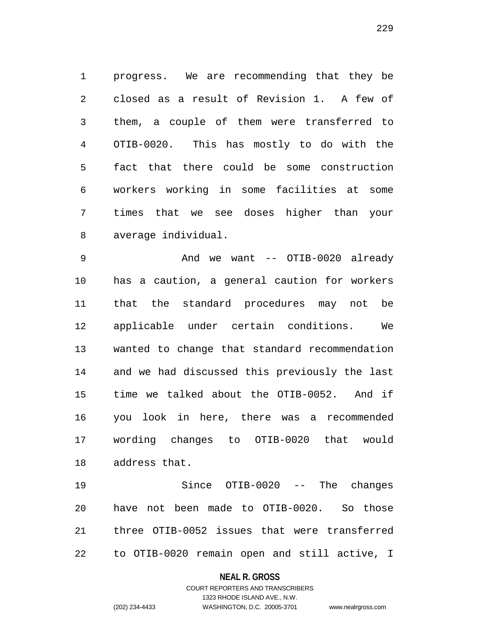progress. We are recommending that they be closed as a result of Revision 1. A few of them, a couple of them were transferred to OTIB-0020. This has mostly to do with the fact that there could be some construction workers working in some facilities at some times that we see doses higher than your average individual.

9 And we want -- OTIB-0020 already has a caution, a general caution for workers that the standard procedures may not be applicable under certain conditions. We wanted to change that standard recommendation and we had discussed this previously the last time we talked about the OTIB-0052. And if you look in here, there was a recommended wording changes to OTIB-0020 that would address that.

 Since OTIB-0020 -- The changes have not been made to OTIB-0020. So those three OTIB-0052 issues that were transferred to OTIB-0020 remain open and still active, I

#### **NEAL R. GROSS**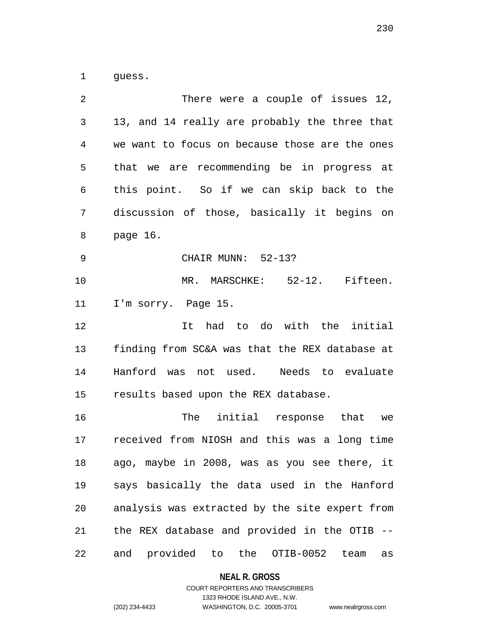guess.

| 2              | There were a couple of issues 12,                 |
|----------------|---------------------------------------------------|
| 3              | 13, and 14 really are probably the three that     |
| $\overline{4}$ | we want to focus on because those are the ones    |
| 5              | that we are recommending be in progress at        |
| 6              | this point. So if we can skip back to the         |
| 7              | discussion of those, basically it begins on       |
| 8              | page 16.                                          |
| $\mathsf 9$    | CHAIR MUNN: 52-13?                                |
| 10             | MR. MARSCHKE: 52-12. Fifteen.                     |
| 11             | I'm sorry. Page 15.                               |
| 12             | It had to do with the initial                     |
| 13             | finding from SC&A was that the REX database at    |
| 14             | Hanford was not used. Needs to evaluate           |
| 15             | results based upon the REX database.              |
| 16             | The initial response that<br>we                   |
| 17             | received from NIOSH and this was a long time      |
| 18             | ago, maybe in 2008, was as you see there, it      |
| 19             | says basically the data used in the Hanford       |
| 20             | analysis was extracted by the site expert from    |
| 21             | the REX database and provided in the OTIB --      |
| 22             | and provided to<br>the<br>OTIB-0052<br>team<br>as |

**NEAL R. GROSS**

# COURT REPORTERS AND TRANSCRIBERS 1323 RHODE ISLAND AVE., N.W. (202) 234-4433 WASHINGTON, D.C. 20005-3701 www.nealrgross.com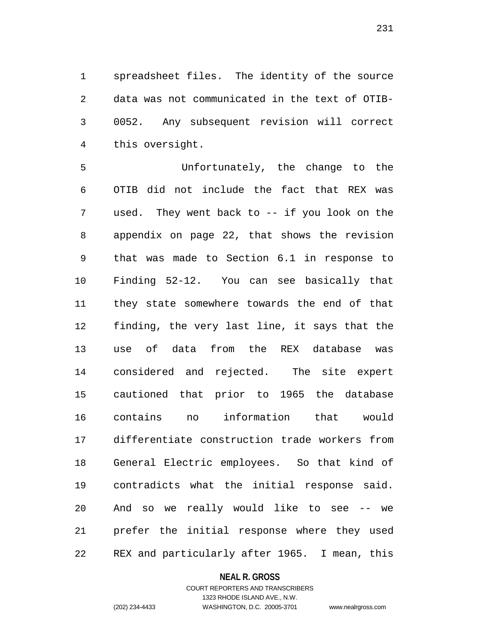spreadsheet files. The identity of the source data was not communicated in the text of OTIB- 0052. Any subsequent revision will correct this oversight.

 Unfortunately, the change to the OTIB did not include the fact that REX was used. They went back to -- if you look on the appendix on page 22, that shows the revision that was made to Section 6.1 in response to Finding 52-12. You can see basically that they state somewhere towards the end of that finding, the very last line, it says that the use of data from the REX database was considered and rejected. The site expert cautioned that prior to 1965 the database contains no information that would differentiate construction trade workers from General Electric employees. So that kind of contradicts what the initial response said. And so we really would like to see -- we prefer the initial response where they used REX and particularly after 1965. I mean, this

#### **NEAL R. GROSS**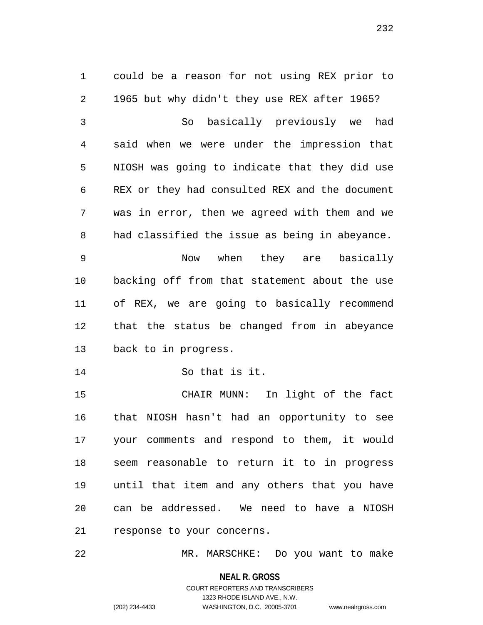could be a reason for not using REX prior to 1965 but why didn't they use REX after 1965? So basically previously we had said when we were under the impression that NIOSH was going to indicate that they did use REX or they had consulted REX and the document was in error, then we agreed with them and we had classified the issue as being in abeyance. Now when they are basically backing off from that statement about the use of REX, we are going to basically recommend that the status be changed from in abeyance back to in progress. So that is it. CHAIR MUNN: In light of the fact that NIOSH hasn't had an opportunity to see your comments and respond to them, it would seem reasonable to return it to in progress until that item and any others that you have can be addressed. We need to have a NIOSH response to your concerns.

MR. MARSCHKE: Do you want to make

**NEAL R. GROSS**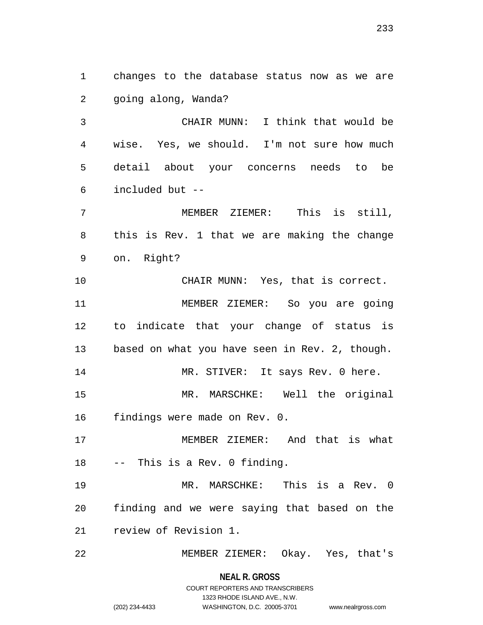changes to the database status now as we are going along, Wanda?

 CHAIR MUNN: I think that would be wise. Yes, we should. I'm not sure how much detail about your concerns needs to be included but --

 MEMBER ZIEMER: This is still, this is Rev. 1 that we are making the change on. Right?

10 CHAIR MUNN: Yes, that is correct. MEMBER ZIEMER: So you are going to indicate that your change of status is based on what you have seen in Rev. 2, though. 14 MR. STIVER: It says Rev. 0 here. MR. MARSCHKE: Well the original

findings were made on Rev. 0.

 MEMBER ZIEMER: And that is what -- This is a Rev. 0 finding.

 MR. MARSCHKE: This is a Rev. 0 finding and we were saying that based on the review of Revision 1.

MEMBER ZIEMER: Okay. Yes, that's

**NEAL R. GROSS** COURT REPORTERS AND TRANSCRIBERS

1323 RHODE ISLAND AVE., N.W.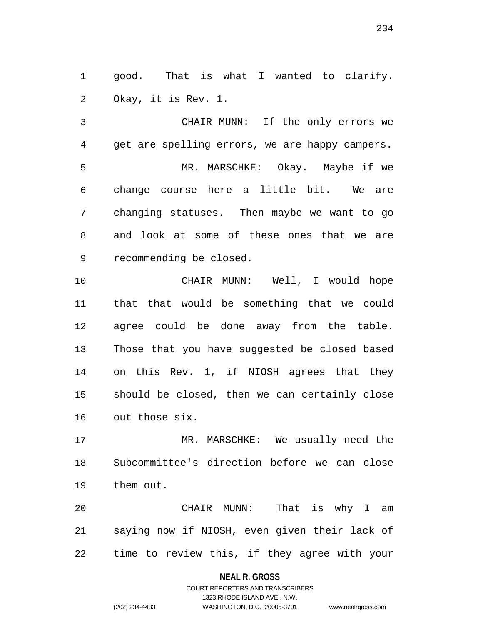good. That is what I wanted to clarify. Okay, it is Rev. 1.

 CHAIR MUNN: If the only errors we get are spelling errors, we are happy campers. MR. MARSCHKE: Okay. Maybe if we change course here a little bit. We are changing statuses. Then maybe we want to go and look at some of these ones that we are recommending be closed.

 CHAIR MUNN: Well, I would hope that that would be something that we could agree could be done away from the table. Those that you have suggested be closed based on this Rev. 1, if NIOSH agrees that they should be closed, then we can certainly close out those six.

 MR. MARSCHKE: We usually need the Subcommittee's direction before we can close them out.

 CHAIR MUNN: That is why I am saying now if NIOSH, even given their lack of time to review this, if they agree with your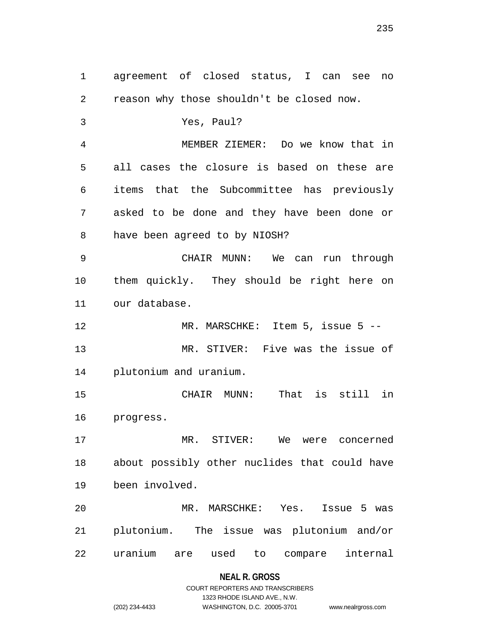agreement of closed status, I can see no reason why those shouldn't be closed now. Yes, Paul? MEMBER ZIEMER: Do we know that in all cases the closure is based on these are items that the Subcommittee has previously asked to be done and they have been done or have been agreed to by NIOSH? CHAIR MUNN: We can run through them quickly. They should be right here on our database. 12 MR. MARSCHKE: Item 5, issue 5 -- MR. STIVER: Five was the issue of plutonium and uranium. CHAIR MUNN: That is still in progress. MR. STIVER: We were concerned about possibly other nuclides that could have been involved. MR. MARSCHKE: Yes. Issue 5 was plutonium. The issue was plutonium and/or uranium are used to compare internal

### **NEAL R. GROSS**

### COURT REPORTERS AND TRANSCRIBERS 1323 RHODE ISLAND AVE., N.W. (202) 234-4433 WASHINGTON, D.C. 20005-3701 www.nealrgross.com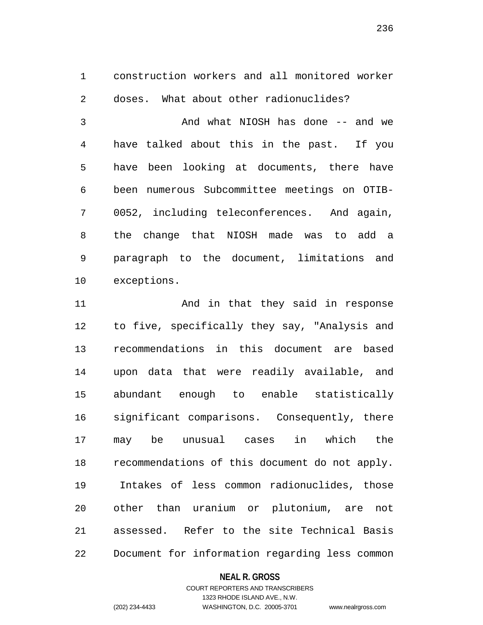construction workers and all monitored worker doses. What about other radionuclides?

 And what NIOSH has done -- and we have talked about this in the past. If you have been looking at documents, there have been numerous Subcommittee meetings on OTIB- 0052, including teleconferences. And again, the change that NIOSH made was to add a paragraph to the document, limitations and exceptions.

11 And in that they said in response to five, specifically they say, "Analysis and recommendations in this document are based upon data that were readily available, and abundant enough to enable statistically significant comparisons. Consequently, there may be unusual cases in which the recommendations of this document do not apply. Intakes of less common radionuclides, those other than uranium or plutonium, are not assessed. Refer to the site Technical Basis Document for information regarding less common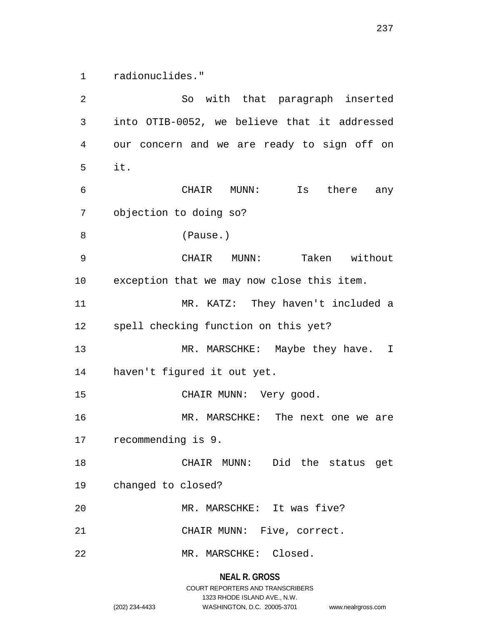radionuclides."

 So with that paragraph inserted into OTIB-0052, we believe that it addressed our concern and we are ready to sign off on it. CHAIR MUNN: Is there any objection to doing so? (Pause.) CHAIR MUNN: Taken without exception that we may now close this item. MR. KATZ: They haven't included a spell checking function on this yet? 13 MR. MARSCHKE: Maybe they have. I haven't figured it out yet. 15 CHAIR MUNN: Very good. MR. MARSCHKE: The next one we are recommending is 9. CHAIR MUNN: Did the status get changed to closed? MR. MARSCHKE: It was five? CHAIR MUNN: Five, correct. MR. MARSCHKE: Closed.

> **NEAL R. GROSS** COURT REPORTERS AND TRANSCRIBERS 1323 RHODE ISLAND AVE., N.W. (202) 234-4433 WASHINGTON, D.C. 20005-3701 www.nealrgross.com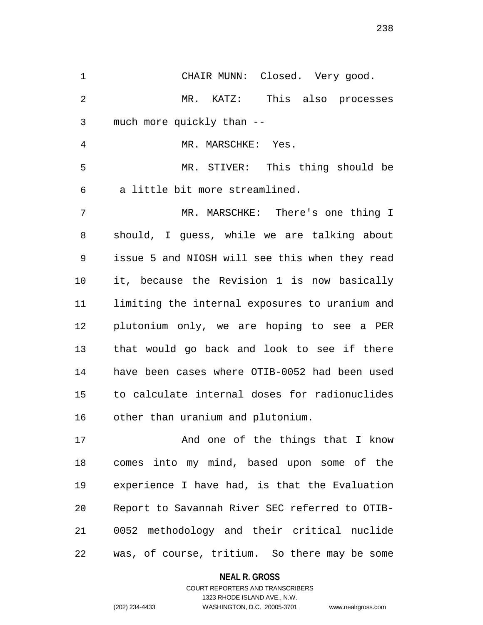CHAIR MUNN: Closed. Very good. MR. KATZ: This also processes much more quickly than -- 4 MR. MARSCHKE: Yes. MR. STIVER: This thing should be a little bit more streamlined. MR. MARSCHKE: There's one thing I should, I guess, while we are talking about issue 5 and NIOSH will see this when they read it, because the Revision 1 is now basically limiting the internal exposures to uranium and plutonium only, we are hoping to see a PER that would go back and look to see if there have been cases where OTIB-0052 had been used to calculate internal doses for radionuclides other than uranium and plutonium. 17 And one of the things that I know comes into my mind, based upon some of the experience I have had, is that the Evaluation Report to Savannah River SEC referred to OTIB- 0052 methodology and their critical nuclide was, of course, tritium. So there may be some

> **NEAL R. GROSS** COURT REPORTERS AND TRANSCRIBERS

> > 1323 RHODE ISLAND AVE., N.W.

(202) 234-4433 WASHINGTON, D.C. 20005-3701 www.nealrgross.com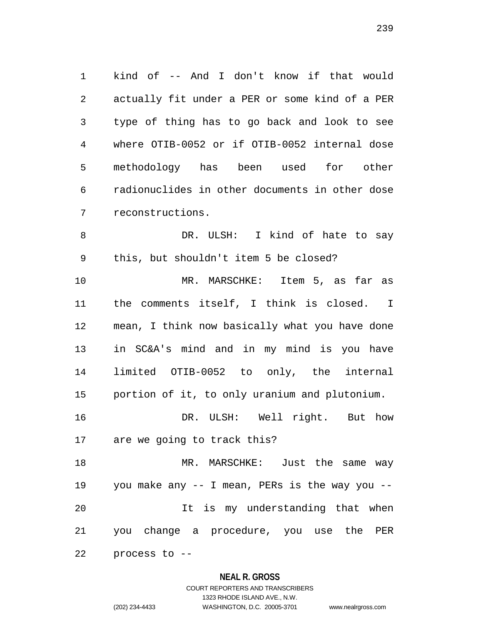kind of -- And I don't know if that would actually fit under a PER or some kind of a PER type of thing has to go back and look to see where OTIB-0052 or if OTIB-0052 internal dose methodology has been used for other radionuclides in other documents in other dose reconstructions.

 DR. ULSH: I kind of hate to say this, but shouldn't item 5 be closed?

 MR. MARSCHKE: Item 5, as far as the comments itself, I think is closed. I mean, I think now basically what you have done in SC&A's mind and in my mind is you have limited OTIB-0052 to only, the internal portion of it, to only uranium and plutonium.

 DR. ULSH: Well right. But how are we going to track this?

 MR. MARSCHKE: Just the same way you make any -- I mean, PERs is the way you -- It is my understanding that when you change a procedure, you use the PER process to --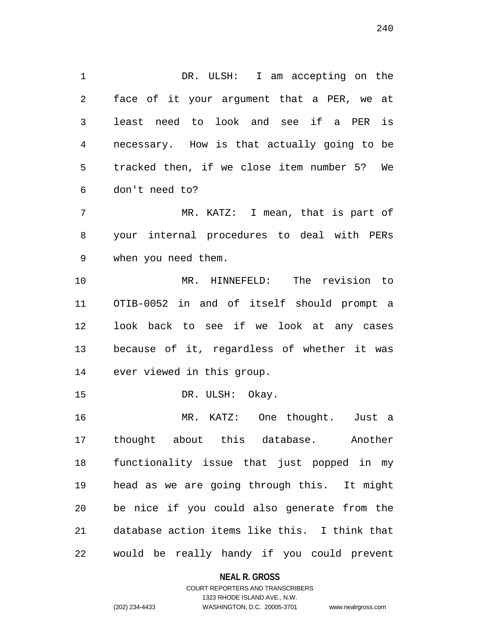1 DR. ULSH: I am accepting on the face of it your argument that a PER, we at least need to look and see if a PER is necessary. How is that actually going to be tracked then, if we close item number 5? We don't need to?

 MR. KATZ: I mean, that is part of your internal procedures to deal with PERs when you need them.

 MR. HINNEFELD: The revision to OTIB-0052 in and of itself should prompt a look back to see if we look at any cases because of it, regardless of whether it was ever viewed in this group.

15 DR. ULSH: Okay.

 MR. KATZ: One thought. Just a thought about this database. Another functionality issue that just popped in my head as we are going through this. It might be nice if you could also generate from the database action items like this. I think that would be really handy if you could prevent

**NEAL R. GROSS**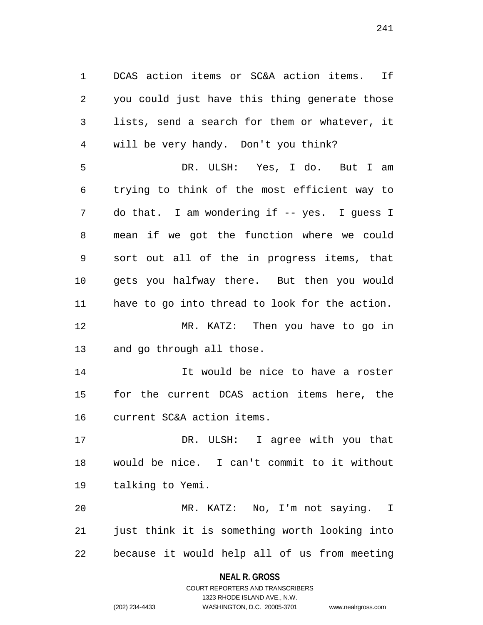DCAS action items or SC&A action items. If you could just have this thing generate those lists, send a search for them or whatever, it will be very handy. Don't you think? DR. ULSH: Yes, I do. But I am trying to think of the most efficient way to do that. I am wondering if -- yes. I guess I mean if we got the function where we could sort out all of the in progress items, that gets you halfway there. But then you would have to go into thread to look for the action. MR. KATZ: Then you have to go in and go through all those.

 It would be nice to have a roster for the current DCAS action items here, the current SC&A action items.

 DR. ULSH: I agree with you that would be nice. I can't commit to it without talking to Yemi.

 MR. KATZ: No, I'm not saying. I just think it is something worth looking into because it would help all of us from meeting

#### **NEAL R. GROSS**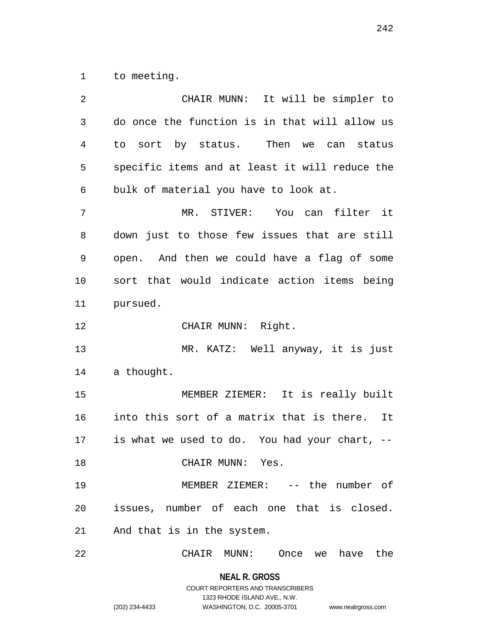to meeting.

| 2              | CHAIR MUNN: It will be simpler to              |
|----------------|------------------------------------------------|
| 3              | do once the function is in that will allow us  |
| $\overline{4}$ | to sort by status. Then we can status          |
| 5              | specific items and at least it will reduce the |
| 6              | bulk of material you have to look at.          |
| 7              | MR. STIVER: You can filter it                  |
| 8              | down just to those few issues that are still   |
| 9              | open. And then we could have a flag of some    |
| 10             | sort that would indicate action items being    |
| 11             | pursued.                                       |
| 12             | CHAIR MUNN: Right.                             |
| 13             | MR. KATZ: Well anyway, it is just              |
| 14             | a thought.                                     |
| 15             | MEMBER ZIEMER: It is really built              |
| 16             | into this sort of a matrix that is there. It   |
| 17             | is what we used to do. You had your chart, --  |
| 18             | CHAIR MUNN: Yes.                               |
| 19             | MEMBER ZIEMER: -- the number of                |
| 20             | issues, number of each one that is closed.     |
| 21             | And that is in the system.                     |
| 22             | have the<br>CHAIR MUNN:<br>Once<br>we          |

**NEAL R. GROSS** COURT REPORTERS AND TRANSCRIBERS

1323 RHODE ISLAND AVE., N.W.

(202) 234-4433 WASHINGTON, D.C. 20005-3701 www.nealrgross.com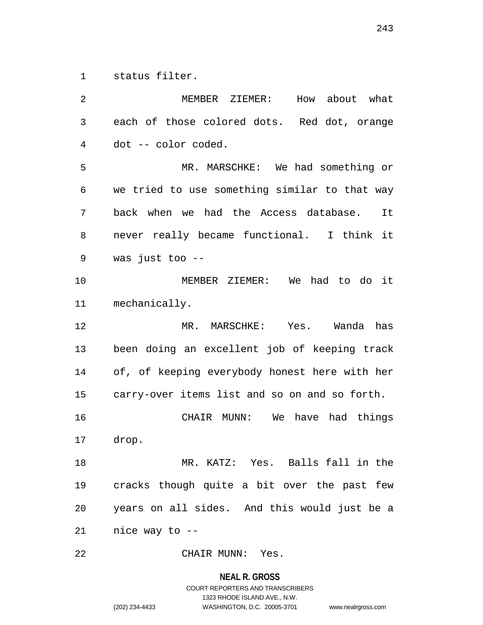status filter.

 MEMBER ZIEMER: How about what each of those colored dots. Red dot, orange dot -- color coded. MR. MARSCHKE: We had something or we tried to use something similar to that way back when we had the Access database. It never really became functional. I think it was just too -- MEMBER ZIEMER: We had to do it mechanically. MR. MARSCHKE: Yes. Wanda has been doing an excellent job of keeping track of, of keeping everybody honest here with her carry-over items list and so on and so forth. CHAIR MUNN: We have had things drop. MR. KATZ: Yes. Balls fall in the cracks though quite a bit over the past few years on all sides. And this would just be a nice way to -- CHAIR MUNN: Yes.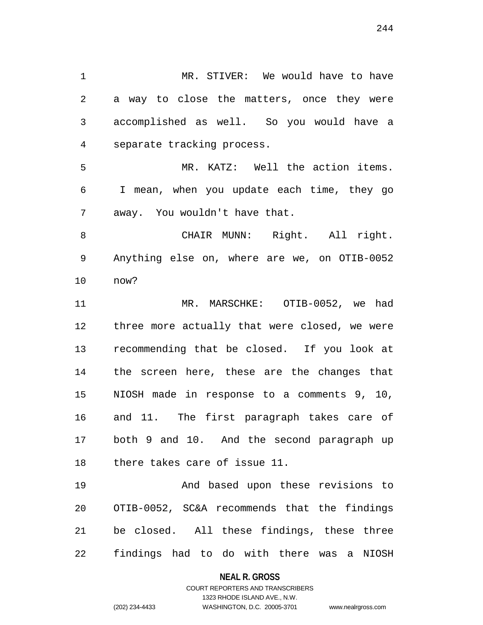MR. STIVER: We would have to have a way to close the matters, once they were accomplished as well. So you would have a separate tracking process. MR. KATZ: Well the action items. I mean, when you update each time, they go away. You wouldn't have that. CHAIR MUNN: Right. All right. Anything else on, where are we, on OTIB-0052 now? MR. MARSCHKE: OTIB-0052, we had three more actually that were closed, we were recommending that be closed. If you look at the screen here, these are the changes that NIOSH made in response to a comments 9, 10, and 11. The first paragraph takes care of both 9 and 10. And the second paragraph up there takes care of issue 11. And based upon these revisions to

 OTIB-0052, SC&A recommends that the findings be closed. All these findings, these three findings had to do with there was a NIOSH

#### **NEAL R. GROSS**

COURT REPORTERS AND TRANSCRIBERS 1323 RHODE ISLAND AVE., N.W. (202) 234-4433 WASHINGTON, D.C. 20005-3701 www.nealrgross.com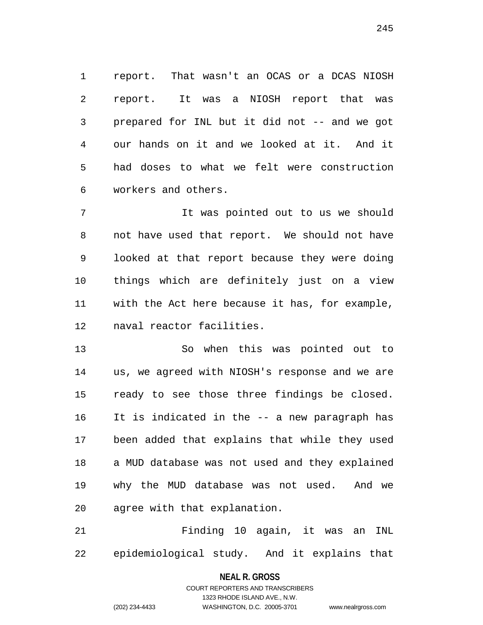report. That wasn't an OCAS or a DCAS NIOSH report. It was a NIOSH report that was prepared for INL but it did not -- and we got our hands on it and we looked at it. And it had doses to what we felt were construction workers and others.

 It was pointed out to us we should not have used that report. We should not have looked at that report because they were doing things which are definitely just on a view with the Act here because it has, for example, naval reactor facilities.

 So when this was pointed out to us, we agreed with NIOSH's response and we are ready to see those three findings be closed. It is indicated in the -- a new paragraph has been added that explains that while they used a MUD database was not used and they explained why the MUD database was not used. And we agree with that explanation.

 Finding 10 again, it was an INL epidemiological study. And it explains that

> **NEAL R. GROSS** COURT REPORTERS AND TRANSCRIBERS

> > 1323 RHODE ISLAND AVE., N.W.

(202) 234-4433 WASHINGTON, D.C. 20005-3701 www.nealrgross.com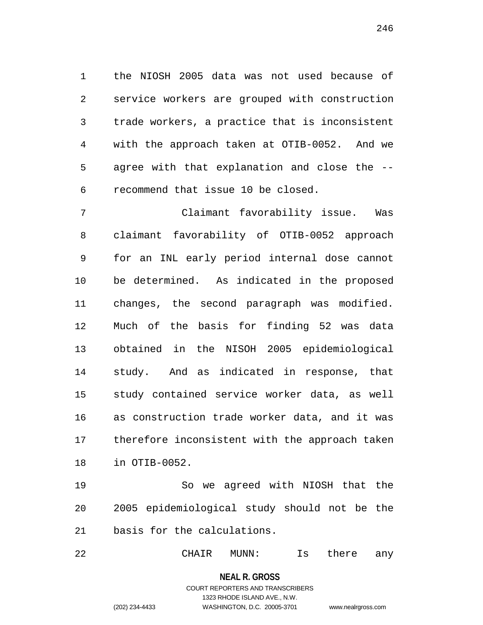the NIOSH 2005 data was not used because of service workers are grouped with construction trade workers, a practice that is inconsistent with the approach taken at OTIB-0052. And we agree with that explanation and close the -- recommend that issue 10 be closed.

 Claimant favorability issue. Was claimant favorability of OTIB-0052 approach for an INL early period internal dose cannot be determined. As indicated in the proposed changes, the second paragraph was modified. Much of the basis for finding 52 was data obtained in the NISOH 2005 epidemiological study. And as indicated in response, that study contained service worker data, as well as construction trade worker data, and it was therefore inconsistent with the approach taken in OTIB-0052.

 So we agreed with NIOSH that the 2005 epidemiological study should not be the basis for the calculations.

CHAIR MUNN: Is there any

### **NEAL R. GROSS**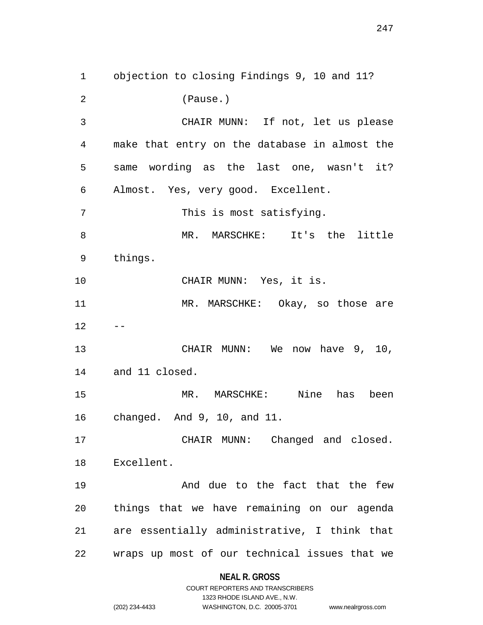objection to closing Findings 9, 10 and 11? (Pause.) CHAIR MUNN: If not, let us please make that entry on the database in almost the same wording as the last one, wasn't it? Almost. Yes, very good. Excellent. This is most satisfying. MR. MARSCHKE: It's the little things. 10 CHAIR MUNN: Yes, it is. 11 MR. MARSCHKE: Okay, so those are  $12 - -$ 13 CHAIR MUNN: We now have 9, 10, and 11 closed. MR. MARSCHKE: Nine has been changed. And 9, 10, and 11. CHAIR MUNN: Changed and closed. Excellent. And due to the fact that the few things that we have remaining on our agenda are essentially administrative, I think that wraps up most of our technical issues that we

|                | COURT REPORTERS AND TRANSCRIBERS |                    |
|----------------|----------------------------------|--------------------|
|                | 1323 RHODE ISLAND AVE N.W.       |                    |
| (202) 234-4433 | WASHINGTON, D.C. 20005-3701      | www.nealrgross.com |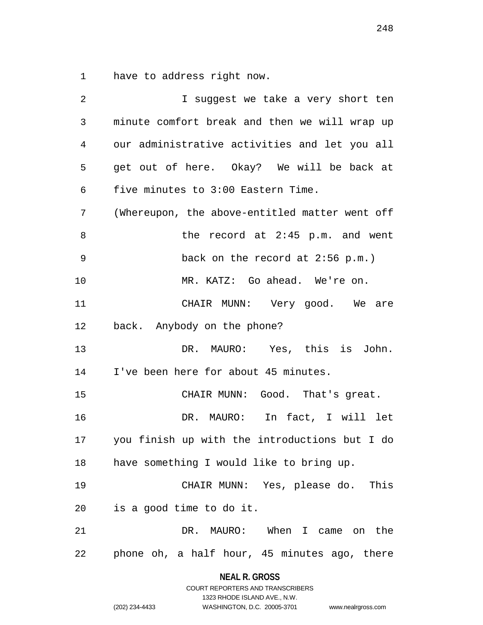have to address right now.

| $\overline{2}$ | I suggest we take a very short ten             |
|----------------|------------------------------------------------|
| 3              | minute comfort break and then we will wrap up  |
| 4              | our administrative activities and let you all  |
| 5              | get out of here. Okay? We will be back at      |
| 6              | five minutes to 3:00 Eastern Time.             |
| 7              | (Whereupon, the above-entitled matter went off |
| 8              | the record at $2:45$ p.m. and went             |
| 9              | back on the record at $2:56$ p.m.)             |
| 10             | MR. KATZ: Go ahead. We're on.                  |
| 11             | CHAIR MUNN: Very good. We are                  |
| 12             | back. Anybody on the phone?                    |
| 13             | DR. MAURO: Yes, this is John.                  |
| 14             | I've been here for about 45 minutes.           |
| 15             | CHAIR MUNN: Good. That's great.                |
| 16             | DR. MAURO: In fact, I will let                 |
| 17             | you finish up with the introductions but I do  |
| 18             | have something I would like to bring up.       |
| 19             | CHAIR MUNN: Yes, please do. This               |
| 20             | is a good time to do it.                       |
| 21             | DR. MAURO: When I came on the                  |
| 22             | phone oh, a half hour, 45 minutes ago, there   |

**NEAL R. GROSS** COURT REPORTERS AND TRANSCRIBERS

1323 RHODE ISLAND AVE., N.W.

(202) 234-4433 WASHINGTON, D.C. 20005-3701 www.nealrgross.com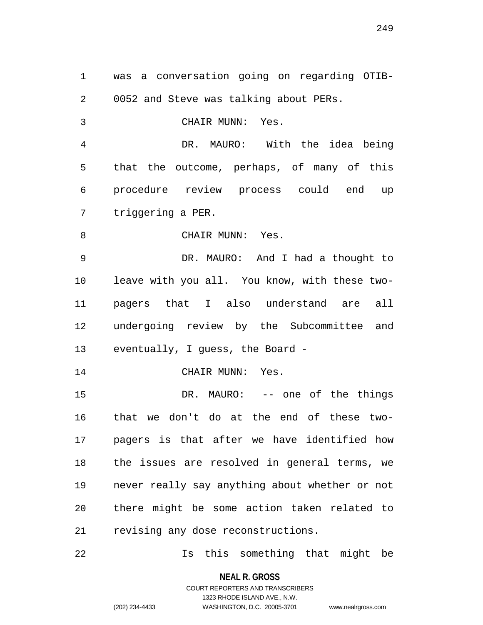was a conversation going on regarding OTIB- 0052 and Steve was talking about PERs. CHAIR MUNN: Yes. DR. MAURO: With the idea being

 that the outcome, perhaps, of many of this procedure review process could end up triggering a PER.

8 CHAIR MUNN: Yes.

 DR. MAURO: And I had a thought to leave with you all. You know, with these two- pagers that I also understand are all undergoing review by the Subcommittee and eventually, I guess, the Board -

14 CHAIR MUNN: Yes.

 DR. MAURO: -- one of the things that we don't do at the end of these two- pagers is that after we have identified how the issues are resolved in general terms, we never really say anything about whether or not there might be some action taken related to revising any dose reconstructions.

Is this something that might be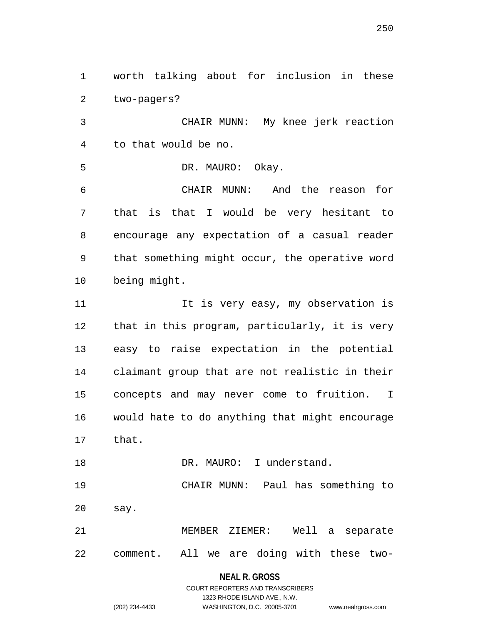two-pagers? CHAIR MUNN: My knee jerk reaction to that would be no. DR. MAURO: Okay. CHAIR MUNN: And the reason for

worth talking about for inclusion in these

 that is that I would be very hesitant to encourage any expectation of a casual reader that something might occur, the operative word being might.

11 11 It is very easy, my observation is that in this program, particularly, it is very easy to raise expectation in the potential claimant group that are not realistic in their concepts and may never come to fruition. I would hate to do anything that might encourage that.

18 DR. MAURO: I understand. CHAIR MUNN: Paul has something to say.

 MEMBER ZIEMER: Well a separate comment. All we are doing with these two-

#### **NEAL R. GROSS**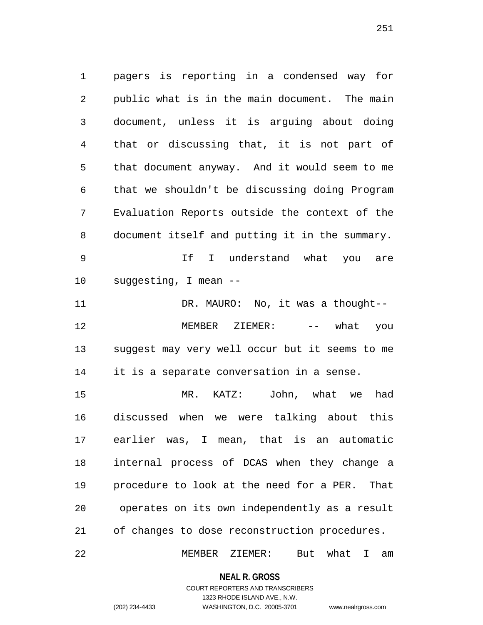pagers is reporting in a condensed way for public what is in the main document. The main document, unless it is arguing about doing that or discussing that, it is not part of that document anyway. And it would seem to me that we shouldn't be discussing doing Program Evaluation Reports outside the context of the document itself and putting it in the summary.

 If I understand what you are suggesting, I mean --

 DR. MAURO: No, it was a thought-- 12 MEMBER ZIEMER: --- what you suggest may very well occur but it seems to me it is a separate conversation in a sense.

 MR. KATZ: John, what we had discussed when we were talking about this earlier was, I mean, that is an automatic internal process of DCAS when they change a procedure to look at the need for a PER. That operates on its own independently as a result of changes to dose reconstruction procedures.

MEMBER ZIEMER: But what I am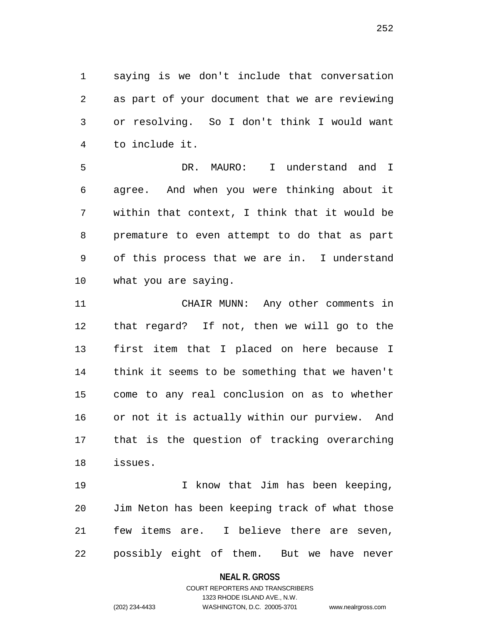saying is we don't include that conversation as part of your document that we are reviewing or resolving. So I don't think I would want to include it.

 DR. MAURO: I understand and I agree. And when you were thinking about it within that context, I think that it would be premature to even attempt to do that as part of this process that we are in. I understand what you are saying.

 CHAIR MUNN: Any other comments in that regard? If not, then we will go to the first item that I placed on here because I think it seems to be something that we haven't come to any real conclusion on as to whether or not it is actually within our purview. And that is the question of tracking overarching issues.

 I know that Jim has been keeping, Jim Neton has been keeping track of what those few items are. I believe there are seven, possibly eight of them. But we have never

#### **NEAL R. GROSS**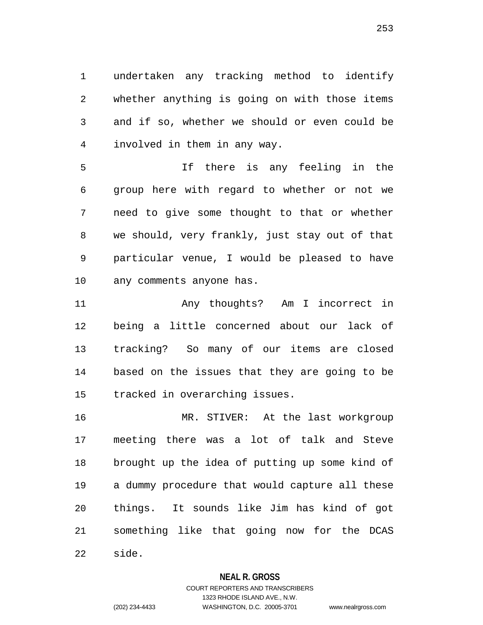undertaken any tracking method to identify whether anything is going on with those items and if so, whether we should or even could be involved in them in any way.

 If there is any feeling in the group here with regard to whether or not we need to give some thought to that or whether we should, very frankly, just stay out of that particular venue, I would be pleased to have any comments anyone has.

 Any thoughts? Am I incorrect in being a little concerned about our lack of tracking? So many of our items are closed based on the issues that they are going to be tracked in overarching issues.

 MR. STIVER: At the last workgroup meeting there was a lot of talk and Steve brought up the idea of putting up some kind of a dummy procedure that would capture all these things. It sounds like Jim has kind of got something like that going now for the DCAS side.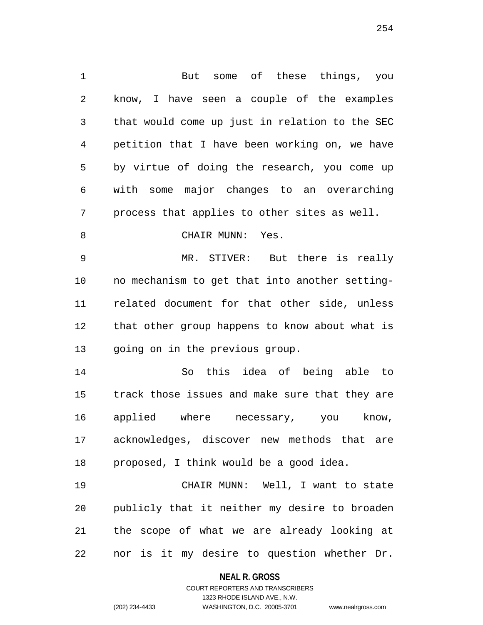But some of these things, you know, I have seen a couple of the examples that would come up just in relation to the SEC petition that I have been working on, we have by virtue of doing the research, you come up with some major changes to an overarching process that applies to other sites as well. 8 CHAIR MUNN: Yes. MR. STIVER: But there is really no mechanism to get that into another setting- related document for that other side, unless that other group happens to know about what is going on in the previous group. So this idea of being able to track those issues and make sure that they are applied where necessary, you know, acknowledges, discover new methods that are proposed, I think would be a good idea. CHAIR MUNN: Well, I want to state publicly that it neither my desire to broaden

nor is it my desire to question whether Dr.

the scope of what we are already looking at

**NEAL R. GROSS**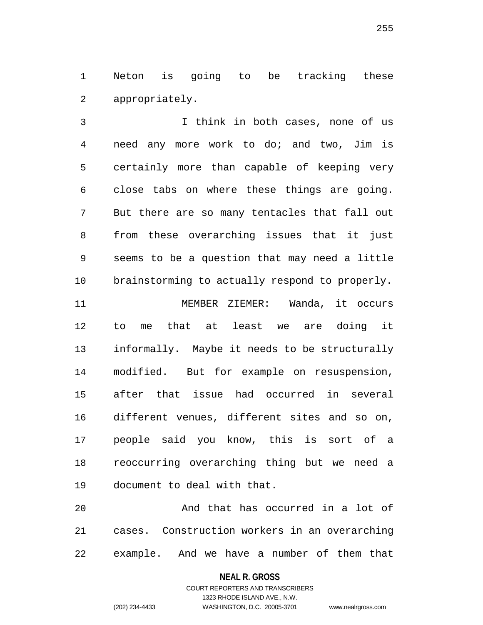Neton is going to be tracking these appropriately.

 I think in both cases, none of us need any more work to do; and two, Jim is certainly more than capable of keeping very close tabs on where these things are going. But there are so many tentacles that fall out from these overarching issues that it just seems to be a question that may need a little brainstorming to actually respond to properly.

 MEMBER ZIEMER: Wanda, it occurs to me that at least we are doing it informally. Maybe it needs to be structurally modified. But for example on resuspension, after that issue had occurred in several different venues, different sites and so on, people said you know, this is sort of a reoccurring overarching thing but we need a document to deal with that.

 And that has occurred in a lot of cases. Construction workers in an overarching example. And we have a number of them that

**NEAL R. GROSS**

COURT REPORTERS AND TRANSCRIBERS 1323 RHODE ISLAND AVE., N.W. (202) 234-4433 WASHINGTON, D.C. 20005-3701 www.nealrgross.com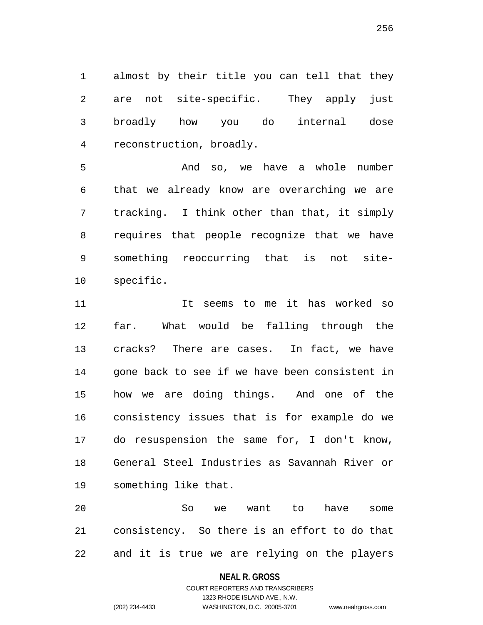almost by their title you can tell that they are not site-specific. They apply just broadly how you do internal dose reconstruction, broadly.

 And so, we have a whole number that we already know are overarching we are tracking. I think other than that, it simply requires that people recognize that we have something reoccurring that is not site-specific.

 It seems to me it has worked so far. What would be falling through the cracks? There are cases. In fact, we have gone back to see if we have been consistent in how we are doing things. And one of the consistency issues that is for example do we do resuspension the same for, I don't know, General Steel Industries as Savannah River or something like that.

 So we want to have some consistency. So there is an effort to do that and it is true we are relying on the players

**NEAL R. GROSS**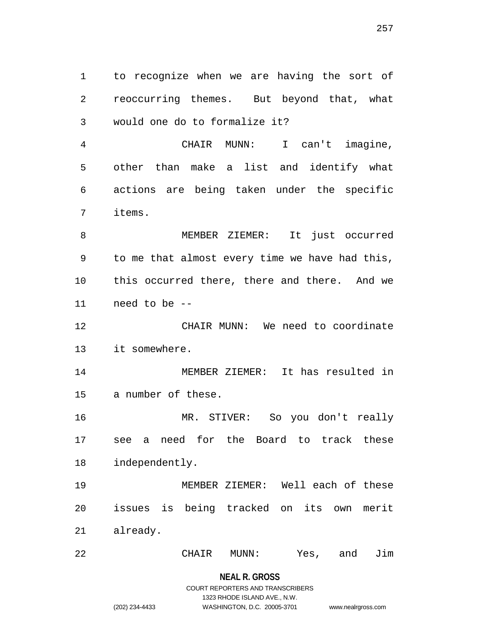to recognize when we are having the sort of reoccurring themes. But beyond that, what would one do to formalize it?

 CHAIR MUNN: I can't imagine, other than make a list and identify what actions are being taken under the specific items.

 MEMBER ZIEMER: It just occurred to me that almost every time we have had this, this occurred there, there and there. And we need to be --

 CHAIR MUNN: We need to coordinate it somewhere.

 MEMBER ZIEMER: It has resulted in a number of these.

 MR. STIVER: So you don't really see a need for the Board to track these independently.

 MEMBER ZIEMER: Well each of these issues is being tracked on its own merit already.

CHAIR MUNN: Yes, and Jim

# **NEAL R. GROSS**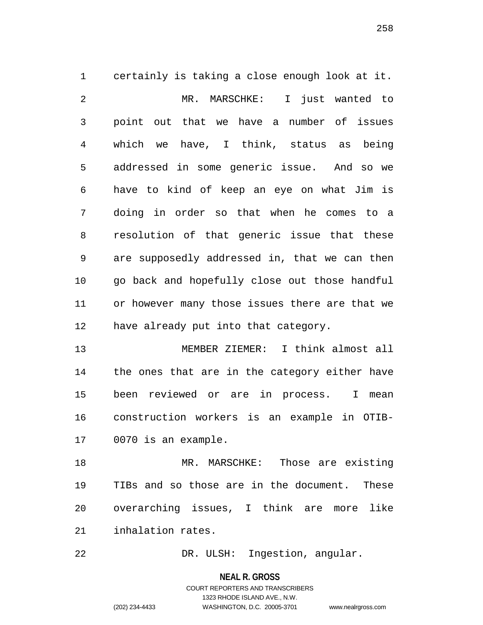certainly is taking a close enough look at it. MR. MARSCHKE: I just wanted to point out that we have a number of issues which we have, I think, status as being addressed in some generic issue. And so we have to kind of keep an eye on what Jim is doing in order so that when he comes to a resolution of that generic issue that these are supposedly addressed in, that we can then go back and hopefully close out those handful or however many those issues there are that we have already put into that category.

 MEMBER ZIEMER: I think almost all the ones that are in the category either have been reviewed or are in process. I mean construction workers is an example in OTIB-0070 is an example.

 MR. MARSCHKE: Those are existing TIBs and so those are in the document. These overarching issues, I think are more like inhalation rates.

DR. ULSH: Ingestion, angular.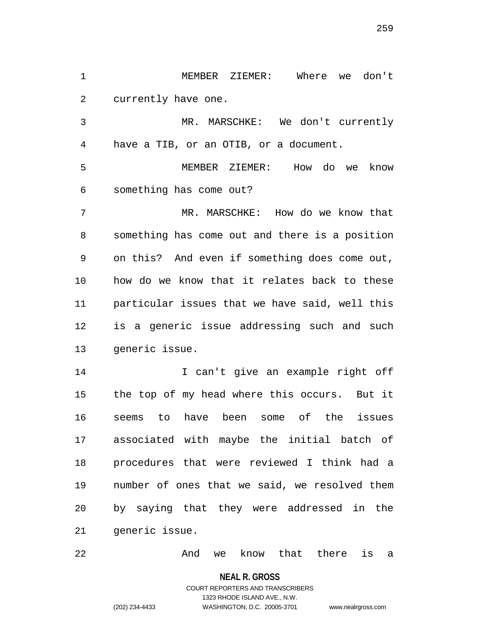MEMBER ZIEMER: Where we don't currently have one.

 MR. MARSCHKE: We don't currently have a TIB, or an OTIB, or a document.

 MEMBER ZIEMER: How do we know something has come out?

 MR. MARSCHKE: How do we know that something has come out and there is a position on this? And even if something does come out, how do we know that it relates back to these particular issues that we have said, well this is a generic issue addressing such and such generic issue.

 I can't give an example right off the top of my head where this occurs. But it seems to have been some of the issues associated with maybe the initial batch of procedures that were reviewed I think had a number of ones that we said, we resolved them by saying that they were addressed in the generic issue.

**And we know that there is a** 

**NEAL R. GROSS**

COURT REPORTERS AND TRANSCRIBERS 1323 RHODE ISLAND AVE., N.W. (202) 234-4433 WASHINGTON, D.C. 20005-3701 www.nealrgross.com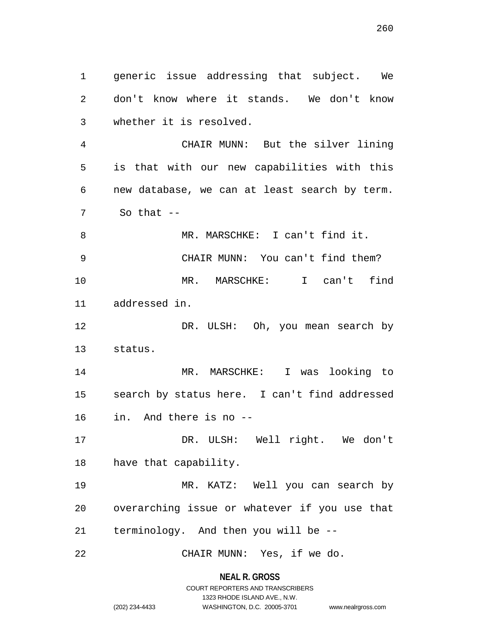generic issue addressing that subject. We don't know where it stands. We don't know whether it is resolved.

 CHAIR MUNN: But the silver lining is that with our new capabilities with this new database, we can at least search by term. So that --

 MR. MARSCHKE: I can't find it. CHAIR MUNN: You can't find them? MR. MARSCHKE: I can't find addressed in.

12 DR. ULSH: Oh, you mean search by status.

 MR. MARSCHKE: I was looking to search by status here. I can't find addressed in. And there is no --

 DR. ULSH: Well right. We don't have that capability.

 MR. KATZ: Well you can search by overarching issue or whatever if you use that terminology. And then you will be --

CHAIR MUNN: Yes, if we do.

**NEAL R. GROSS** COURT REPORTERS AND TRANSCRIBERS

1323 RHODE ISLAND AVE., N.W.

(202) 234-4433 WASHINGTON, D.C. 20005-3701 www.nealrgross.com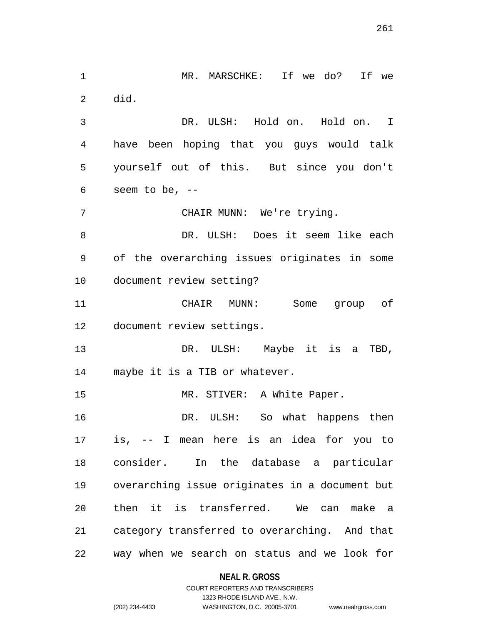MR. MARSCHKE: If we do? If we did. DR. ULSH: Hold on. Hold on. I have been hoping that you guys would talk yourself out of this. But since you don't seem to be, -- CHAIR MUNN: We're trying. DR. ULSH: Does it seem like each of the overarching issues originates in some document review setting? CHAIR MUNN: Some group of document review settings. 13 DR. ULSH: Maybe it is a TBD, maybe it is a TIB or whatever. 15 MR. STIVER: A White Paper. DR. ULSH: So what happens then is, -- I mean here is an idea for you to consider. In the database a particular overarching issue originates in a document but then it is transferred. We can make a category transferred to overarching. And that way when we search on status and we look for

**NEAL R. GROSS**

# COURT REPORTERS AND TRANSCRIBERS 1323 RHODE ISLAND AVE., N.W. (202) 234-4433 WASHINGTON, D.C. 20005-3701 www.nealrgross.com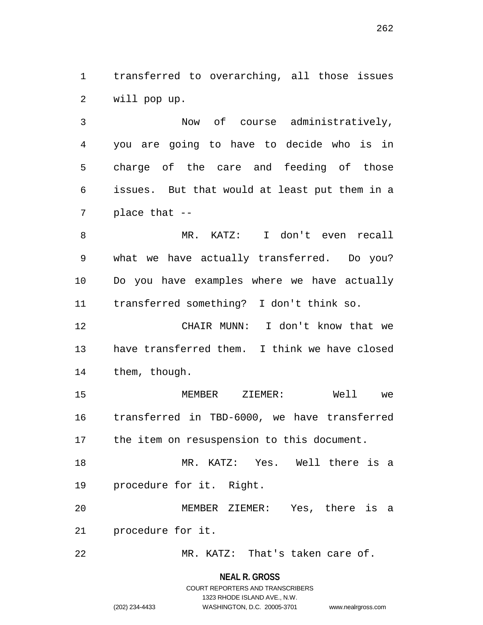transferred to overarching, all those issues will pop up.

 Now of course administratively, you are going to have to decide who is in charge of the care and feeding of those issues. But that would at least put them in a place that --

 MR. KATZ: I don't even recall what we have actually transferred. Do you? Do you have examples where we have actually transferred something? I don't think so.

 CHAIR MUNN: I don't know that we have transferred them. I think we have closed them, though.

 MEMBER ZIEMER: Well we transferred in TBD-6000, we have transferred the item on resuspension to this document.

 MR. KATZ: Yes. Well there is a procedure for it. Right.

 MEMBER ZIEMER: Yes, there is a procedure for it.

MR. KATZ: That's taken care of.

#### **NEAL R. GROSS**

# COURT REPORTERS AND TRANSCRIBERS 1323 RHODE ISLAND AVE., N.W. (202) 234-4433 WASHINGTON, D.C. 20005-3701 www.nealrgross.com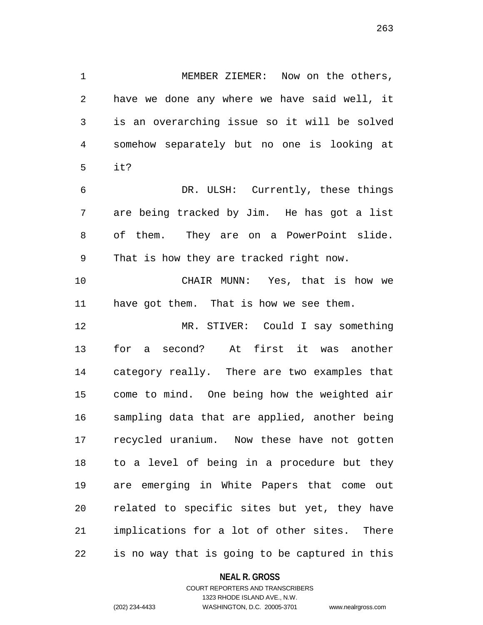1 MEMBER ZIEMER: Now on the others, have we done any where we have said well, it is an overarching issue so it will be solved somehow separately but no one is looking at it? DR. ULSH: Currently, these things are being tracked by Jim. He has got a list

 of them. They are on a PowerPoint slide. That is how they are tracked right now.

 CHAIR MUNN: Yes, that is how we have got them. That is how we see them.

 MR. STIVER: Could I say something for a second? At first it was another category really. There are two examples that come to mind. One being how the weighted air sampling data that are applied, another being recycled uranium. Now these have not gotten to a level of being in a procedure but they are emerging in White Papers that come out related to specific sites but yet, they have implications for a lot of other sites. There is no way that is going to be captured in this

#### **NEAL R. GROSS**

## COURT REPORTERS AND TRANSCRIBERS 1323 RHODE ISLAND AVE., N.W. (202) 234-4433 WASHINGTON, D.C. 20005-3701 www.nealrgross.com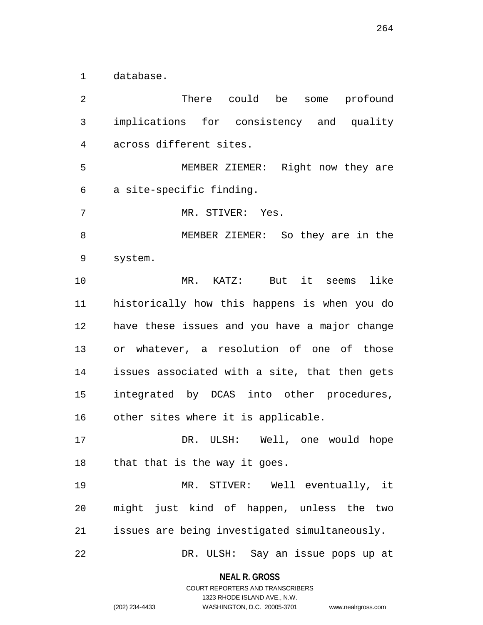database.

 There could be some profound implications for consistency and quality across different sites. MEMBER ZIEMER: Right now they are a site-specific finding. MR. STIVER: Yes. MEMBER ZIEMER: So they are in the system. MR. KATZ: But it seems like historically how this happens is when you do have these issues and you have a major change or whatever, a resolution of one of those issues associated with a site, that then gets integrated by DCAS into other procedures, other sites where it is applicable. DR. ULSH: Well, one would hope that that is the way it goes. MR. STIVER: Well eventually, it might just kind of happen, unless the two issues are being investigated simultaneously. DR. ULSH: Say an issue pops up at

> **NEAL R. GROSS** COURT REPORTERS AND TRANSCRIBERS

> > 1323 RHODE ISLAND AVE., N.W.

(202) 234-4433 WASHINGTON, D.C. 20005-3701 www.nealrgross.com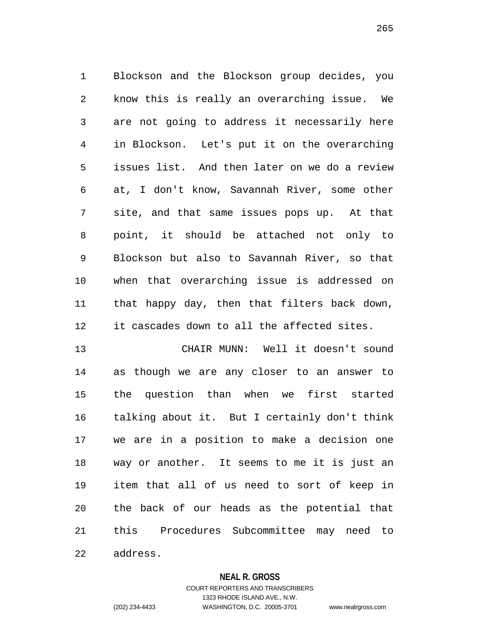Blockson and the Blockson group decides, you know this is really an overarching issue. We are not going to address it necessarily here in Blockson. Let's put it on the overarching issues list. And then later on we do a review at, I don't know, Savannah River, some other site, and that same issues pops up. At that point, it should be attached not only to Blockson but also to Savannah River, so that when that overarching issue is addressed on that happy day, then that filters back down, it cascades down to all the affected sites.

 CHAIR MUNN: Well it doesn't sound as though we are any closer to an answer to the question than when we first started talking about it. But I certainly don't think we are in a position to make a decision one way or another. It seems to me it is just an item that all of us need to sort of keep in the back of our heads as the potential that this Procedures Subcommittee may need to address.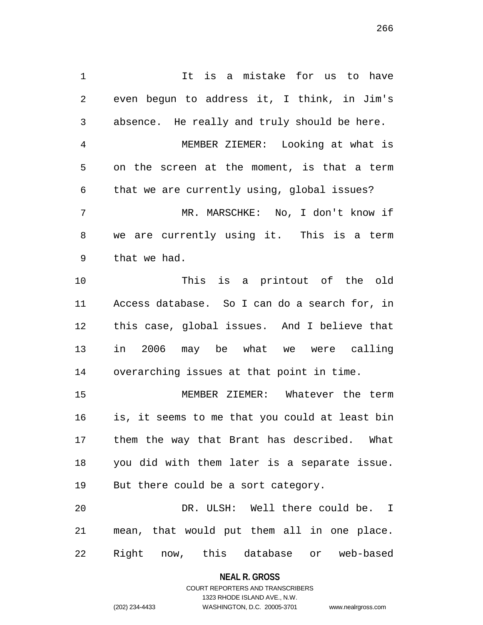1 1 It is a mistake for us to have even begun to address it, I think, in Jim's absence. He really and truly should be here. MEMBER ZIEMER: Looking at what is on the screen at the moment, is that a term that we are currently using, global issues? MR. MARSCHKE: No, I don't know if we are currently using it. This is a term that we had. This is a printout of the old Access database. So I can do a search for, in this case, global issues. And I believe that in 2006 may be what we were calling overarching issues at that point in time. MEMBER ZIEMER: Whatever the term is, it seems to me that you could at least bin them the way that Brant has described. What you did with them later is a separate issue. But there could be a sort category.

 DR. ULSH: Well there could be. I mean, that would put them all in one place. Right now, this database or web-based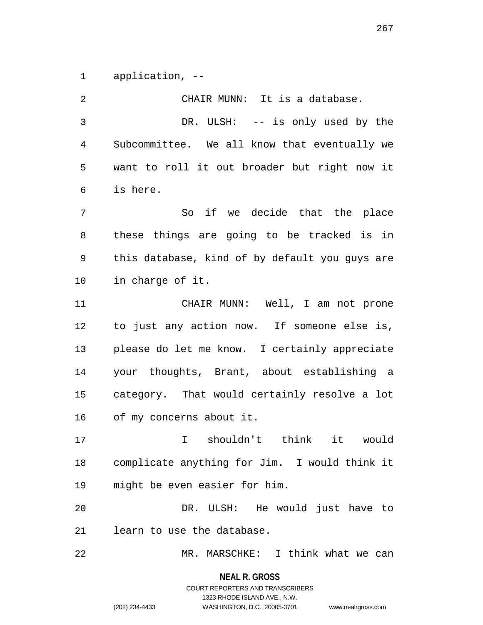application, --

| 2  | CHAIR MUNN: It is a database.                  |
|----|------------------------------------------------|
| 3  | DR. ULSH: -- is only used by the               |
| 4  | Subcommittee. We all know that eventually we   |
| 5  | want to roll it out broader but right now it   |
| 6  | is here.                                       |
| 7  | So if we decide that the place                 |
| 8  | these things are going to be tracked is in     |
| 9  | this database, kind of by default you guys are |
| 10 | in charge of it.                               |
| 11 | CHAIR MUNN: Well, I am not prone               |
| 12 | to just any action now. If someone else is,    |
| 13 | please do let me know. I certainly appreciate  |
| 14 | your thoughts, Brant, about establishing a     |
| 15 | category. That would certainly resolve a lot   |
| 16 | of my concerns about it.                       |
| 17 | I shouldn't think it would                     |
| 18 | complicate anything for Jim. I would think it  |
| 19 | might be even easier for him.                  |
| 20 | DR. ULSH: He would just have to                |
| 21 | learn to use the database.                     |
| 22 | MR. MARSCHKE: I think what we can              |

**NEAL R. GROSS** COURT REPORTERS AND TRANSCRIBERS

1323 RHODE ISLAND AVE., N.W.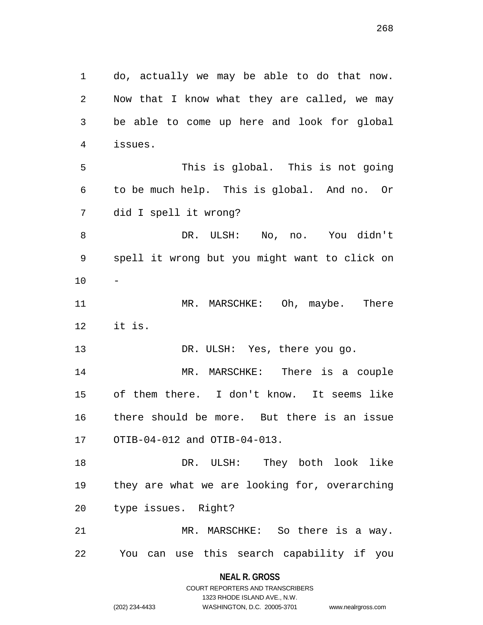do, actually we may be able to do that now. Now that I know what they are called, we may be able to come up here and look for global issues. This is global. This is not going to be much help. This is global. And no. Or did I spell it wrong? DR. ULSH: No, no. You didn't spell it wrong but you might want to click on - 11 MR. MARSCHKE: Oh, maybe. There it is. 13 DR. ULSH: Yes, there you go. MR. MARSCHKE: There is a couple of them there. I don't know. It seems like there should be more. But there is an issue OTIB-04-012 and OTIB-04-013. DR. ULSH: They both look like they are what we are looking for, overarching type issues. Right? MR. MARSCHKE: So there is a way. You can use this search capability if you

> **NEAL R. GROSS** COURT REPORTERS AND TRANSCRIBERS

> > 1323 RHODE ISLAND AVE., N.W.

(202) 234-4433 WASHINGTON, D.C. 20005-3701 www.nealrgross.com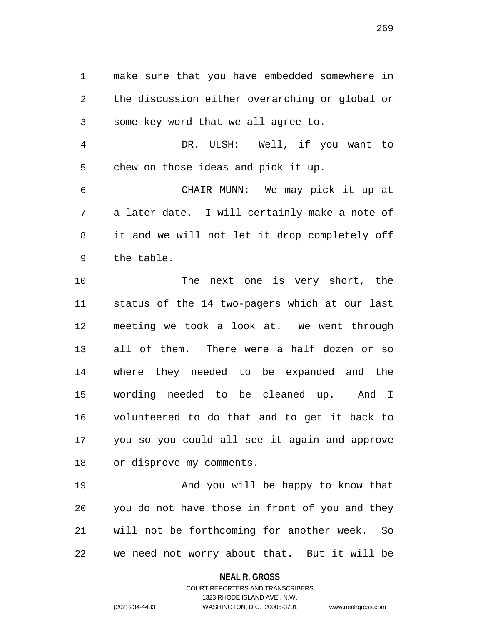make sure that you have embedded somewhere in the discussion either overarching or global or some key word that we all agree to.

 DR. ULSH: Well, if you want to chew on those ideas and pick it up.

 CHAIR MUNN: We may pick it up at a later date. I will certainly make a note of it and we will not let it drop completely off the table.

10 The next one is very short, the status of the 14 two-pagers which at our last meeting we took a look at. We went through all of them. There were a half dozen or so where they needed to be expanded and the wording needed to be cleaned up. And I volunteered to do that and to get it back to you so you could all see it again and approve or disprove my comments.

19 And you will be happy to know that you do not have those in front of you and they will not be forthcoming for another week. So we need not worry about that. But it will be

**NEAL R. GROSS**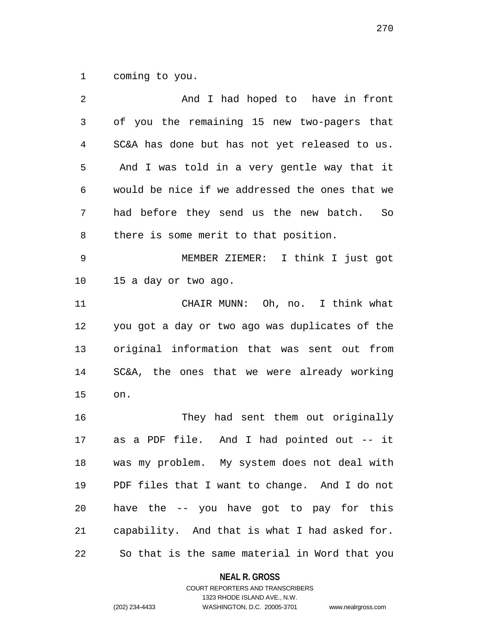coming to you.

2 And I had hoped to have in front of you the remaining 15 new two-pagers that SC&A has done but has not yet released to us. And I was told in a very gentle way that it would be nice if we addressed the ones that we had before they send us the new batch. So there is some merit to that position. MEMBER ZIEMER: I think I just got 15 a day or two ago. CHAIR MUNN: Oh, no. I think what you got a day or two ago was duplicates of the original information that was sent out from SC&A, the ones that we were already working on. They had sent them out originally as a PDF file. And I had pointed out -- it was my problem. My system does not deal with PDF files that I want to change. And I do not have the -- you have got to pay for this capability. And that is what I had asked for. So that is the same material in Word that you

**NEAL R. GROSS**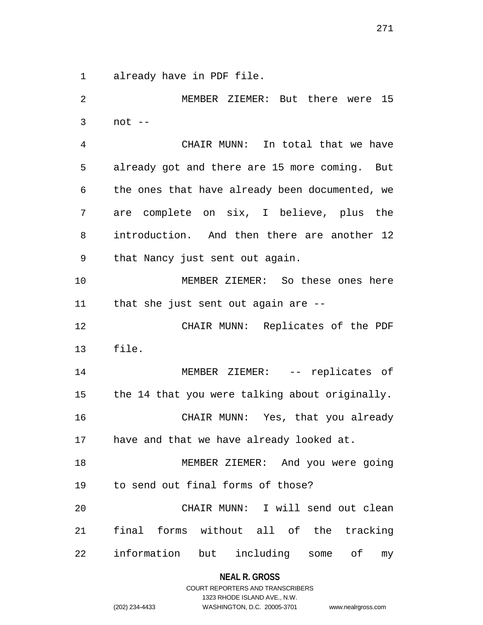already have in PDF file.

 MEMBER ZIEMER: But there were 15 not -- CHAIR MUNN: In total that we have already got and there are 15 more coming. But the ones that have already been documented, we are complete on six, I believe, plus the introduction. And then there are another 12 that Nancy just sent out again. MEMBER ZIEMER: So these ones here that she just sent out again are -- CHAIR MUNN: Replicates of the PDF file. 14 MEMBER ZIEMER: -- replicates of the 14 that you were talking about originally. CHAIR MUNN: Yes, that you already have and that we have already looked at. MEMBER ZIEMER: And you were going to send out final forms of those? CHAIR MUNN: I will send out clean final forms without all of the tracking information but including some of my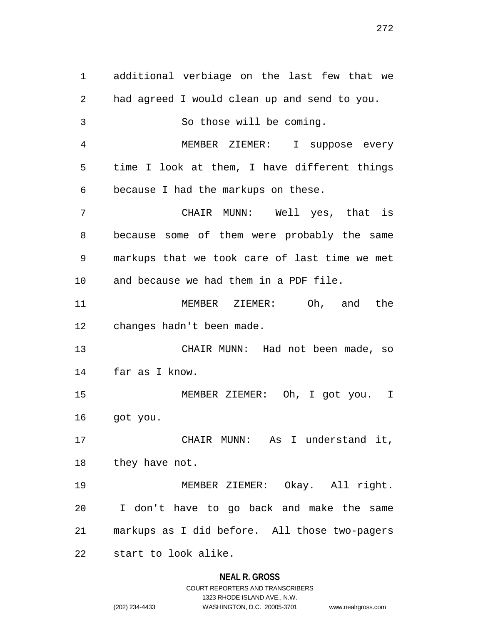additional verbiage on the last few that we had agreed I would clean up and send to you. So those will be coming. MEMBER ZIEMER: I suppose every time I look at them, I have different things because I had the markups on these. CHAIR MUNN: Well yes, that is because some of them were probably the same markups that we took care of last time we met and because we had them in a PDF file. MEMBER ZIEMER: Oh, and the changes hadn't been made. CHAIR MUNN: Had not been made, so far as I know. MEMBER ZIEMER: Oh, I got you. I got you. CHAIR MUNN: As I understand it, 18 they have not. MEMBER ZIEMER: Okay. All right. I don't have to go back and make the same markups as I did before. All those two-pagers start to look alike.

#### **NEAL R. GROSS**

COURT REPORTERS AND TRANSCRIBERS 1323 RHODE ISLAND AVE., N.W. (202) 234-4433 WASHINGTON, D.C. 20005-3701 www.nealrgross.com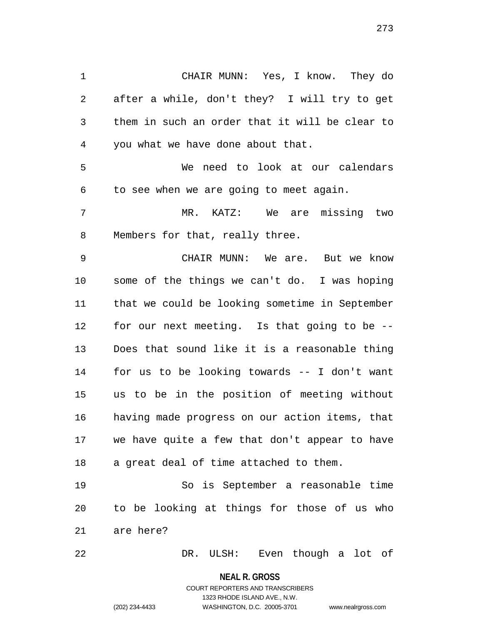CHAIR MUNN: Yes, I know. They do after a while, don't they? I will try to get them in such an order that it will be clear to you what we have done about that. We need to look at our calendars

to see when we are going to meet again.

 MR. KATZ: We are missing two Members for that, really three.

 CHAIR MUNN: We are. But we know some of the things we can't do. I was hoping that we could be looking sometime in September for our next meeting. Is that going to be -- Does that sound like it is a reasonable thing for us to be looking towards -- I don't want us to be in the position of meeting without having made progress on our action items, that we have quite a few that don't appear to have a great deal of time attached to them.

 So is September a reasonable time to be looking at things for those of us who are here?

DR. ULSH: Even though a lot of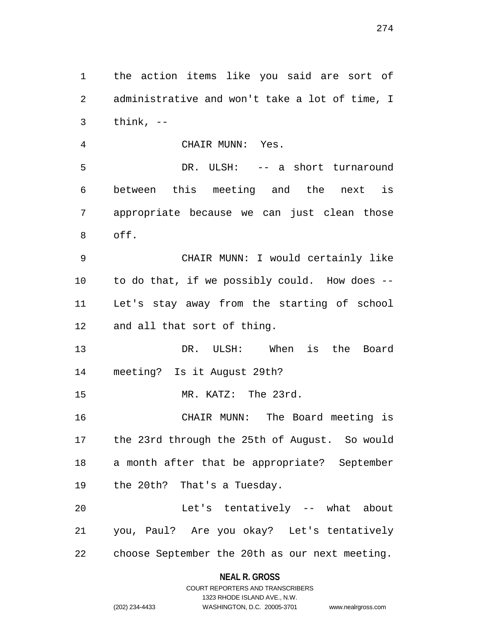the action items like you said are sort of administrative and won't take a lot of time, I think,  $-$  CHAIR MUNN: Yes. DR. ULSH: -- a short turnaround between this meeting and the next is appropriate because we can just clean those off. CHAIR MUNN: I would certainly like to do that, if we possibly could. How does -- Let's stay away from the starting of school and all that sort of thing. DR. ULSH: When is the Board meeting? Is it August 29th? MR. KATZ: The 23rd. CHAIR MUNN: The Board meeting is the 23rd through the 25th of August. So would a month after that be appropriate? September the 20th? That's a Tuesday. Let's tentatively -- what about you, Paul? Are you okay? Let's tentatively choose September the 20th as our next meeting.

# **NEAL R. GROSS** COURT REPORTERS AND TRANSCRIBERS

1323 RHODE ISLAND AVE., N.W.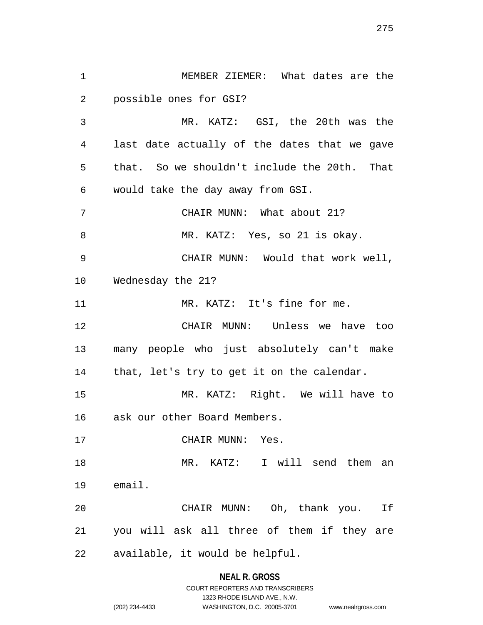MEMBER ZIEMER: What dates are the possible ones for GSI? MR. KATZ: GSI, the 20th was the last date actually of the dates that we gave that. So we shouldn't include the 20th. That would take the day away from GSI. CHAIR MUNN: What about 21? 8 MR. KATZ: Yes, so 21 is okay. CHAIR MUNN: Would that work well, Wednesday the 21? 11 MR. KATZ: It's fine for me. CHAIR MUNN: Unless we have too many people who just absolutely can't make that, let's try to get it on the calendar. MR. KATZ: Right. We will have to ask our other Board Members. CHAIR MUNN: Yes. MR. KATZ: I will send them an email. CHAIR MUNN: Oh, thank you. If you will ask all three of them if they are available, it would be helpful.

#### **NEAL R. GROSS**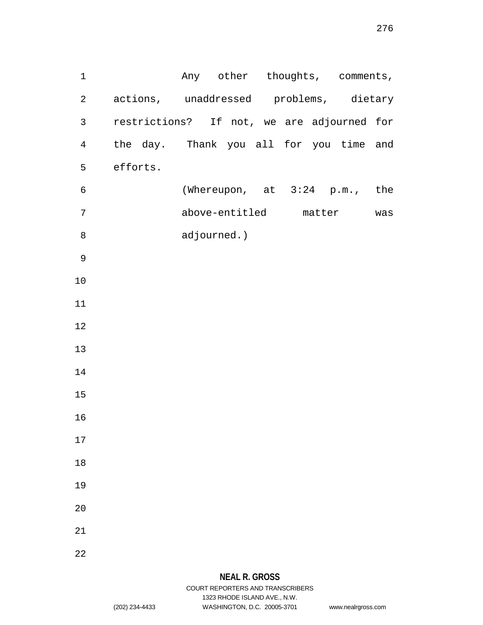1 Any other thoughts, comments, actions, unaddressed problems, dietary restrictions? If not, we are adjourned for the day. Thank you all for you time and efforts. (Whereupon, at 3:24 p.m., the above-entitled matter was adjourned.) 

# **NEAL R. GROSS**